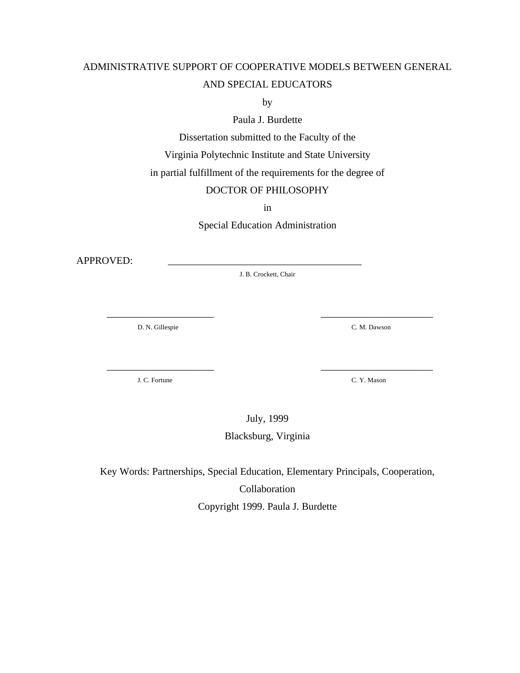# ADMINISTRATIVE SUPPORT OF COOPERATIVE MODELS BETWEEN GENERAL AND SPECIAL EDUCATORS

by

Paula J. Burdette

Dissertation submitted to the Faculty of the

Virginia Polytechnic Institute and State University

in partial fulfillment of the requirements for the degree of

## DOCTOR OF PHILOSOPHY

in

Special Education Administration

APPROVED:

J. B. Crockett, Chair

\_\_\_\_\_\_\_\_\_\_\_\_\_\_\_\_\_\_\_\_\_ \_\_\_\_\_\_\_\_\_\_\_\_\_\_\_\_\_\_\_\_\_\_

\_\_\_\_\_\_\_\_\_\_\_\_\_\_\_\_\_\_\_\_\_ \_\_\_\_\_\_\_\_\_\_\_\_\_\_\_\_\_\_\_\_\_\_

D. N. Gillespie C. M. Dawson

J. C. Fortune C. Y. Mason

July, 1999

Blacksburg, Virginia

Key Words: Partnerships, Special Education, Elementary Principals, Cooperation, Collaboration Copyright 1999. Paula J. Burdette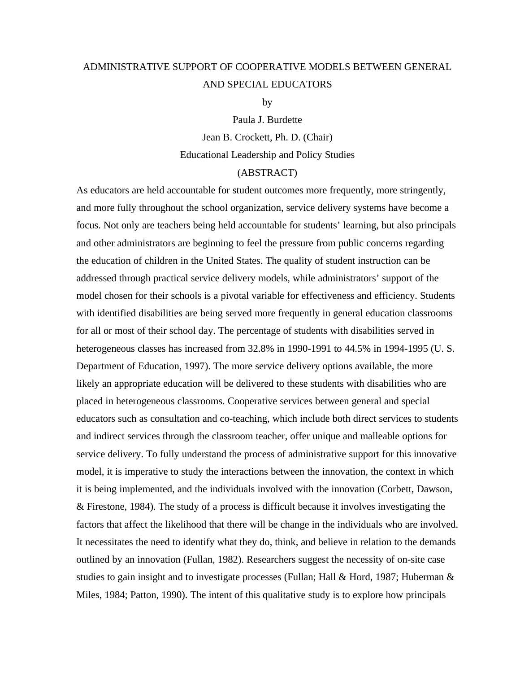# ADMINISTRATIVE SUPPORT OF COOPERATIVE MODELS BETWEEN GENERAL AND SPECIAL EDUCATORS

by

Paula J. Burdette Jean B. Crockett, Ph. D. (Chair) Educational Leadership and Policy Studies

## (ABSTRACT)

As educators are held accountable for student outcomes more frequently, more stringently, and more fully throughout the school organization, service delivery systems have become a focus. Not only are teachers being held accountable for students' learning, but also principals and other administrators are beginning to feel the pressure from public concerns regarding the education of children in the United States. The quality of student instruction can be addressed through practical service delivery models, while administrators' support of the model chosen for their schools is a pivotal variable for effectiveness and efficiency. Students with identified disabilities are being served more frequently in general education classrooms for all or most of their school day. The percentage of students with disabilities served in heterogeneous classes has increased from 32.8% in 1990-1991 to 44.5% in 1994-1995 (U. S. Department of Education, 1997). The more service delivery options available, the more likely an appropriate education will be delivered to these students with disabilities who are placed in heterogeneous classrooms. Cooperative services between general and special educators such as consultation and co-teaching, which include both direct services to students and indirect services through the classroom teacher, offer unique and malleable options for service delivery. To fully understand the process of administrative support for this innovative model, it is imperative to study the interactions between the innovation, the context in which it is being implemented, and the individuals involved with the innovation (Corbett, Dawson, & Firestone, 1984). The study of a process is difficult because it involves investigating the factors that affect the likelihood that there will be change in the individuals who are involved. It necessitates the need to identify what they do, think, and believe in relation to the demands outlined by an innovation (Fullan, 1982). Researchers suggest the necessity of on-site case studies to gain insight and to investigate processes (Fullan; Hall & Hord, 1987; Huberman & Miles, 1984; Patton, 1990). The intent of this qualitative study is to explore how principals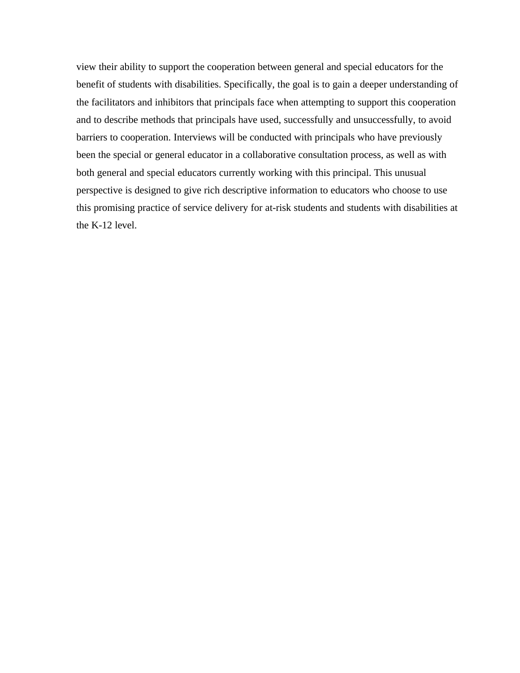view their ability to support the cooperation between general and special educators for the benefit of students with disabilities. Specifically, the goal is to gain a deeper understanding of the facilitators and inhibitors that principals face when attempting to support this cooperation and to describe methods that principals have used, successfully and unsuccessfully, to avoid barriers to cooperation. Interviews will be conducted with principals who have previously been the special or general educator in a collaborative consultation process, as well as with both general and special educators currently working with this principal. This unusual perspective is designed to give rich descriptive information to educators who choose to use this promising practice of service delivery for at-risk students and students with disabilities at the K-12 level.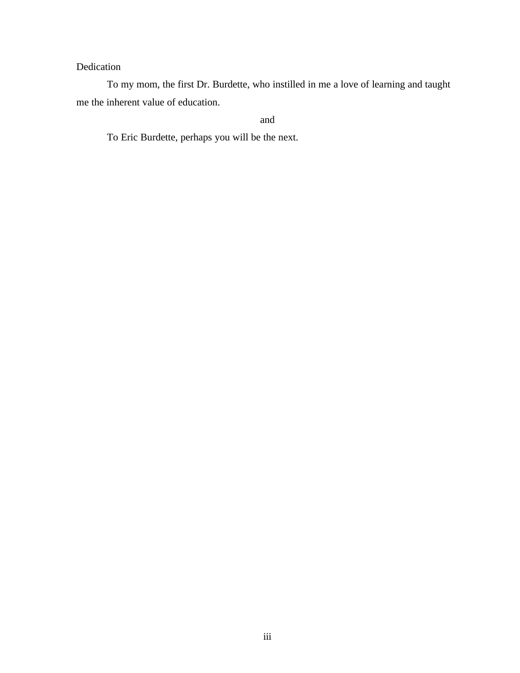## Dedication

To my mom, the first Dr. Burdette, who instilled in me a love of learning and taught me the inherent value of education.

and

To Eric Burdette, perhaps you will be the next.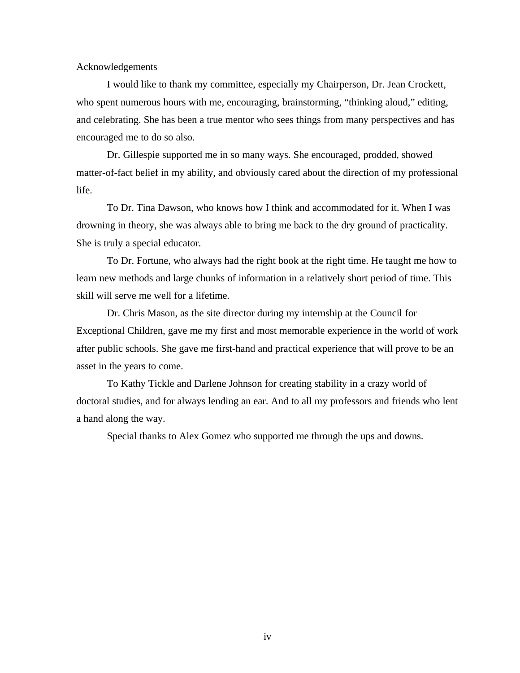Acknowledgements

I would like to thank my committee, especially my Chairperson, Dr. Jean Crockett, who spent numerous hours with me, encouraging, brainstorming, "thinking aloud," editing, and celebrating. She has been a true mentor who sees things from many perspectives and has encouraged me to do so also.

Dr. Gillespie supported me in so many ways. She encouraged, prodded, showed matter-of-fact belief in my ability, and obviously cared about the direction of my professional life.

To Dr. Tina Dawson, who knows how I think and accommodated for it. When I was drowning in theory, she was always able to bring me back to the dry ground of practicality. She is truly a special educator.

To Dr. Fortune, who always had the right book at the right time. He taught me how to learn new methods and large chunks of information in a relatively short period of time. This skill will serve me well for a lifetime.

Dr. Chris Mason, as the site director during my internship at the Council for Exceptional Children, gave me my first and most memorable experience in the world of work after public schools. She gave me first-hand and practical experience that will prove to be an asset in the years to come.

To Kathy Tickle and Darlene Johnson for creating stability in a crazy world of doctoral studies, and for always lending an ear. And to all my professors and friends who lent a hand along the way.

Special thanks to Alex Gomez who supported me through the ups and downs.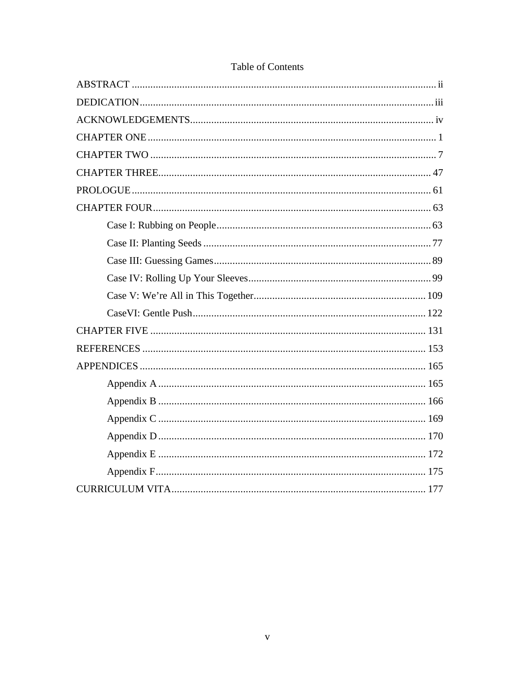## Table of Contents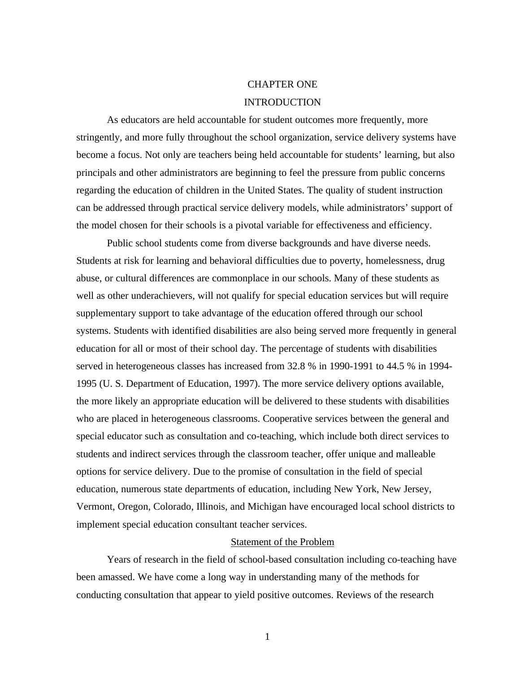# CHAPTER ONE INTRODUCTION

As educators are held accountable for student outcomes more frequently, more stringently, and more fully throughout the school organization, service delivery systems have become a focus. Not only are teachers being held accountable for students' learning, but also principals and other administrators are beginning to feel the pressure from public concerns regarding the education of children in the United States. The quality of student instruction can be addressed through practical service delivery models, while administrators' support of the model chosen for their schools is a pivotal variable for effectiveness and efficiency.

Public school students come from diverse backgrounds and have diverse needs. Students at risk for learning and behavioral difficulties due to poverty, homelessness, drug abuse, or cultural differences are commonplace in our schools. Many of these students as well as other underachievers, will not qualify for special education services but will require supplementary support to take advantage of the education offered through our school systems. Students with identified disabilities are also being served more frequently in general education for all or most of their school day. The percentage of students with disabilities served in heterogeneous classes has increased from 32.8 % in 1990-1991 to 44.5 % in 1994- 1995 (U. S. Department of Education, 1997). The more service delivery options available, the more likely an appropriate education will be delivered to these students with disabilities who are placed in heterogeneous classrooms. Cooperative services between the general and special educator such as consultation and co-teaching, which include both direct services to students and indirect services through the classroom teacher, offer unique and malleable options for service delivery. Due to the promise of consultation in the field of special education, numerous state departments of education, including New York, New Jersey, Vermont, Oregon, Colorado, Illinois, and Michigan have encouraged local school districts to implement special education consultant teacher services.

## Statement of the Problem

Years of research in the field of school-based consultation including co-teaching have been amassed. We have come a long way in understanding many of the methods for conducting consultation that appear to yield positive outcomes. Reviews of the research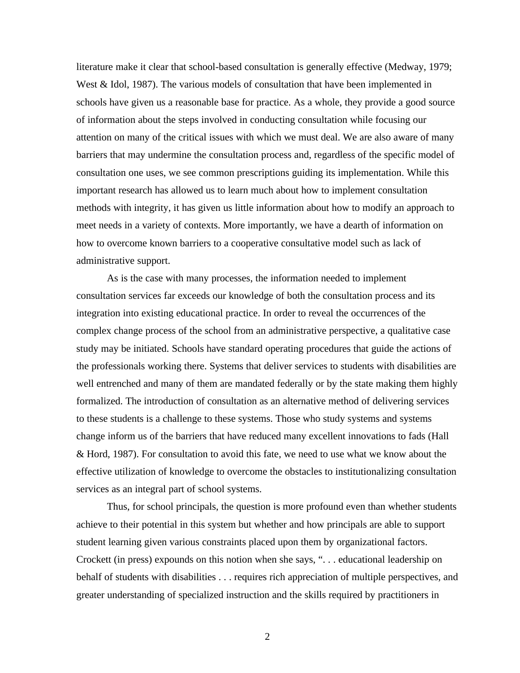literature make it clear that school-based consultation is generally effective (Medway, 1979; West & Idol, 1987). The various models of consultation that have been implemented in schools have given us a reasonable base for practice. As a whole, they provide a good source of information about the steps involved in conducting consultation while focusing our attention on many of the critical issues with which we must deal. We are also aware of many barriers that may undermine the consultation process and, regardless of the specific model of consultation one uses, we see common prescriptions guiding its implementation. While this important research has allowed us to learn much about how to implement consultation methods with integrity, it has given us little information about how to modify an approach to meet needs in a variety of contexts. More importantly, we have a dearth of information on how to overcome known barriers to a cooperative consultative model such as lack of administrative support.

As is the case with many processes, the information needed to implement consultation services far exceeds our knowledge of both the consultation process and its integration into existing educational practice. In order to reveal the occurrences of the complex change process of the school from an administrative perspective, a qualitative case study may be initiated. Schools have standard operating procedures that guide the actions of the professionals working there. Systems that deliver services to students with disabilities are well entrenched and many of them are mandated federally or by the state making them highly formalized. The introduction of consultation as an alternative method of delivering services to these students is a challenge to these systems. Those who study systems and systems change inform us of the barriers that have reduced many excellent innovations to fads (Hall & Hord, 1987). For consultation to avoid this fate, we need to use what we know about the effective utilization of knowledge to overcome the obstacles to institutionalizing consultation services as an integral part of school systems.

Thus, for school principals, the question is more profound even than whether students achieve to their potential in this system but whether and how principals are able to support student learning given various constraints placed upon them by organizational factors. Crockett (in press) expounds on this notion when she says, ". . . educational leadership on behalf of students with disabilities . . . requires rich appreciation of multiple perspectives, and greater understanding of specialized instruction and the skills required by practitioners in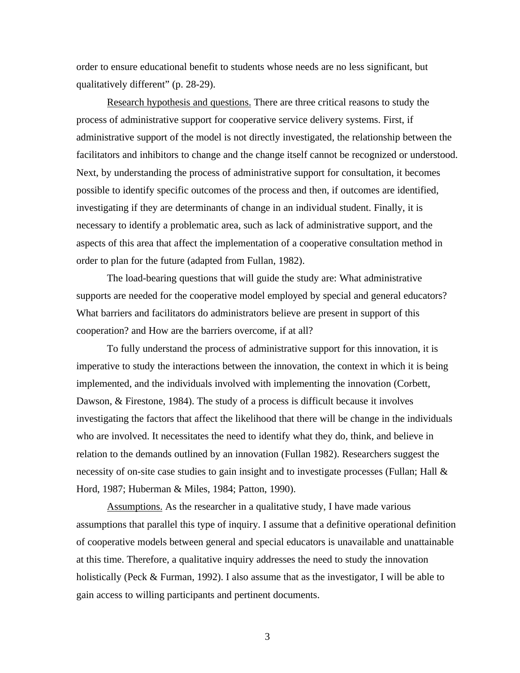order to ensure educational benefit to students whose needs are no less significant, but qualitatively different" (p. 28-29).

Research hypothesis and questions. There are three critical reasons to study the process of administrative support for cooperative service delivery systems. First, if administrative support of the model is not directly investigated, the relationship between the facilitators and inhibitors to change and the change itself cannot be recognized or understood. Next, by understanding the process of administrative support for consultation, it becomes possible to identify specific outcomes of the process and then, if outcomes are identified, investigating if they are determinants of change in an individual student. Finally, it is necessary to identify a problematic area, such as lack of administrative support, and the aspects of this area that affect the implementation of a cooperative consultation method in order to plan for the future (adapted from Fullan, 1982).

The load-bearing questions that will guide the study are: What administrative supports are needed for the cooperative model employed by special and general educators? What barriers and facilitators do administrators believe are present in support of this cooperation? and How are the barriers overcome, if at all?

To fully understand the process of administrative support for this innovation, it is imperative to study the interactions between the innovation, the context in which it is being implemented, and the individuals involved with implementing the innovation (Corbett, Dawson, & Firestone, 1984). The study of a process is difficult because it involves investigating the factors that affect the likelihood that there will be change in the individuals who are involved. It necessitates the need to identify what they do, think, and believe in relation to the demands outlined by an innovation (Fullan 1982). Researchers suggest the necessity of on-site case studies to gain insight and to investigate processes (Fullan; Hall & Hord, 1987; Huberman & Miles, 1984; Patton, 1990).

Assumptions. As the researcher in a qualitative study, I have made various assumptions that parallel this type of inquiry. I assume that a definitive operational definition of cooperative models between general and special educators is unavailable and unattainable at this time. Therefore, a qualitative inquiry addresses the need to study the innovation holistically (Peck & Furman, 1992). I also assume that as the investigator, I will be able to gain access to willing participants and pertinent documents.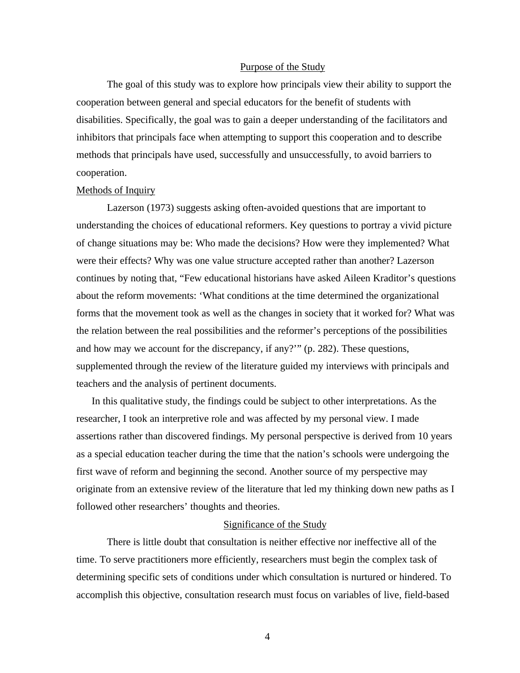#### Purpose of the Study

The goal of this study was to explore how principals view their ability to support the cooperation between general and special educators for the benefit of students with disabilities. Specifically, the goal was to gain a deeper understanding of the facilitators and inhibitors that principals face when attempting to support this cooperation and to describe methods that principals have used, successfully and unsuccessfully, to avoid barriers to cooperation.

#### Methods of Inquiry

Lazerson (1973) suggests asking often-avoided questions that are important to understanding the choices of educational reformers. Key questions to portray a vivid picture of change situations may be: Who made the decisions? How were they implemented? What were their effects? Why was one value structure accepted rather than another? Lazerson continues by noting that, "Few educational historians have asked Aileen Kraditor's questions about the reform movements: 'What conditions at the time determined the organizational forms that the movement took as well as the changes in society that it worked for? What was the relation between the real possibilities and the reformer's perceptions of the possibilities and how may we account for the discrepancy, if any?'" (p. 282). These questions, supplemented through the review of the literature guided my interviews with principals and teachers and the analysis of pertinent documents.

In this qualitative study, the findings could be subject to other interpretations. As the researcher, I took an interpretive role and was affected by my personal view. I made assertions rather than discovered findings. My personal perspective is derived from 10 years as a special education teacher during the time that the nation's schools were undergoing the first wave of reform and beginning the second. Another source of my perspective may originate from an extensive review of the literature that led my thinking down new paths as I followed other researchers' thoughts and theories.

#### Significance of the Study

There is little doubt that consultation is neither effective nor ineffective all of the time. To serve practitioners more efficiently, researchers must begin the complex task of determining specific sets of conditions under which consultation is nurtured or hindered. To accomplish this objective, consultation research must focus on variables of live, field-based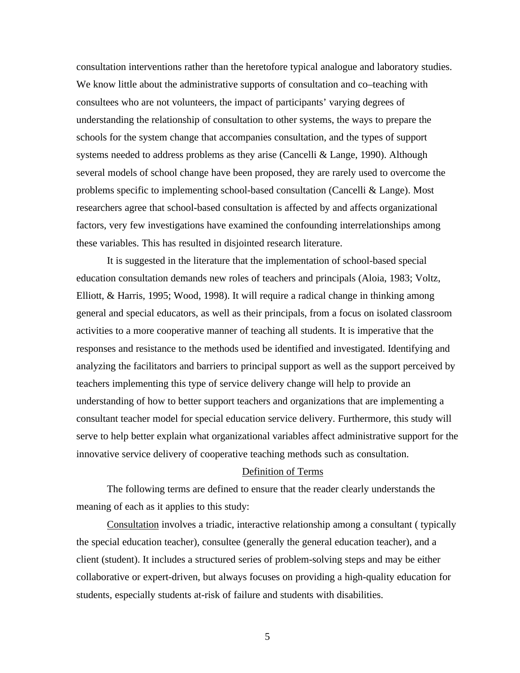consultation interventions rather than the heretofore typical analogue and laboratory studies. We know little about the administrative supports of consultation and co–teaching with consultees who are not volunteers, the impact of participants' varying degrees of understanding the relationship of consultation to other systems, the ways to prepare the schools for the system change that accompanies consultation, and the types of support systems needed to address problems as they arise (Cancelli & Lange, 1990). Although several models of school change have been proposed, they are rarely used to overcome the problems specific to implementing school-based consultation (Cancelli & Lange). Most researchers agree that school-based consultation is affected by and affects organizational factors, very few investigations have examined the confounding interrelationships among these variables. This has resulted in disjointed research literature.

It is suggested in the literature that the implementation of school-based special education consultation demands new roles of teachers and principals (Aloia, 1983; Voltz, Elliott, & Harris, 1995; Wood, 1998). It will require a radical change in thinking among general and special educators, as well as their principals, from a focus on isolated classroom activities to a more cooperative manner of teaching all students. It is imperative that the responses and resistance to the methods used be identified and investigated. Identifying and analyzing the facilitators and barriers to principal support as well as the support perceived by teachers implementing this type of service delivery change will help to provide an understanding of how to better support teachers and organizations that are implementing a consultant teacher model for special education service delivery. Furthermore, this study will serve to help better explain what organizational variables affect administrative support for the innovative service delivery of cooperative teaching methods such as consultation.

#### Definition of Terms

The following terms are defined to ensure that the reader clearly understands the meaning of each as it applies to this study:

Consultation involves a triadic, interactive relationship among a consultant ( typically the special education teacher), consultee (generally the general education teacher), and a client (student). It includes a structured series of problem-solving steps and may be either collaborative or expert-driven, but always focuses on providing a high-quality education for students, especially students at-risk of failure and students with disabilities.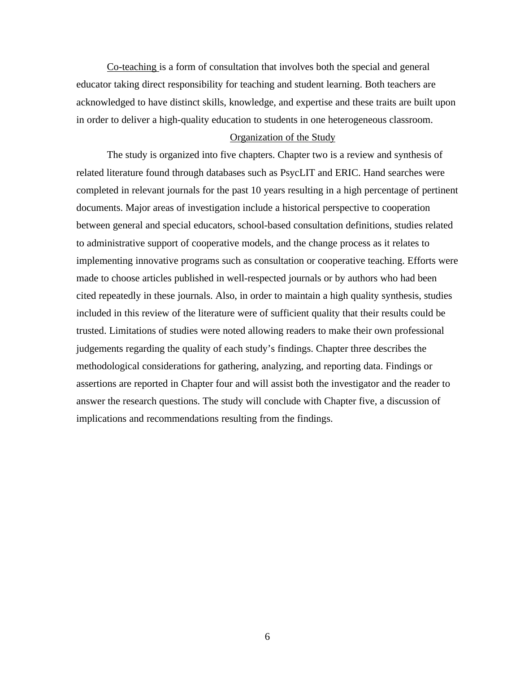Co-teaching is a form of consultation that involves both the special and general educator taking direct responsibility for teaching and student learning. Both teachers are acknowledged to have distinct skills, knowledge, and expertise and these traits are built upon in order to deliver a high-quality education to students in one heterogeneous classroom.

### Organization of the Study

The study is organized into five chapters. Chapter two is a review and synthesis of related literature found through databases such as PsycLIT and ERIC. Hand searches were completed in relevant journals for the past 10 years resulting in a high percentage of pertinent documents. Major areas of investigation include a historical perspective to cooperation between general and special educators, school-based consultation definitions, studies related to administrative support of cooperative models, and the change process as it relates to implementing innovative programs such as consultation or cooperative teaching. Efforts were made to choose articles published in well-respected journals or by authors who had been cited repeatedly in these journals. Also, in order to maintain a high quality synthesis, studies included in this review of the literature were of sufficient quality that their results could be trusted. Limitations of studies were noted allowing readers to make their own professional judgements regarding the quality of each study's findings. Chapter three describes the methodological considerations for gathering, analyzing, and reporting data. Findings or assertions are reported in Chapter four and will assist both the investigator and the reader to answer the research questions. The study will conclude with Chapter five, a discussion of implications and recommendations resulting from the findings.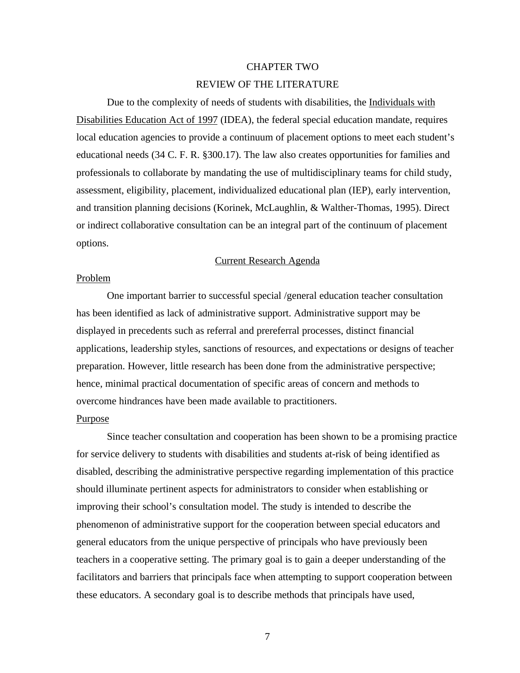### CHAPTER TWO

### REVIEW OF THE LITERATURE

Due to the complexity of needs of students with disabilities, the Individuals with Disabilities Education Act of 1997 (IDEA), the federal special education mandate, requires local education agencies to provide a continuum of placement options to meet each student's educational needs (34 C. F. R. §300.17). The law also creates opportunities for families and professionals to collaborate by mandating the use of multidisciplinary teams for child study, assessment, eligibility, placement, individualized educational plan (IEP), early intervention, and transition planning decisions (Korinek, McLaughlin, & Walther-Thomas, 1995). Direct or indirect collaborative consultation can be an integral part of the continuum of placement options.

### Current Research Agenda

#### Problem

One important barrier to successful special /general education teacher consultation has been identified as lack of administrative support. Administrative support may be displayed in precedents such as referral and prereferral processes, distinct financial applications, leadership styles, sanctions of resources, and expectations or designs of teacher preparation. However, little research has been done from the administrative perspective; hence, minimal practical documentation of specific areas of concern and methods to overcome hindrances have been made available to practitioners.

## Purpose

Since teacher consultation and cooperation has been shown to be a promising practice for service delivery to students with disabilities and students at-risk of being identified as disabled, describing the administrative perspective regarding implementation of this practice should illuminate pertinent aspects for administrators to consider when establishing or improving their school's consultation model. The study is intended to describe the phenomenon of administrative support for the cooperation between special educators and general educators from the unique perspective of principals who have previously been teachers in a cooperative setting. The primary goal is to gain a deeper understanding of the facilitators and barriers that principals face when attempting to support cooperation between these educators. A secondary goal is to describe methods that principals have used,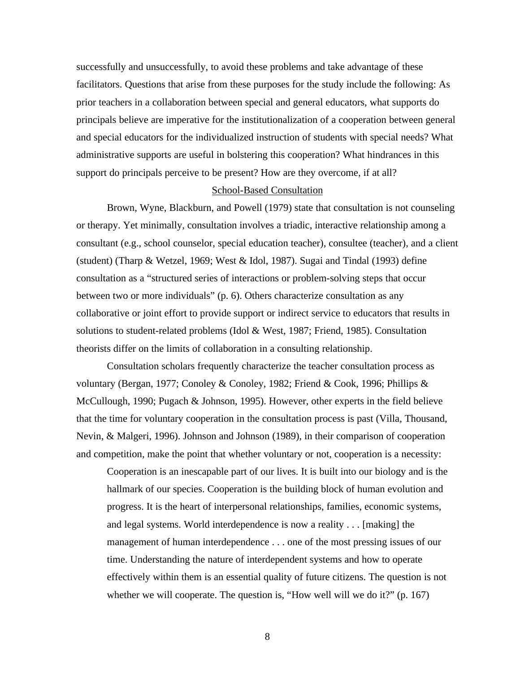successfully and unsuccessfully, to avoid these problems and take advantage of these facilitators. Questions that arise from these purposes for the study include the following: As prior teachers in a collaboration between special and general educators, what supports do principals believe are imperative for the institutionalization of a cooperation between general and special educators for the individualized instruction of students with special needs? What administrative supports are useful in bolstering this cooperation? What hindrances in this support do principals perceive to be present? How are they overcome, if at all?

#### School-Based Consultation

Brown, Wyne, Blackburn, and Powell (1979) state that consultation is not counseling or therapy. Yet minimally, consultation involves a triadic, interactive relationship among a consultant (e.g., school counselor, special education teacher), consultee (teacher), and a client (student) (Tharp & Wetzel, 1969; West & Idol, 1987). Sugai and Tindal (1993) define consultation as a "structured series of interactions or problem-solving steps that occur between two or more individuals" (p. 6). Others characterize consultation as any collaborative or joint effort to provide support or indirect service to educators that results in solutions to student-related problems (Idol & West, 1987; Friend, 1985). Consultation theorists differ on the limits of collaboration in a consulting relationship.

Consultation scholars frequently characterize the teacher consultation process as voluntary (Bergan, 1977; Conoley & Conoley, 1982; Friend & Cook, 1996; Phillips & McCullough, 1990; Pugach & Johnson, 1995). However, other experts in the field believe that the time for voluntary cooperation in the consultation process is past (Villa, Thousand, Nevin, & Malgeri, 1996). Johnson and Johnson (1989), in their comparison of cooperation and competition, make the point that whether voluntary or not, cooperation is a necessity:

Cooperation is an inescapable part of our lives. It is built into our biology and is the hallmark of our species. Cooperation is the building block of human evolution and progress. It is the heart of interpersonal relationships, families, economic systems, and legal systems. World interdependence is now a reality . . . [making] the management of human interdependence . . . one of the most pressing issues of our time. Understanding the nature of interdependent systems and how to operate effectively within them is an essential quality of future citizens. The question is not whether we will cooperate. The question is, "How well will we do it?" (p. 167)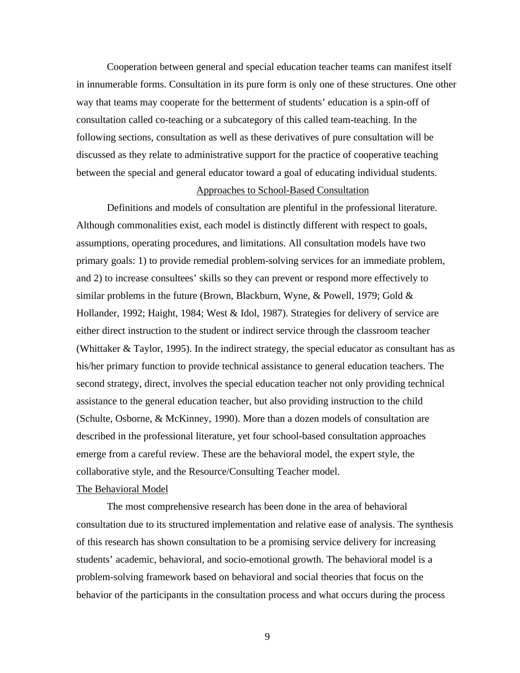Cooperation between general and special education teacher teams can manifest itself in innumerable forms. Consultation in its pure form is only one of these structures. One other way that teams may cooperate for the betterment of students' education is a spin-off of consultation called co-teaching or a subcategory of this called team-teaching. In the following sections, consultation as well as these derivatives of pure consultation will be discussed as they relate to administrative support for the practice of cooperative teaching between the special and general educator toward a goal of educating individual students.

#### Approaches to School-Based Consultation

Definitions and models of consultation are plentiful in the professional literature. Although commonalities exist, each model is distinctly different with respect to goals, assumptions, operating procedures, and limitations. All consultation models have two primary goals: 1) to provide remedial problem-solving services for an immediate problem, and 2) to increase consultees' skills so they can prevent or respond more effectively to similar problems in the future (Brown, Blackburn, Wyne, & Powell, 1979; Gold & Hollander, 1992; Haight, 1984; West & Idol, 1987). Strategies for delivery of service are either direct instruction to the student or indirect service through the classroom teacher (Whittaker & Taylor, 1995). In the indirect strategy, the special educator as consultant has as his/her primary function to provide technical assistance to general education teachers. The second strategy, direct, involves the special education teacher not only providing technical assistance to the general education teacher, but also providing instruction to the child (Schulte, Osborne, & McKinney, 1990). More than a dozen models of consultation are described in the professional literature, yet four school-based consultation approaches emerge from a careful review. These are the behavioral model, the expert style, the collaborative style, and the Resource/Consulting Teacher model.

#### The Behavioral Model

The most comprehensive research has been done in the area of behavioral consultation due to its structured implementation and relative ease of analysis. The synthesis of this research has shown consultation to be a promising service delivery for increasing students' academic, behavioral, and socio-emotional growth. The behavioral model is a problem-solving framework based on behavioral and social theories that focus on the behavior of the participants in the consultation process and what occurs during the process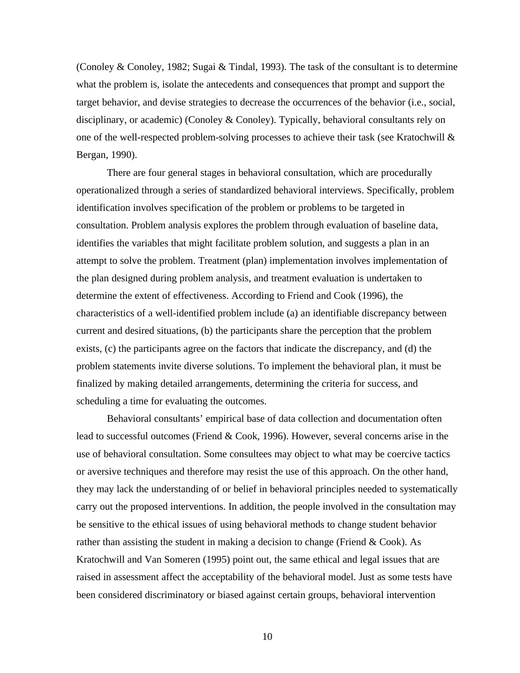(Conoley & Conoley, 1982; Sugai & Tindal, 1993). The task of the consultant is to determine what the problem is, isolate the antecedents and consequences that prompt and support the target behavior, and devise strategies to decrease the occurrences of the behavior (i.e., social, disciplinary, or academic) (Conoley & Conoley). Typically, behavioral consultants rely on one of the well-respected problem-solving processes to achieve their task (see Kratochwill & Bergan, 1990).

There are four general stages in behavioral consultation, which are procedurally operationalized through a series of standardized behavioral interviews. Specifically, problem identification involves specification of the problem or problems to be targeted in consultation. Problem analysis explores the problem through evaluation of baseline data, identifies the variables that might facilitate problem solution, and suggests a plan in an attempt to solve the problem. Treatment (plan) implementation involves implementation of the plan designed during problem analysis, and treatment evaluation is undertaken to determine the extent of effectiveness. According to Friend and Cook (1996), the characteristics of a well-identified problem include (a) an identifiable discrepancy between current and desired situations, (b) the participants share the perception that the problem exists, (c) the participants agree on the factors that indicate the discrepancy, and (d) the problem statements invite diverse solutions. To implement the behavioral plan, it must be finalized by making detailed arrangements, determining the criteria for success, and scheduling a time for evaluating the outcomes.

Behavioral consultants' empirical base of data collection and documentation often lead to successful outcomes (Friend & Cook, 1996). However, several concerns arise in the use of behavioral consultation. Some consultees may object to what may be coercive tactics or aversive techniques and therefore may resist the use of this approach. On the other hand, they may lack the understanding of or belief in behavioral principles needed to systematically carry out the proposed interventions. In addition, the people involved in the consultation may be sensitive to the ethical issues of using behavioral methods to change student behavior rather than assisting the student in making a decision to change (Friend  $& Cook$ ). As Kratochwill and Van Someren (1995) point out, the same ethical and legal issues that are raised in assessment affect the acceptability of the behavioral model. Just as some tests have been considered discriminatory or biased against certain groups, behavioral intervention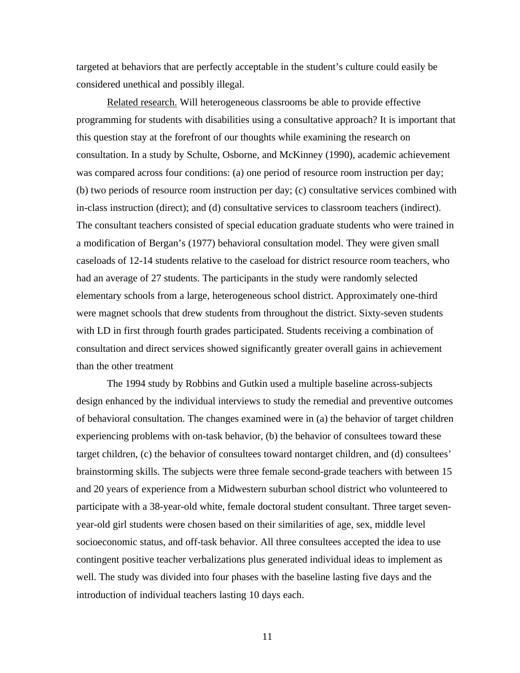targeted at behaviors that are perfectly acceptable in the student's culture could easily be considered unethical and possibly illegal.

Related research. Will heterogeneous classrooms be able to provide effective programming for students with disabilities using a consultative approach? It is important that this question stay at the forefront of our thoughts while examining the research on consultation. In a study by Schulte, Osborne, and McKinney (1990), academic achievement was compared across four conditions: (a) one period of resource room instruction per day; (b) two periods of resource room instruction per day; (c) consultative services combined with in-class instruction (direct); and (d) consultative services to classroom teachers (indirect). The consultant teachers consisted of special education graduate students who were trained in a modification of Bergan's (1977) behavioral consultation model. They were given small caseloads of 12-14 students relative to the caseload for district resource room teachers, who had an average of 27 students. The participants in the study were randomly selected elementary schools from a large, heterogeneous school district. Approximately one-third were magnet schools that drew students from throughout the district. Sixty-seven students with LD in first through fourth grades participated. Students receiving a combination of consultation and direct services showed significantly greater overall gains in achievement than the other treatment

The 1994 study by Robbins and Gutkin used a multiple baseline across-subjects design enhanced by the individual interviews to study the remedial and preventive outcomes of behavioral consultation. The changes examined were in (a) the behavior of target children experiencing problems with on-task behavior, (b) the behavior of consultees toward these target children, (c) the behavior of consultees toward nontarget children, and (d) consultees' brainstorming skills. The subjects were three female second-grade teachers with between 15 and 20 years of experience from a Midwestern suburban school district who volunteered to participate with a 38-year-old white, female doctoral student consultant. Three target sevenyear-old girl students were chosen based on their similarities of age, sex, middle level socioeconomic status, and off-task behavior. All three consultees accepted the idea to use contingent positive teacher verbalizations plus generated individual ideas to implement as well. The study was divided into four phases with the baseline lasting five days and the introduction of individual teachers lasting 10 days each.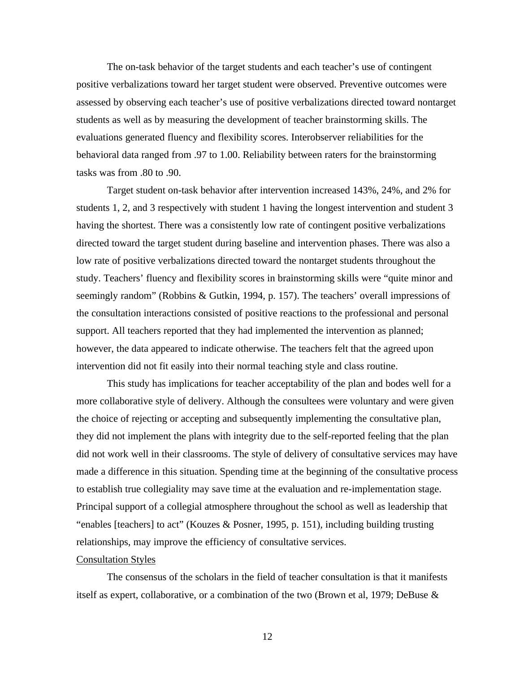The on-task behavior of the target students and each teacher's use of contingent positive verbalizations toward her target student were observed. Preventive outcomes were assessed by observing each teacher's use of positive verbalizations directed toward nontarget students as well as by measuring the development of teacher brainstorming skills. The evaluations generated fluency and flexibility scores. Interobserver reliabilities for the behavioral data ranged from .97 to 1.00. Reliability between raters for the brainstorming tasks was from .80 to .90.

Target student on-task behavior after intervention increased 143%, 24%, and 2% for students 1, 2, and 3 respectively with student 1 having the longest intervention and student 3 having the shortest. There was a consistently low rate of contingent positive verbalizations directed toward the target student during baseline and intervention phases. There was also a low rate of positive verbalizations directed toward the nontarget students throughout the study. Teachers' fluency and flexibility scores in brainstorming skills were "quite minor and seemingly random" (Robbins & Gutkin, 1994, p. 157). The teachers' overall impressions of the consultation interactions consisted of positive reactions to the professional and personal support. All teachers reported that they had implemented the intervention as planned; however, the data appeared to indicate otherwise. The teachers felt that the agreed upon intervention did not fit easily into their normal teaching style and class routine.

This study has implications for teacher acceptability of the plan and bodes well for a more collaborative style of delivery. Although the consultees were voluntary and were given the choice of rejecting or accepting and subsequently implementing the consultative plan, they did not implement the plans with integrity due to the self-reported feeling that the plan did not work well in their classrooms. The style of delivery of consultative services may have made a difference in this situation. Spending time at the beginning of the consultative process to establish true collegiality may save time at the evaluation and re-implementation stage. Principal support of a collegial atmosphere throughout the school as well as leadership that "enables [teachers] to act" (Kouzes & Posner, 1995, p. 151), including building trusting relationships, may improve the efficiency of consultative services.

#### Consultation Styles

The consensus of the scholars in the field of teacher consultation is that it manifests itself as expert, collaborative, or a combination of the two (Brown et al, 1979; DeBuse &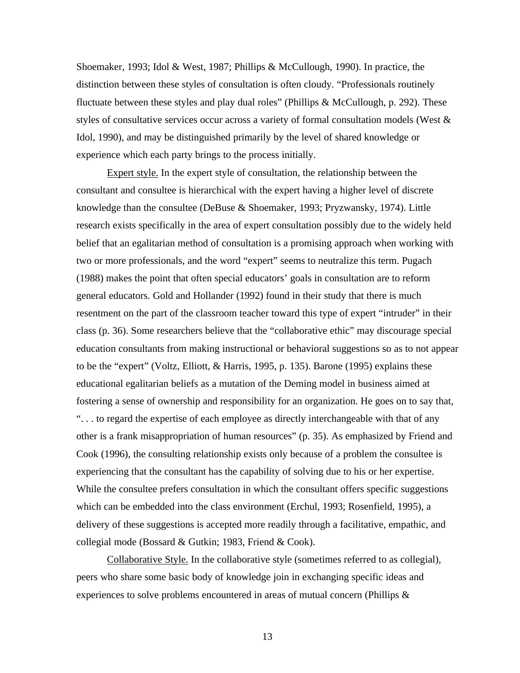Shoemaker, 1993; Idol & West, 1987; Phillips & McCullough, 1990). In practice, the distinction between these styles of consultation is often cloudy. "Professionals routinely fluctuate between these styles and play dual roles" (Phillips & McCullough, p. 292). These styles of consultative services occur across a variety of formal consultation models (West & Idol, 1990), and may be distinguished primarily by the level of shared knowledge or experience which each party brings to the process initially.

Expert style. In the expert style of consultation, the relationship between the consultant and consultee is hierarchical with the expert having a higher level of discrete knowledge than the consultee (DeBuse & Shoemaker, 1993; Pryzwansky, 1974). Little research exists specifically in the area of expert consultation possibly due to the widely held belief that an egalitarian method of consultation is a promising approach when working with two or more professionals, and the word "expert" seems to neutralize this term. Pugach (1988) makes the point that often special educators' goals in consultation are to reform general educators. Gold and Hollander (1992) found in their study that there is much resentment on the part of the classroom teacher toward this type of expert "intruder" in their class (p. 36). Some researchers believe that the "collaborative ethic" may discourage special education consultants from making instructional or behavioral suggestions so as to not appear to be the "expert" (Voltz, Elliott, & Harris, 1995, p. 135). Barone (1995) explains these educational egalitarian beliefs as a mutation of the Deming model in business aimed at fostering a sense of ownership and responsibility for an organization. He goes on to say that, ". . . to regard the expertise of each employee as directly interchangeable with that of any other is a frank misappropriation of human resources" (p. 35). As emphasized by Friend and Cook (1996), the consulting relationship exists only because of a problem the consultee is experiencing that the consultant has the capability of solving due to his or her expertise. While the consultee prefers consultation in which the consultant offers specific suggestions which can be embedded into the class environment (Erchul, 1993; Rosenfield, 1995), a delivery of these suggestions is accepted more readily through a facilitative, empathic, and collegial mode (Bossard & Gutkin; 1983, Friend & Cook).

Collaborative Style. In the collaborative style (sometimes referred to as collegial), peers who share some basic body of knowledge join in exchanging specific ideas and experiences to solve problems encountered in areas of mutual concern (Phillips  $\&$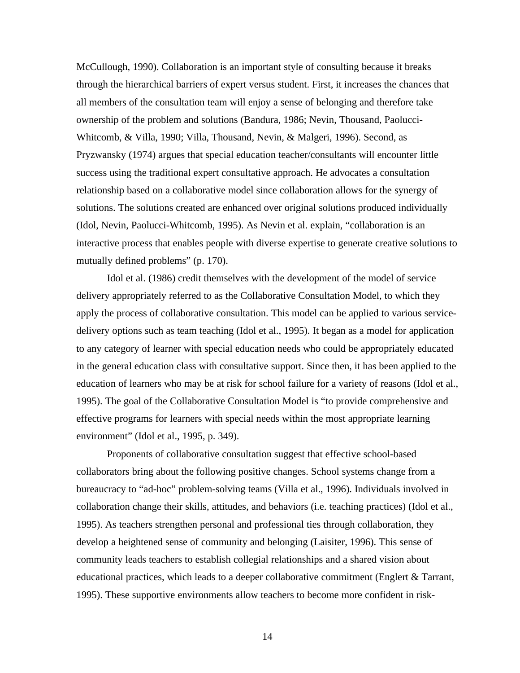McCullough, 1990). Collaboration is an important style of consulting because it breaks through the hierarchical barriers of expert versus student. First, it increases the chances that all members of the consultation team will enjoy a sense of belonging and therefore take ownership of the problem and solutions (Bandura, 1986; Nevin, Thousand, Paolucci-Whitcomb, & Villa, 1990; Villa, Thousand, Nevin, & Malgeri, 1996). Second, as Pryzwansky (1974) argues that special education teacher/consultants will encounter little success using the traditional expert consultative approach. He advocates a consultation relationship based on a collaborative model since collaboration allows for the synergy of solutions. The solutions created are enhanced over original solutions produced individually (Idol, Nevin, Paolucci-Whitcomb, 1995). As Nevin et al. explain, "collaboration is an interactive process that enables people with diverse expertise to generate creative solutions to mutually defined problems" (p. 170).

Idol et al. (1986) credit themselves with the development of the model of service delivery appropriately referred to as the Collaborative Consultation Model, to which they apply the process of collaborative consultation. This model can be applied to various servicedelivery options such as team teaching (Idol et al., 1995). It began as a model for application to any category of learner with special education needs who could be appropriately educated in the general education class with consultative support. Since then, it has been applied to the education of learners who may be at risk for school failure for a variety of reasons (Idol et al., 1995). The goal of the Collaborative Consultation Model is "to provide comprehensive and effective programs for learners with special needs within the most appropriate learning environment" (Idol et al., 1995, p. 349).

Proponents of collaborative consultation suggest that effective school-based collaborators bring about the following positive changes. School systems change from a bureaucracy to "ad-hoc" problem-solving teams (Villa et al., 1996). Individuals involved in collaboration change their skills, attitudes, and behaviors (i.e. teaching practices) (Idol et al., 1995). As teachers strengthen personal and professional ties through collaboration, they develop a heightened sense of community and belonging (Laisiter, 1996). This sense of community leads teachers to establish collegial relationships and a shared vision about educational practices, which leads to a deeper collaborative commitment (Englert & Tarrant, 1995). These supportive environments allow teachers to become more confident in risk-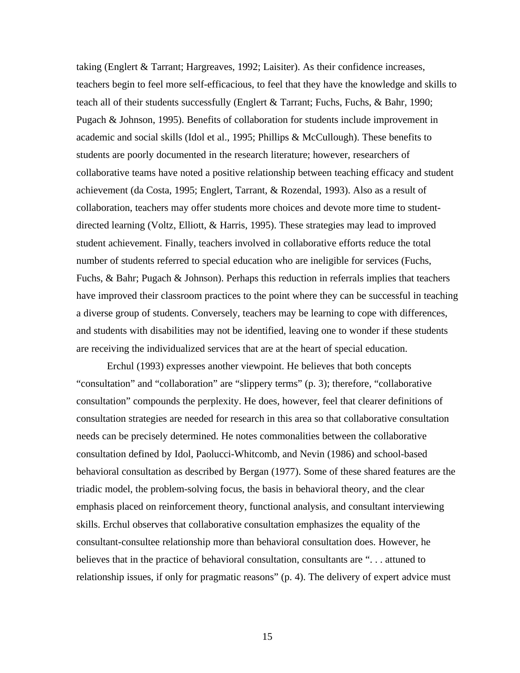taking (Englert & Tarrant; Hargreaves, 1992; Laisiter). As their confidence increases, teachers begin to feel more self-efficacious, to feel that they have the knowledge and skills to teach all of their students successfully (Englert & Tarrant; Fuchs, Fuchs, & Bahr, 1990; Pugach & Johnson, 1995). Benefits of collaboration for students include improvement in academic and social skills (Idol et al., 1995; Phillips & McCullough). These benefits to students are poorly documented in the research literature; however, researchers of collaborative teams have noted a positive relationship between teaching efficacy and student achievement (da Costa, 1995; Englert, Tarrant, & Rozendal, 1993). Also as a result of collaboration, teachers may offer students more choices and devote more time to studentdirected learning (Voltz, Elliott, & Harris, 1995). These strategies may lead to improved student achievement. Finally, teachers involved in collaborative efforts reduce the total number of students referred to special education who are ineligible for services (Fuchs, Fuchs, & Bahr; Pugach & Johnson). Perhaps this reduction in referrals implies that teachers have improved their classroom practices to the point where they can be successful in teaching a diverse group of students. Conversely, teachers may be learning to cope with differences, and students with disabilities may not be identified, leaving one to wonder if these students are receiving the individualized services that are at the heart of special education.

Erchul (1993) expresses another viewpoint. He believes that both concepts "consultation" and "collaboration" are "slippery terms" (p. 3); therefore, "collaborative consultation" compounds the perplexity. He does, however, feel that clearer definitions of consultation strategies are needed for research in this area so that collaborative consultation needs can be precisely determined. He notes commonalities between the collaborative consultation defined by Idol, Paolucci-Whitcomb, and Nevin (1986) and school-based behavioral consultation as described by Bergan (1977). Some of these shared features are the triadic model, the problem-solving focus, the basis in behavioral theory, and the clear emphasis placed on reinforcement theory, functional analysis, and consultant interviewing skills. Erchul observes that collaborative consultation emphasizes the equality of the consultant-consultee relationship more than behavioral consultation does. However, he believes that in the practice of behavioral consultation, consultants are "... attuned to relationship issues, if only for pragmatic reasons" (p. 4). The delivery of expert advice must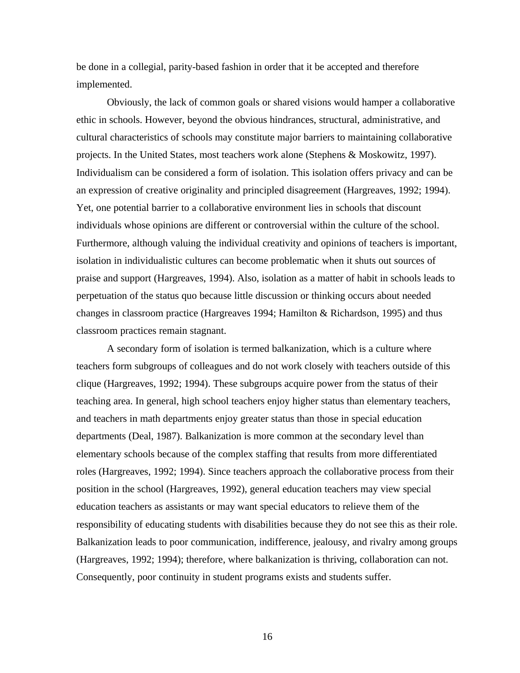be done in a collegial, parity-based fashion in order that it be accepted and therefore implemented.

Obviously, the lack of common goals or shared visions would hamper a collaborative ethic in schools. However, beyond the obvious hindrances, structural, administrative, and cultural characteristics of schools may constitute major barriers to maintaining collaborative projects. In the United States, most teachers work alone (Stephens & Moskowitz, 1997). Individualism can be considered a form of isolation. This isolation offers privacy and can be an expression of creative originality and principled disagreement (Hargreaves, 1992; 1994). Yet, one potential barrier to a collaborative environment lies in schools that discount individuals whose opinions are different or controversial within the culture of the school. Furthermore, although valuing the individual creativity and opinions of teachers is important, isolation in individualistic cultures can become problematic when it shuts out sources of praise and support (Hargreaves, 1994). Also, isolation as a matter of habit in schools leads to perpetuation of the status quo because little discussion or thinking occurs about needed changes in classroom practice (Hargreaves 1994; Hamilton & Richardson, 1995) and thus classroom practices remain stagnant.

A secondary form of isolation is termed balkanization, which is a culture where teachers form subgroups of colleagues and do not work closely with teachers outside of this clique (Hargreaves, 1992; 1994). These subgroups acquire power from the status of their teaching area. In general, high school teachers enjoy higher status than elementary teachers, and teachers in math departments enjoy greater status than those in special education departments (Deal, 1987). Balkanization is more common at the secondary level than elementary schools because of the complex staffing that results from more differentiated roles (Hargreaves, 1992; 1994). Since teachers approach the collaborative process from their position in the school (Hargreaves, 1992), general education teachers may view special education teachers as assistants or may want special educators to relieve them of the responsibility of educating students with disabilities because they do not see this as their role. Balkanization leads to poor communication, indifference, jealousy, and rivalry among groups (Hargreaves, 1992; 1994); therefore, where balkanization is thriving, collaboration can not. Consequently, poor continuity in student programs exists and students suffer.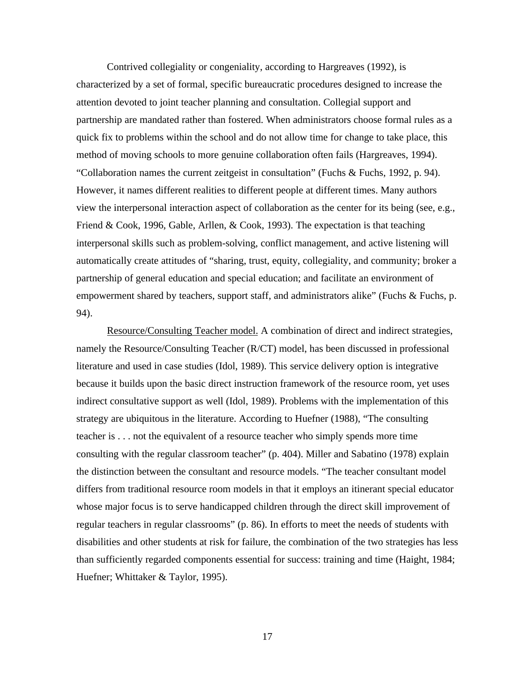Contrived collegiality or congeniality, according to Hargreaves (1992), is characterized by a set of formal, specific bureaucratic procedures designed to increase the attention devoted to joint teacher planning and consultation. Collegial support and partnership are mandated rather than fostered. When administrators choose formal rules as a quick fix to problems within the school and do not allow time for change to take place, this method of moving schools to more genuine collaboration often fails (Hargreaves, 1994). "Collaboration names the current zeitgeist in consultation" (Fuchs & Fuchs, 1992, p. 94). However, it names different realities to different people at different times. Many authors view the interpersonal interaction aspect of collaboration as the center for its being (see, e.g., Friend & Cook, 1996, Gable, Arllen, & Cook, 1993). The expectation is that teaching interpersonal skills such as problem-solving, conflict management, and active listening will automatically create attitudes of "sharing, trust, equity, collegiality, and community; broker a partnership of general education and special education; and facilitate an environment of empowerment shared by teachers, support staff, and administrators alike" (Fuchs & Fuchs, p. 94).

Resource/Consulting Teacher model. A combination of direct and indirect strategies, namely the Resource/Consulting Teacher (R/CT) model, has been discussed in professional literature and used in case studies (Idol, 1989). This service delivery option is integrative because it builds upon the basic direct instruction framework of the resource room, yet uses indirect consultative support as well (Idol, 1989). Problems with the implementation of this strategy are ubiquitous in the literature. According to Huefner (1988), "The consulting teacher is . . . not the equivalent of a resource teacher who simply spends more time consulting with the regular classroom teacher" (p. 404). Miller and Sabatino (1978) explain the distinction between the consultant and resource models. "The teacher consultant model differs from traditional resource room models in that it employs an itinerant special educator whose major focus is to serve handicapped children through the direct skill improvement of regular teachers in regular classrooms" (p. 86). In efforts to meet the needs of students with disabilities and other students at risk for failure, the combination of the two strategies has less than sufficiently regarded components essential for success: training and time (Haight, 1984; Huefner; Whittaker & Taylor, 1995).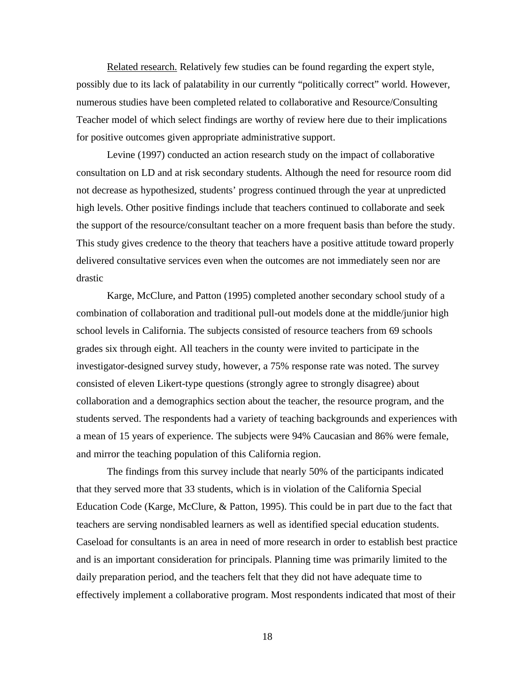Related research. Relatively few studies can be found regarding the expert style, possibly due to its lack of palatability in our currently "politically correct" world. However, numerous studies have been completed related to collaborative and Resource/Consulting Teacher model of which select findings are worthy of review here due to their implications for positive outcomes given appropriate administrative support.

Levine (1997) conducted an action research study on the impact of collaborative consultation on LD and at risk secondary students. Although the need for resource room did not decrease as hypothesized, students' progress continued through the year at unpredicted high levels. Other positive findings include that teachers continued to collaborate and seek the support of the resource/consultant teacher on a more frequent basis than before the study. This study gives credence to the theory that teachers have a positive attitude toward properly delivered consultative services even when the outcomes are not immediately seen nor are drastic

Karge, McClure, and Patton (1995) completed another secondary school study of a combination of collaboration and traditional pull-out models done at the middle/junior high school levels in California. The subjects consisted of resource teachers from 69 schools grades six through eight. All teachers in the county were invited to participate in the investigator-designed survey study, however, a 75% response rate was noted. The survey consisted of eleven Likert-type questions (strongly agree to strongly disagree) about collaboration and a demographics section about the teacher, the resource program, and the students served. The respondents had a variety of teaching backgrounds and experiences with a mean of 15 years of experience. The subjects were 94% Caucasian and 86% were female, and mirror the teaching population of this California region.

The findings from this survey include that nearly 50% of the participants indicated that they served more that 33 students, which is in violation of the California Special Education Code (Karge, McClure, & Patton, 1995). This could be in part due to the fact that teachers are serving nondisabled learners as well as identified special education students. Caseload for consultants is an area in need of more research in order to establish best practice and is an important consideration for principals. Planning time was primarily limited to the daily preparation period, and the teachers felt that they did not have adequate time to effectively implement a collaborative program. Most respondents indicated that most of their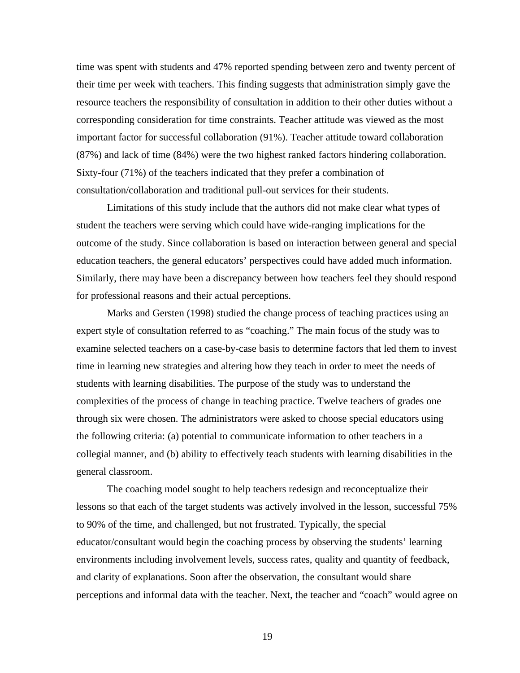time was spent with students and 47% reported spending between zero and twenty percent of their time per week with teachers. This finding suggests that administration simply gave the resource teachers the responsibility of consultation in addition to their other duties without a corresponding consideration for time constraints. Teacher attitude was viewed as the most important factor for successful collaboration (91%). Teacher attitude toward collaboration (87%) and lack of time (84%) were the two highest ranked factors hindering collaboration. Sixty-four (71%) of the teachers indicated that they prefer a combination of consultation/collaboration and traditional pull-out services for their students.

Limitations of this study include that the authors did not make clear what types of student the teachers were serving which could have wide-ranging implications for the outcome of the study. Since collaboration is based on interaction between general and special education teachers, the general educators' perspectives could have added much information. Similarly, there may have been a discrepancy between how teachers feel they should respond for professional reasons and their actual perceptions.

Marks and Gersten (1998) studied the change process of teaching practices using an expert style of consultation referred to as "coaching." The main focus of the study was to examine selected teachers on a case-by-case basis to determine factors that led them to invest time in learning new strategies and altering how they teach in order to meet the needs of students with learning disabilities. The purpose of the study was to understand the complexities of the process of change in teaching practice. Twelve teachers of grades one through six were chosen. The administrators were asked to choose special educators using the following criteria: (a) potential to communicate information to other teachers in a collegial manner, and (b) ability to effectively teach students with learning disabilities in the general classroom.

The coaching model sought to help teachers redesign and reconceptualize their lessons so that each of the target students was actively involved in the lesson, successful 75% to 90% of the time, and challenged, but not frustrated. Typically, the special educator/consultant would begin the coaching process by observing the students' learning environments including involvement levels, success rates, quality and quantity of feedback, and clarity of explanations. Soon after the observation, the consultant would share perceptions and informal data with the teacher. Next, the teacher and "coach" would agree on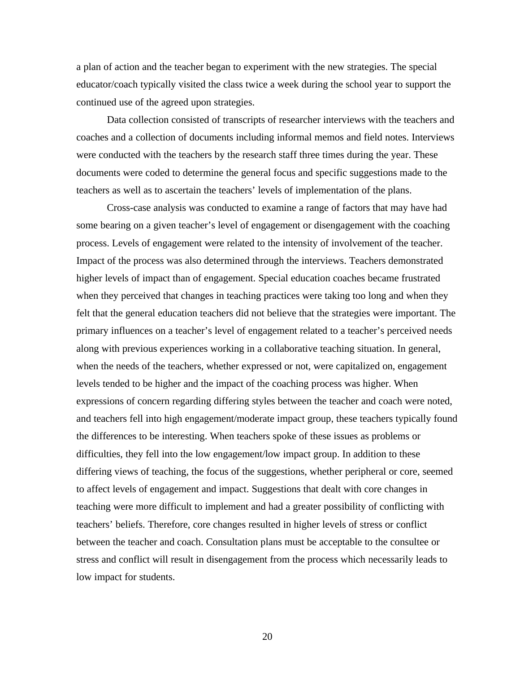a plan of action and the teacher began to experiment with the new strategies. The special educator/coach typically visited the class twice a week during the school year to support the continued use of the agreed upon strategies.

Data collection consisted of transcripts of researcher interviews with the teachers and coaches and a collection of documents including informal memos and field notes. Interviews were conducted with the teachers by the research staff three times during the year. These documents were coded to determine the general focus and specific suggestions made to the teachers as well as to ascertain the teachers' levels of implementation of the plans.

Cross-case analysis was conducted to examine a range of factors that may have had some bearing on a given teacher's level of engagement or disengagement with the coaching process. Levels of engagement were related to the intensity of involvement of the teacher. Impact of the process was also determined through the interviews. Teachers demonstrated higher levels of impact than of engagement. Special education coaches became frustrated when they perceived that changes in teaching practices were taking too long and when they felt that the general education teachers did not believe that the strategies were important. The primary influences on a teacher's level of engagement related to a teacher's perceived needs along with previous experiences working in a collaborative teaching situation. In general, when the needs of the teachers, whether expressed or not, were capitalized on, engagement levels tended to be higher and the impact of the coaching process was higher. When expressions of concern regarding differing styles between the teacher and coach were noted, and teachers fell into high engagement/moderate impact group, these teachers typically found the differences to be interesting. When teachers spoke of these issues as problems or difficulties, they fell into the low engagement/low impact group. In addition to these differing views of teaching, the focus of the suggestions, whether peripheral or core, seemed to affect levels of engagement and impact. Suggestions that dealt with core changes in teaching were more difficult to implement and had a greater possibility of conflicting with teachers' beliefs. Therefore, core changes resulted in higher levels of stress or conflict between the teacher and coach. Consultation plans must be acceptable to the consultee or stress and conflict will result in disengagement from the process which necessarily leads to low impact for students.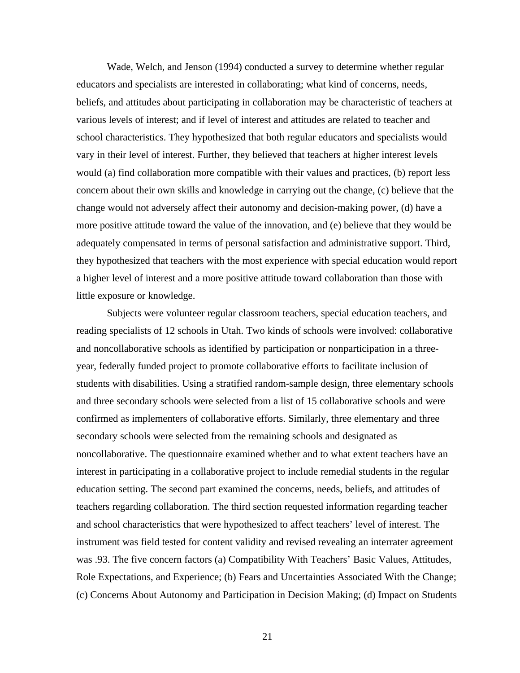Wade, Welch, and Jenson (1994) conducted a survey to determine whether regular educators and specialists are interested in collaborating; what kind of concerns, needs, beliefs, and attitudes about participating in collaboration may be characteristic of teachers at various levels of interest; and if level of interest and attitudes are related to teacher and school characteristics. They hypothesized that both regular educators and specialists would vary in their level of interest. Further, they believed that teachers at higher interest levels would (a) find collaboration more compatible with their values and practices, (b) report less concern about their own skills and knowledge in carrying out the change, (c) believe that the change would not adversely affect their autonomy and decision-making power, (d) have a more positive attitude toward the value of the innovation, and (e) believe that they would be adequately compensated in terms of personal satisfaction and administrative support. Third, they hypothesized that teachers with the most experience with special education would report a higher level of interest and a more positive attitude toward collaboration than those with little exposure or knowledge.

Subjects were volunteer regular classroom teachers, special education teachers, and reading specialists of 12 schools in Utah. Two kinds of schools were involved: collaborative and noncollaborative schools as identified by participation or nonparticipation in a threeyear, federally funded project to promote collaborative efforts to facilitate inclusion of students with disabilities. Using a stratified random-sample design, three elementary schools and three secondary schools were selected from a list of 15 collaborative schools and were confirmed as implementers of collaborative efforts. Similarly, three elementary and three secondary schools were selected from the remaining schools and designated as noncollaborative. The questionnaire examined whether and to what extent teachers have an interest in participating in a collaborative project to include remedial students in the regular education setting. The second part examined the concerns, needs, beliefs, and attitudes of teachers regarding collaboration. The third section requested information regarding teacher and school characteristics that were hypothesized to affect teachers' level of interest. The instrument was field tested for content validity and revised revealing an interrater agreement was .93. The five concern factors (a) Compatibility With Teachers' Basic Values, Attitudes, Role Expectations, and Experience; (b) Fears and Uncertainties Associated With the Change; (c) Concerns About Autonomy and Participation in Decision Making; (d) Impact on Students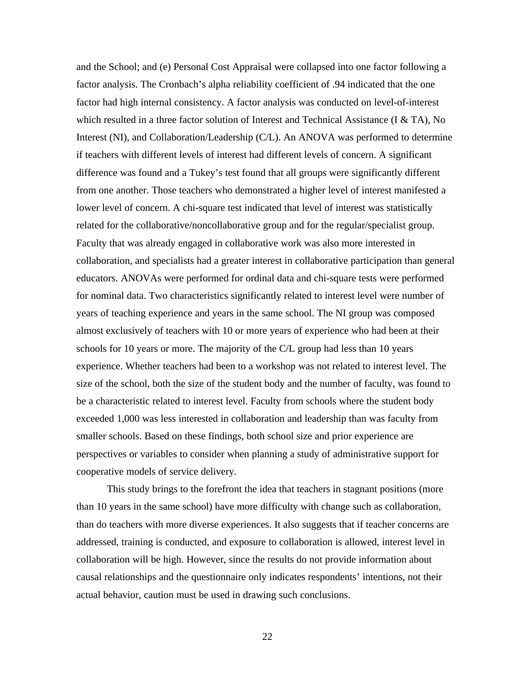and the School; and (e) Personal Cost Appraisal were collapsed into one factor following a factor analysis. The Cronbach's alpha reliability coefficient of .94 indicated that the one factor had high internal consistency. A factor analysis was conducted on level-of-interest which resulted in a three factor solution of Interest and Technical Assistance (I  $\&$  TA), No Interest (NI), and Collaboration/Leadership (C/L). An ANOVA was performed to determine if teachers with different levels of interest had different levels of concern. A significant difference was found and a Tukey's test found that all groups were significantly different from one another. Those teachers who demonstrated a higher level of interest manifested a lower level of concern. A chi-square test indicated that level of interest was statistically related for the collaborative/noncollaborative group and for the regular/specialist group. Faculty that was already engaged in collaborative work was also more interested in collaboration, and specialists had a greater interest in collaborative participation than general educators. ANOVAs were performed for ordinal data and chi-square tests were performed for nominal data. Two characteristics significantly related to interest level were number of years of teaching experience and years in the same school. The NI group was composed almost exclusively of teachers with 10 or more years of experience who had been at their schools for 10 years or more. The majority of the C/L group had less than 10 years experience. Whether teachers had been to a workshop was not related to interest level. The size of the school, both the size of the student body and the number of faculty, was found to be a characteristic related to interest level. Faculty from schools where the student body exceeded 1,000 was less interested in collaboration and leadership than was faculty from smaller schools. Based on these findings, both school size and prior experience are perspectives or variables to consider when planning a study of administrative support for cooperative models of service delivery.

This study brings to the forefront the idea that teachers in stagnant positions (more than 10 years in the same school) have more difficulty with change such as collaboration, than do teachers with more diverse experiences. It also suggests that if teacher concerns are addressed, training is conducted, and exposure to collaboration is allowed, interest level in collaboration will be high. However, since the results do not provide information about causal relationships and the questionnaire only indicates respondents' intentions, not their actual behavior, caution must be used in drawing such conclusions.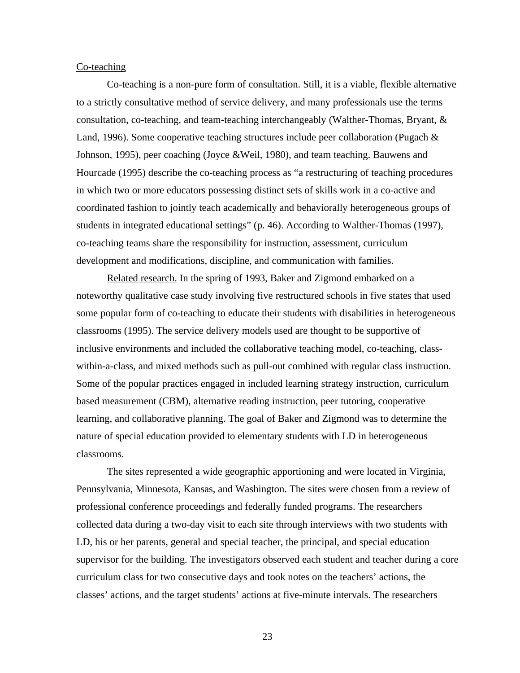### Co-teaching

Co-teaching is a non-pure form of consultation. Still, it is a viable, flexible alternative to a strictly consultative method of service delivery, and many professionals use the terms consultation, co-teaching, and team-teaching interchangeably (Walther-Thomas, Bryant, & Land, 1996). Some cooperative teaching structures include peer collaboration (Pugach & Johnson, 1995), peer coaching (Joyce &Weil, 1980), and team teaching. Bauwens and Hourcade (1995) describe the co-teaching process as "a restructuring of teaching procedures in which two or more educators possessing distinct sets of skills work in a co-active and coordinated fashion to jointly teach academically and behaviorally heterogeneous groups of students in integrated educational settings" (p. 46). According to Walther-Thomas (1997), co-teaching teams share the responsibility for instruction, assessment, curriculum development and modifications, discipline, and communication with families.

Related research. In the spring of 1993, Baker and Zigmond embarked on a noteworthy qualitative case study involving five restructured schools in five states that used some popular form of co-teaching to educate their students with disabilities in heterogeneous classrooms (1995). The service delivery models used are thought to be supportive of inclusive environments and included the collaborative teaching model, co-teaching, classwithin-a-class, and mixed methods such as pull-out combined with regular class instruction. Some of the popular practices engaged in included learning strategy instruction, curriculum based measurement (CBM), alternative reading instruction, peer tutoring, cooperative learning, and collaborative planning. The goal of Baker and Zigmond was to determine the nature of special education provided to elementary students with LD in heterogeneous classrooms.

The sites represented a wide geographic apportioning and were located in Virginia, Pennsylvania, Minnesota, Kansas, and Washington. The sites were chosen from a review of professional conference proceedings and federally funded programs. The researchers collected data during a two-day visit to each site through interviews with two students with LD, his or her parents, general and special teacher, the principal, and special education supervisor for the building. The investigators observed each student and teacher during a core curriculum class for two consecutive days and took notes on the teachers' actions, the classes' actions, and the target students' actions at five-minute intervals. The researchers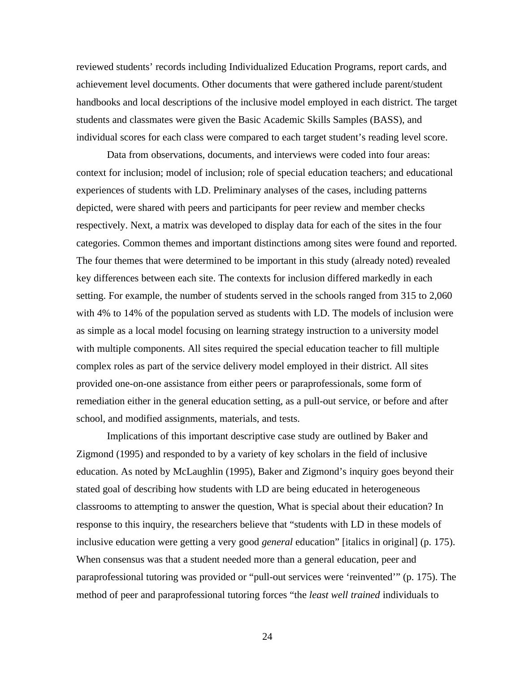reviewed students' records including Individualized Education Programs, report cards, and achievement level documents. Other documents that were gathered include parent/student handbooks and local descriptions of the inclusive model employed in each district. The target students and classmates were given the Basic Academic Skills Samples (BASS), and individual scores for each class were compared to each target student's reading level score.

Data from observations, documents, and interviews were coded into four areas: context for inclusion; model of inclusion; role of special education teachers; and educational experiences of students with LD. Preliminary analyses of the cases, including patterns depicted, were shared with peers and participants for peer review and member checks respectively. Next, a matrix was developed to display data for each of the sites in the four categories. Common themes and important distinctions among sites were found and reported. The four themes that were determined to be important in this study (already noted) revealed key differences between each site. The contexts for inclusion differed markedly in each setting. For example, the number of students served in the schools ranged from 315 to 2,060 with 4% to 14% of the population served as students with LD. The models of inclusion were as simple as a local model focusing on learning strategy instruction to a university model with multiple components. All sites required the special education teacher to fill multiple complex roles as part of the service delivery model employed in their district. All sites provided one-on-one assistance from either peers or paraprofessionals, some form of remediation either in the general education setting, as a pull-out service, or before and after school, and modified assignments, materials, and tests.

Implications of this important descriptive case study are outlined by Baker and Zigmond (1995) and responded to by a variety of key scholars in the field of inclusive education. As noted by McLaughlin (1995), Baker and Zigmond's inquiry goes beyond their stated goal of describing how students with LD are being educated in heterogeneous classrooms to attempting to answer the question, What is special about their education? In response to this inquiry, the researchers believe that "students with LD in these models of inclusive education were getting a very good *general* education" [italics in original] (p. 175). When consensus was that a student needed more than a general education, peer and paraprofessional tutoring was provided or "pull-out services were 'reinvented'" (p. 175). The method of peer and paraprofessional tutoring forces "the *least well trained* individuals to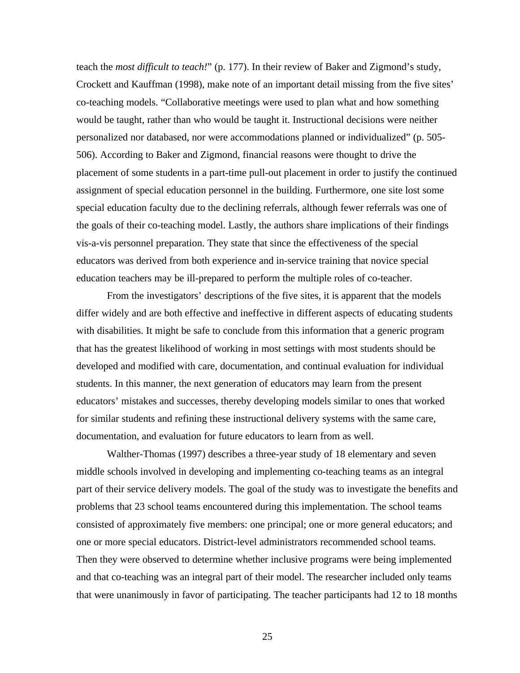teach the *most difficult to teach!*" (p. 177). In their review of Baker and Zigmond's study, Crockett and Kauffman (1998), make note of an important detail missing from the five sites' co-teaching models. "Collaborative meetings were used to plan what and how something would be taught, rather than who would be taught it. Instructional decisions were neither personalized nor databased, nor were accommodations planned or individualized" (p. 505- 506). According to Baker and Zigmond, financial reasons were thought to drive the placement of some students in a part-time pull-out placement in order to justify the continued assignment of special education personnel in the building. Furthermore, one site lost some special education faculty due to the declining referrals, although fewer referrals was one of the goals of their co-teaching model. Lastly, the authors share implications of their findings vis-a-vis personnel preparation. They state that since the effectiveness of the special educators was derived from both experience and in-service training that novice special education teachers may be ill-prepared to perform the multiple roles of co-teacher.

From the investigators' descriptions of the five sites, it is apparent that the models differ widely and are both effective and ineffective in different aspects of educating students with disabilities. It might be safe to conclude from this information that a generic program that has the greatest likelihood of working in most settings with most students should be developed and modified with care, documentation, and continual evaluation for individual students. In this manner, the next generation of educators may learn from the present educators' mistakes and successes, thereby developing models similar to ones that worked for similar students and refining these instructional delivery systems with the same care, documentation, and evaluation for future educators to learn from as well.

Walther-Thomas (1997) describes a three-year study of 18 elementary and seven middle schools involved in developing and implementing co-teaching teams as an integral part of their service delivery models. The goal of the study was to investigate the benefits and problems that 23 school teams encountered during this implementation. The school teams consisted of approximately five members: one principal; one or more general educators; and one or more special educators. District-level administrators recommended school teams. Then they were observed to determine whether inclusive programs were being implemented and that co-teaching was an integral part of their model. The researcher included only teams that were unanimously in favor of participating. The teacher participants had 12 to 18 months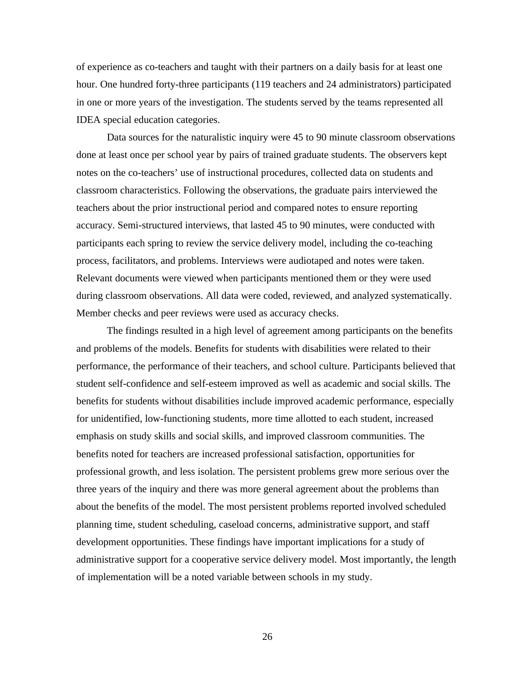of experience as co-teachers and taught with their partners on a daily basis for at least one hour. One hundred forty-three participants (119 teachers and 24 administrators) participated in one or more years of the investigation. The students served by the teams represented all IDEA special education categories.

Data sources for the naturalistic inquiry were 45 to 90 minute classroom observations done at least once per school year by pairs of trained graduate students. The observers kept notes on the co-teachers' use of instructional procedures, collected data on students and classroom characteristics. Following the observations, the graduate pairs interviewed the teachers about the prior instructional period and compared notes to ensure reporting accuracy. Semi-structured interviews, that lasted 45 to 90 minutes, were conducted with participants each spring to review the service delivery model, including the co-teaching process, facilitators, and problems. Interviews were audiotaped and notes were taken. Relevant documents were viewed when participants mentioned them or they were used during classroom observations. All data were coded, reviewed, and analyzed systematically. Member checks and peer reviews were used as accuracy checks.

The findings resulted in a high level of agreement among participants on the benefits and problems of the models. Benefits for students with disabilities were related to their performance, the performance of their teachers, and school culture. Participants believed that student self-confidence and self-esteem improved as well as academic and social skills. The benefits for students without disabilities include improved academic performance, especially for unidentified, low-functioning students, more time allotted to each student, increased emphasis on study skills and social skills, and improved classroom communities. The benefits noted for teachers are increased professional satisfaction, opportunities for professional growth, and less isolation. The persistent problems grew more serious over the three years of the inquiry and there was more general agreement about the problems than about the benefits of the model. The most persistent problems reported involved scheduled planning time, student scheduling, caseload concerns, administrative support, and staff development opportunities. These findings have important implications for a study of administrative support for a cooperative service delivery model. Most importantly, the length of implementation will be a noted variable between schools in my study.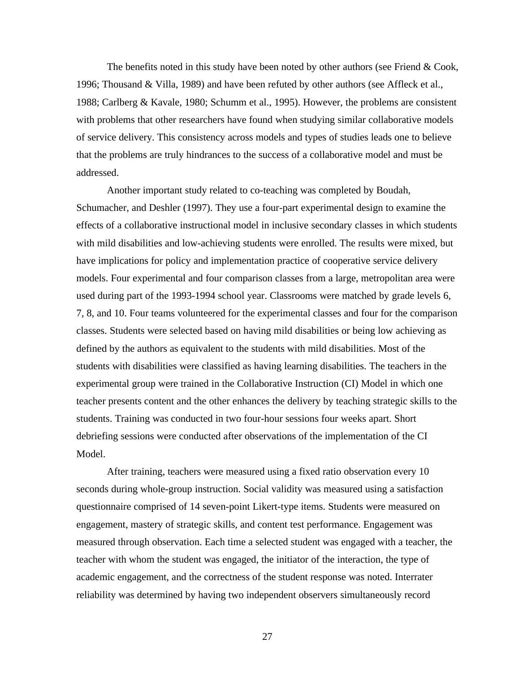The benefits noted in this study have been noted by other authors (see Friend  $& Cook$ , 1996; Thousand & Villa, 1989) and have been refuted by other authors (see Affleck et al., 1988; Carlberg & Kavale, 1980; Schumm et al., 1995). However, the problems are consistent with problems that other researchers have found when studying similar collaborative models of service delivery. This consistency across models and types of studies leads one to believe that the problems are truly hindrances to the success of a collaborative model and must be addressed.

Another important study related to co-teaching was completed by Boudah, Schumacher, and Deshler (1997). They use a four-part experimental design to examine the effects of a collaborative instructional model in inclusive secondary classes in which students with mild disabilities and low-achieving students were enrolled. The results were mixed, but have implications for policy and implementation practice of cooperative service delivery models. Four experimental and four comparison classes from a large, metropolitan area were used during part of the 1993-1994 school year. Classrooms were matched by grade levels 6, 7, 8, and 10. Four teams volunteered for the experimental classes and four for the comparison classes. Students were selected based on having mild disabilities or being low achieving as defined by the authors as equivalent to the students with mild disabilities. Most of the students with disabilities were classified as having learning disabilities. The teachers in the experimental group were trained in the Collaborative Instruction (CI) Model in which one teacher presents content and the other enhances the delivery by teaching strategic skills to the students. Training was conducted in two four-hour sessions four weeks apart. Short debriefing sessions were conducted after observations of the implementation of the CI Model.

After training, teachers were measured using a fixed ratio observation every 10 seconds during whole-group instruction. Social validity was measured using a satisfaction questionnaire comprised of 14 seven-point Likert-type items. Students were measured on engagement, mastery of strategic skills, and content test performance. Engagement was measured through observation. Each time a selected student was engaged with a teacher, the teacher with whom the student was engaged, the initiator of the interaction, the type of academic engagement, and the correctness of the student response was noted. Interrater reliability was determined by having two independent observers simultaneously record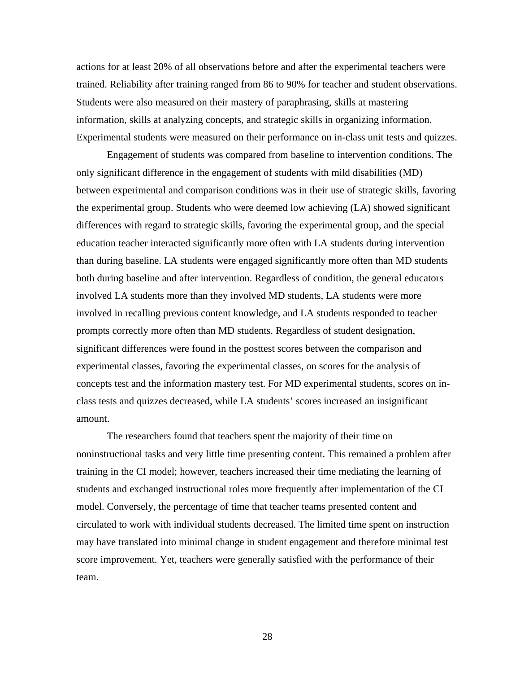actions for at least 20% of all observations before and after the experimental teachers were trained. Reliability after training ranged from 86 to 90% for teacher and student observations. Students were also measured on their mastery of paraphrasing, skills at mastering information, skills at analyzing concepts, and strategic skills in organizing information. Experimental students were measured on their performance on in-class unit tests and quizzes.

Engagement of students was compared from baseline to intervention conditions. The only significant difference in the engagement of students with mild disabilities (MD) between experimental and comparison conditions was in their use of strategic skills, favoring the experimental group. Students who were deemed low achieving (LA) showed significant differences with regard to strategic skills, favoring the experimental group, and the special education teacher interacted significantly more often with LA students during intervention than during baseline. LA students were engaged significantly more often than MD students both during baseline and after intervention. Regardless of condition, the general educators involved LA students more than they involved MD students, LA students were more involved in recalling previous content knowledge, and LA students responded to teacher prompts correctly more often than MD students. Regardless of student designation, significant differences were found in the posttest scores between the comparison and experimental classes, favoring the experimental classes, on scores for the analysis of concepts test and the information mastery test. For MD experimental students, scores on inclass tests and quizzes decreased, while LA students' scores increased an insignificant amount.

The researchers found that teachers spent the majority of their time on noninstructional tasks and very little time presenting content. This remained a problem after training in the CI model; however, teachers increased their time mediating the learning of students and exchanged instructional roles more frequently after implementation of the CI model. Conversely, the percentage of time that teacher teams presented content and circulated to work with individual students decreased. The limited time spent on instruction may have translated into minimal change in student engagement and therefore minimal test score improvement. Yet, teachers were generally satisfied with the performance of their team.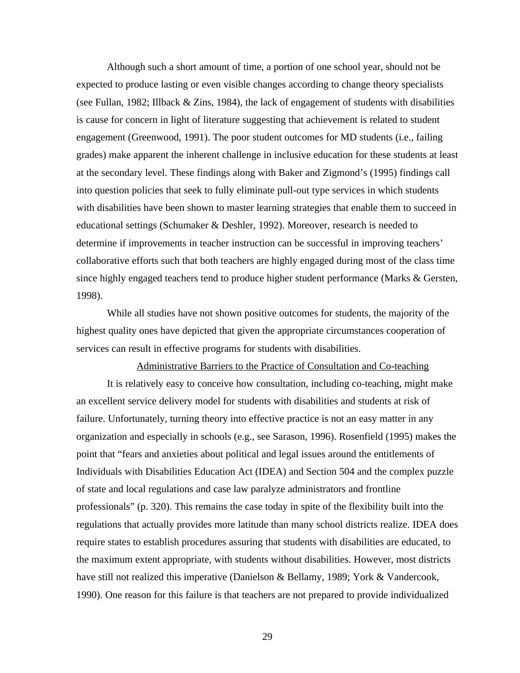Although such a short amount of time, a portion of one school year, should not be expected to produce lasting or even visible changes according to change theory specialists (see Fullan, 1982; Illback & Zins, 1984), the lack of engagement of students with disabilities is cause for concern in light of literature suggesting that achievement is related to student engagement (Greenwood, 1991). The poor student outcomes for MD students (i.e., failing grades) make apparent the inherent challenge in inclusive education for these students at least at the secondary level. These findings along with Baker and Zigmond's (1995) findings call into question policies that seek to fully eliminate pull-out type services in which students with disabilities have been shown to master learning strategies that enable them to succeed in educational settings (Schumaker & Deshler, 1992). Moreover, research is needed to determine if improvements in teacher instruction can be successful in improving teachers' collaborative efforts such that both teachers are highly engaged during most of the class time since highly engaged teachers tend to produce higher student performance (Marks & Gersten, 1998).

While all studies have not shown positive outcomes for students, the majority of the highest quality ones have depicted that given the appropriate circumstances cooperation of services can result in effective programs for students with disabilities.

Administrative Barriers to the Practice of Consultation and Co-teaching

It is relatively easy to conceive how consultation, including co-teaching, might make an excellent service delivery model for students with disabilities and students at risk of failure. Unfortunately, turning theory into effective practice is not an easy matter in any organization and especially in schools (e.g., see Sarason, 1996). Rosenfield (1995) makes the point that "fears and anxieties about political and legal issues around the entitlements of Individuals with Disabilities Education Act (IDEA) and Section 504 and the complex puzzle of state and local regulations and case law paralyze administrators and frontline professionals" (p. 320). This remains the case today in spite of the flexibility built into the regulations that actually provides more latitude than many school districts realize. IDEA does require states to establish procedures assuring that students with disabilities are educated, to the maximum extent appropriate, with students without disabilities. However, most districts have still not realized this imperative (Danielson & Bellamy, 1989; York & Vandercook, 1990). One reason for this failure is that teachers are not prepared to provide individualized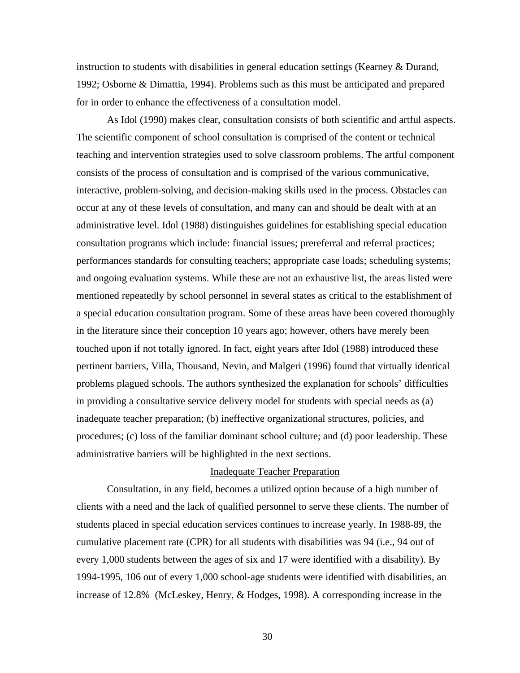instruction to students with disabilities in general education settings (Kearney & Durand, 1992; Osborne & Dimattia, 1994). Problems such as this must be anticipated and prepared for in order to enhance the effectiveness of a consultation model.

As Idol (1990) makes clear, consultation consists of both scientific and artful aspects. The scientific component of school consultation is comprised of the content or technical teaching and intervention strategies used to solve classroom problems. The artful component consists of the process of consultation and is comprised of the various communicative, interactive, problem-solving, and decision-making skills used in the process. Obstacles can occur at any of these levels of consultation, and many can and should be dealt with at an administrative level. Idol (1988) distinguishes guidelines for establishing special education consultation programs which include: financial issues; prereferral and referral practices; performances standards for consulting teachers; appropriate case loads; scheduling systems; and ongoing evaluation systems. While these are not an exhaustive list, the areas listed were mentioned repeatedly by school personnel in several states as critical to the establishment of a special education consultation program. Some of these areas have been covered thoroughly in the literature since their conception 10 years ago; however, others have merely been touched upon if not totally ignored. In fact, eight years after Idol (1988) introduced these pertinent barriers, Villa, Thousand, Nevin, and Malgeri (1996) found that virtually identical problems plagued schools. The authors synthesized the explanation for schools' difficulties in providing a consultative service delivery model for students with special needs as (a) inadequate teacher preparation; (b) ineffective organizational structures, policies, and procedures; (c) loss of the familiar dominant school culture; and (d) poor leadership. These administrative barriers will be highlighted in the next sections.

## Inadequate Teacher Preparation

Consultation, in any field, becomes a utilized option because of a high number of clients with a need and the lack of qualified personnel to serve these clients. The number of students placed in special education services continues to increase yearly. In 1988-89, the cumulative placement rate (CPR) for all students with disabilities was 94 (i.e., 94 out of every 1,000 students between the ages of six and 17 were identified with a disability). By 1994-1995, 106 out of every 1,000 school-age students were identified with disabilities, an increase of 12.8% (McLeskey, Henry, & Hodges, 1998). A corresponding increase in the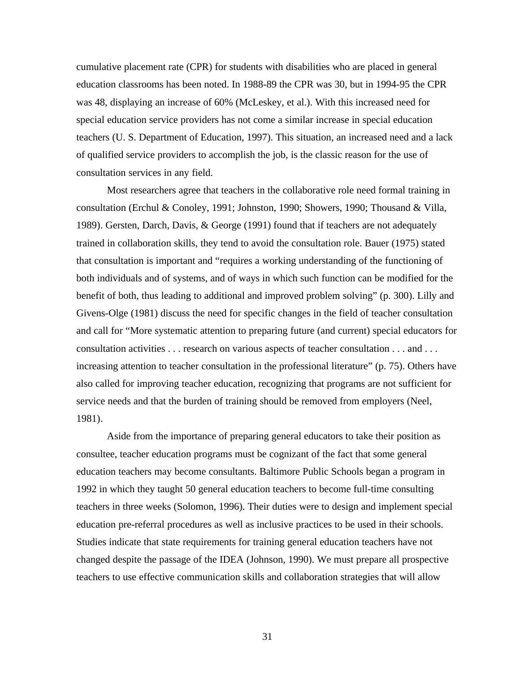cumulative placement rate (CPR) for students with disabilities who are placed in general education classrooms has been noted. In 1988-89 the CPR was 30, but in 1994-95 the CPR was 48, displaying an increase of 60% (McLeskey, et al.). With this increased need for special education service providers has not come a similar increase in special education teachers (U. S. Department of Education, 1997). This situation, an increased need and a lack of qualified service providers to accomplish the job, is the classic reason for the use of consultation services in any field.

Most researchers agree that teachers in the collaborative role need formal training in consultation (Erchul & Conoley, 1991; Johnston, 1990; Showers, 1990; Thousand & Villa, 1989). Gersten, Darch, Davis, & George (1991) found that if teachers are not adequately trained in collaboration skills, they tend to avoid the consultation role. Bauer (1975) stated that consultation is important and "requires a working understanding of the functioning of both individuals and of systems, and of ways in which such function can be modified for the benefit of both, thus leading to additional and improved problem solving" (p. 300). Lilly and Givens-Olge (1981) discuss the need for specific changes in the field of teacher consultation and call for "More systematic attention to preparing future (and current) special educators for consultation activities . . . research on various aspects of teacher consultation . . . and . . . increasing attention to teacher consultation in the professional literature" (p. 75). Others have also called for improving teacher education, recognizing that programs are not sufficient for service needs and that the burden of training should be removed from employers (Neel, 1981).

Aside from the importance of preparing general educators to take their position as consultee, teacher education programs must be cognizant of the fact that some general education teachers may become consultants. Baltimore Public Schools began a program in 1992 in which they taught 50 general education teachers to become full-time consulting teachers in three weeks (Solomon, 1996). Their duties were to design and implement special education pre-referral procedures as well as inclusive practices to be used in their schools. Studies indicate that state requirements for training general education teachers have not changed despite the passage of the IDEA (Johnson, 1990). We must prepare all prospective teachers to use effective communication skills and collaboration strategies that will allow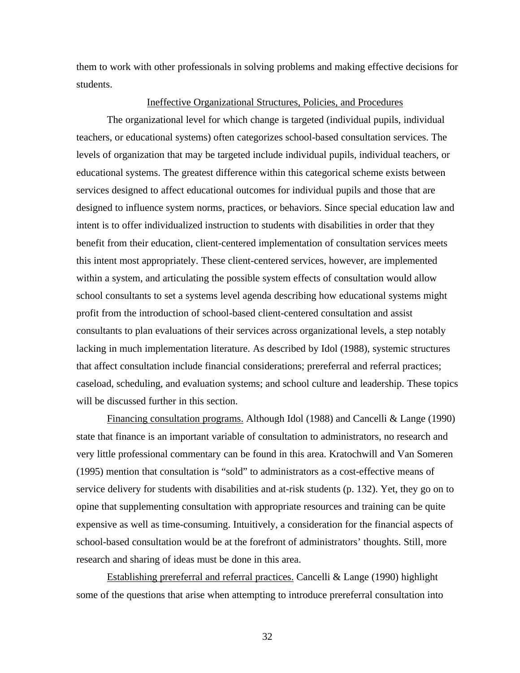them to work with other professionals in solving problems and making effective decisions for students.

### Ineffective Organizational Structures, Policies, and Procedures

The organizational level for which change is targeted (individual pupils, individual teachers, or educational systems) often categorizes school-based consultation services. The levels of organization that may be targeted include individual pupils, individual teachers, or educational systems. The greatest difference within this categorical scheme exists between services designed to affect educational outcomes for individual pupils and those that are designed to influence system norms, practices, or behaviors. Since special education law and intent is to offer individualized instruction to students with disabilities in order that they benefit from their education, client-centered implementation of consultation services meets this intent most appropriately. These client-centered services, however, are implemented within a system, and articulating the possible system effects of consultation would allow school consultants to set a systems level agenda describing how educational systems might profit from the introduction of school-based client-centered consultation and assist consultants to plan evaluations of their services across organizational levels, a step notably lacking in much implementation literature. As described by Idol (1988), systemic structures that affect consultation include financial considerations; prereferral and referral practices; caseload, scheduling, and evaluation systems; and school culture and leadership. These topics will be discussed further in this section.

Financing consultation programs. Although Idol (1988) and Cancelli & Lange (1990) state that finance is an important variable of consultation to administrators, no research and very little professional commentary can be found in this area. Kratochwill and Van Someren (1995) mention that consultation is "sold" to administrators as a cost-effective means of service delivery for students with disabilities and at-risk students (p. 132). Yet, they go on to opine that supplementing consultation with appropriate resources and training can be quite expensive as well as time-consuming. Intuitively, a consideration for the financial aspects of school-based consultation would be at the forefront of administrators' thoughts. Still, more research and sharing of ideas must be done in this area.

Establishing prereferral and referral practices. Cancelli & Lange (1990) highlight some of the questions that arise when attempting to introduce prereferral consultation into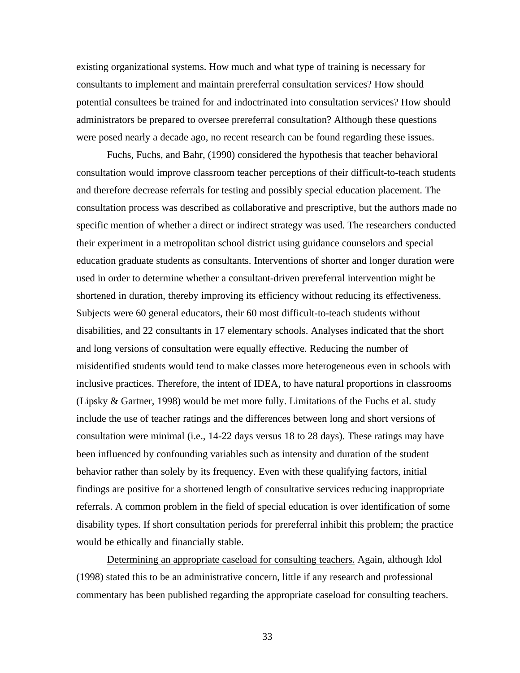existing organizational systems. How much and what type of training is necessary for consultants to implement and maintain prereferral consultation services? How should potential consultees be trained for and indoctrinated into consultation services? How should administrators be prepared to oversee prereferral consultation? Although these questions were posed nearly a decade ago, no recent research can be found regarding these issues.

Fuchs, Fuchs, and Bahr, (1990) considered the hypothesis that teacher behavioral consultation would improve classroom teacher perceptions of their difficult-to-teach students and therefore decrease referrals for testing and possibly special education placement. The consultation process was described as collaborative and prescriptive, but the authors made no specific mention of whether a direct or indirect strategy was used. The researchers conducted their experiment in a metropolitan school district using guidance counselors and special education graduate students as consultants. Interventions of shorter and longer duration were used in order to determine whether a consultant-driven prereferral intervention might be shortened in duration, thereby improving its efficiency without reducing its effectiveness. Subjects were 60 general educators, their 60 most difficult-to-teach students without disabilities, and 22 consultants in 17 elementary schools. Analyses indicated that the short and long versions of consultation were equally effective. Reducing the number of misidentified students would tend to make classes more heterogeneous even in schools with inclusive practices. Therefore, the intent of IDEA, to have natural proportions in classrooms (Lipsky & Gartner, 1998) would be met more fully. Limitations of the Fuchs et al. study include the use of teacher ratings and the differences between long and short versions of consultation were minimal (i.e., 14-22 days versus 18 to 28 days). These ratings may have been influenced by confounding variables such as intensity and duration of the student behavior rather than solely by its frequency. Even with these qualifying factors, initial findings are positive for a shortened length of consultative services reducing inappropriate referrals. A common problem in the field of special education is over identification of some disability types. If short consultation periods for prereferral inhibit this problem; the practice would be ethically and financially stable.

Determining an appropriate caseload for consulting teachers. Again, although Idol (1998) stated this to be an administrative concern, little if any research and professional commentary has been published regarding the appropriate caseload for consulting teachers.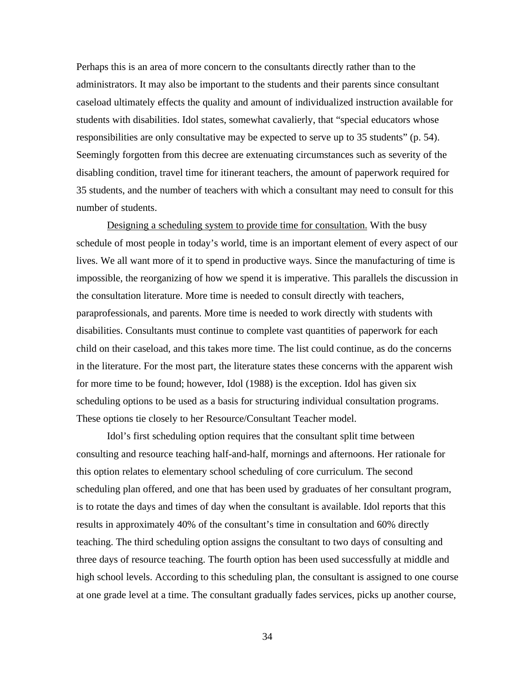Perhaps this is an area of more concern to the consultants directly rather than to the administrators. It may also be important to the students and their parents since consultant caseload ultimately effects the quality and amount of individualized instruction available for students with disabilities. Idol states, somewhat cavalierly, that "special educators whose responsibilities are only consultative may be expected to serve up to 35 students" (p. 54). Seemingly forgotten from this decree are extenuating circumstances such as severity of the disabling condition, travel time for itinerant teachers, the amount of paperwork required for 35 students, and the number of teachers with which a consultant may need to consult for this number of students.

Designing a scheduling system to provide time for consultation. With the busy schedule of most people in today's world, time is an important element of every aspect of our lives. We all want more of it to spend in productive ways. Since the manufacturing of time is impossible, the reorganizing of how we spend it is imperative. This parallels the discussion in the consultation literature. More time is needed to consult directly with teachers, paraprofessionals, and parents. More time is needed to work directly with students with disabilities. Consultants must continue to complete vast quantities of paperwork for each child on their caseload, and this takes more time. The list could continue, as do the concerns in the literature. For the most part, the literature states these concerns with the apparent wish for more time to be found; however, Idol (1988) is the exception. Idol has given six scheduling options to be used as a basis for structuring individual consultation programs. These options tie closely to her Resource/Consultant Teacher model.

Idol's first scheduling option requires that the consultant split time between consulting and resource teaching half-and-half, mornings and afternoons. Her rationale for this option relates to elementary school scheduling of core curriculum. The second scheduling plan offered, and one that has been used by graduates of her consultant program, is to rotate the days and times of day when the consultant is available. Idol reports that this results in approximately 40% of the consultant's time in consultation and 60% directly teaching. The third scheduling option assigns the consultant to two days of consulting and three days of resource teaching. The fourth option has been used successfully at middle and high school levels. According to this scheduling plan, the consultant is assigned to one course at one grade level at a time. The consultant gradually fades services, picks up another course,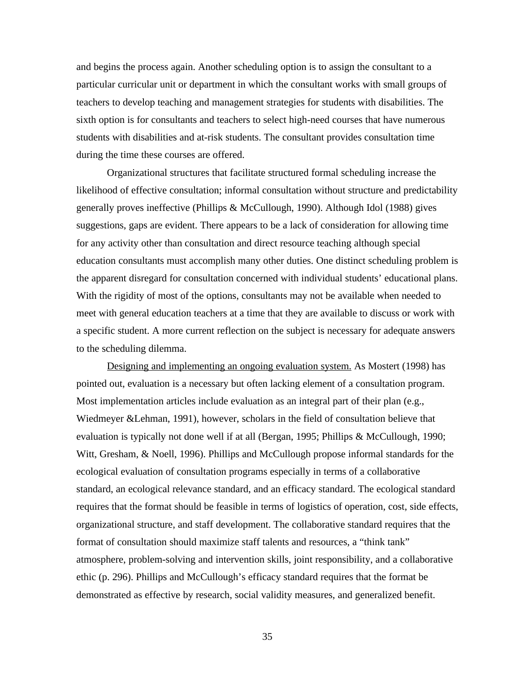and begins the process again. Another scheduling option is to assign the consultant to a particular curricular unit or department in which the consultant works with small groups of teachers to develop teaching and management strategies for students with disabilities. The sixth option is for consultants and teachers to select high-need courses that have numerous students with disabilities and at-risk students. The consultant provides consultation time during the time these courses are offered.

Organizational structures that facilitate structured formal scheduling increase the likelihood of effective consultation; informal consultation without structure and predictability generally proves ineffective (Phillips & McCullough, 1990). Although Idol (1988) gives suggestions, gaps are evident. There appears to be a lack of consideration for allowing time for any activity other than consultation and direct resource teaching although special education consultants must accomplish many other duties. One distinct scheduling problem is the apparent disregard for consultation concerned with individual students' educational plans. With the rigidity of most of the options, consultants may not be available when needed to meet with general education teachers at a time that they are available to discuss or work with a specific student. A more current reflection on the subject is necessary for adequate answers to the scheduling dilemma.

Designing and implementing an ongoing evaluation system. As Mostert (1998) has pointed out, evaluation is a necessary but often lacking element of a consultation program. Most implementation articles include evaluation as an integral part of their plan (e.g., Wiedmeyer &Lehman, 1991), however, scholars in the field of consultation believe that evaluation is typically not done well if at all (Bergan, 1995; Phillips & McCullough, 1990; Witt, Gresham, & Noell, 1996). Phillips and McCullough propose informal standards for the ecological evaluation of consultation programs especially in terms of a collaborative standard, an ecological relevance standard, and an efficacy standard. The ecological standard requires that the format should be feasible in terms of logistics of operation, cost, side effects, organizational structure, and staff development. The collaborative standard requires that the format of consultation should maximize staff talents and resources, a "think tank" atmosphere, problem-solving and intervention skills, joint responsibility, and a collaborative ethic (p. 296). Phillips and McCullough's efficacy standard requires that the format be demonstrated as effective by research, social validity measures, and generalized benefit.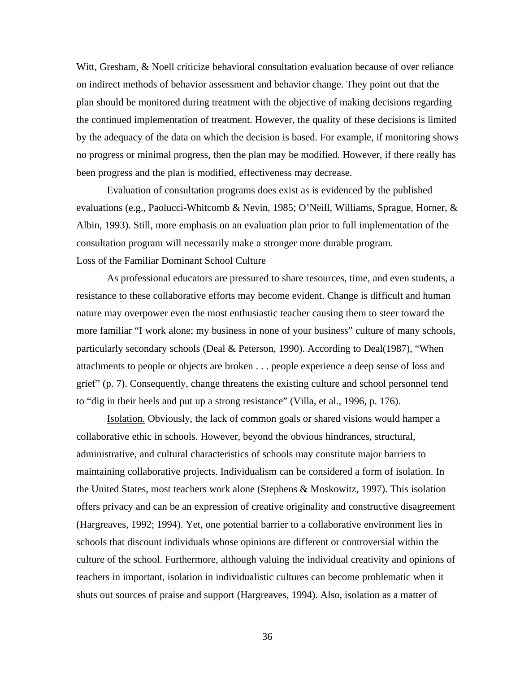Witt, Gresham, & Noell criticize behavioral consultation evaluation because of over reliance on indirect methods of behavior assessment and behavior change. They point out that the plan should be monitored during treatment with the objective of making decisions regarding the continued implementation of treatment. However, the quality of these decisions is limited by the adequacy of the data on which the decision is based. For example, if monitoring shows no progress or minimal progress, then the plan may be modified. However, if there really has been progress and the plan is modified, effectiveness may decrease.

Evaluation of consultation programs does exist as is evidenced by the published evaluations (e.g., Paolucci-Whitcomb & Nevin, 1985; O'Neill, Williams, Sprague, Horner, & Albin, 1993). Still, more emphasis on an evaluation plan prior to full implementation of the consultation program will necessarily make a stronger more durable program. Loss of the Familiar Dominant School Culture

As professional educators are pressured to share resources, time, and even students, a resistance to these collaborative efforts may become evident. Change is difficult and human nature may overpower even the most enthusiastic teacher causing them to steer toward the more familiar "I work alone; my business in none of your business" culture of many schools, particularly secondary schools (Deal & Peterson, 1990). According to Deal(1987), "When attachments to people or objects are broken . . . people experience a deep sense of loss and grief" (p. 7). Consequently, change threatens the existing culture and school personnel tend to "dig in their heels and put up a strong resistance" (Villa, et al., 1996, p. 176).

Isolation. Obviously, the lack of common goals or shared visions would hamper a collaborative ethic in schools. However, beyond the obvious hindrances, structural, administrative, and cultural characteristics of schools may constitute major barriers to maintaining collaborative projects. Individualism can be considered a form of isolation. In the United States, most teachers work alone (Stephens & Moskowitz, 1997). This isolation offers privacy and can be an expression of creative originality and constructive disagreement (Hargreaves, 1992; 1994). Yet, one potential barrier to a collaborative environment lies in schools that discount individuals whose opinions are different or controversial within the culture of the school. Furthermore, although valuing the individual creativity and opinions of teachers in important, isolation in individualistic cultures can become problematic when it shuts out sources of praise and support (Hargreaves, 1994). Also, isolation as a matter of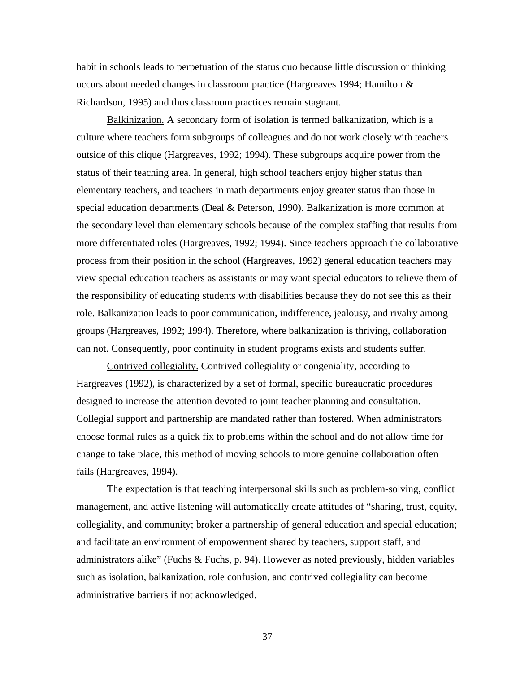habit in schools leads to perpetuation of the status quo because little discussion or thinking occurs about needed changes in classroom practice (Hargreaves 1994; Hamilton & Richardson, 1995) and thus classroom practices remain stagnant.

Balkinization. A secondary form of isolation is termed balkanization, which is a culture where teachers form subgroups of colleagues and do not work closely with teachers outside of this clique (Hargreaves, 1992; 1994). These subgroups acquire power from the status of their teaching area. In general, high school teachers enjoy higher status than elementary teachers, and teachers in math departments enjoy greater status than those in special education departments (Deal & Peterson, 1990). Balkanization is more common at the secondary level than elementary schools because of the complex staffing that results from more differentiated roles (Hargreaves, 1992; 1994). Since teachers approach the collaborative process from their position in the school (Hargreaves, 1992) general education teachers may view special education teachers as assistants or may want special educators to relieve them of the responsibility of educating students with disabilities because they do not see this as their role. Balkanization leads to poor communication, indifference, jealousy, and rivalry among groups (Hargreaves, 1992; 1994). Therefore, where balkanization is thriving, collaboration can not. Consequently, poor continuity in student programs exists and students suffer.

Contrived collegiality. Contrived collegiality or congeniality, according to Hargreaves (1992), is characterized by a set of formal, specific bureaucratic procedures designed to increase the attention devoted to joint teacher planning and consultation. Collegial support and partnership are mandated rather than fostered. When administrators choose formal rules as a quick fix to problems within the school and do not allow time for change to take place, this method of moving schools to more genuine collaboration often fails (Hargreaves, 1994).

The expectation is that teaching interpersonal skills such as problem-solving, conflict management, and active listening will automatically create attitudes of "sharing, trust, equity, collegiality, and community; broker a partnership of general education and special education; and facilitate an environment of empowerment shared by teachers, support staff, and administrators alike" (Fuchs & Fuchs, p. 94). However as noted previously, hidden variables such as isolation, balkanization, role confusion, and contrived collegiality can become administrative barriers if not acknowledged.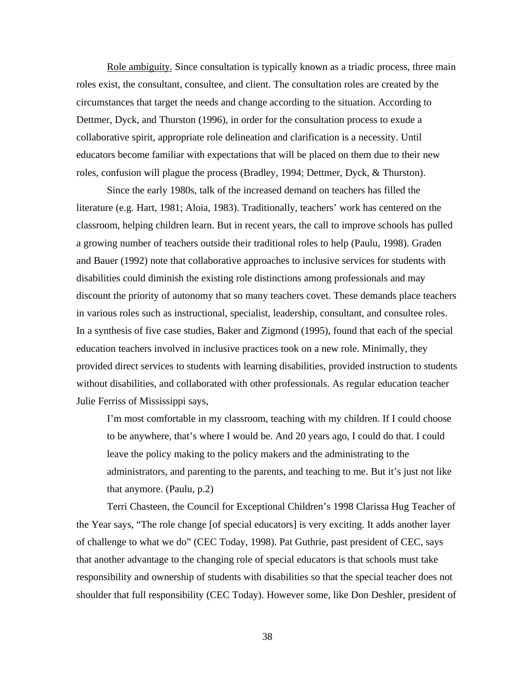Role ambiguity. Since consultation is typically known as a triadic process, three main roles exist, the consultant, consultee, and client. The consultation roles are created by the circumstances that target the needs and change according to the situation. According to Dettmer, Dyck, and Thurston (1996), in order for the consultation process to exude a collaborative spirit, appropriate role delineation and clarification is a necessity. Until educators become familiar with expectations that will be placed on them due to their new roles, confusion will plague the process (Bradley, 1994; Dettmer, Dyck, & Thurston).

Since the early 1980s, talk of the increased demand on teachers has filled the literature (e.g. Hart, 1981; Aloia, 1983). Traditionally, teachers' work has centered on the classroom, helping children learn. But in recent years, the call to improve schools has pulled a growing number of teachers outside their traditional roles to help (Paulu, 1998). Graden and Bauer (1992) note that collaborative approaches to inclusive services for students with disabilities could diminish the existing role distinctions among professionals and may discount the priority of autonomy that so many teachers covet. These demands place teachers in various roles such as instructional, specialist, leadership, consultant, and consultee roles. In a synthesis of five case studies, Baker and Zigmond (1995), found that each of the special education teachers involved in inclusive practices took on a new role. Minimally, they provided direct services to students with learning disabilities, provided instruction to students without disabilities, and collaborated with other professionals. As regular education teacher Julie Ferriss of Mississippi says,

I'm most comfortable in my classroom, teaching with my children. If I could choose to be anywhere, that's where I would be. And 20 years ago, I could do that. I could leave the policy making to the policy makers and the administrating to the administrators, and parenting to the parents, and teaching to me. But it's just not like that anymore. (Paulu, p.2)

Terri Chasteen, the Council for Exceptional Children's 1998 Clarissa Hug Teacher of the Year says, "The role change [of special educators] is very exciting. It adds another layer of challenge to what we do" (CEC Today, 1998). Pat Guthrie, past president of CEC, says that another advantage to the changing role of special educators is that schools must take responsibility and ownership of students with disabilities so that the special teacher does not shoulder that full responsibility (CEC Today). However some, like Don Deshler, president of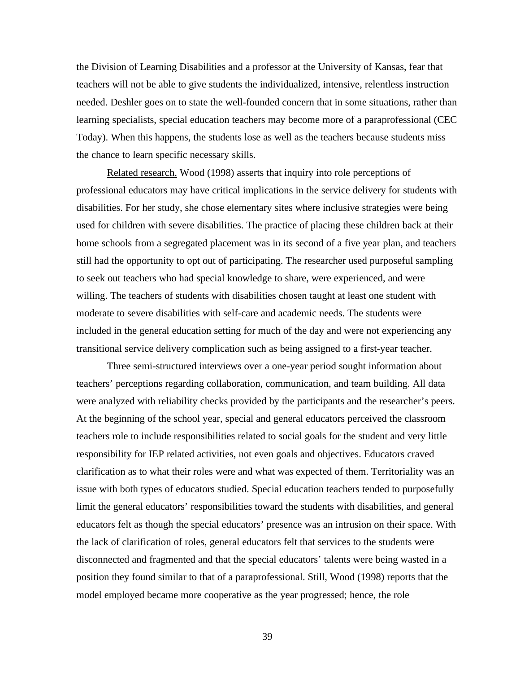the Division of Learning Disabilities and a professor at the University of Kansas, fear that teachers will not be able to give students the individualized, intensive, relentless instruction needed. Deshler goes on to state the well-founded concern that in some situations, rather than learning specialists, special education teachers may become more of a paraprofessional (CEC Today). When this happens, the students lose as well as the teachers because students miss the chance to learn specific necessary skills.

Related research. Wood (1998) asserts that inquiry into role perceptions of professional educators may have critical implications in the service delivery for students with disabilities. For her study, she chose elementary sites where inclusive strategies were being used for children with severe disabilities. The practice of placing these children back at their home schools from a segregated placement was in its second of a five year plan, and teachers still had the opportunity to opt out of participating. The researcher used purposeful sampling to seek out teachers who had special knowledge to share, were experienced, and were willing. The teachers of students with disabilities chosen taught at least one student with moderate to severe disabilities with self-care and academic needs. The students were included in the general education setting for much of the day and were not experiencing any transitional service delivery complication such as being assigned to a first-year teacher.

Three semi-structured interviews over a one-year period sought information about teachers' perceptions regarding collaboration, communication, and team building. All data were analyzed with reliability checks provided by the participants and the researcher's peers. At the beginning of the school year, special and general educators perceived the classroom teachers role to include responsibilities related to social goals for the student and very little responsibility for IEP related activities, not even goals and objectives. Educators craved clarification as to what their roles were and what was expected of them. Territoriality was an issue with both types of educators studied. Special education teachers tended to purposefully limit the general educators' responsibilities toward the students with disabilities, and general educators felt as though the special educators' presence was an intrusion on their space. With the lack of clarification of roles, general educators felt that services to the students were disconnected and fragmented and that the special educators' talents were being wasted in a position they found similar to that of a paraprofessional. Still, Wood (1998) reports that the model employed became more cooperative as the year progressed; hence, the role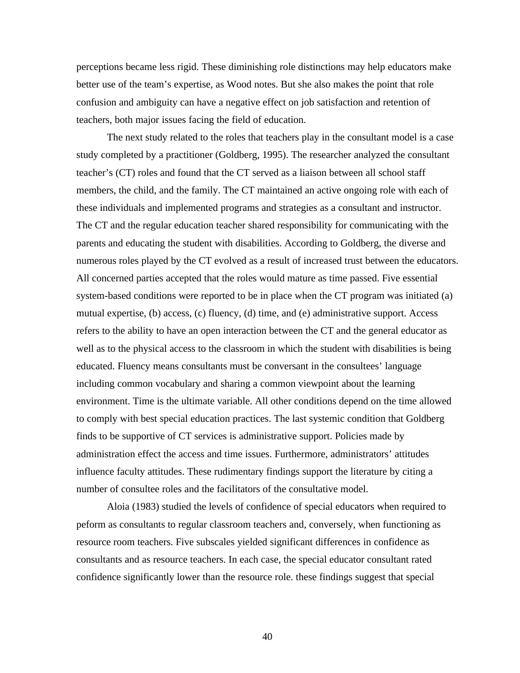perceptions became less rigid. These diminishing role distinctions may help educators make better use of the team's expertise, as Wood notes. But she also makes the point that role confusion and ambiguity can have a negative effect on job satisfaction and retention of teachers, both major issues facing the field of education.

The next study related to the roles that teachers play in the consultant model is a case study completed by a practitioner (Goldberg, 1995). The researcher analyzed the consultant teacher's (CT) roles and found that the CT served as a liaison between all school staff members, the child, and the family. The CT maintained an active ongoing role with each of these individuals and implemented programs and strategies as a consultant and instructor. The CT and the regular education teacher shared responsibility for communicating with the parents and educating the student with disabilities. According to Goldberg, the diverse and numerous roles played by the CT evolved as a result of increased trust between the educators. All concerned parties accepted that the roles would mature as time passed. Five essential system-based conditions were reported to be in place when the CT program was initiated (a) mutual expertise, (b) access, (c) fluency, (d) time, and (e) administrative support. Access refers to the ability to have an open interaction between the CT and the general educator as well as to the physical access to the classroom in which the student with disabilities is being educated. Fluency means consultants must be conversant in the consultees' language including common vocabulary and sharing a common viewpoint about the learning environment. Time is the ultimate variable. All other conditions depend on the time allowed to comply with best special education practices. The last systemic condition that Goldberg finds to be supportive of CT services is administrative support. Policies made by administration effect the access and time issues. Furthermore, administrators' attitudes influence faculty attitudes. These rudimentary findings support the literature by citing a number of consultee roles and the facilitators of the consultative model.

Aloia (1983) studied the levels of confidence of special educators when required to peform as consultants to regular classroom teachers and, conversely, when functioning as resource room teachers. Five subscales yielded significant differences in confidence as consultants and as resource teachers. In each case, the special educator consultant rated confidence significantly lower than the resource role. these findings suggest that special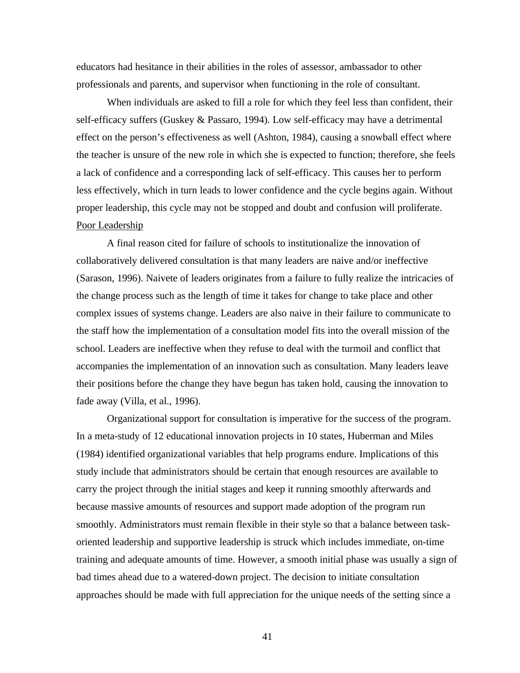educators had hesitance in their abilities in the roles of assessor, ambassador to other professionals and parents, and supervisor when functioning in the role of consultant.

When individuals are asked to fill a role for which they feel less than confident, their self-efficacy suffers (Guskey & Passaro, 1994). Low self-efficacy may have a detrimental effect on the person's effectiveness as well (Ashton, 1984), causing a snowball effect where the teacher is unsure of the new role in which she is expected to function; therefore, she feels a lack of confidence and a corresponding lack of self-efficacy. This causes her to perform less effectively, which in turn leads to lower confidence and the cycle begins again. Without proper leadership, this cycle may not be stopped and doubt and confusion will proliferate. Poor Leadership

A final reason cited for failure of schools to institutionalize the innovation of collaboratively delivered consultation is that many leaders are naive and/or ineffective (Sarason, 1996). Naivete of leaders originates from a failure to fully realize the intricacies of the change process such as the length of time it takes for change to take place and other complex issues of systems change. Leaders are also naive in their failure to communicate to the staff how the implementation of a consultation model fits into the overall mission of the school. Leaders are ineffective when they refuse to deal with the turmoil and conflict that accompanies the implementation of an innovation such as consultation. Many leaders leave their positions before the change they have begun has taken hold, causing the innovation to fade away (Villa, et al., 1996).

Organizational support for consultation is imperative for the success of the program. In a meta-study of 12 educational innovation projects in 10 states, Huberman and Miles (1984) identified organizational variables that help programs endure. Implications of this study include that administrators should be certain that enough resources are available to carry the project through the initial stages and keep it running smoothly afterwards and because massive amounts of resources and support made adoption of the program run smoothly. Administrators must remain flexible in their style so that a balance between taskoriented leadership and supportive leadership is struck which includes immediate, on-time training and adequate amounts of time. However, a smooth initial phase was usually a sign of bad times ahead due to a watered-down project. The decision to initiate consultation approaches should be made with full appreciation for the unique needs of the setting since a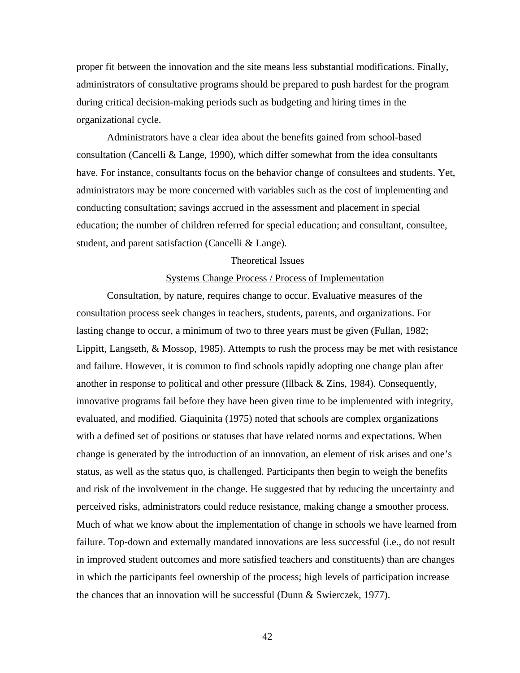proper fit between the innovation and the site means less substantial modifications. Finally, administrators of consultative programs should be prepared to push hardest for the program during critical decision-making periods such as budgeting and hiring times in the organizational cycle.

Administrators have a clear idea about the benefits gained from school-based consultation (Cancelli & Lange, 1990), which differ somewhat from the idea consultants have. For instance, consultants focus on the behavior change of consultees and students. Yet, administrators may be more concerned with variables such as the cost of implementing and conducting consultation; savings accrued in the assessment and placement in special education; the number of children referred for special education; and consultant, consultee, student, and parent satisfaction (Cancelli & Lange).

#### Theoretical Issues

### Systems Change Process / Process of Implementation

Consultation, by nature, requires change to occur. Evaluative measures of the consultation process seek changes in teachers, students, parents, and organizations. For lasting change to occur, a minimum of two to three years must be given (Fullan, 1982; Lippitt, Langseth, & Mossop, 1985). Attempts to rush the process may be met with resistance and failure. However, it is common to find schools rapidly adopting one change plan after another in response to political and other pressure (Illback & Zins, 1984). Consequently, innovative programs fail before they have been given time to be implemented with integrity, evaluated, and modified. Giaquinita (1975) noted that schools are complex organizations with a defined set of positions or statuses that have related norms and expectations. When change is generated by the introduction of an innovation, an element of risk arises and one's status, as well as the status quo, is challenged. Participants then begin to weigh the benefits and risk of the involvement in the change. He suggested that by reducing the uncertainty and perceived risks, administrators could reduce resistance, making change a smoother process. Much of what we know about the implementation of change in schools we have learned from failure. Top-down and externally mandated innovations are less successful (i.e., do not result in improved student outcomes and more satisfied teachers and constituents) than are changes in which the participants feel ownership of the process; high levels of participation increase the chances that an innovation will be successful (Dunn & Swierczek, 1977).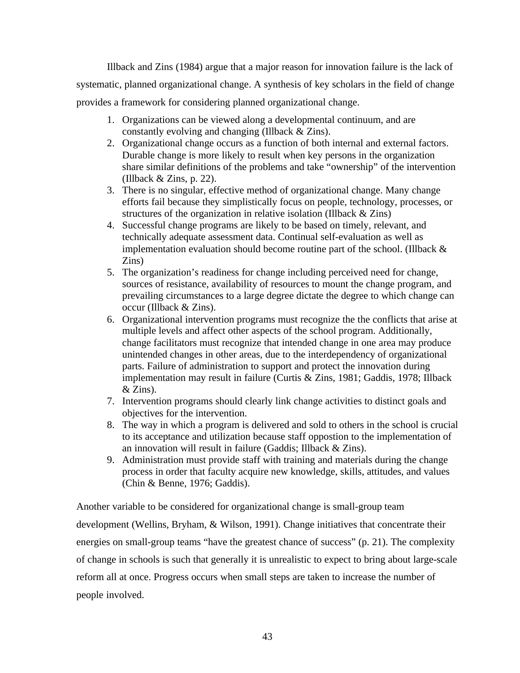Illback and Zins (1984) argue that a major reason for innovation failure is the lack of systematic, planned organizational change. A synthesis of key scholars in the field of change provides a framework for considering planned organizational change.

- 1. Organizations can be viewed along a developmental continuum, and are constantly evolving and changing (Illback & Zins).
- 2. Organizational change occurs as a function of both internal and external factors. Durable change is more likely to result when key persons in the organization share similar definitions of the problems and take "ownership" of the intervention (Illback  $&$  Zins, p. 22).
- 3. There is no singular, effective method of organizational change. Many change efforts fail because they simplistically focus on people, technology, processes, or structures of the organization in relative isolation (Illback & Zins)
- 4. Successful change programs are likely to be based on timely, relevant, and technically adequate assessment data. Continual self-evaluation as well as implementation evaluation should become routine part of the school. (Illback  $\&$ Zins)
- 5. The organization's readiness for change including perceived need for change, sources of resistance, availability of resources to mount the change program, and prevailing circumstances to a large degree dictate the degree to which change can occur (Illback & Zins).
- 6. Organizational intervention programs must recognize the the conflicts that arise at multiple levels and affect other aspects of the school program. Additionally, change facilitators must recognize that intended change in one area may produce unintended changes in other areas, due to the interdependency of organizational parts. Failure of administration to support and protect the innovation during implementation may result in failure (Curtis & Zins, 1981; Gaddis, 1978; Illback & Zins).
- 7. Intervention programs should clearly link change activities to distinct goals and objectives for the intervention.
- 8. The way in which a program is delivered and sold to others in the school is crucial to its acceptance and utilization because staff oppostion to the implementation of an innovation will result in failure (Gaddis; Illback & Zins).
- 9. Administration must provide staff with training and materials during the change process in order that faculty acquire new knowledge, skills, attitudes, and values (Chin & Benne, 1976; Gaddis).

Another variable to be considered for organizational change is small-group team development (Wellins, Bryham, & Wilson, 1991). Change initiatives that concentrate their energies on small-group teams "have the greatest chance of success" (p. 21). The complexity of change in schools is such that generally it is unrealistic to expect to bring about large-scale reform all at once. Progress occurs when small steps are taken to increase the number of people involved.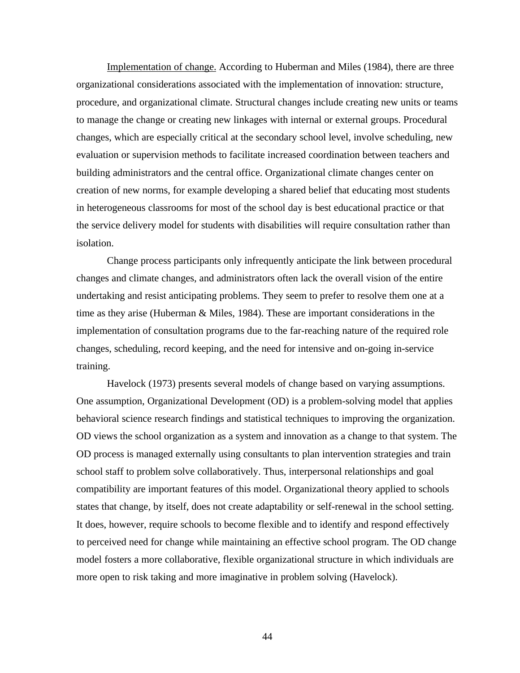Implementation of change. According to Huberman and Miles (1984), there are three organizational considerations associated with the implementation of innovation: structure, procedure, and organizational climate. Structural changes include creating new units or teams to manage the change or creating new linkages with internal or external groups. Procedural changes, which are especially critical at the secondary school level, involve scheduling, new evaluation or supervision methods to facilitate increased coordination between teachers and building administrators and the central office. Organizational climate changes center on creation of new norms, for example developing a shared belief that educating most students in heterogeneous classrooms for most of the school day is best educational practice or that the service delivery model for students with disabilities will require consultation rather than isolation.

Change process participants only infrequently anticipate the link between procedural changes and climate changes, and administrators often lack the overall vision of the entire undertaking and resist anticipating problems. They seem to prefer to resolve them one at a time as they arise (Huberman & Miles, 1984). These are important considerations in the implementation of consultation programs due to the far-reaching nature of the required role changes, scheduling, record keeping, and the need for intensive and on-going in-service training.

Havelock (1973) presents several models of change based on varying assumptions. One assumption, Organizational Development (OD) is a problem-solving model that applies behavioral science research findings and statistical techniques to improving the organization. OD views the school organization as a system and innovation as a change to that system. The OD process is managed externally using consultants to plan intervention strategies and train school staff to problem solve collaboratively. Thus, interpersonal relationships and goal compatibility are important features of this model. Organizational theory applied to schools states that change, by itself, does not create adaptability or self-renewal in the school setting. It does, however, require schools to become flexible and to identify and respond effectively to perceived need for change while maintaining an effective school program. The OD change model fosters a more collaborative, flexible organizational structure in which individuals are more open to risk taking and more imaginative in problem solving (Havelock).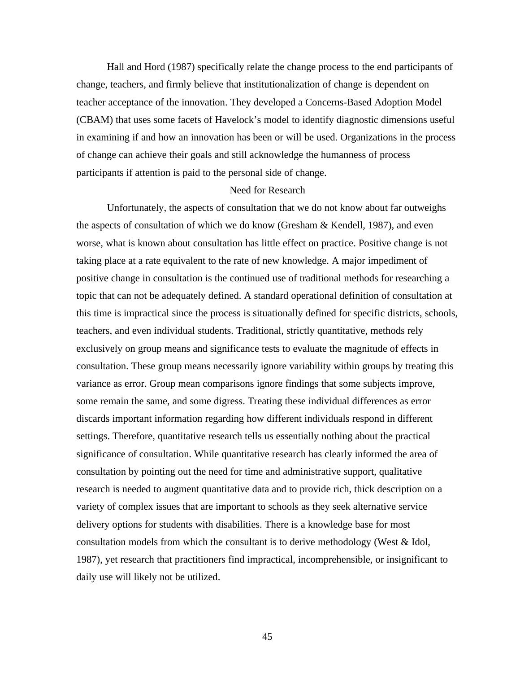Hall and Hord (1987) specifically relate the change process to the end participants of change, teachers, and firmly believe that institutionalization of change is dependent on teacher acceptance of the innovation. They developed a Concerns-Based Adoption Model (CBAM) that uses some facets of Havelock's model to identify diagnostic dimensions useful in examining if and how an innovation has been or will be used. Organizations in the process of change can achieve their goals and still acknowledge the humanness of process participants if attention is paid to the personal side of change.

### Need for Research

Unfortunately, the aspects of consultation that we do not know about far outweighs the aspects of consultation of which we do know (Gresham & Kendell, 1987), and even worse, what is known about consultation has little effect on practice. Positive change is not taking place at a rate equivalent to the rate of new knowledge. A major impediment of positive change in consultation is the continued use of traditional methods for researching a topic that can not be adequately defined. A standard operational definition of consultation at this time is impractical since the process is situationally defined for specific districts, schools, teachers, and even individual students. Traditional, strictly quantitative, methods rely exclusively on group means and significance tests to evaluate the magnitude of effects in consultation. These group means necessarily ignore variability within groups by treating this variance as error. Group mean comparisons ignore findings that some subjects improve, some remain the same, and some digress. Treating these individual differences as error discards important information regarding how different individuals respond in different settings. Therefore, quantitative research tells us essentially nothing about the practical significance of consultation. While quantitative research has clearly informed the area of consultation by pointing out the need for time and administrative support, qualitative research is needed to augment quantitative data and to provide rich, thick description on a variety of complex issues that are important to schools as they seek alternative service delivery options for students with disabilities. There is a knowledge base for most consultation models from which the consultant is to derive methodology (West & Idol, 1987), yet research that practitioners find impractical, incomprehensible, or insignificant to daily use will likely not be utilized.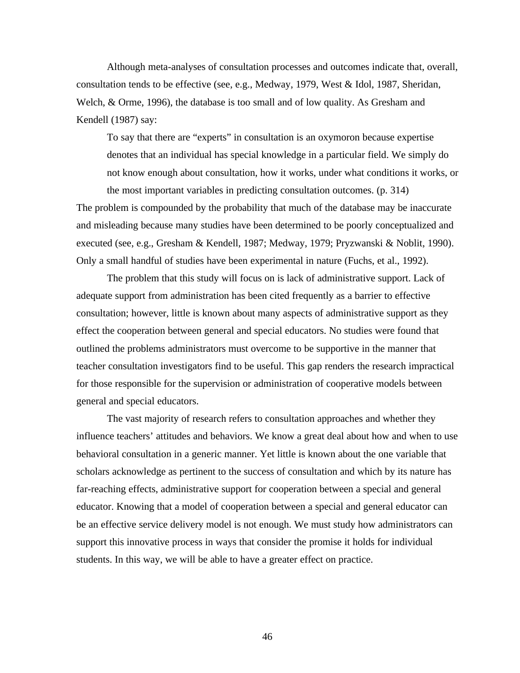Although meta-analyses of consultation processes and outcomes indicate that, overall, consultation tends to be effective (see, e.g., Medway, 1979, West & Idol, 1987, Sheridan, Welch, & Orme, 1996), the database is too small and of low quality. As Gresham and Kendell (1987) say:

To say that there are "experts" in consultation is an oxymoron because expertise denotes that an individual has special knowledge in a particular field. We simply do not know enough about consultation, how it works, under what conditions it works, or

the most important variables in predicting consultation outcomes. (p. 314) The problem is compounded by the probability that much of the database may be inaccurate and misleading because many studies have been determined to be poorly conceptualized and executed (see, e.g., Gresham & Kendell, 1987; Medway, 1979; Pryzwanski & Noblit, 1990). Only a small handful of studies have been experimental in nature (Fuchs, et al., 1992).

The problem that this study will focus on is lack of administrative support. Lack of adequate support from administration has been cited frequently as a barrier to effective consultation; however, little is known about many aspects of administrative support as they effect the cooperation between general and special educators. No studies were found that outlined the problems administrators must overcome to be supportive in the manner that teacher consultation investigators find to be useful. This gap renders the research impractical for those responsible for the supervision or administration of cooperative models between general and special educators.

The vast majority of research refers to consultation approaches and whether they influence teachers' attitudes and behaviors. We know a great deal about how and when to use behavioral consultation in a generic manner. Yet little is known about the one variable that scholars acknowledge as pertinent to the success of consultation and which by its nature has far-reaching effects, administrative support for cooperation between a special and general educator. Knowing that a model of cooperation between a special and general educator can be an effective service delivery model is not enough. We must study how administrators can support this innovative process in ways that consider the promise it holds for individual students. In this way, we will be able to have a greater effect on practice.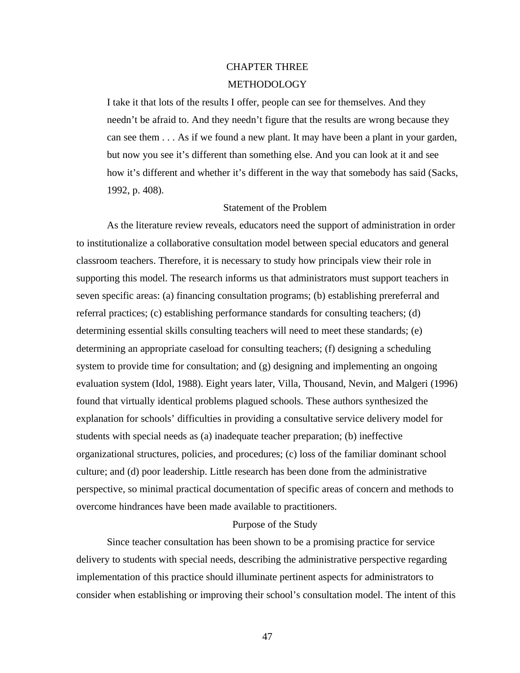# CHAPTER THREE

### METHODOLOGY

I take it that lots of the results I offer, people can see for themselves. And they needn't be afraid to. And they needn't figure that the results are wrong because they can see them . . . As if we found a new plant. It may have been a plant in your garden, but now you see it's different than something else. And you can look at it and see how it's different and whether it's different in the way that somebody has said (Sacks, 1992, p. 408).

### Statement of the Problem

As the literature review reveals, educators need the support of administration in order to institutionalize a collaborative consultation model between special educators and general classroom teachers. Therefore, it is necessary to study how principals view their role in supporting this model. The research informs us that administrators must support teachers in seven specific areas: (a) financing consultation programs; (b) establishing prereferral and referral practices; (c) establishing performance standards for consulting teachers; (d) determining essential skills consulting teachers will need to meet these standards; (e) determining an appropriate caseload for consulting teachers; (f) designing a scheduling system to provide time for consultation; and (g) designing and implementing an ongoing evaluation system (Idol, 1988). Eight years later, Villa, Thousand, Nevin, and Malgeri (1996) found that virtually identical problems plagued schools. These authors synthesized the explanation for schools' difficulties in providing a consultative service delivery model for students with special needs as (a) inadequate teacher preparation; (b) ineffective organizational structures, policies, and procedures; (c) loss of the familiar dominant school culture; and (d) poor leadership. Little research has been done from the administrative perspective, so minimal practical documentation of specific areas of concern and methods to overcome hindrances have been made available to practitioners.

### Purpose of the Study

Since teacher consultation has been shown to be a promising practice for service delivery to students with special needs, describing the administrative perspective regarding implementation of this practice should illuminate pertinent aspects for administrators to consider when establishing or improving their school's consultation model. The intent of this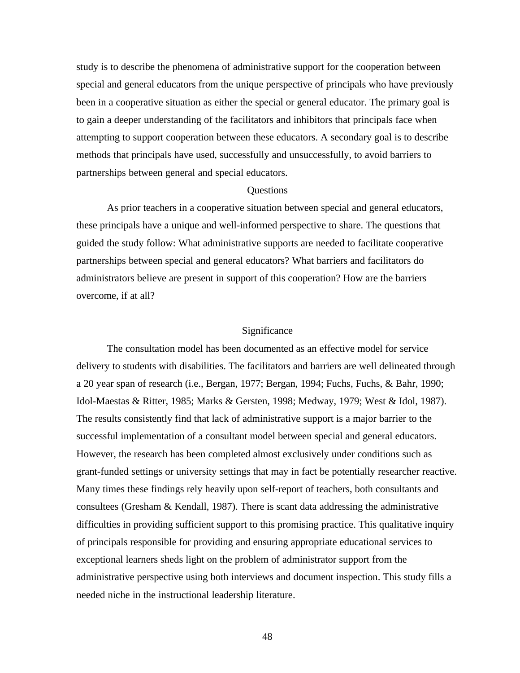study is to describe the phenomena of administrative support for the cooperation between special and general educators from the unique perspective of principals who have previously been in a cooperative situation as either the special or general educator. The primary goal is to gain a deeper understanding of the facilitators and inhibitors that principals face when attempting to support cooperation between these educators. A secondary goal is to describe methods that principals have used, successfully and unsuccessfully, to avoid barriers to partnerships between general and special educators.

### Questions

As prior teachers in a cooperative situation between special and general educators, these principals have a unique and well-informed perspective to share. The questions that guided the study follow: What administrative supports are needed to facilitate cooperative partnerships between special and general educators? What barriers and facilitators do administrators believe are present in support of this cooperation? How are the barriers overcome, if at all?

### Significance

The consultation model has been documented as an effective model for service delivery to students with disabilities. The facilitators and barriers are well delineated through a 20 year span of research (i.e., Bergan, 1977; Bergan, 1994; Fuchs, Fuchs, & Bahr, 1990; Idol-Maestas & Ritter, 1985; Marks & Gersten, 1998; Medway, 1979; West & Idol, 1987). The results consistently find that lack of administrative support is a major barrier to the successful implementation of a consultant model between special and general educators. However, the research has been completed almost exclusively under conditions such as grant-funded settings or university settings that may in fact be potentially researcher reactive. Many times these findings rely heavily upon self-report of teachers, both consultants and consultees (Gresham & Kendall, 1987). There is scant data addressing the administrative difficulties in providing sufficient support to this promising practice. This qualitative inquiry of principals responsible for providing and ensuring appropriate educational services to exceptional learners sheds light on the problem of administrator support from the administrative perspective using both interviews and document inspection. This study fills a needed niche in the instructional leadership literature.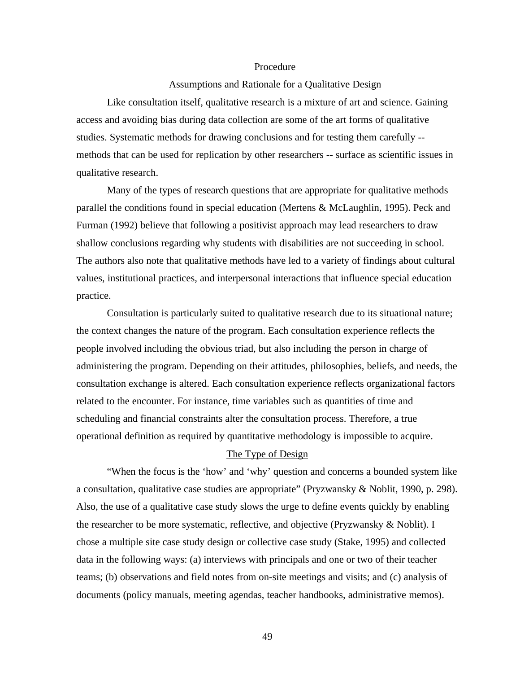### Procedure

### Assumptions and Rationale for a Qualitative Design

Like consultation itself, qualitative research is a mixture of art and science. Gaining access and avoiding bias during data collection are some of the art forms of qualitative studies. Systematic methods for drawing conclusions and for testing them carefully - methods that can be used for replication by other researchers -- surface as scientific issues in qualitative research.

Many of the types of research questions that are appropriate for qualitative methods parallel the conditions found in special education (Mertens & McLaughlin, 1995). Peck and Furman (1992) believe that following a positivist approach may lead researchers to draw shallow conclusions regarding why students with disabilities are not succeeding in school. The authors also note that qualitative methods have led to a variety of findings about cultural values, institutional practices, and interpersonal interactions that influence special education practice.

Consultation is particularly suited to qualitative research due to its situational nature; the context changes the nature of the program. Each consultation experience reflects the people involved including the obvious triad, but also including the person in charge of administering the program. Depending on their attitudes, philosophies, beliefs, and needs, the consultation exchange is altered. Each consultation experience reflects organizational factors related to the encounter. For instance, time variables such as quantities of time and scheduling and financial constraints alter the consultation process. Therefore, a true operational definition as required by quantitative methodology is impossible to acquire.

### The Type of Design

"When the focus is the 'how' and 'why' question and concerns a bounded system like a consultation, qualitative case studies are appropriate" (Pryzwansky & Noblit, 1990, p. 298). Also, the use of a qualitative case study slows the urge to define events quickly by enabling the researcher to be more systematic, reflective, and objective (Pryzwansky & Noblit). I chose a multiple site case study design or collective case study (Stake, 1995) and collected data in the following ways: (a) interviews with principals and one or two of their teacher teams; (b) observations and field notes from on-site meetings and visits; and (c) analysis of documents (policy manuals, meeting agendas, teacher handbooks, administrative memos).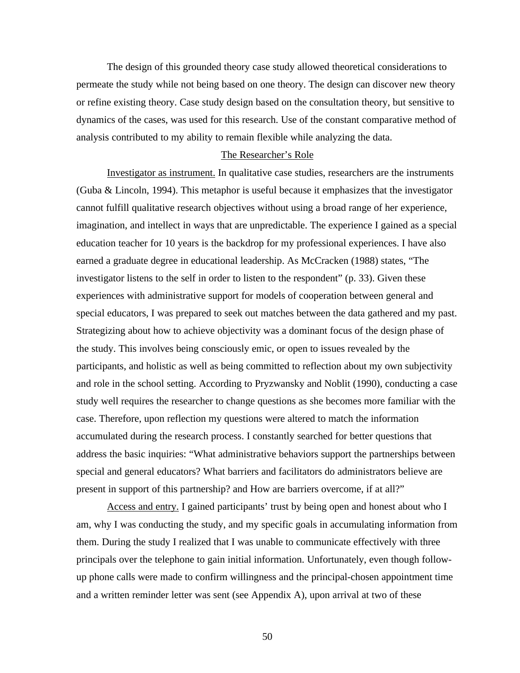The design of this grounded theory case study allowed theoretical considerations to permeate the study while not being based on one theory. The design can discover new theory or refine existing theory. Case study design based on the consultation theory, but sensitive to dynamics of the cases, was used for this research. Use of the constant comparative method of analysis contributed to my ability to remain flexible while analyzing the data.

### The Researcher's Role

Investigator as instrument. In qualitative case studies, researchers are the instruments (Guba & Lincoln, 1994). This metaphor is useful because it emphasizes that the investigator cannot fulfill qualitative research objectives without using a broad range of her experience, imagination, and intellect in ways that are unpredictable. The experience I gained as a special education teacher for 10 years is the backdrop for my professional experiences. I have also earned a graduate degree in educational leadership. As McCracken (1988) states, "The investigator listens to the self in order to listen to the respondent" (p. 33). Given these experiences with administrative support for models of cooperation between general and special educators, I was prepared to seek out matches between the data gathered and my past. Strategizing about how to achieve objectivity was a dominant focus of the design phase of the study. This involves being consciously emic, or open to issues revealed by the participants, and holistic as well as being committed to reflection about my own subjectivity and role in the school setting. According to Pryzwansky and Noblit (1990), conducting a case study well requires the researcher to change questions as she becomes more familiar with the case. Therefore, upon reflection my questions were altered to match the information accumulated during the research process. I constantly searched for better questions that address the basic inquiries: "What administrative behaviors support the partnerships between special and general educators? What barriers and facilitators do administrators believe are present in support of this partnership? and How are barriers overcome, if at all?"

Access and entry. I gained participants' trust by being open and honest about who I am, why I was conducting the study, and my specific goals in accumulating information from them. During the study I realized that I was unable to communicate effectively with three principals over the telephone to gain initial information. Unfortunately, even though followup phone calls were made to confirm willingness and the principal-chosen appointment time and a written reminder letter was sent (see Appendix A), upon arrival at two of these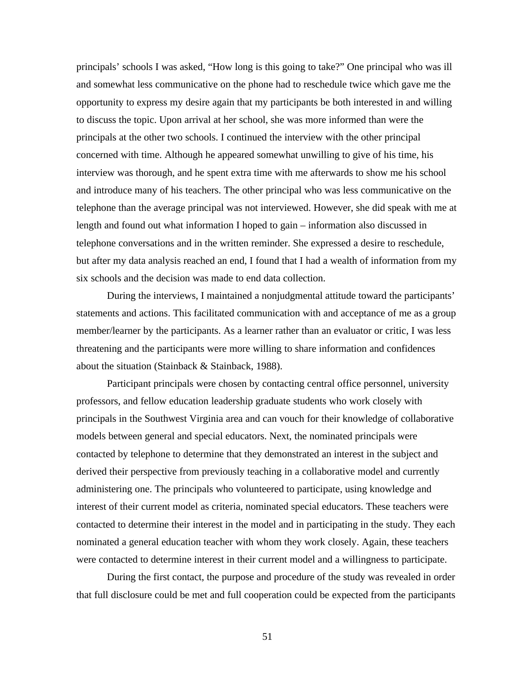principals' schools I was asked, "How long is this going to take?" One principal who was ill and somewhat less communicative on the phone had to reschedule twice which gave me the opportunity to express my desire again that my participants be both interested in and willing to discuss the topic. Upon arrival at her school, she was more informed than were the principals at the other two schools. I continued the interview with the other principal concerned with time. Although he appeared somewhat unwilling to give of his time, his interview was thorough, and he spent extra time with me afterwards to show me his school and introduce many of his teachers. The other principal who was less communicative on the telephone than the average principal was not interviewed. However, she did speak with me at length and found out what information I hoped to gain – information also discussed in telephone conversations and in the written reminder. She expressed a desire to reschedule, but after my data analysis reached an end, I found that I had a wealth of information from my six schools and the decision was made to end data collection.

During the interviews, I maintained a nonjudgmental attitude toward the participants' statements and actions. This facilitated communication with and acceptance of me as a group member/learner by the participants. As a learner rather than an evaluator or critic, I was less threatening and the participants were more willing to share information and confidences about the situation (Stainback & Stainback, 1988).

Participant principals were chosen by contacting central office personnel, university professors, and fellow education leadership graduate students who work closely with principals in the Southwest Virginia area and can vouch for their knowledge of collaborative models between general and special educators. Next, the nominated principals were contacted by telephone to determine that they demonstrated an interest in the subject and derived their perspective from previously teaching in a collaborative model and currently administering one. The principals who volunteered to participate, using knowledge and interest of their current model as criteria, nominated special educators. These teachers were contacted to determine their interest in the model and in participating in the study. They each nominated a general education teacher with whom they work closely. Again, these teachers were contacted to determine interest in their current model and a willingness to participate.

During the first contact, the purpose and procedure of the study was revealed in order that full disclosure could be met and full cooperation could be expected from the participants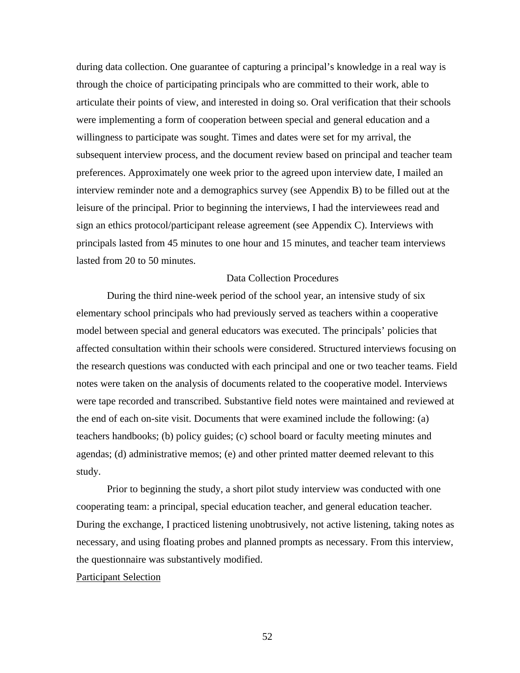during data collection. One guarantee of capturing a principal's knowledge in a real way is through the choice of participating principals who are committed to their work, able to articulate their points of view, and interested in doing so. Oral verification that their schools were implementing a form of cooperation between special and general education and a willingness to participate was sought. Times and dates were set for my arrival, the subsequent interview process, and the document review based on principal and teacher team preferences. Approximately one week prior to the agreed upon interview date, I mailed an interview reminder note and a demographics survey (see Appendix B) to be filled out at the leisure of the principal. Prior to beginning the interviews, I had the interviewees read and sign an ethics protocol/participant release agreement (see Appendix C). Interviews with principals lasted from 45 minutes to one hour and 15 minutes, and teacher team interviews lasted from 20 to 50 minutes.

### Data Collection Procedures

During the third nine-week period of the school year, an intensive study of six elementary school principals who had previously served as teachers within a cooperative model between special and general educators was executed. The principals' policies that affected consultation within their schools were considered. Structured interviews focusing on the research questions was conducted with each principal and one or two teacher teams. Field notes were taken on the analysis of documents related to the cooperative model. Interviews were tape recorded and transcribed. Substantive field notes were maintained and reviewed at the end of each on-site visit. Documents that were examined include the following: (a) teachers handbooks; (b) policy guides; (c) school board or faculty meeting minutes and agendas; (d) administrative memos; (e) and other printed matter deemed relevant to this study.

Prior to beginning the study, a short pilot study interview was conducted with one cooperating team: a principal, special education teacher, and general education teacher. During the exchange, I practiced listening unobtrusively, not active listening, taking notes as necessary, and using floating probes and planned prompts as necessary. From this interview, the questionnaire was substantively modified.

### Participant Selection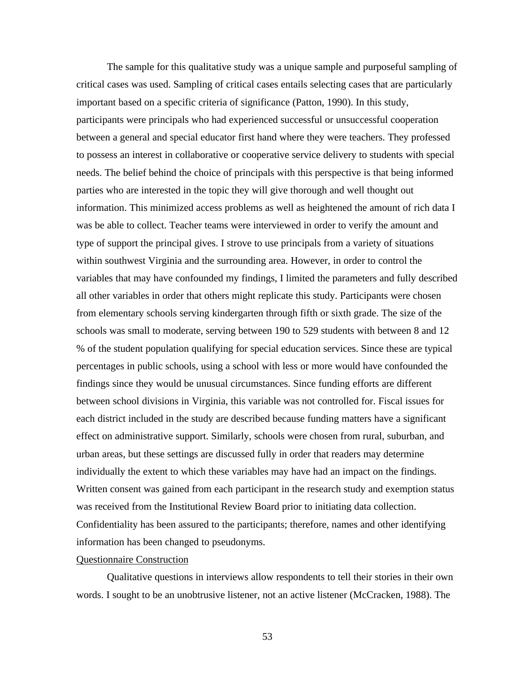The sample for this qualitative study was a unique sample and purposeful sampling of critical cases was used. Sampling of critical cases entails selecting cases that are particularly important based on a specific criteria of significance (Patton, 1990). In this study, participants were principals who had experienced successful or unsuccessful cooperation between a general and special educator first hand where they were teachers. They professed to possess an interest in collaborative or cooperative service delivery to students with special needs. The belief behind the choice of principals with this perspective is that being informed parties who are interested in the topic they will give thorough and well thought out information. This minimized access problems as well as heightened the amount of rich data I was be able to collect. Teacher teams were interviewed in order to verify the amount and type of support the principal gives. I strove to use principals from a variety of situations within southwest Virginia and the surrounding area. However, in order to control the variables that may have confounded my findings, I limited the parameters and fully described all other variables in order that others might replicate this study. Participants were chosen from elementary schools serving kindergarten through fifth or sixth grade. The size of the schools was small to moderate, serving between 190 to 529 students with between 8 and 12 % of the student population qualifying for special education services. Since these are typical percentages in public schools, using a school with less or more would have confounded the findings since they would be unusual circumstances. Since funding efforts are different between school divisions in Virginia, this variable was not controlled for. Fiscal issues for each district included in the study are described because funding matters have a significant effect on administrative support. Similarly, schools were chosen from rural, suburban, and urban areas, but these settings are discussed fully in order that readers may determine individually the extent to which these variables may have had an impact on the findings. Written consent was gained from each participant in the research study and exemption status was received from the Institutional Review Board prior to initiating data collection. Confidentiality has been assured to the participants; therefore, names and other identifying information has been changed to pseudonyms.

### Questionnaire Construction

Qualitative questions in interviews allow respondents to tell their stories in their own words. I sought to be an unobtrusive listener, not an active listener (McCracken, 1988). The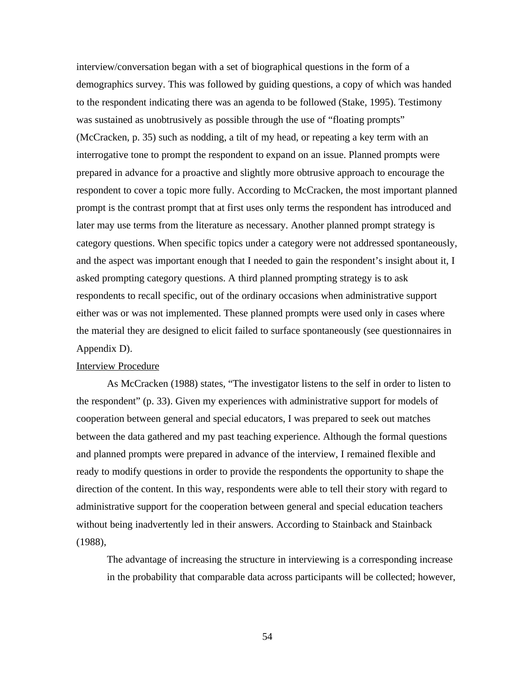interview/conversation began with a set of biographical questions in the form of a demographics survey. This was followed by guiding questions, a copy of which was handed to the respondent indicating there was an agenda to be followed (Stake, 1995). Testimony was sustained as unobtrusively as possible through the use of "floating prompts" (McCracken, p. 35) such as nodding, a tilt of my head, or repeating a key term with an interrogative tone to prompt the respondent to expand on an issue. Planned prompts were prepared in advance for a proactive and slightly more obtrusive approach to encourage the respondent to cover a topic more fully. According to McCracken, the most important planned prompt is the contrast prompt that at first uses only terms the respondent has introduced and later may use terms from the literature as necessary. Another planned prompt strategy is category questions. When specific topics under a category were not addressed spontaneously, and the aspect was important enough that I needed to gain the respondent's insight about it, I asked prompting category questions. A third planned prompting strategy is to ask respondents to recall specific, out of the ordinary occasions when administrative support either was or was not implemented. These planned prompts were used only in cases where the material they are designed to elicit failed to surface spontaneously (see questionnaires in Appendix D).

### Interview Procedure

As McCracken (1988) states, "The investigator listens to the self in order to listen to the respondent" (p. 33). Given my experiences with administrative support for models of cooperation between general and special educators, I was prepared to seek out matches between the data gathered and my past teaching experience. Although the formal questions and planned prompts were prepared in advance of the interview, I remained flexible and ready to modify questions in order to provide the respondents the opportunity to shape the direction of the content. In this way, respondents were able to tell their story with regard to administrative support for the cooperation between general and special education teachers without being inadvertently led in their answers. According to Stainback and Stainback (1988),

The advantage of increasing the structure in interviewing is a corresponding increase in the probability that comparable data across participants will be collected; however,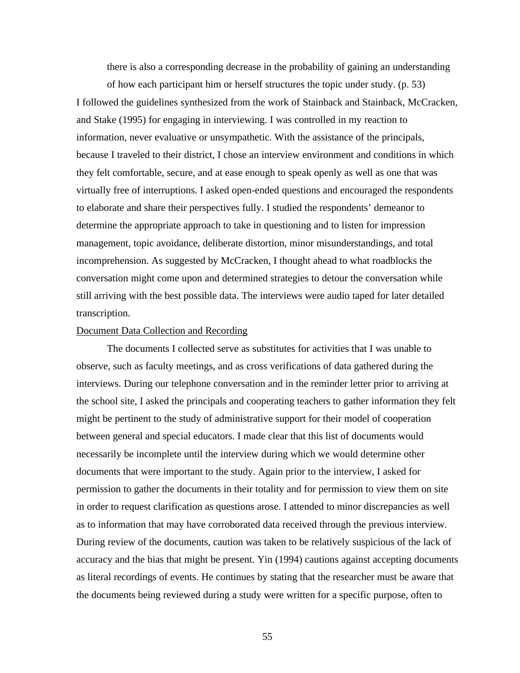there is also a corresponding decrease in the probability of gaining an understanding

of how each participant him or herself structures the topic under study. (p. 53) I followed the guidelines synthesized from the work of Stainback and Stainback, McCracken, and Stake (1995) for engaging in interviewing. I was controlled in my reaction to information, never evaluative or unsympathetic. With the assistance of the principals, because I traveled to their district, I chose an interview environment and conditions in which they felt comfortable, secure, and at ease enough to speak openly as well as one that was virtually free of interruptions. I asked open-ended questions and encouraged the respondents to elaborate and share their perspectives fully. I studied the respondents' demeanor to determine the appropriate approach to take in questioning and to listen for impression management, topic avoidance, deliberate distortion, minor misunderstandings, and total incomprehension. As suggested by McCracken, I thought ahead to what roadblocks the conversation might come upon and determined strategies to detour the conversation while still arriving with the best possible data. The interviews were audio taped for later detailed transcription.

### Document Data Collection and Recording

The documents I collected serve as substitutes for activities that I was unable to observe, such as faculty meetings, and as cross verifications of data gathered during the interviews. During our telephone conversation and in the reminder letter prior to arriving at the school site, I asked the principals and cooperating teachers to gather information they felt might be pertinent to the study of administrative support for their model of cooperation between general and special educators. I made clear that this list of documents would necessarily be incomplete until the interview during which we would determine other documents that were important to the study. Again prior to the interview, I asked for permission to gather the documents in their totality and for permission to view them on site in order to request clarification as questions arose. I attended to minor discrepancies as well as to information that may have corroborated data received through the previous interview. During review of the documents, caution was taken to be relatively suspicious of the lack of accuracy and the bias that might be present. Yin (1994) cautions against accepting documents as literal recordings of events. He continues by stating that the researcher must be aware that the documents being reviewed during a study were written for a specific purpose, often to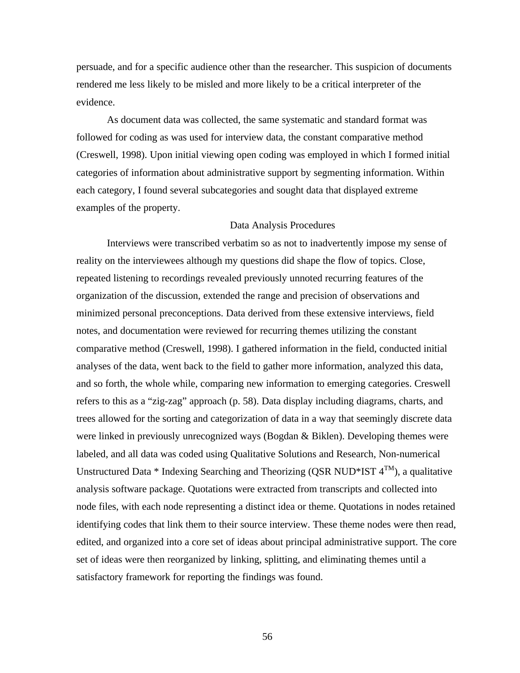persuade, and for a specific audience other than the researcher. This suspicion of documents rendered me less likely to be misled and more likely to be a critical interpreter of the evidence.

As document data was collected, the same systematic and standard format was followed for coding as was used for interview data, the constant comparative method (Creswell, 1998). Upon initial viewing open coding was employed in which I formed initial categories of information about administrative support by segmenting information. Within each category, I found several subcategories and sought data that displayed extreme examples of the property.

### Data Analysis Procedures

Interviews were transcribed verbatim so as not to inadvertently impose my sense of reality on the interviewees although my questions did shape the flow of topics. Close, repeated listening to recordings revealed previously unnoted recurring features of the organization of the discussion, extended the range and precision of observations and minimized personal preconceptions. Data derived from these extensive interviews, field notes, and documentation were reviewed for recurring themes utilizing the constant comparative method (Creswell, 1998). I gathered information in the field, conducted initial analyses of the data, went back to the field to gather more information, analyzed this data, and so forth, the whole while, comparing new information to emerging categories. Creswell refers to this as a "zig-zag" approach (p. 58). Data display including diagrams, charts, and trees allowed for the sorting and categorization of data in a way that seemingly discrete data were linked in previously unrecognized ways (Bogdan & Biklen). Developing themes were labeled, and all data was coded using Qualitative Solutions and Research, Non-numerical Unstructured Data \* Indexing Searching and Theorizing (QSR NUD\*IST  $4^{TM}$ ), a qualitative analysis software package. Quotations were extracted from transcripts and collected into node files, with each node representing a distinct idea or theme. Quotations in nodes retained identifying codes that link them to their source interview. These theme nodes were then read, edited, and organized into a core set of ideas about principal administrative support. The core set of ideas were then reorganized by linking, splitting, and eliminating themes until a satisfactory framework for reporting the findings was found.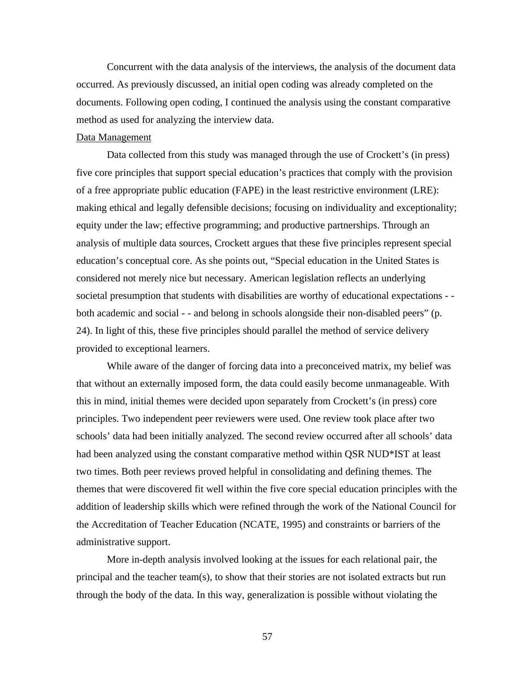Concurrent with the data analysis of the interviews, the analysis of the document data occurred. As previously discussed, an initial open coding was already completed on the documents. Following open coding, I continued the analysis using the constant comparative method as used for analyzing the interview data.

### Data Management

Data collected from this study was managed through the use of Crockett's (in press) five core principles that support special education's practices that comply with the provision of a free appropriate public education (FAPE) in the least restrictive environment (LRE): making ethical and legally defensible decisions; focusing on individuality and exceptionality; equity under the law; effective programming; and productive partnerships. Through an analysis of multiple data sources, Crockett argues that these five principles represent special education's conceptual core. As she points out, "Special education in the United States is considered not merely nice but necessary. American legislation reflects an underlying societal presumption that students with disabilities are worthy of educational expectations - both academic and social - - and belong in schools alongside their non-disabled peers" (p. 24). In light of this, these five principles should parallel the method of service delivery provided to exceptional learners.

While aware of the danger of forcing data into a preconceived matrix, my belief was that without an externally imposed form, the data could easily become unmanageable. With this in mind, initial themes were decided upon separately from Crockett's (in press) core principles. Two independent peer reviewers were used. One review took place after two schools' data had been initially analyzed. The second review occurred after all schools' data had been analyzed using the constant comparative method within QSR NUD\*IST at least two times. Both peer reviews proved helpful in consolidating and defining themes. The themes that were discovered fit well within the five core special education principles with the addition of leadership skills which were refined through the work of the National Council for the Accreditation of Teacher Education (NCATE, 1995) and constraints or barriers of the administrative support.

More in-depth analysis involved looking at the issues for each relational pair, the principal and the teacher team(s), to show that their stories are not isolated extracts but run through the body of the data. In this way, generalization is possible without violating the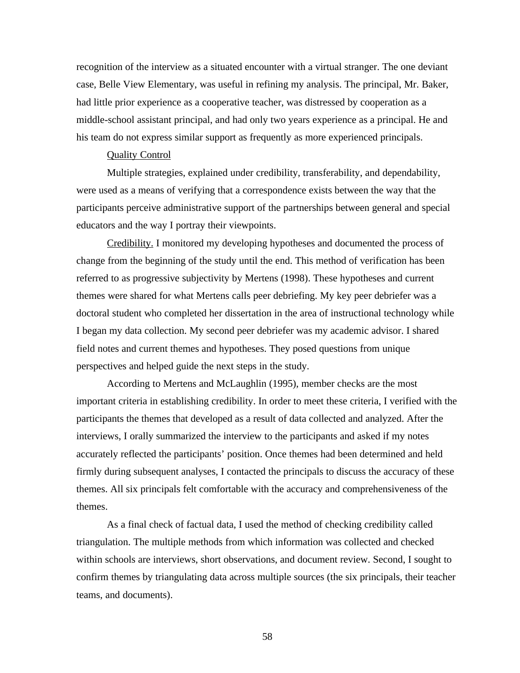recognition of the interview as a situated encounter with a virtual stranger. The one deviant case, Belle View Elementary, was useful in refining my analysis. The principal, Mr. Baker, had little prior experience as a cooperative teacher, was distressed by cooperation as a middle-school assistant principal, and had only two years experience as a principal. He and his team do not express similar support as frequently as more experienced principals.

### Quality Control

Multiple strategies, explained under credibility, transferability, and dependability, were used as a means of verifying that a correspondence exists between the way that the participants perceive administrative support of the partnerships between general and special educators and the way I portray their viewpoints.

Credibility. I monitored my developing hypotheses and documented the process of change from the beginning of the study until the end. This method of verification has been referred to as progressive subjectivity by Mertens (1998). These hypotheses and current themes were shared for what Mertens calls peer debriefing. My key peer debriefer was a doctoral student who completed her dissertation in the area of instructional technology while I began my data collection. My second peer debriefer was my academic advisor. I shared field notes and current themes and hypotheses. They posed questions from unique perspectives and helped guide the next steps in the study.

According to Mertens and McLaughlin (1995), member checks are the most important criteria in establishing credibility. In order to meet these criteria, I verified with the participants the themes that developed as a result of data collected and analyzed. After the interviews, I orally summarized the interview to the participants and asked if my notes accurately reflected the participants' position. Once themes had been determined and held firmly during subsequent analyses, I contacted the principals to discuss the accuracy of these themes. All six principals felt comfortable with the accuracy and comprehensiveness of the themes.

As a final check of factual data, I used the method of checking credibility called triangulation. The multiple methods from which information was collected and checked within schools are interviews, short observations, and document review. Second, I sought to confirm themes by triangulating data across multiple sources (the six principals, their teacher teams, and documents).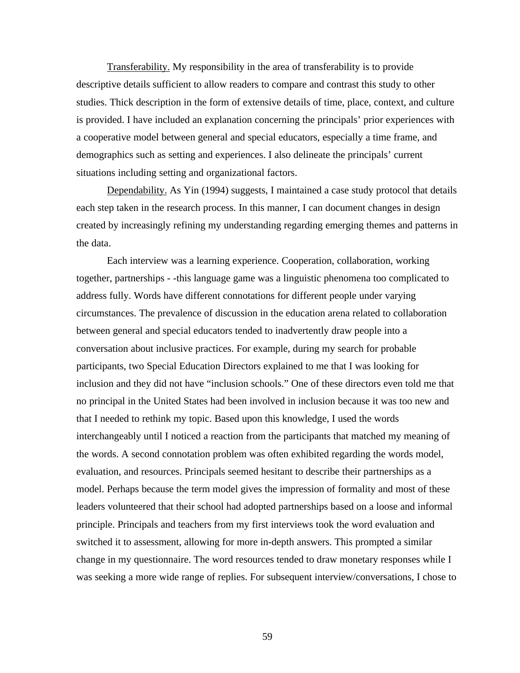Transferability. My responsibility in the area of transferability is to provide descriptive details sufficient to allow readers to compare and contrast this study to other studies. Thick description in the form of extensive details of time, place, context, and culture is provided. I have included an explanation concerning the principals' prior experiences with a cooperative model between general and special educators, especially a time frame, and demographics such as setting and experiences. I also delineate the principals' current situations including setting and organizational factors.

Dependability. As Yin (1994) suggests, I maintained a case study protocol that details each step taken in the research process. In this manner, I can document changes in design created by increasingly refining my understanding regarding emerging themes and patterns in the data.

Each interview was a learning experience. Cooperation, collaboration, working together, partnerships - -this language game was a linguistic phenomena too complicated to address fully. Words have different connotations for different people under varying circumstances. The prevalence of discussion in the education arena related to collaboration between general and special educators tended to inadvertently draw people into a conversation about inclusive practices. For example, during my search for probable participants, two Special Education Directors explained to me that I was looking for inclusion and they did not have "inclusion schools." One of these directors even told me that no principal in the United States had been involved in inclusion because it was too new and that I needed to rethink my topic. Based upon this knowledge, I used the words interchangeably until I noticed a reaction from the participants that matched my meaning of the words. A second connotation problem was often exhibited regarding the words model, evaluation, and resources. Principals seemed hesitant to describe their partnerships as a model. Perhaps because the term model gives the impression of formality and most of these leaders volunteered that their school had adopted partnerships based on a loose and informal principle. Principals and teachers from my first interviews took the word evaluation and switched it to assessment, allowing for more in-depth answers. This prompted a similar change in my questionnaire. The word resources tended to draw monetary responses while I was seeking a more wide range of replies. For subsequent interview/conversations, I chose to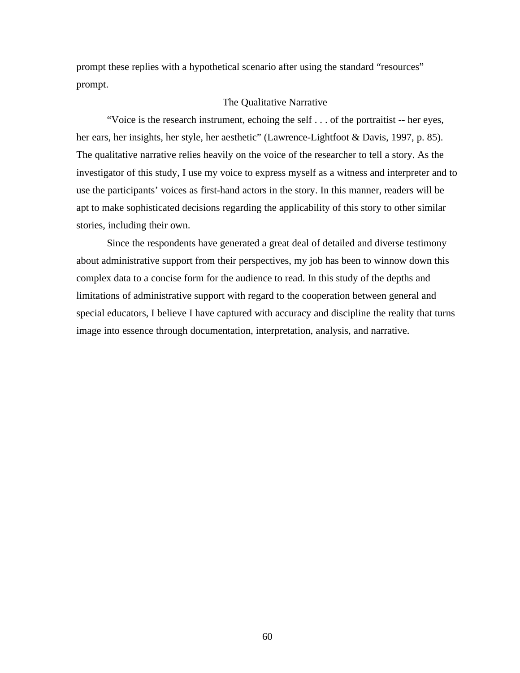prompt these replies with a hypothetical scenario after using the standard "resources" prompt.

### The Qualitative Narrative

"Voice is the research instrument, echoing the self . . . of the portraitist -- her eyes, her ears, her insights, her style, her aesthetic" (Lawrence-Lightfoot & Davis, 1997, p. 85). The qualitative narrative relies heavily on the voice of the researcher to tell a story. As the investigator of this study, I use my voice to express myself as a witness and interpreter and to use the participants' voices as first-hand actors in the story. In this manner, readers will be apt to make sophisticated decisions regarding the applicability of this story to other similar stories, including their own.

Since the respondents have generated a great deal of detailed and diverse testimony about administrative support from their perspectives, my job has been to winnow down this complex data to a concise form for the audience to read. In this study of the depths and limitations of administrative support with regard to the cooperation between general and special educators, I believe I have captured with accuracy and discipline the reality that turns image into essence through documentation, interpretation, analysis, and narrative.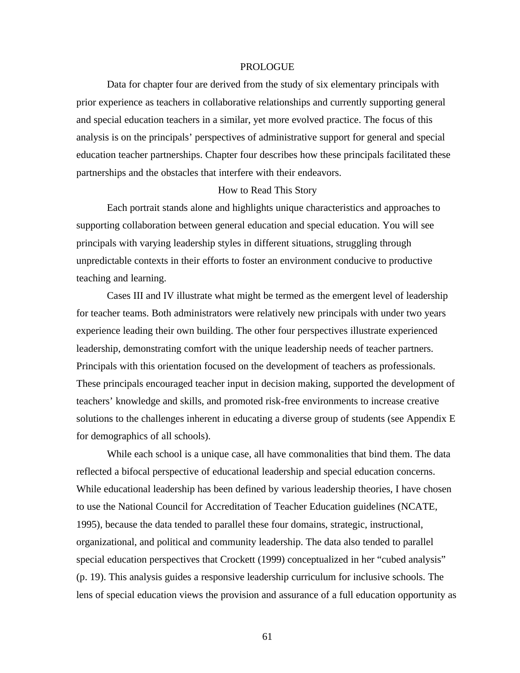### PROLOGUE

Data for chapter four are derived from the study of six elementary principals with prior experience as teachers in collaborative relationships and currently supporting general and special education teachers in a similar, yet more evolved practice. The focus of this analysis is on the principals' perspectives of administrative support for general and special education teacher partnerships. Chapter four describes how these principals facilitated these partnerships and the obstacles that interfere with their endeavors.

### How to Read This Story

Each portrait stands alone and highlights unique characteristics and approaches to supporting collaboration between general education and special education. You will see principals with varying leadership styles in different situations, struggling through unpredictable contexts in their efforts to foster an environment conducive to productive teaching and learning.

Cases III and IV illustrate what might be termed as the emergent level of leadership for teacher teams. Both administrators were relatively new principals with under two years experience leading their own building. The other four perspectives illustrate experienced leadership, demonstrating comfort with the unique leadership needs of teacher partners. Principals with this orientation focused on the development of teachers as professionals. These principals encouraged teacher input in decision making, supported the development of teachers' knowledge and skills, and promoted risk-free environments to increase creative solutions to the challenges inherent in educating a diverse group of students (see Appendix E for demographics of all schools).

While each school is a unique case, all have commonalities that bind them. The data reflected a bifocal perspective of educational leadership and special education concerns. While educational leadership has been defined by various leadership theories, I have chosen to use the National Council for Accreditation of Teacher Education guidelines (NCATE, 1995), because the data tended to parallel these four domains, strategic, instructional, organizational, and political and community leadership. The data also tended to parallel special education perspectives that Crockett (1999) conceptualized in her "cubed analysis" (p. 19). This analysis guides a responsive leadership curriculum for inclusive schools. The lens of special education views the provision and assurance of a full education opportunity as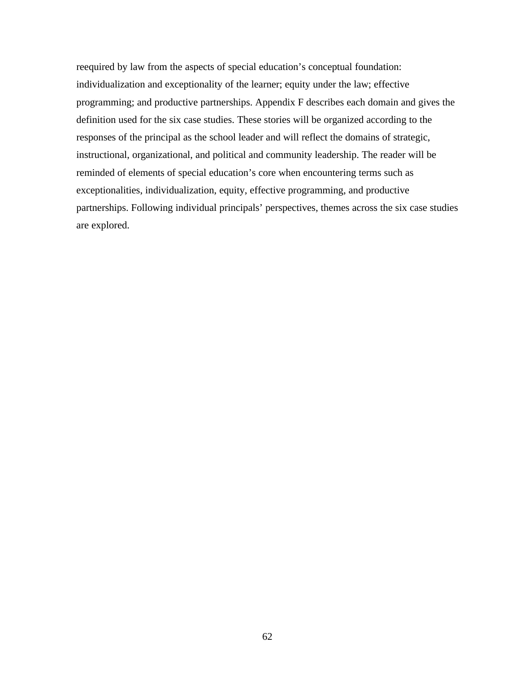reequired by law from the aspects of special education's conceptual foundation: individualization and exceptionality of the learner; equity under the law; effective programming; and productive partnerships. Appendix F describes each domain and gives the definition used for the six case studies. These stories will be organized according to the responses of the principal as the school leader and will reflect the domains of strategic, instructional, organizational, and political and community leadership. The reader will be reminded of elements of special education's core when encountering terms such as exceptionalities, individualization, equity, effective programming, and productive partnerships. Following individual principals' perspectives, themes across the six case studies are explored.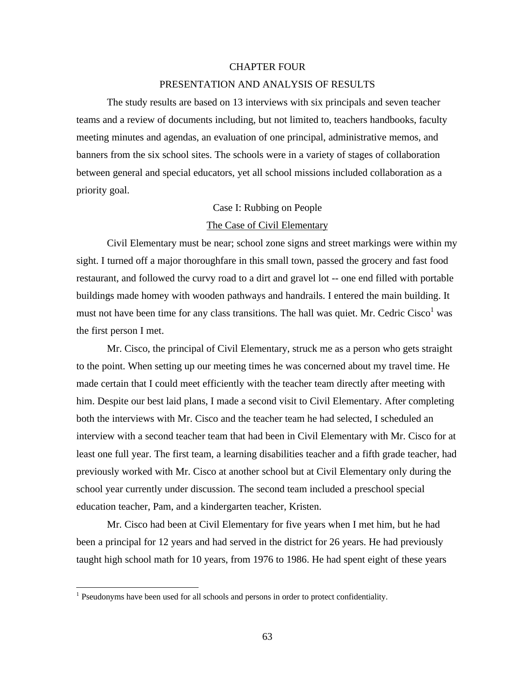### CHAPTER FOUR

### PRESENTATION AND ANALYSIS OF RESULTS

The study results are based on 13 interviews with six principals and seven teacher teams and a review of documents including, but not limited to, teachers handbooks, faculty meeting minutes and agendas, an evaluation of one principal, administrative memos, and banners from the six school sites. The schools were in a variety of stages of collaboration between general and special educators, yet all school missions included collaboration as a priority goal.

### Case I: Rubbing on People

### The Case of Civil Elementary

Civil Elementary must be near; school zone signs and street markings were within my sight. I turned off a major thoroughfare in this small town, passed the grocery and fast food restaurant, and followed the curvy road to a dirt and gravel lot -- one end filled with portable buildings made homey with wooden pathways and handrails. I entered the main building. It must not have been time for any class transitions. The hall was quiet. Mr. Cedric  $\text{Cisco}^1$  was the first person I met.

Mr. Cisco, the principal of Civil Elementary, struck me as a person who gets straight to the point. When setting up our meeting times he was concerned about my travel time. He made certain that I could meet efficiently with the teacher team directly after meeting with him. Despite our best laid plans, I made a second visit to Civil Elementary. After completing both the interviews with Mr. Cisco and the teacher team he had selected, I scheduled an interview with a second teacher team that had been in Civil Elementary with Mr. Cisco for at least one full year. The first team, a learning disabilities teacher and a fifth grade teacher, had previously worked with Mr. Cisco at another school but at Civil Elementary only during the school year currently under discussion. The second team included a preschool special education teacher, Pam, and a kindergarten teacher, Kristen.

Mr. Cisco had been at Civil Elementary for five years when I met him, but he had been a principal for 12 years and had served in the district for 26 years. He had previously taught high school math for 10 years, from 1976 to 1986. He had spent eight of these years

 1 Pseudonyms have been used for all schools and persons in order to protect confidentiality.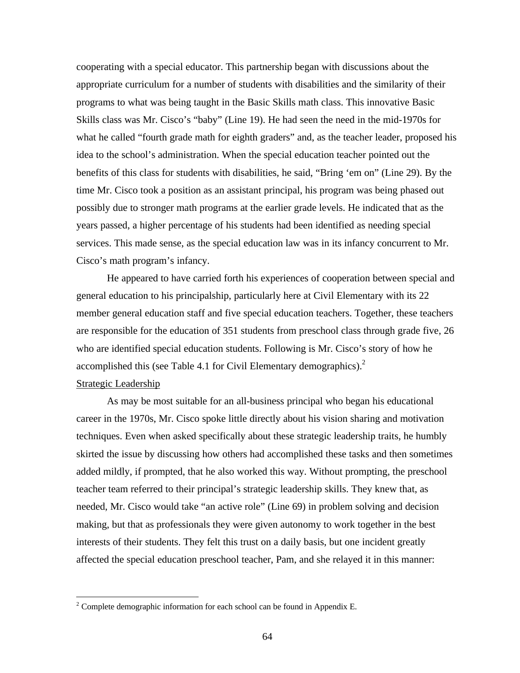cooperating with a special educator. This partnership began with discussions about the appropriate curriculum for a number of students with disabilities and the similarity of their programs to what was being taught in the Basic Skills math class. This innovative Basic Skills class was Mr. Cisco's "baby" (Line 19). He had seen the need in the mid-1970s for what he called "fourth grade math for eighth graders" and, as the teacher leader, proposed his idea to the school's administration. When the special education teacher pointed out the benefits of this class for students with disabilities, he said, "Bring 'em on" (Line 29). By the time Mr. Cisco took a position as an assistant principal, his program was being phased out possibly due to stronger math programs at the earlier grade levels. He indicated that as the years passed, a higher percentage of his students had been identified as needing special services. This made sense, as the special education law was in its infancy concurrent to Mr. Cisco's math program's infancy.

He appeared to have carried forth his experiences of cooperation between special and general education to his principalship, particularly here at Civil Elementary with its 22 member general education staff and five special education teachers. Together, these teachers are responsible for the education of 351 students from preschool class through grade five, 26 who are identified special education students. Following is Mr. Cisco's story of how he accomplished this (see Table 4.1 for Civil Elementary demographics). $2^2$ Strategic Leadership

As may be most suitable for an all-business principal who began his educational career in the 1970s, Mr. Cisco spoke little directly about his vision sharing and motivation techniques. Even when asked specifically about these strategic leadership traits, he humbly skirted the issue by discussing how others had accomplished these tasks and then sometimes added mildly, if prompted, that he also worked this way. Without prompting, the preschool teacher team referred to their principal's strategic leadership skills. They knew that, as needed, Mr. Cisco would take "an active role" (Line 69) in problem solving and decision making, but that as professionals they were given autonomy to work together in the best interests of their students. They felt this trust on a daily basis, but one incident greatly affected the special education preschool teacher, Pam, and she relayed it in this manner:

<sup>&</sup>lt;sup>2</sup> Complete demographic information for each school can be found in Appendix E.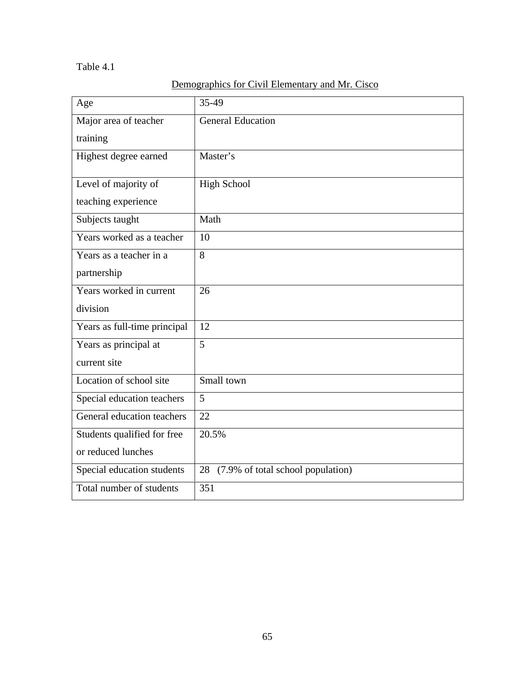## Table 4.1

# Demographics for Civil Elementary and Mr. Cisco

| Age                          | 35-49                                |
|------------------------------|--------------------------------------|
| Major area of teacher        | General Education                    |
| training                     |                                      |
| Highest degree earned        | Master's                             |
| Level of majority of         | <b>High School</b>                   |
| teaching experience          |                                      |
| Subjects taught              | Math                                 |
| Years worked as a teacher    | 10                                   |
| Years as a teacher in a      | 8                                    |
| partnership                  |                                      |
| Years worked in current      | 26                                   |
| division                     |                                      |
| Years as full-time principal | 12                                   |
| Years as principal at        | 5                                    |
| current site                 |                                      |
| Location of school site      | Small town                           |
| Special education teachers   | 5                                    |
| General education teachers   | 22                                   |
| Students qualified for free  | $20.5\%$                             |
| or reduced lunches           |                                      |
| Special education students   | 28 (7.9% of total school population) |
| Total number of students     | 351                                  |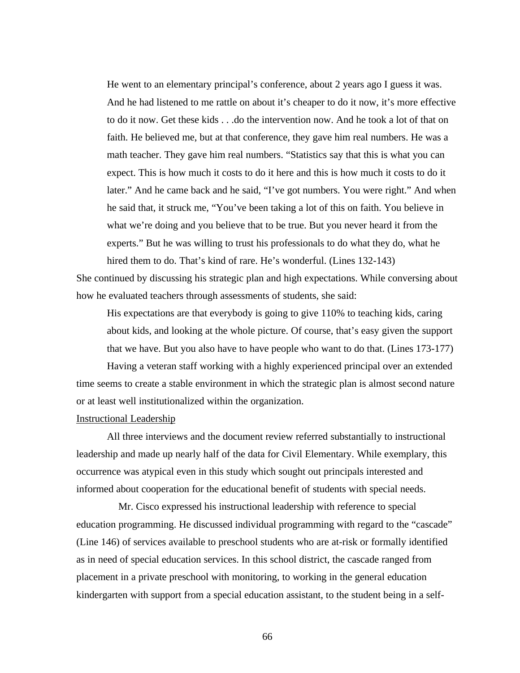He went to an elementary principal's conference, about 2 years ago I guess it was. And he had listened to me rattle on about it's cheaper to do it now, it's more effective to do it now. Get these kids . . .do the intervention now. And he took a lot of that on faith. He believed me, but at that conference, they gave him real numbers. He was a math teacher. They gave him real numbers. "Statistics say that this is what you can expect. This is how much it costs to do it here and this is how much it costs to do it later." And he came back and he said, "I've got numbers. You were right." And when he said that, it struck me, "You've been taking a lot of this on faith. You believe in what we're doing and you believe that to be true. But you never heard it from the experts." But he was willing to trust his professionals to do what they do, what he hired them to do. That's kind of rare. He's wonderful. (Lines 132-143)

She continued by discussing his strategic plan and high expectations. While conversing about how he evaluated teachers through assessments of students, she said:

His expectations are that everybody is going to give 110% to teaching kids, caring about kids, and looking at the whole picture. Of course, that's easy given the support that we have. But you also have to have people who want to do that. (Lines 173-177)

Having a veteran staff working with a highly experienced principal over an extended time seems to create a stable environment in which the strategic plan is almost second nature or at least well institutionalized within the organization.

### Instructional Leadership

All three interviews and the document review referred substantially to instructional leadership and made up nearly half of the data for Civil Elementary. While exemplary, this occurrence was atypical even in this study which sought out principals interested and informed about cooperation for the educational benefit of students with special needs.

Mr. Cisco expressed his instructional leadership with reference to special education programming. He discussed individual programming with regard to the "cascade" (Line 146) of services available to preschool students who are at-risk or formally identified as in need of special education services. In this school district, the cascade ranged from placement in a private preschool with monitoring, to working in the general education kindergarten with support from a special education assistant, to the student being in a self-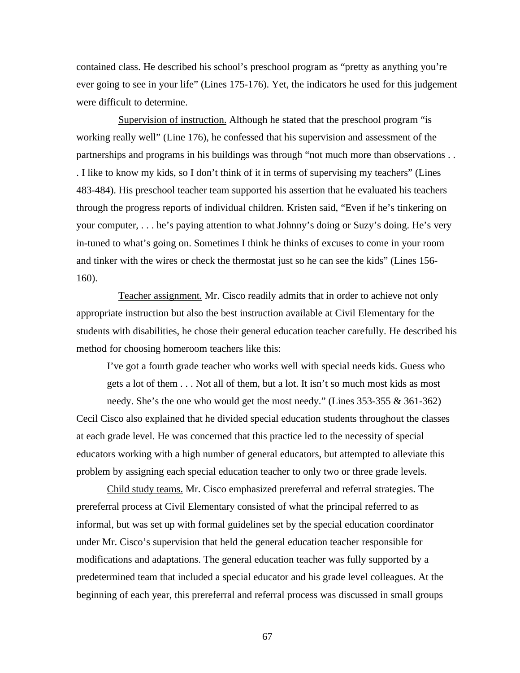contained class. He described his school's preschool program as "pretty as anything you're ever going to see in your life" (Lines 175-176). Yet, the indicators he used for this judgement were difficult to determine.

Supervision of instruction. Although he stated that the preschool program "is working really well" (Line 176), he confessed that his supervision and assessment of the partnerships and programs in his buildings was through "not much more than observations . . . I like to know my kids, so I don't think of it in terms of supervising my teachers" (Lines 483-484). His preschool teacher team supported his assertion that he evaluated his teachers through the progress reports of individual children. Kristen said, "Even if he's tinkering on your computer, . . . he's paying attention to what Johnny's doing or Suzy's doing. He's very in-tuned to what's going on. Sometimes I think he thinks of excuses to come in your room and tinker with the wires or check the thermostat just so he can see the kids" (Lines 156- 160).

Teacher assignment. Mr. Cisco readily admits that in order to achieve not only appropriate instruction but also the best instruction available at Civil Elementary for the students with disabilities, he chose their general education teacher carefully. He described his method for choosing homeroom teachers like this:

I've got a fourth grade teacher who works well with special needs kids. Guess who gets a lot of them . . . Not all of them, but a lot. It isn't so much most kids as most

needy. She's the one who would get the most needy." (Lines 353-355 & 361-362) Cecil Cisco also explained that he divided special education students throughout the classes at each grade level. He was concerned that this practice led to the necessity of special educators working with a high number of general educators, but attempted to alleviate this problem by assigning each special education teacher to only two or three grade levels.

Child study teams. Mr. Cisco emphasized prereferral and referral strategies. The prereferral process at Civil Elementary consisted of what the principal referred to as informal, but was set up with formal guidelines set by the special education coordinator under Mr. Cisco's supervision that held the general education teacher responsible for modifications and adaptations. The general education teacher was fully supported by a predetermined team that included a special educator and his grade level colleagues. At the beginning of each year, this prereferral and referral process was discussed in small groups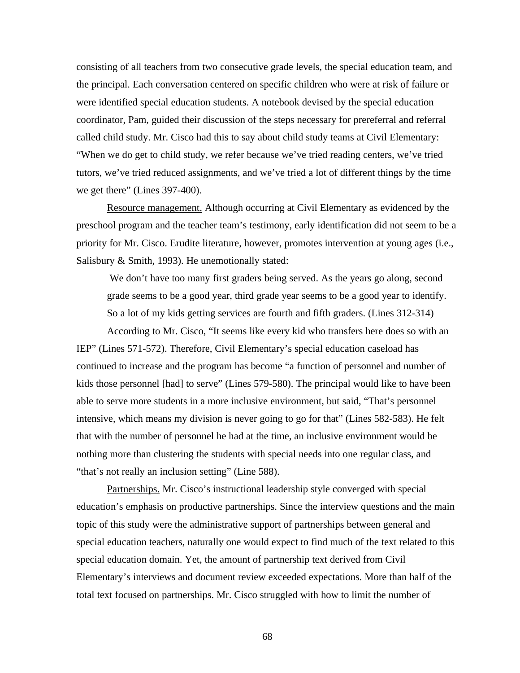consisting of all teachers from two consecutive grade levels, the special education team, and the principal. Each conversation centered on specific children who were at risk of failure or were identified special education students. A notebook devised by the special education coordinator, Pam, guided their discussion of the steps necessary for prereferral and referral called child study. Mr. Cisco had this to say about child study teams at Civil Elementary: "When we do get to child study, we refer because we've tried reading centers, we've tried tutors, we've tried reduced assignments, and we've tried a lot of different things by the time we get there" (Lines 397-400).

Resource management. Although occurring at Civil Elementary as evidenced by the preschool program and the teacher team's testimony, early identification did not seem to be a priority for Mr. Cisco. Erudite literature, however, promotes intervention at young ages (i.e., Salisbury & Smith, 1993). He unemotionally stated:

We don't have too many first graders being served. As the years go along, second grade seems to be a good year, third grade year seems to be a good year to identify. So a lot of my kids getting services are fourth and fifth graders. (Lines 312-314)

According to Mr. Cisco, "It seems like every kid who transfers here does so with an IEP" (Lines 571-572). Therefore, Civil Elementary's special education caseload has continued to increase and the program has become "a function of personnel and number of kids those personnel [had] to serve" (Lines 579-580). The principal would like to have been able to serve more students in a more inclusive environment, but said, "That's personnel intensive, which means my division is never going to go for that" (Lines 582-583). He felt that with the number of personnel he had at the time, an inclusive environment would be nothing more than clustering the students with special needs into one regular class, and "that's not really an inclusion setting" (Line 588).

Partnerships. Mr. Cisco's instructional leadership style converged with special education's emphasis on productive partnerships. Since the interview questions and the main topic of this study were the administrative support of partnerships between general and special education teachers, naturally one would expect to find much of the text related to this special education domain. Yet, the amount of partnership text derived from Civil Elementary's interviews and document review exceeded expectations. More than half of the total text focused on partnerships. Mr. Cisco struggled with how to limit the number of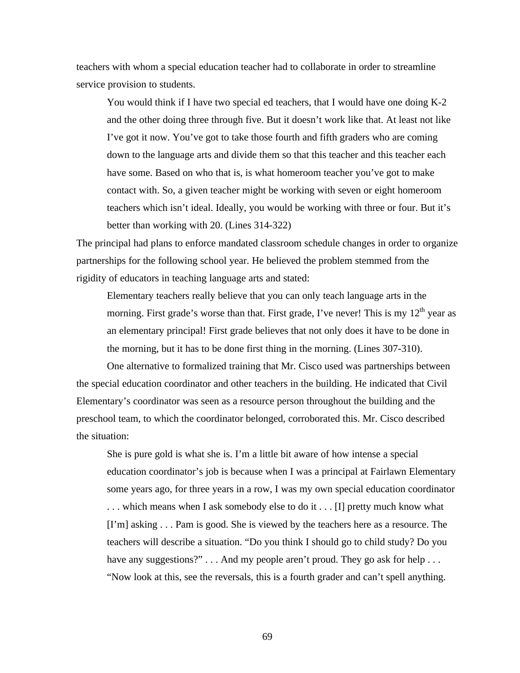teachers with whom a special education teacher had to collaborate in order to streamline service provision to students.

You would think if I have two special ed teachers, that I would have one doing K-2 and the other doing three through five. But it doesn't work like that. At least not like I've got it now. You've got to take those fourth and fifth graders who are coming down to the language arts and divide them so that this teacher and this teacher each have some. Based on who that is, is what homeroom teacher you've got to make contact with. So, a given teacher might be working with seven or eight homeroom teachers which isn't ideal. Ideally, you would be working with three or four. But it's better than working with 20. (Lines 314-322)

The principal had plans to enforce mandated classroom schedule changes in order to organize partnerships for the following school year. He believed the problem stemmed from the rigidity of educators in teaching language arts and stated:

Elementary teachers really believe that you can only teach language arts in the morning. First grade's worse than that. First grade, I've never! This is my  $12<sup>th</sup>$  year as an elementary principal! First grade believes that not only does it have to be done in the morning, but it has to be done first thing in the morning. (Lines 307-310).

One alternative to formalized training that Mr. Cisco used was partnerships between the special education coordinator and other teachers in the building. He indicated that Civil Elementary's coordinator was seen as a resource person throughout the building and the preschool team, to which the coordinator belonged, corroborated this. Mr. Cisco described the situation:

She is pure gold is what she is. I'm a little bit aware of how intense a special education coordinator's job is because when I was a principal at Fairlawn Elementary some years ago, for three years in a row, I was my own special education coordinator . . . which means when I ask somebody else to do it . . . [I] pretty much know what [I'm] asking . . . Pam is good. She is viewed by the teachers here as a resource. The teachers will describe a situation. "Do you think I should go to child study? Do you have any suggestions?" . . . And my people aren't proud. They go ask for help . . . "Now look at this, see the reversals, this is a fourth grader and can't spell anything.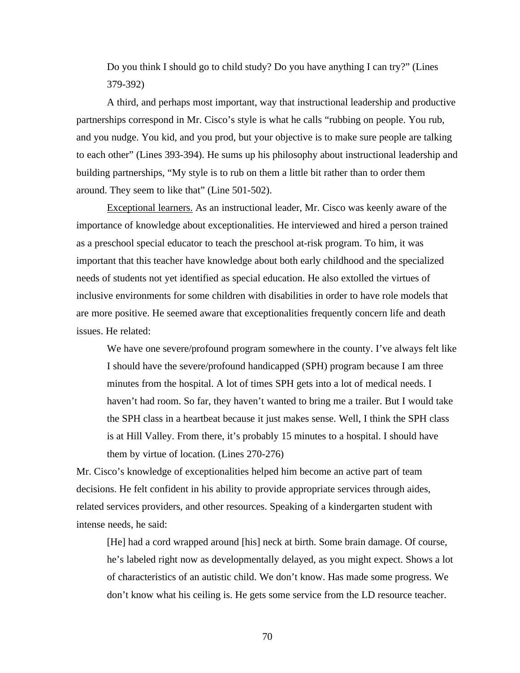Do you think I should go to child study? Do you have anything I can try?" (Lines 379-392)

A third, and perhaps most important, way that instructional leadership and productive partnerships correspond in Mr. Cisco's style is what he calls "rubbing on people. You rub, and you nudge. You kid, and you prod, but your objective is to make sure people are talking to each other" (Lines 393-394). He sums up his philosophy about instructional leadership and building partnerships, "My style is to rub on them a little bit rather than to order them around. They seem to like that" (Line 501-502).

Exceptional learners. As an instructional leader, Mr. Cisco was keenly aware of the importance of knowledge about exceptionalities. He interviewed and hired a person trained as a preschool special educator to teach the preschool at-risk program. To him, it was important that this teacher have knowledge about both early childhood and the specialized needs of students not yet identified as special education. He also extolled the virtues of inclusive environments for some children with disabilities in order to have role models that are more positive. He seemed aware that exceptionalities frequently concern life and death issues. He related:

We have one severe/profound program somewhere in the county. I've always felt like I should have the severe/profound handicapped (SPH) program because I am three minutes from the hospital. A lot of times SPH gets into a lot of medical needs. I haven't had room. So far, they haven't wanted to bring me a trailer. But I would take the SPH class in a heartbeat because it just makes sense. Well, I think the SPH class is at Hill Valley. From there, it's probably 15 minutes to a hospital. I should have them by virtue of location. (Lines 270-276)

Mr. Cisco's knowledge of exceptionalities helped him become an active part of team decisions. He felt confident in his ability to provide appropriate services through aides, related services providers, and other resources. Speaking of a kindergarten student with intense needs, he said:

[He] had a cord wrapped around [his] neck at birth. Some brain damage. Of course, he's labeled right now as developmentally delayed, as you might expect. Shows a lot of characteristics of an autistic child. We don't know. Has made some progress. We don't know what his ceiling is. He gets some service from the LD resource teacher.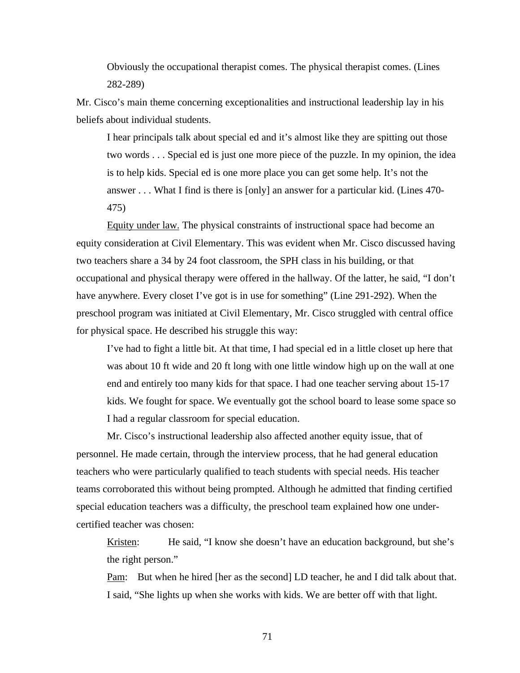Obviously the occupational therapist comes. The physical therapist comes. (Lines 282-289)

Mr. Cisco's main theme concerning exceptionalities and instructional leadership lay in his beliefs about individual students.

I hear principals talk about special ed and it's almost like they are spitting out those two words . . . Special ed is just one more piece of the puzzle. In my opinion, the idea is to help kids. Special ed is one more place you can get some help. It's not the answer . . . What I find is there is [only] an answer for a particular kid. (Lines 470- 475)

Equity under law. The physical constraints of instructional space had become an equity consideration at Civil Elementary. This was evident when Mr. Cisco discussed having two teachers share a 34 by 24 foot classroom, the SPH class in his building, or that occupational and physical therapy were offered in the hallway. Of the latter, he said, "I don't have anywhere. Every closet I've got is in use for something" (Line 291-292). When the preschool program was initiated at Civil Elementary, Mr. Cisco struggled with central office for physical space. He described his struggle this way:

I've had to fight a little bit. At that time, I had special ed in a little closet up here that was about 10 ft wide and 20 ft long with one little window high up on the wall at one end and entirely too many kids for that space. I had one teacher serving about 15-17 kids. We fought for space. We eventually got the school board to lease some space so I had a regular classroom for special education.

Mr. Cisco's instructional leadership also affected another equity issue, that of personnel. He made certain, through the interview process, that he had general education teachers who were particularly qualified to teach students with special needs. His teacher teams corroborated this without being prompted. Although he admitted that finding certified special education teachers was a difficulty, the preschool team explained how one undercertified teacher was chosen:

Kristen: He said, "I know she doesn't have an education background, but she's the right person."

Pam: But when he hired [her as the second] LD teacher, he and I did talk about that. I said, "She lights up when she works with kids. We are better off with that light.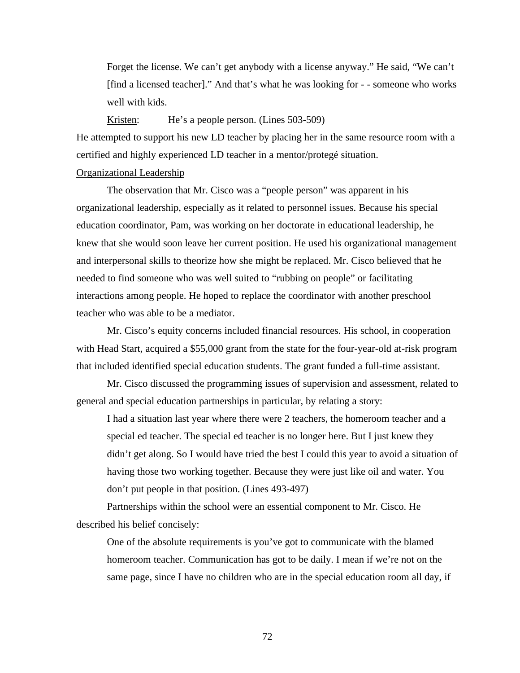Forget the license. We can't get anybody with a license anyway." He said, "We can't [find a licensed teacher]." And that's what he was looking for - - someone who works well with kids.

Kristen: He's a people person. (Lines 503-509)

He attempted to support his new LD teacher by placing her in the same resource room with a certified and highly experienced LD teacher in a mentor/protegé situation.

## Organizational Leadership

The observation that Mr. Cisco was a "people person" was apparent in his organizational leadership, especially as it related to personnel issues. Because his special education coordinator, Pam, was working on her doctorate in educational leadership, he knew that she would soon leave her current position. He used his organizational management and interpersonal skills to theorize how she might be replaced. Mr. Cisco believed that he needed to find someone who was well suited to "rubbing on people" or facilitating interactions among people. He hoped to replace the coordinator with another preschool teacher who was able to be a mediator.

Mr. Cisco's equity concerns included financial resources. His school, in cooperation with Head Start, acquired a \$55,000 grant from the state for the four-year-old at-risk program that included identified special education students. The grant funded a full-time assistant.

Mr. Cisco discussed the programming issues of supervision and assessment, related to general and special education partnerships in particular, by relating a story:

I had a situation last year where there were 2 teachers, the homeroom teacher and a special ed teacher. The special ed teacher is no longer here. But I just knew they didn't get along. So I would have tried the best I could this year to avoid a situation of having those two working together. Because they were just like oil and water. You don't put people in that position. (Lines 493-497)

Partnerships within the school were an essential component to Mr. Cisco. He described his belief concisely:

One of the absolute requirements is you've got to communicate with the blamed homeroom teacher. Communication has got to be daily. I mean if we're not on the same page, since I have no children who are in the special education room all day, if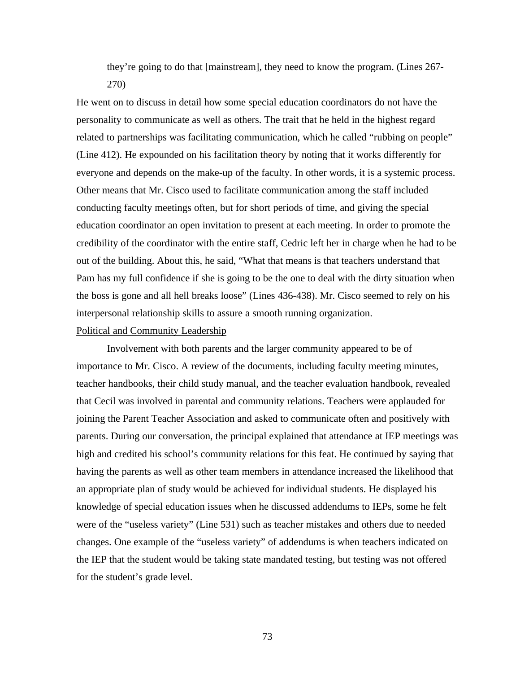they're going to do that [mainstream], they need to know the program. (Lines 267- 270)

He went on to discuss in detail how some special education coordinators do not have the personality to communicate as well as others. The trait that he held in the highest regard related to partnerships was facilitating communication, which he called "rubbing on people" (Line 412). He expounded on his facilitation theory by noting that it works differently for everyone and depends on the make-up of the faculty. In other words, it is a systemic process. Other means that Mr. Cisco used to facilitate communication among the staff included conducting faculty meetings often, but for short periods of time, and giving the special education coordinator an open invitation to present at each meeting. In order to promote the credibility of the coordinator with the entire staff, Cedric left her in charge when he had to be out of the building. About this, he said, "What that means is that teachers understand that Pam has my full confidence if she is going to be the one to deal with the dirty situation when the boss is gone and all hell breaks loose" (Lines 436-438). Mr. Cisco seemed to rely on his interpersonal relationship skills to assure a smooth running organization.

## Political and Community Leadership

Involvement with both parents and the larger community appeared to be of importance to Mr. Cisco. A review of the documents, including faculty meeting minutes, teacher handbooks, their child study manual, and the teacher evaluation handbook, revealed that Cecil was involved in parental and community relations. Teachers were applauded for joining the Parent Teacher Association and asked to communicate often and positively with parents. During our conversation, the principal explained that attendance at IEP meetings was high and credited his school's community relations for this feat. He continued by saying that having the parents as well as other team members in attendance increased the likelihood that an appropriate plan of study would be achieved for individual students. He displayed his knowledge of special education issues when he discussed addendums to IEPs, some he felt were of the "useless variety" (Line 531) such as teacher mistakes and others due to needed changes. One example of the "useless variety" of addendums is when teachers indicated on the IEP that the student would be taking state mandated testing, but testing was not offered for the student's grade level.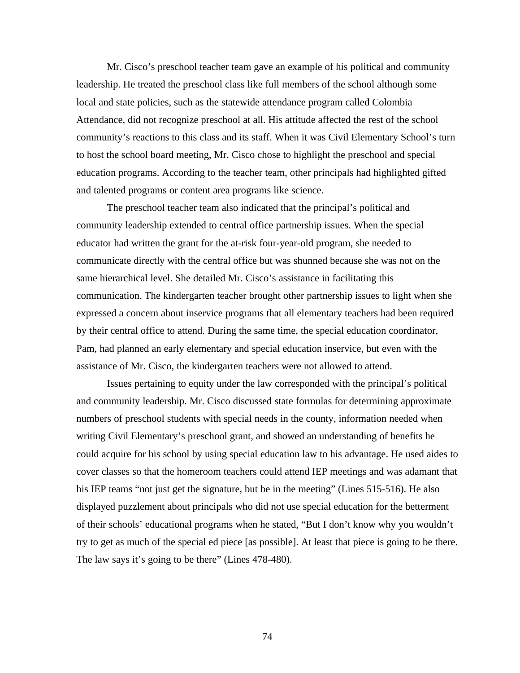Mr. Cisco's preschool teacher team gave an example of his political and community leadership. He treated the preschool class like full members of the school although some local and state policies, such as the statewide attendance program called Colombia Attendance, did not recognize preschool at all. His attitude affected the rest of the school community's reactions to this class and its staff. When it was Civil Elementary School's turn to host the school board meeting, Mr. Cisco chose to highlight the preschool and special education programs. According to the teacher team, other principals had highlighted gifted and talented programs or content area programs like science.

The preschool teacher team also indicated that the principal's political and community leadership extended to central office partnership issues. When the special educator had written the grant for the at-risk four-year-old program, she needed to communicate directly with the central office but was shunned because she was not on the same hierarchical level. She detailed Mr. Cisco's assistance in facilitating this communication. The kindergarten teacher brought other partnership issues to light when she expressed a concern about inservice programs that all elementary teachers had been required by their central office to attend. During the same time, the special education coordinator, Pam, had planned an early elementary and special education inservice, but even with the assistance of Mr. Cisco, the kindergarten teachers were not allowed to attend.

Issues pertaining to equity under the law corresponded with the principal's political and community leadership. Mr. Cisco discussed state formulas for determining approximate numbers of preschool students with special needs in the county, information needed when writing Civil Elementary's preschool grant, and showed an understanding of benefits he could acquire for his school by using special education law to his advantage. He used aides to cover classes so that the homeroom teachers could attend IEP meetings and was adamant that his IEP teams "not just get the signature, but be in the meeting" (Lines 515-516). He also displayed puzzlement about principals who did not use special education for the betterment of their schools' educational programs when he stated, "But I don't know why you wouldn't try to get as much of the special ed piece [as possible]. At least that piece is going to be there. The law says it's going to be there" (Lines 478-480).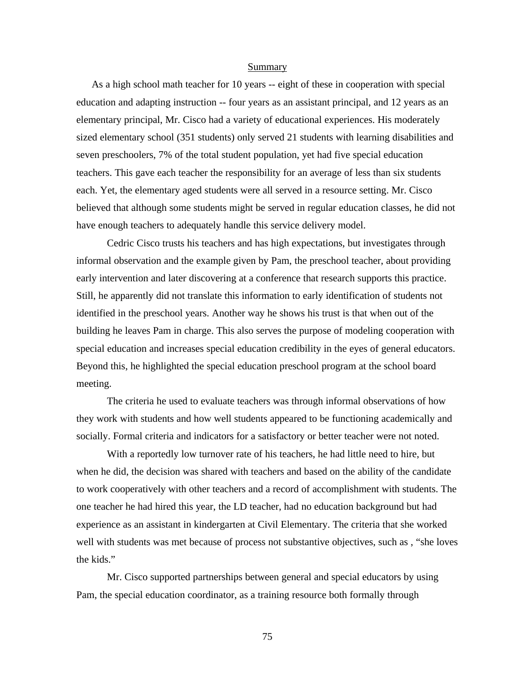#### Summary

As a high school math teacher for 10 years -- eight of these in cooperation with special education and adapting instruction -- four years as an assistant principal, and 12 years as an elementary principal, Mr. Cisco had a variety of educational experiences. His moderately sized elementary school (351 students) only served 21 students with learning disabilities and seven preschoolers, 7% of the total student population, yet had five special education teachers. This gave each teacher the responsibility for an average of less than six students each. Yet, the elementary aged students were all served in a resource setting. Mr. Cisco believed that although some students might be served in regular education classes, he did not have enough teachers to adequately handle this service delivery model.

Cedric Cisco trusts his teachers and has high expectations, but investigates through informal observation and the example given by Pam, the preschool teacher, about providing early intervention and later discovering at a conference that research supports this practice. Still, he apparently did not translate this information to early identification of students not identified in the preschool years. Another way he shows his trust is that when out of the building he leaves Pam in charge. This also serves the purpose of modeling cooperation with special education and increases special education credibility in the eyes of general educators. Beyond this, he highlighted the special education preschool program at the school board meeting.

The criteria he used to evaluate teachers was through informal observations of how they work with students and how well students appeared to be functioning academically and socially. Formal criteria and indicators for a satisfactory or better teacher were not noted.

With a reportedly low turnover rate of his teachers, he had little need to hire, but when he did, the decision was shared with teachers and based on the ability of the candidate to work cooperatively with other teachers and a record of accomplishment with students. The one teacher he had hired this year, the LD teacher, had no education background but had experience as an assistant in kindergarten at Civil Elementary. The criteria that she worked well with students was met because of process not substantive objectives, such as , "she loves the kids."

Mr. Cisco supported partnerships between general and special educators by using Pam, the special education coordinator, as a training resource both formally through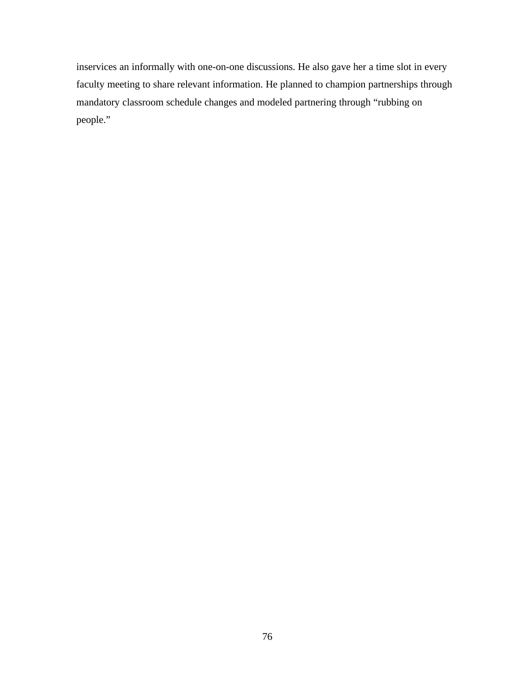inservices an informally with one-on-one discussions. He also gave her a time slot in every faculty meeting to share relevant information. He planned to champion partnerships through mandatory classroom schedule changes and modeled partnering through "rubbing on people."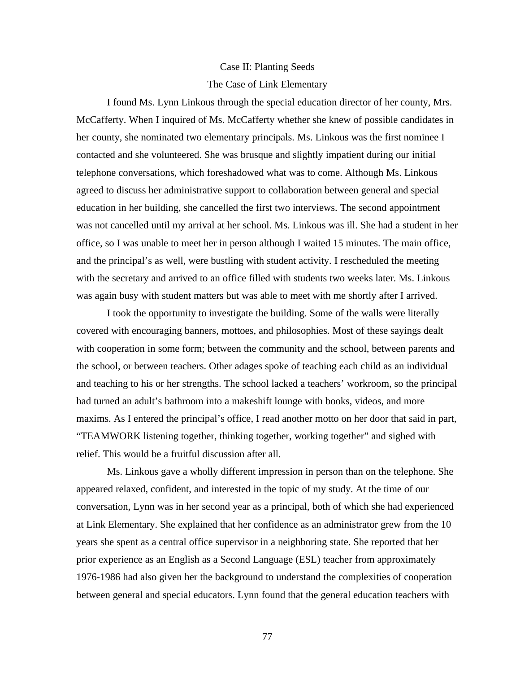## Case II: Planting Seeds The Case of Link Elementary

I found Ms. Lynn Linkous through the special education director of her county, Mrs. McCafferty. When I inquired of Ms. McCafferty whether she knew of possible candidates in her county, she nominated two elementary principals. Ms. Linkous was the first nominee I contacted and she volunteered. She was brusque and slightly impatient during our initial telephone conversations, which foreshadowed what was to come. Although Ms. Linkous agreed to discuss her administrative support to collaboration between general and special education in her building, she cancelled the first two interviews. The second appointment was not cancelled until my arrival at her school. Ms. Linkous was ill. She had a student in her office, so I was unable to meet her in person although I waited 15 minutes. The main office, and the principal's as well, were bustling with student activity. I rescheduled the meeting with the secretary and arrived to an office filled with students two weeks later. Ms. Linkous was again busy with student matters but was able to meet with me shortly after I arrived.

I took the opportunity to investigate the building. Some of the walls were literally covered with encouraging banners, mottoes, and philosophies. Most of these sayings dealt with cooperation in some form; between the community and the school, between parents and the school, or between teachers. Other adages spoke of teaching each child as an individual and teaching to his or her strengths. The school lacked a teachers' workroom, so the principal had turned an adult's bathroom into a makeshift lounge with books, videos, and more maxims. As I entered the principal's office, I read another motto on her door that said in part, "TEAMWORK listening together, thinking together, working together" and sighed with relief. This would be a fruitful discussion after all.

Ms. Linkous gave a wholly different impression in person than on the telephone. She appeared relaxed, confident, and interested in the topic of my study. At the time of our conversation, Lynn was in her second year as a principal, both of which she had experienced at Link Elementary. She explained that her confidence as an administrator grew from the 10 years she spent as a central office supervisor in a neighboring state. She reported that her prior experience as an English as a Second Language (ESL) teacher from approximately 1976-1986 had also given her the background to understand the complexities of cooperation between general and special educators. Lynn found that the general education teachers with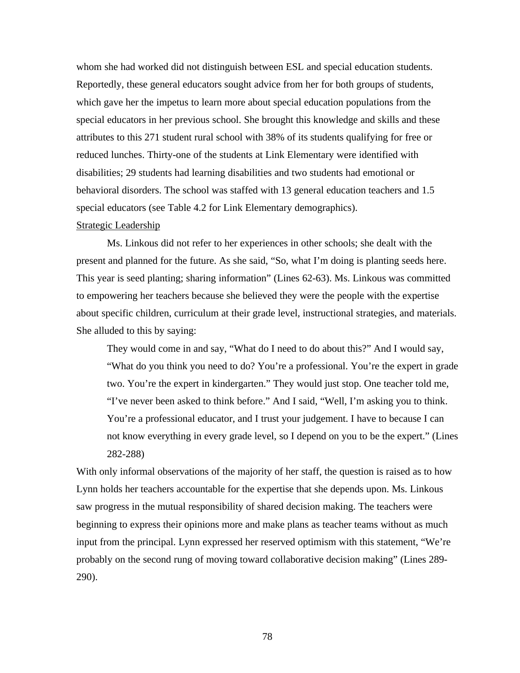whom she had worked did not distinguish between ESL and special education students. Reportedly, these general educators sought advice from her for both groups of students, which gave her the impetus to learn more about special education populations from the special educators in her previous school. She brought this knowledge and skills and these attributes to this 271 student rural school with 38% of its students qualifying for free or reduced lunches. Thirty-one of the students at Link Elementary were identified with disabilities; 29 students had learning disabilities and two students had emotional or behavioral disorders. The school was staffed with 13 general education teachers and 1.5 special educators (see Table 4.2 for Link Elementary demographics).

## Strategic Leadership

Ms. Linkous did not refer to her experiences in other schools; she dealt with the present and planned for the future. As she said, "So, what I'm doing is planting seeds here. This year is seed planting; sharing information" (Lines 62-63). Ms. Linkous was committed to empowering her teachers because she believed they were the people with the expertise about specific children, curriculum at their grade level, instructional strategies, and materials. She alluded to this by saying:

They would come in and say, "What do I need to do about this?" And I would say, "What do you think you need to do? You're a professional. You're the expert in grade two. You're the expert in kindergarten." They would just stop. One teacher told me, "I've never been asked to think before." And I said, "Well, I'm asking you to think. You're a professional educator, and I trust your judgement. I have to because I can not know everything in every grade level, so I depend on you to be the expert." (Lines 282-288)

With only informal observations of the majority of her staff, the question is raised as to how Lynn holds her teachers accountable for the expertise that she depends upon. Ms. Linkous saw progress in the mutual responsibility of shared decision making. The teachers were beginning to express their opinions more and make plans as teacher teams without as much input from the principal. Lynn expressed her reserved optimism with this statement, "We're probably on the second rung of moving toward collaborative decision making" (Lines 289- 290).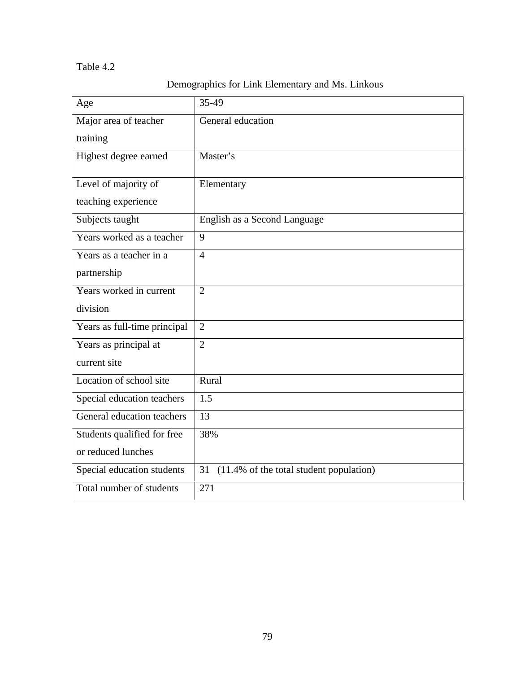## Table 4.2

| Age                          | 35-49                                         |
|------------------------------|-----------------------------------------------|
| Major area of teacher        | General education                             |
| training                     |                                               |
| Highest degree earned        | Master's                                      |
| Level of majority of         | Elementary                                    |
| teaching experience          |                                               |
| Subjects taught              | English as a Second Language                  |
| Years worked as a teacher    | 9                                             |
| Years as a teacher in a      | $\overline{4}$                                |
| partnership                  |                                               |
| Years worked in current      | $\overline{2}$                                |
| division                     |                                               |
| Years as full-time principal | $\overline{2}$                                |
| Years as principal at        | $\overline{2}$                                |
| current site                 |                                               |
| Location of school site      | Rural                                         |
| Special education teachers   | 1.5                                           |
| General education teachers   | 13                                            |
| Students qualified for free  | 38%                                           |
| or reduced lunches           |                                               |
| Special education students   | (11.4% of the total student population)<br>31 |
| Total number of students     | 271                                           |

# Demographics for Link Elementary and Ms. Linkous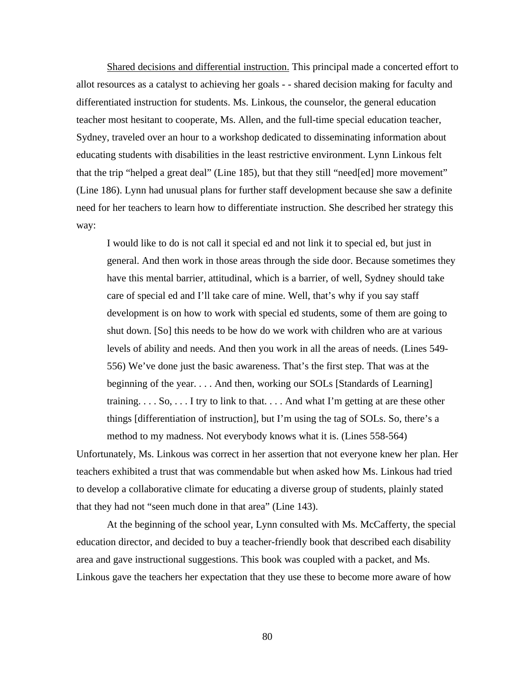Shared decisions and differential instruction. This principal made a concerted effort to allot resources as a catalyst to achieving her goals - - shared decision making for faculty and differentiated instruction for students. Ms. Linkous, the counselor, the general education teacher most hesitant to cooperate, Ms. Allen, and the full-time special education teacher, Sydney, traveled over an hour to a workshop dedicated to disseminating information about educating students with disabilities in the least restrictive environment. Lynn Linkous felt that the trip "helped a great deal" (Line 185), but that they still "need[ed] more movement" (Line 186). Lynn had unusual plans for further staff development because she saw a definite need for her teachers to learn how to differentiate instruction. She described her strategy this way:

I would like to do is not call it special ed and not link it to special ed, but just in general. And then work in those areas through the side door. Because sometimes they have this mental barrier, attitudinal, which is a barrier, of well, Sydney should take care of special ed and I'll take care of mine. Well, that's why if you say staff development is on how to work with special ed students, some of them are going to shut down. [So] this needs to be how do we work with children who are at various levels of ability and needs. And then you work in all the areas of needs. (Lines 549- 556) We've done just the basic awareness. That's the first step. That was at the beginning of the year. . . . And then, working our SOLs [Standards of Learning] training. . . . So, . . . I try to link to that. . . . And what I'm getting at are these other things [differentiation of instruction], but I'm using the tag of SOLs. So, there's a method to my madness. Not everybody knows what it is. (Lines 558-564)

Unfortunately, Ms. Linkous was correct in her assertion that not everyone knew her plan. Her teachers exhibited a trust that was commendable but when asked how Ms. Linkous had tried to develop a collaborative climate for educating a diverse group of students, plainly stated that they had not "seen much done in that area" (Line 143).

At the beginning of the school year, Lynn consulted with Ms. McCafferty, the special education director, and decided to buy a teacher-friendly book that described each disability area and gave instructional suggestions. This book was coupled with a packet, and Ms. Linkous gave the teachers her expectation that they use these to become more aware of how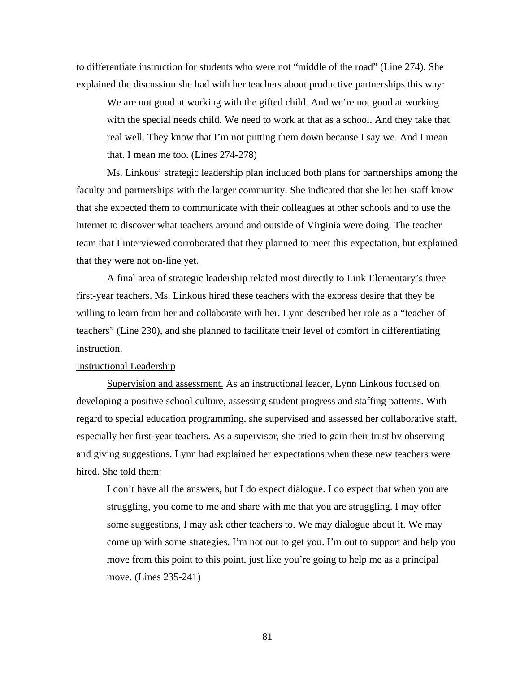to differentiate instruction for students who were not "middle of the road" (Line 274). She explained the discussion she had with her teachers about productive partnerships this way:

We are not good at working with the gifted child. And we're not good at working with the special needs child. We need to work at that as a school. And they take that real well. They know that I'm not putting them down because I say we. And I mean that. I mean me too. (Lines 274-278)

Ms. Linkous' strategic leadership plan included both plans for partnerships among the faculty and partnerships with the larger community. She indicated that she let her staff know that she expected them to communicate with their colleagues at other schools and to use the internet to discover what teachers around and outside of Virginia were doing. The teacher team that I interviewed corroborated that they planned to meet this expectation, but explained that they were not on-line yet.

A final area of strategic leadership related most directly to Link Elementary's three first-year teachers. Ms. Linkous hired these teachers with the express desire that they be willing to learn from her and collaborate with her. Lynn described her role as a "teacher of teachers" (Line 230), and she planned to facilitate their level of comfort in differentiating instruction.

## Instructional Leadership

Supervision and assessment. As an instructional leader, Lynn Linkous focused on developing a positive school culture, assessing student progress and staffing patterns. With regard to special education programming, she supervised and assessed her collaborative staff, especially her first-year teachers. As a supervisor, she tried to gain their trust by observing and giving suggestions. Lynn had explained her expectations when these new teachers were hired. She told them:

I don't have all the answers, but I do expect dialogue. I do expect that when you are struggling, you come to me and share with me that you are struggling. I may offer some suggestions, I may ask other teachers to. We may dialogue about it. We may come up with some strategies. I'm not out to get you. I'm out to support and help you move from this point to this point, just like you're going to help me as a principal move. (Lines 235-241)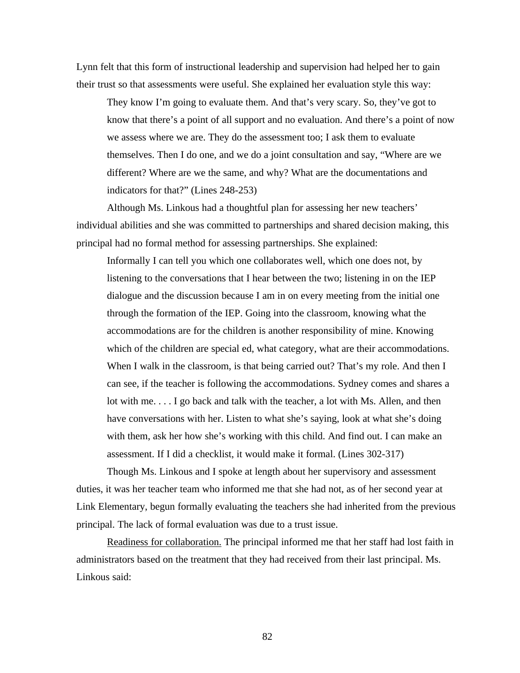Lynn felt that this form of instructional leadership and supervision had helped her to gain their trust so that assessments were useful. She explained her evaluation style this way:

They know I'm going to evaluate them. And that's very scary. So, they've got to know that there's a point of all support and no evaluation. And there's a point of now we assess where we are. They do the assessment too; I ask them to evaluate themselves. Then I do one, and we do a joint consultation and say, "Where are we different? Where are we the same, and why? What are the documentations and indicators for that?" (Lines 248-253)

Although Ms. Linkous had a thoughtful plan for assessing her new teachers' individual abilities and she was committed to partnerships and shared decision making, this principal had no formal method for assessing partnerships. She explained:

Informally I can tell you which one collaborates well, which one does not, by listening to the conversations that I hear between the two; listening in on the IEP dialogue and the discussion because I am in on every meeting from the initial one through the formation of the IEP. Going into the classroom, knowing what the accommodations are for the children is another responsibility of mine. Knowing which of the children are special ed, what category, what are their accommodations. When I walk in the classroom, is that being carried out? That's my role. And then I can see, if the teacher is following the accommodations. Sydney comes and shares a lot with me. . . . I go back and talk with the teacher, a lot with Ms. Allen, and then have conversations with her. Listen to what she's saying, look at what she's doing with them, ask her how she's working with this child. And find out. I can make an assessment. If I did a checklist, it would make it formal. (Lines 302-317)

Though Ms. Linkous and I spoke at length about her supervisory and assessment duties, it was her teacher team who informed me that she had not, as of her second year at Link Elementary, begun formally evaluating the teachers she had inherited from the previous principal. The lack of formal evaluation was due to a trust issue.

Readiness for collaboration. The principal informed me that her staff had lost faith in administrators based on the treatment that they had received from their last principal. Ms. Linkous said: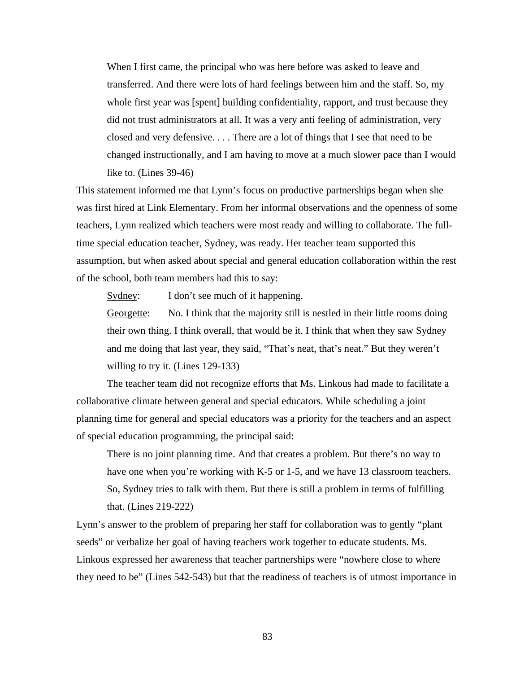When I first came, the principal who was here before was asked to leave and transferred. And there were lots of hard feelings between him and the staff. So, my whole first year was [spent] building confidentiality, rapport, and trust because they did not trust administrators at all. It was a very anti feeling of administration, very closed and very defensive. . . . There are a lot of things that I see that need to be changed instructionally, and I am having to move at a much slower pace than I would like to. (Lines 39-46)

This statement informed me that Lynn's focus on productive partnerships began when she was first hired at Link Elementary. From her informal observations and the openness of some teachers, Lynn realized which teachers were most ready and willing to collaborate. The fulltime special education teacher, Sydney, was ready. Her teacher team supported this assumption, but when asked about special and general education collaboration within the rest of the school, both team members had this to say:

Sydney: I don't see much of it happening.

Georgette: No. I think that the majority still is nestled in their little rooms doing their own thing. I think overall, that would be it. I think that when they saw Sydney and me doing that last year, they said, "That's neat, that's neat." But they weren't willing to try it. (Lines 129-133)

The teacher team did not recognize efforts that Ms. Linkous had made to facilitate a collaborative climate between general and special educators. While scheduling a joint planning time for general and special educators was a priority for the teachers and an aspect of special education programming, the principal said:

There is no joint planning time. And that creates a problem. But there's no way to have one when you're working with K-5 or 1-5, and we have 13 classroom teachers. So, Sydney tries to talk with them. But there is still a problem in terms of fulfilling that. (Lines 219-222)

Lynn's answer to the problem of preparing her staff for collaboration was to gently "plant seeds" or verbalize her goal of having teachers work together to educate students. Ms. Linkous expressed her awareness that teacher partnerships were "nowhere close to where they need to be" (Lines 542-543) but that the readiness of teachers is of utmost importance in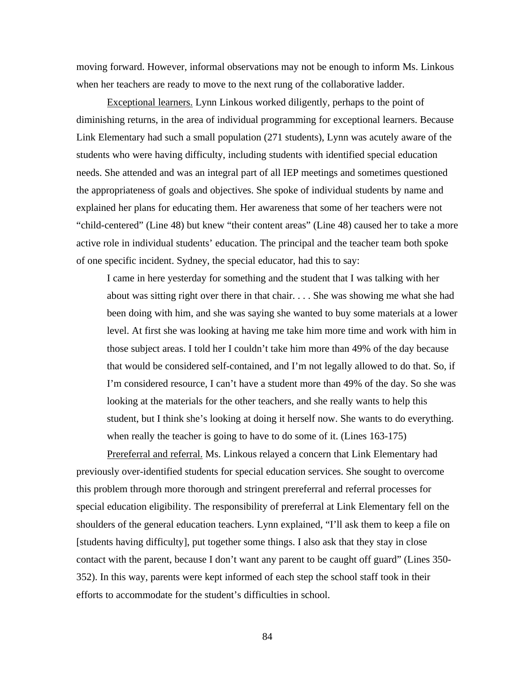moving forward. However, informal observations may not be enough to inform Ms. Linkous when her teachers are ready to move to the next rung of the collaborative ladder.

Exceptional learners. Lynn Linkous worked diligently, perhaps to the point of diminishing returns, in the area of individual programming for exceptional learners. Because Link Elementary had such a small population (271 students), Lynn was acutely aware of the students who were having difficulty, including students with identified special education needs. She attended and was an integral part of all IEP meetings and sometimes questioned the appropriateness of goals and objectives. She spoke of individual students by name and explained her plans for educating them. Her awareness that some of her teachers were not "child-centered" (Line 48) but knew "their content areas" (Line 48) caused her to take a more active role in individual students' education. The principal and the teacher team both spoke of one specific incident. Sydney, the special educator, had this to say:

I came in here yesterday for something and the student that I was talking with her about was sitting right over there in that chair. . . . She was showing me what she had been doing with him, and she was saying she wanted to buy some materials at a lower level. At first she was looking at having me take him more time and work with him in those subject areas. I told her I couldn't take him more than 49% of the day because that would be considered self-contained, and I'm not legally allowed to do that. So, if I'm considered resource, I can't have a student more than 49% of the day. So she was looking at the materials for the other teachers, and she really wants to help this student, but I think she's looking at doing it herself now. She wants to do everything. when really the teacher is going to have to do some of it. (Lines 163-175)

Prereferral and referral. Ms. Linkous relayed a concern that Link Elementary had previously over-identified students for special education services. She sought to overcome this problem through more thorough and stringent prereferral and referral processes for special education eligibility. The responsibility of prereferral at Link Elementary fell on the shoulders of the general education teachers. Lynn explained, "I'll ask them to keep a file on [students having difficulty], put together some things. I also ask that they stay in close contact with the parent, because I don't want any parent to be caught off guard" (Lines 350- 352). In this way, parents were kept informed of each step the school staff took in their efforts to accommodate for the student's difficulties in school.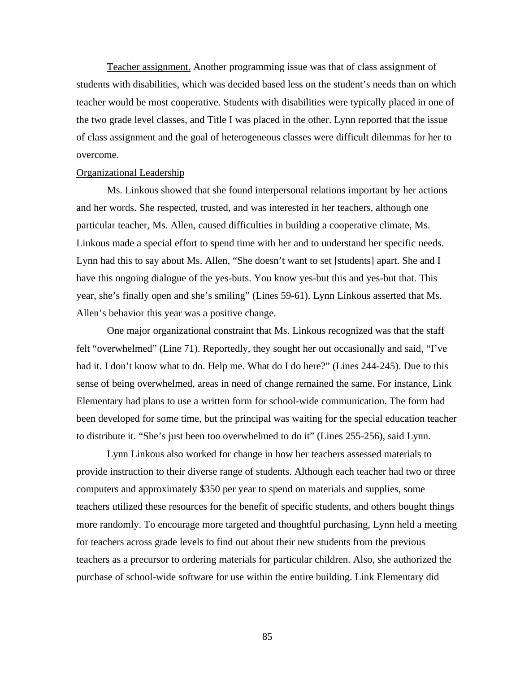Teacher assignment. Another programming issue was that of class assignment of students with disabilities, which was decided based less on the student's needs than on which teacher would be most cooperative. Students with disabilities were typically placed in one of the two grade level classes, and Title I was placed in the other. Lynn reported that the issue of class assignment and the goal of heterogeneous classes were difficult dilemmas for her to overcome.

## Organizational Leadership

Ms. Linkous showed that she found interpersonal relations important by her actions and her words. She respected, trusted, and was interested in her teachers, although one particular teacher, Ms. Allen, caused difficulties in building a cooperative climate, Ms. Linkous made a special effort to spend time with her and to understand her specific needs. Lynn had this to say about Ms. Allen, "She doesn't want to set [students] apart. She and I have this ongoing dialogue of the yes-buts. You know yes-but this and yes-but that. This year, she's finally open and she's smiling" (Lines 59-61). Lynn Linkous asserted that Ms. Allen's behavior this year was a positive change.

One major organizational constraint that Ms. Linkous recognized was that the staff felt "overwhelmed" (Line 71). Reportedly, they sought her out occasionally and said, "I've had it. I don't know what to do. Help me. What do I do here?" (Lines 244-245). Due to this sense of being overwhelmed, areas in need of change remained the same. For instance, Link Elementary had plans to use a written form for school-wide communication. The form had been developed for some time, but the principal was waiting for the special education teacher to distribute it. "She's just been too overwhelmed to do it" (Lines 255-256), said Lynn.

Lynn Linkous also worked for change in how her teachers assessed materials to provide instruction to their diverse range of students. Although each teacher had two or three computers and approximately \$350 per year to spend on materials and supplies, some teachers utilized these resources for the benefit of specific students, and others bought things more randomly. To encourage more targeted and thoughtful purchasing, Lynn held a meeting for teachers across grade levels to find out about their new students from the previous teachers as a precursor to ordering materials for particular children. Also, she authorized the purchase of school-wide software for use within the entire building. Link Elementary did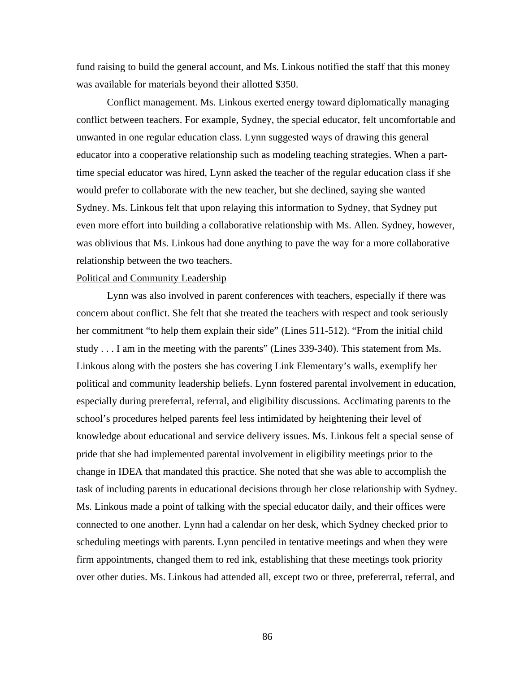fund raising to build the general account, and Ms. Linkous notified the staff that this money was available for materials beyond their allotted \$350.

Conflict management. Ms. Linkous exerted energy toward diplomatically managing conflict between teachers. For example, Sydney, the special educator, felt uncomfortable and unwanted in one regular education class. Lynn suggested ways of drawing this general educator into a cooperative relationship such as modeling teaching strategies. When a parttime special educator was hired, Lynn asked the teacher of the regular education class if she would prefer to collaborate with the new teacher, but she declined, saying she wanted Sydney. Ms. Linkous felt that upon relaying this information to Sydney, that Sydney put even more effort into building a collaborative relationship with Ms. Allen. Sydney, however, was oblivious that Ms. Linkous had done anything to pave the way for a more collaborative relationship between the two teachers.

## Political and Community Leadership

Lynn was also involved in parent conferences with teachers, especially if there was concern about conflict. She felt that she treated the teachers with respect and took seriously her commitment "to help them explain their side" (Lines 511-512). "From the initial child study . . . I am in the meeting with the parents" (Lines 339-340). This statement from Ms. Linkous along with the posters she has covering Link Elementary's walls, exemplify her political and community leadership beliefs. Lynn fostered parental involvement in education, especially during prereferral, referral, and eligibility discussions. Acclimating parents to the school's procedures helped parents feel less intimidated by heightening their level of knowledge about educational and service delivery issues. Ms. Linkous felt a special sense of pride that she had implemented parental involvement in eligibility meetings prior to the change in IDEA that mandated this practice. She noted that she was able to accomplish the task of including parents in educational decisions through her close relationship with Sydney. Ms. Linkous made a point of talking with the special educator daily, and their offices were connected to one another. Lynn had a calendar on her desk, which Sydney checked prior to scheduling meetings with parents. Lynn penciled in tentative meetings and when they were firm appointments, changed them to red ink, establishing that these meetings took priority over other duties. Ms. Linkous had attended all, except two or three, prefererral, referral, and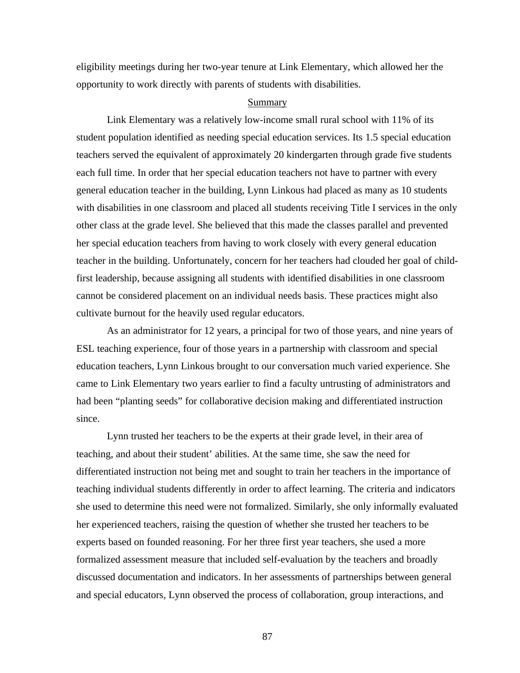eligibility meetings during her two-year tenure at Link Elementary, which allowed her the opportunity to work directly with parents of students with disabilities.

## Summary

Link Elementary was a relatively low-income small rural school with 11% of its student population identified as needing special education services. Its 1.5 special education teachers served the equivalent of approximately 20 kindergarten through grade five students each full time. In order that her special education teachers not have to partner with every general education teacher in the building, Lynn Linkous had placed as many as 10 students with disabilities in one classroom and placed all students receiving Title I services in the only other class at the grade level. She believed that this made the classes parallel and prevented her special education teachers from having to work closely with every general education teacher in the building. Unfortunately, concern for her teachers had clouded her goal of childfirst leadership, because assigning all students with identified disabilities in one classroom cannot be considered placement on an individual needs basis. These practices might also cultivate burnout for the heavily used regular educators.

As an administrator for 12 years, a principal for two of those years, and nine years of ESL teaching experience, four of those years in a partnership with classroom and special education teachers, Lynn Linkous brought to our conversation much varied experience. She came to Link Elementary two years earlier to find a faculty untrusting of administrators and had been "planting seeds" for collaborative decision making and differentiated instruction since.

Lynn trusted her teachers to be the experts at their grade level, in their area of teaching, and about their student' abilities. At the same time, she saw the need for differentiated instruction not being met and sought to train her teachers in the importance of teaching individual students differently in order to affect learning. The criteria and indicators she used to determine this need were not formalized. Similarly, she only informally evaluated her experienced teachers, raising the question of whether she trusted her teachers to be experts based on founded reasoning. For her three first year teachers, she used a more formalized assessment measure that included self-evaluation by the teachers and broadly discussed documentation and indicators. In her assessments of partnerships between general and special educators, Lynn observed the process of collaboration, group interactions, and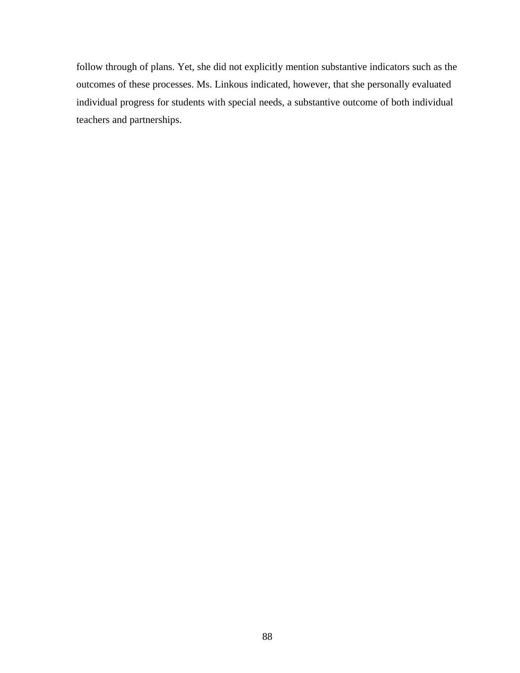follow through of plans. Yet, she did not explicitly mention substantive indicators such as the outcomes of these processes. Ms. Linkous indicated, however, that she personally evaluated individual progress for students with special needs, a substantive outcome of both individual teachers and partnerships.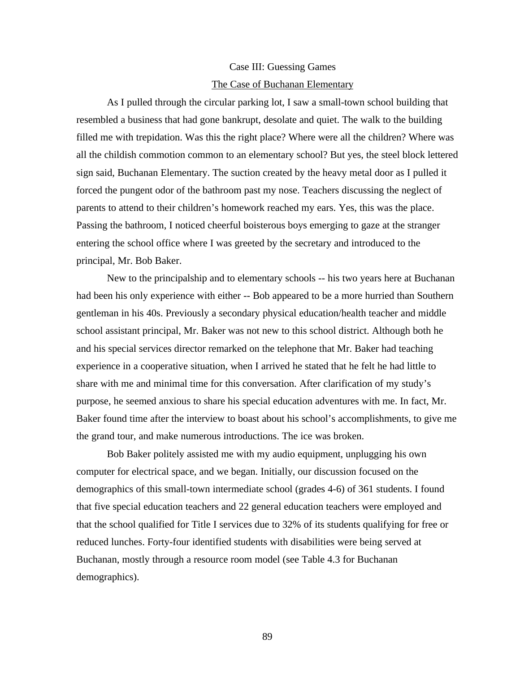#### Case III: Guessing Games

#### The Case of Buchanan Elementary

As I pulled through the circular parking lot, I saw a small-town school building that resembled a business that had gone bankrupt, desolate and quiet. The walk to the building filled me with trepidation. Was this the right place? Where were all the children? Where was all the childish commotion common to an elementary school? But yes, the steel block lettered sign said, Buchanan Elementary. The suction created by the heavy metal door as I pulled it forced the pungent odor of the bathroom past my nose. Teachers discussing the neglect of parents to attend to their children's homework reached my ears. Yes, this was the place. Passing the bathroom, I noticed cheerful boisterous boys emerging to gaze at the stranger entering the school office where I was greeted by the secretary and introduced to the principal, Mr. Bob Baker.

New to the principalship and to elementary schools -- his two years here at Buchanan had been his only experience with either -- Bob appeared to be a more hurried than Southern gentleman in his 40s. Previously a secondary physical education/health teacher and middle school assistant principal, Mr. Baker was not new to this school district. Although both he and his special services director remarked on the telephone that Mr. Baker had teaching experience in a cooperative situation, when I arrived he stated that he felt he had little to share with me and minimal time for this conversation. After clarification of my study's purpose, he seemed anxious to share his special education adventures with me. In fact, Mr. Baker found time after the interview to boast about his school's accomplishments, to give me the grand tour, and make numerous introductions. The ice was broken.

Bob Baker politely assisted me with my audio equipment, unplugging his own computer for electrical space, and we began. Initially, our discussion focused on the demographics of this small-town intermediate school (grades 4-6) of 361 students. I found that five special education teachers and 22 general education teachers were employed and that the school qualified for Title I services due to 32% of its students qualifying for free or reduced lunches. Forty-four identified students with disabilities were being served at Buchanan, mostly through a resource room model (see Table 4.3 for Buchanan demographics).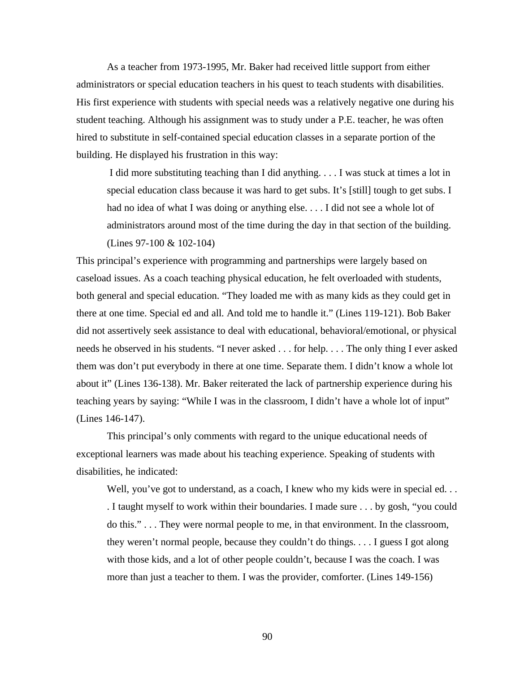As a teacher from 1973-1995, Mr. Baker had received little support from either administrators or special education teachers in his quest to teach students with disabilities. His first experience with students with special needs was a relatively negative one during his student teaching. Although his assignment was to study under a P.E. teacher, he was often hired to substitute in self-contained special education classes in a separate portion of the building. He displayed his frustration in this way:

I did more substituting teaching than I did anything. . . . I was stuck at times a lot in special education class because it was hard to get subs. It's [still] tough to get subs. I had no idea of what I was doing or anything else. . . . I did not see a whole lot of administrators around most of the time during the day in that section of the building. (Lines 97-100 & 102-104)

This principal's experience with programming and partnerships were largely based on caseload issues. As a coach teaching physical education, he felt overloaded with students, both general and special education. "They loaded me with as many kids as they could get in there at one time. Special ed and all. And told me to handle it." (Lines 119-121). Bob Baker did not assertively seek assistance to deal with educational, behavioral/emotional, or physical needs he observed in his students. "I never asked . . . for help. . . . The only thing I ever asked them was don't put everybody in there at one time. Separate them. I didn't know a whole lot about it" (Lines 136-138). Mr. Baker reiterated the lack of partnership experience during his teaching years by saying: "While I was in the classroom, I didn't have a whole lot of input" (Lines 146-147).

This principal's only comments with regard to the unique educational needs of exceptional learners was made about his teaching experience. Speaking of students with disabilities, he indicated:

Well, you've got to understand, as a coach, I knew who my kids were in special ed... . I taught myself to work within their boundaries. I made sure . . . by gosh, "you could do this." . . . They were normal people to me, in that environment. In the classroom, they weren't normal people, because they couldn't do things. . . . I guess I got along with those kids, and a lot of other people couldn't, because I was the coach. I was more than just a teacher to them. I was the provider, comforter. (Lines 149-156)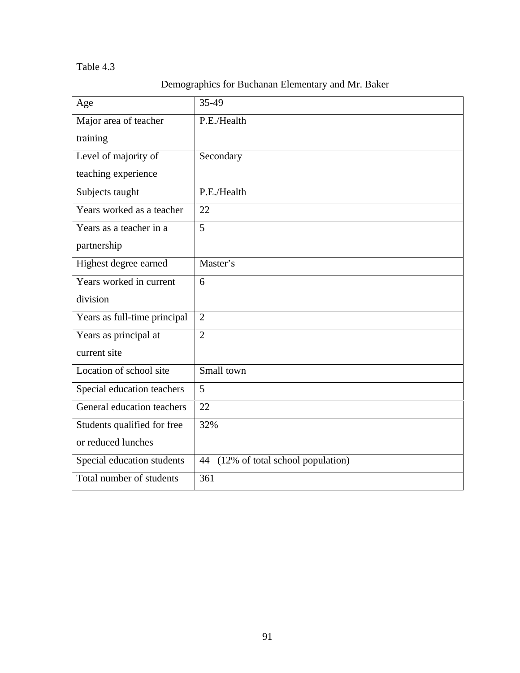# Table 4.3

| Demographics for Buchanan Elementary and Mr. Baker |
|----------------------------------------------------|
|----------------------------------------------------|

| Age                          | 35-49                               |
|------------------------------|-------------------------------------|
| Major area of teacher        | P.E./Health                         |
| training                     |                                     |
| Level of majority of         | Secondary                           |
| teaching experience          |                                     |
| Subjects taught              | P.E./Health                         |
| Years worked as a teacher    | 22                                  |
| Years as a teacher in a      | 5                                   |
| partnership                  |                                     |
| Highest degree earned        | Master's                            |
| Years worked in current      | 6                                   |
| division                     |                                     |
| Years as full-time principal | $\overline{2}$                      |
| Years as principal at        | $\overline{2}$                      |
| current site                 |                                     |
| Location of school site      | Small town                          |
| Special education teachers   | 5                                   |
| General education teachers   | 22                                  |
| Students qualified for free  | 32%                                 |
| or reduced lunches           |                                     |
| Special education students   | 44 (12% of total school population) |
| Total number of students     | 361                                 |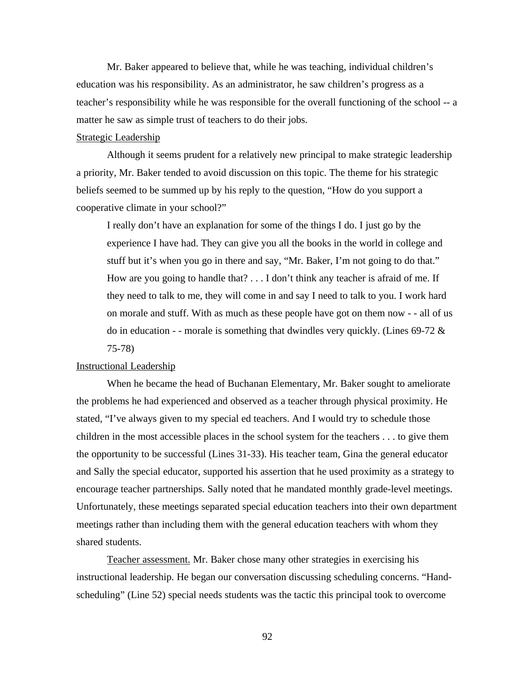Mr. Baker appeared to believe that, while he was teaching, individual children's education was his responsibility. As an administrator, he saw children's progress as a teacher's responsibility while he was responsible for the overall functioning of the school -- a matter he saw as simple trust of teachers to do their jobs.

## Strategic Leadership

Although it seems prudent for a relatively new principal to make strategic leadership a priority, Mr. Baker tended to avoid discussion on this topic. The theme for his strategic beliefs seemed to be summed up by his reply to the question, "How do you support a cooperative climate in your school?"

I really don't have an explanation for some of the things I do. I just go by the experience I have had. They can give you all the books in the world in college and stuff but it's when you go in there and say, "Mr. Baker, I'm not going to do that." How are you going to handle that? . . . I don't think any teacher is afraid of me. If they need to talk to me, they will come in and say I need to talk to you. I work hard on morale and stuff. With as much as these people have got on them now - - all of us do in education - - morale is something that dwindles very quickly. (Lines  $69-72 \&$ 75-78)

## Instructional Leadership

When he became the head of Buchanan Elementary, Mr. Baker sought to ameliorate the problems he had experienced and observed as a teacher through physical proximity. He stated, "I've always given to my special ed teachers. And I would try to schedule those children in the most accessible places in the school system for the teachers . . . to give them the opportunity to be successful (Lines 31-33). His teacher team, Gina the general educator and Sally the special educator, supported his assertion that he used proximity as a strategy to encourage teacher partnerships. Sally noted that he mandated monthly grade-level meetings. Unfortunately, these meetings separated special education teachers into their own department meetings rather than including them with the general education teachers with whom they shared students.

Teacher assessment. Mr. Baker chose many other strategies in exercising his instructional leadership. He began our conversation discussing scheduling concerns. "Handscheduling" (Line 52) special needs students was the tactic this principal took to overcome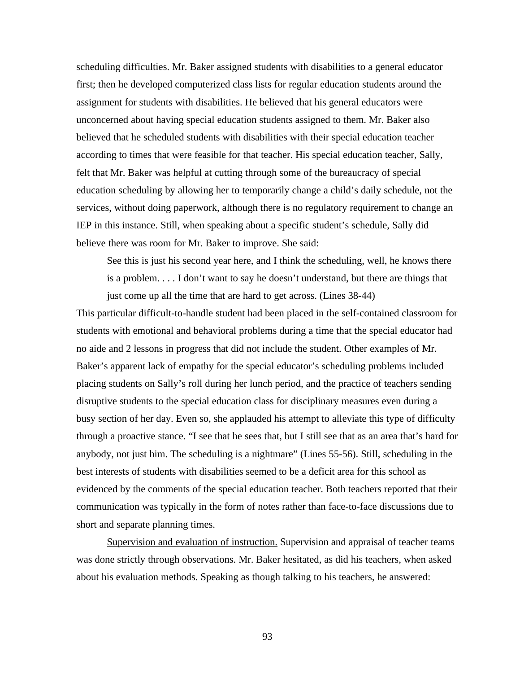scheduling difficulties. Mr. Baker assigned students with disabilities to a general educator first; then he developed computerized class lists for regular education students around the assignment for students with disabilities. He believed that his general educators were unconcerned about having special education students assigned to them. Mr. Baker also believed that he scheduled students with disabilities with their special education teacher according to times that were feasible for that teacher. His special education teacher, Sally, felt that Mr. Baker was helpful at cutting through some of the bureaucracy of special education scheduling by allowing her to temporarily change a child's daily schedule, not the services, without doing paperwork, although there is no regulatory requirement to change an IEP in this instance. Still, when speaking about a specific student's schedule, Sally did believe there was room for Mr. Baker to improve. She said:

See this is just his second year here, and I think the scheduling, well, he knows there is a problem. . . . I don't want to say he doesn't understand, but there are things that just come up all the time that are hard to get across. (Lines 38-44)

This particular difficult-to-handle student had been placed in the self-contained classroom for students with emotional and behavioral problems during a time that the special educator had no aide and 2 lessons in progress that did not include the student. Other examples of Mr. Baker's apparent lack of empathy for the special educator's scheduling problems included placing students on Sally's roll during her lunch period, and the practice of teachers sending disruptive students to the special education class for disciplinary measures even during a busy section of her day. Even so, she applauded his attempt to alleviate this type of difficulty through a proactive stance. "I see that he sees that, but I still see that as an area that's hard for anybody, not just him. The scheduling is a nightmare" (Lines 55-56). Still, scheduling in the best interests of students with disabilities seemed to be a deficit area for this school as evidenced by the comments of the special education teacher. Both teachers reported that their communication was typically in the form of notes rather than face-to-face discussions due to short and separate planning times.

Supervision and evaluation of instruction. Supervision and appraisal of teacher teams was done strictly through observations. Mr. Baker hesitated, as did his teachers, when asked about his evaluation methods. Speaking as though talking to his teachers, he answered: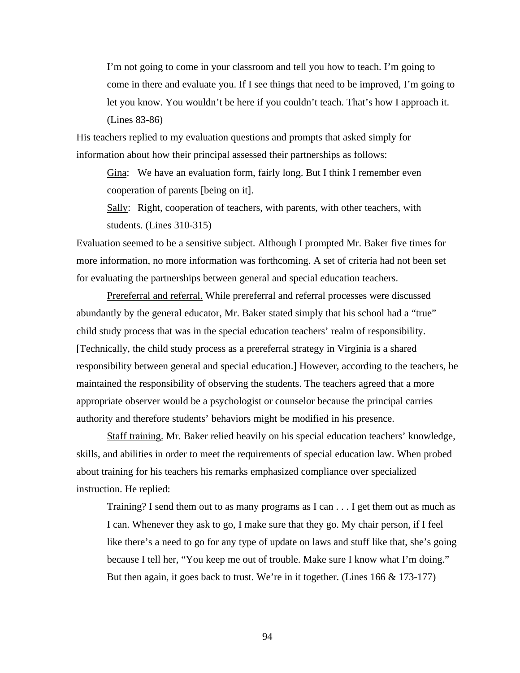I'm not going to come in your classroom and tell you how to teach. I'm going to come in there and evaluate you. If I see things that need to be improved, I'm going to let you know. You wouldn't be here if you couldn't teach. That's how I approach it. (Lines 83-86)

His teachers replied to my evaluation questions and prompts that asked simply for information about how their principal assessed their partnerships as follows:

Gina: We have an evaluation form, fairly long. But I think I remember even cooperation of parents [being on it].

Sally: Right, cooperation of teachers, with parents, with other teachers, with students. (Lines 310-315)

Evaluation seemed to be a sensitive subject. Although I prompted Mr. Baker five times for more information, no more information was forthcoming. A set of criteria had not been set for evaluating the partnerships between general and special education teachers.

Prereferral and referral. While prereferral and referral processes were discussed abundantly by the general educator, Mr. Baker stated simply that his school had a "true" child study process that was in the special education teachers' realm of responsibility. [Technically, the child study process as a prereferral strategy in Virginia is a shared responsibility between general and special education.] However, according to the teachers, he maintained the responsibility of observing the students. The teachers agreed that a more appropriate observer would be a psychologist or counselor because the principal carries authority and therefore students' behaviors might be modified in his presence.

Staff training. Mr. Baker relied heavily on his special education teachers' knowledge, skills, and abilities in order to meet the requirements of special education law. When probed about training for his teachers his remarks emphasized compliance over specialized instruction. He replied:

Training? I send them out to as many programs as I can . . . I get them out as much as I can. Whenever they ask to go, I make sure that they go. My chair person, if I feel like there's a need to go for any type of update on laws and stuff like that, she's going because I tell her, "You keep me out of trouble. Make sure I know what I'm doing." But then again, it goes back to trust. We're in it together. (Lines 166 & 173-177)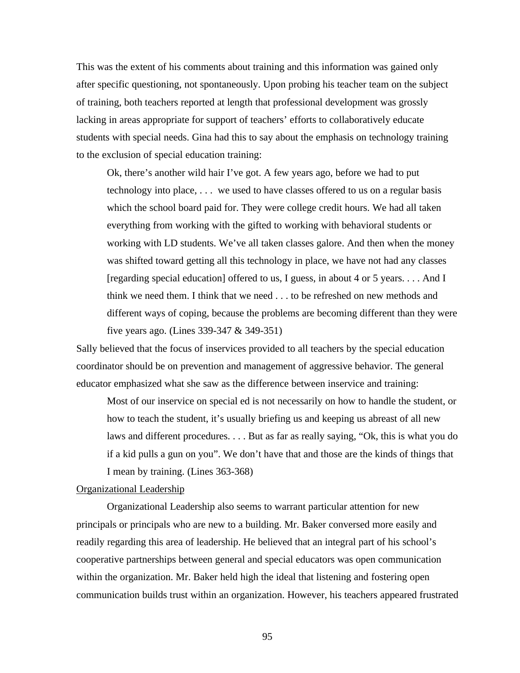This was the extent of his comments about training and this information was gained only after specific questioning, not spontaneously. Upon probing his teacher team on the subject of training, both teachers reported at length that professional development was grossly lacking in areas appropriate for support of teachers' efforts to collaboratively educate students with special needs. Gina had this to say about the emphasis on technology training to the exclusion of special education training:

Ok, there's another wild hair I've got. A few years ago, before we had to put technology into place, . . . we used to have classes offered to us on a regular basis which the school board paid for. They were college credit hours. We had all taken everything from working with the gifted to working with behavioral students or working with LD students. We've all taken classes galore. And then when the money was shifted toward getting all this technology in place, we have not had any classes [regarding special education] offered to us, I guess, in about 4 or 5 years. . . . And I think we need them. I think that we need . . . to be refreshed on new methods and different ways of coping, because the problems are becoming different than they were five years ago. (Lines 339-347 & 349-351)

Sally believed that the focus of inservices provided to all teachers by the special education coordinator should be on prevention and management of aggressive behavior. The general educator emphasized what she saw as the difference between inservice and training:

Most of our inservice on special ed is not necessarily on how to handle the student, or how to teach the student, it's usually briefing us and keeping us abreast of all new laws and different procedures. . . . But as far as really saying, "Ok, this is what you do if a kid pulls a gun on you". We don't have that and those are the kinds of things that I mean by training. (Lines 363-368)

## Organizational Leadership

Organizational Leadership also seems to warrant particular attention for new principals or principals who are new to a building. Mr. Baker conversed more easily and readily regarding this area of leadership. He believed that an integral part of his school's cooperative partnerships between general and special educators was open communication within the organization. Mr. Baker held high the ideal that listening and fostering open communication builds trust within an organization. However, his teachers appeared frustrated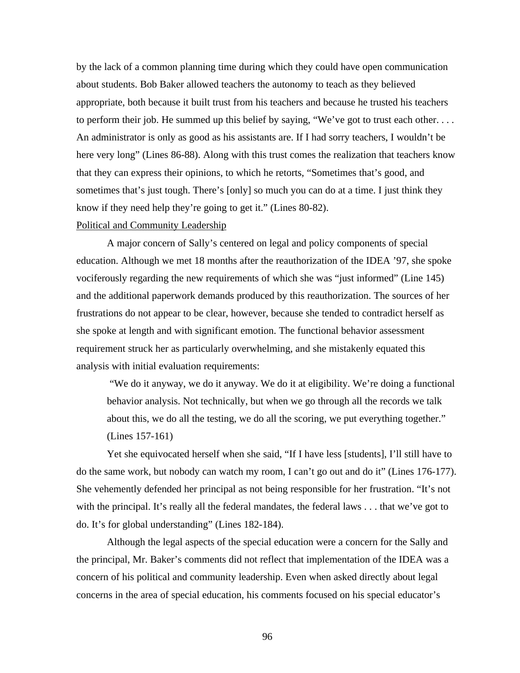by the lack of a common planning time during which they could have open communication about students. Bob Baker allowed teachers the autonomy to teach as they believed appropriate, both because it built trust from his teachers and because he trusted his teachers to perform their job. He summed up this belief by saying, "We've got to trust each other. . . . An administrator is only as good as his assistants are. If I had sorry teachers, I wouldn't be here very long" (Lines 86-88). Along with this trust comes the realization that teachers know that they can express their opinions, to which he retorts, "Sometimes that's good, and sometimes that's just tough. There's [only] so much you can do at a time. I just think they know if they need help they're going to get it." (Lines 80-82).

## Political and Community Leadership

A major concern of Sally's centered on legal and policy components of special education. Although we met 18 months after the reauthorization of the IDEA '97, she spoke vociferously regarding the new requirements of which she was "just informed" (Line 145) and the additional paperwork demands produced by this reauthorization. The sources of her frustrations do not appear to be clear, however, because she tended to contradict herself as she spoke at length and with significant emotion. The functional behavior assessment requirement struck her as particularly overwhelming, and she mistakenly equated this analysis with initial evaluation requirements:

"We do it anyway, we do it anyway. We do it at eligibility. We're doing a functional behavior analysis. Not technically, but when we go through all the records we talk about this, we do all the testing, we do all the scoring, we put everything together." (Lines 157-161)

Yet she equivocated herself when she said, "If I have less [students], I'll still have to do the same work, but nobody can watch my room, I can't go out and do it" (Lines 176-177). She vehemently defended her principal as not being responsible for her frustration. "It's not with the principal. It's really all the federal mandates, the federal laws . . . that we've got to do. It's for global understanding" (Lines 182-184).

Although the legal aspects of the special education were a concern for the Sally and the principal, Mr. Baker's comments did not reflect that implementation of the IDEA was a concern of his political and community leadership. Even when asked directly about legal concerns in the area of special education, his comments focused on his special educator's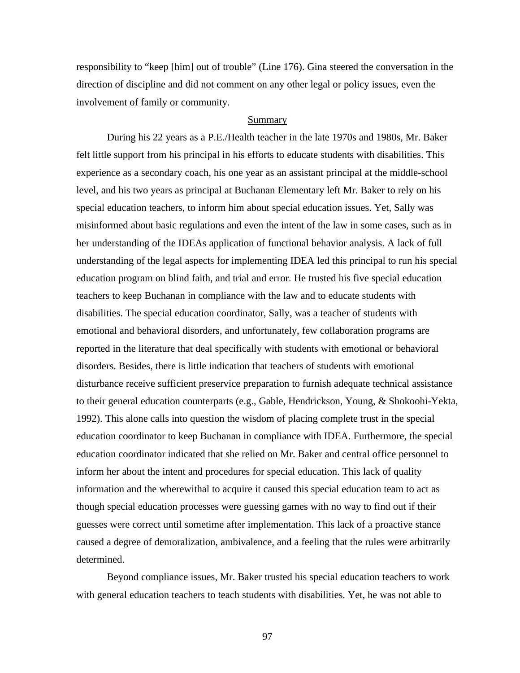responsibility to "keep [him] out of trouble" (Line 176). Gina steered the conversation in the direction of discipline and did not comment on any other legal or policy issues, even the involvement of family or community.

## Summary

During his 22 years as a P.E./Health teacher in the late 1970s and 1980s, Mr. Baker felt little support from his principal in his efforts to educate students with disabilities. This experience as a secondary coach, his one year as an assistant principal at the middle-school level, and his two years as principal at Buchanan Elementary left Mr. Baker to rely on his special education teachers, to inform him about special education issues. Yet, Sally was misinformed about basic regulations and even the intent of the law in some cases, such as in her understanding of the IDEAs application of functional behavior analysis. A lack of full understanding of the legal aspects for implementing IDEA led this principal to run his special education program on blind faith, and trial and error. He trusted his five special education teachers to keep Buchanan in compliance with the law and to educate students with disabilities. The special education coordinator, Sally, was a teacher of students with emotional and behavioral disorders, and unfortunately, few collaboration programs are reported in the literature that deal specifically with students with emotional or behavioral disorders. Besides, there is little indication that teachers of students with emotional disturbance receive sufficient preservice preparation to furnish adequate technical assistance to their general education counterparts (e.g., Gable, Hendrickson, Young, & Shokoohi-Yekta, 1992). This alone calls into question the wisdom of placing complete trust in the special education coordinator to keep Buchanan in compliance with IDEA. Furthermore, the special education coordinator indicated that she relied on Mr. Baker and central office personnel to inform her about the intent and procedures for special education. This lack of quality information and the wherewithal to acquire it caused this special education team to act as though special education processes were guessing games with no way to find out if their guesses were correct until sometime after implementation. This lack of a proactive stance caused a degree of demoralization, ambivalence, and a feeling that the rules were arbitrarily determined.

Beyond compliance issues, Mr. Baker trusted his special education teachers to work with general education teachers to teach students with disabilities. Yet, he was not able to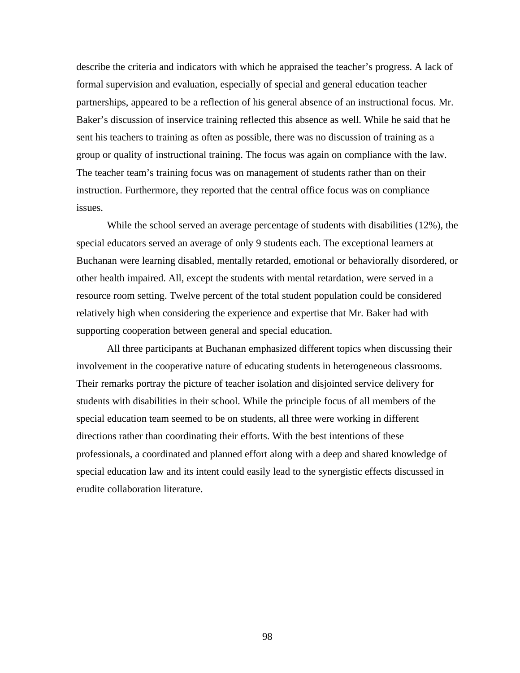describe the criteria and indicators with which he appraised the teacher's progress. A lack of formal supervision and evaluation, especially of special and general education teacher partnerships, appeared to be a reflection of his general absence of an instructional focus. Mr. Baker's discussion of inservice training reflected this absence as well. While he said that he sent his teachers to training as often as possible, there was no discussion of training as a group or quality of instructional training. The focus was again on compliance with the law. The teacher team's training focus was on management of students rather than on their instruction. Furthermore, they reported that the central office focus was on compliance issues.

While the school served an average percentage of students with disabilities (12%), the special educators served an average of only 9 students each. The exceptional learners at Buchanan were learning disabled, mentally retarded, emotional or behaviorally disordered, or other health impaired. All, except the students with mental retardation, were served in a resource room setting. Twelve percent of the total student population could be considered relatively high when considering the experience and expertise that Mr. Baker had with supporting cooperation between general and special education.

All three participants at Buchanan emphasized different topics when discussing their involvement in the cooperative nature of educating students in heterogeneous classrooms. Their remarks portray the picture of teacher isolation and disjointed service delivery for students with disabilities in their school. While the principle focus of all members of the special education team seemed to be on students, all three were working in different directions rather than coordinating their efforts. With the best intentions of these professionals, a coordinated and planned effort along with a deep and shared knowledge of special education law and its intent could easily lead to the synergistic effects discussed in erudite collaboration literature.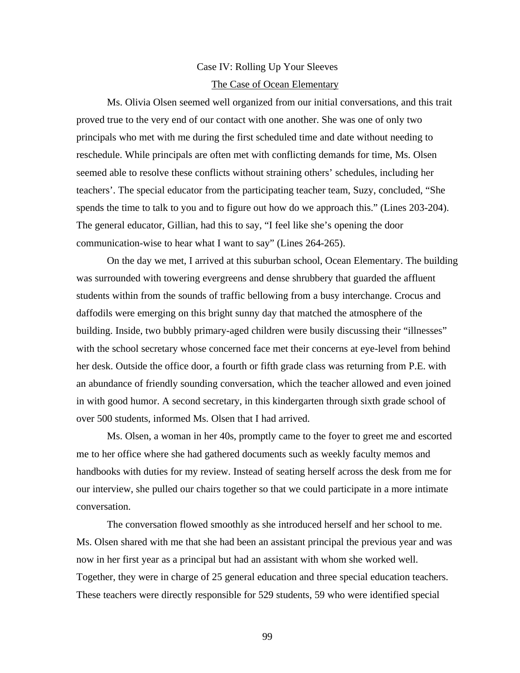## Case IV: Rolling Up Your Sleeves The Case of Ocean Elementary

Ms. Olivia Olsen seemed well organized from our initial conversations, and this trait proved true to the very end of our contact with one another. She was one of only two principals who met with me during the first scheduled time and date without needing to reschedule. While principals are often met with conflicting demands for time, Ms. Olsen seemed able to resolve these conflicts without straining others' schedules, including her teachers'. The special educator from the participating teacher team, Suzy, concluded, "She spends the time to talk to you and to figure out how do we approach this." (Lines 203-204). The general educator, Gillian, had this to say, "I feel like she's opening the door communication-wise to hear what I want to say" (Lines 264-265).

On the day we met, I arrived at this suburban school, Ocean Elementary. The building was surrounded with towering evergreens and dense shrubbery that guarded the affluent students within from the sounds of traffic bellowing from a busy interchange. Crocus and daffodils were emerging on this bright sunny day that matched the atmosphere of the building. Inside, two bubbly primary-aged children were busily discussing their "illnesses" with the school secretary whose concerned face met their concerns at eye-level from behind her desk. Outside the office door, a fourth or fifth grade class was returning from P.E. with an abundance of friendly sounding conversation, which the teacher allowed and even joined in with good humor. A second secretary, in this kindergarten through sixth grade school of over 500 students, informed Ms. Olsen that I had arrived.

Ms. Olsen, a woman in her 40s, promptly came to the foyer to greet me and escorted me to her office where she had gathered documents such as weekly faculty memos and handbooks with duties for my review. Instead of seating herself across the desk from me for our interview, she pulled our chairs together so that we could participate in a more intimate conversation.

The conversation flowed smoothly as she introduced herself and her school to me. Ms. Olsen shared with me that she had been an assistant principal the previous year and was now in her first year as a principal but had an assistant with whom she worked well. Together, they were in charge of 25 general education and three special education teachers. These teachers were directly responsible for 529 students, 59 who were identified special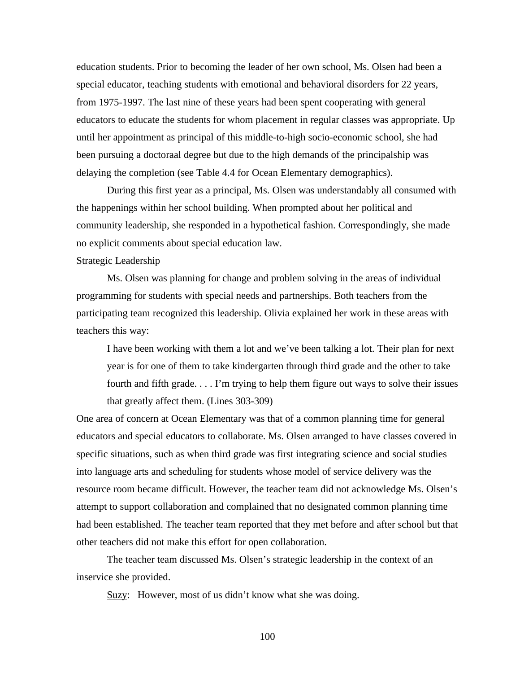education students. Prior to becoming the leader of her own school, Ms. Olsen had been a special educator, teaching students with emotional and behavioral disorders for 22 years, from 1975-1997. The last nine of these years had been spent cooperating with general educators to educate the students for whom placement in regular classes was appropriate. Up until her appointment as principal of this middle-to-high socio-economic school, she had been pursuing a doctoraal degree but due to the high demands of the principalship was delaying the completion (see Table 4.4 for Ocean Elementary demographics).

During this first year as a principal, Ms. Olsen was understandably all consumed with the happenings within her school building. When prompted about her political and community leadership, she responded in a hypothetical fashion. Correspondingly, she made no explicit comments about special education law.

#### Strategic Leadership

Ms. Olsen was planning for change and problem solving in the areas of individual programming for students with special needs and partnerships. Both teachers from the participating team recognized this leadership. Olivia explained her work in these areas with teachers this way:

I have been working with them a lot and we've been talking a lot. Their plan for next year is for one of them to take kindergarten through third grade and the other to take fourth and fifth grade. . . . I'm trying to help them figure out ways to solve their issues that greatly affect them. (Lines 303-309)

One area of concern at Ocean Elementary was that of a common planning time for general educators and special educators to collaborate. Ms. Olsen arranged to have classes covered in specific situations, such as when third grade was first integrating science and social studies into language arts and scheduling for students whose model of service delivery was the resource room became difficult. However, the teacher team did not acknowledge Ms. Olsen's attempt to support collaboration and complained that no designated common planning time had been established. The teacher team reported that they met before and after school but that other teachers did not make this effort for open collaboration.

The teacher team discussed Ms. Olsen's strategic leadership in the context of an inservice she provided.

Suzy: However, most of us didn't know what she was doing.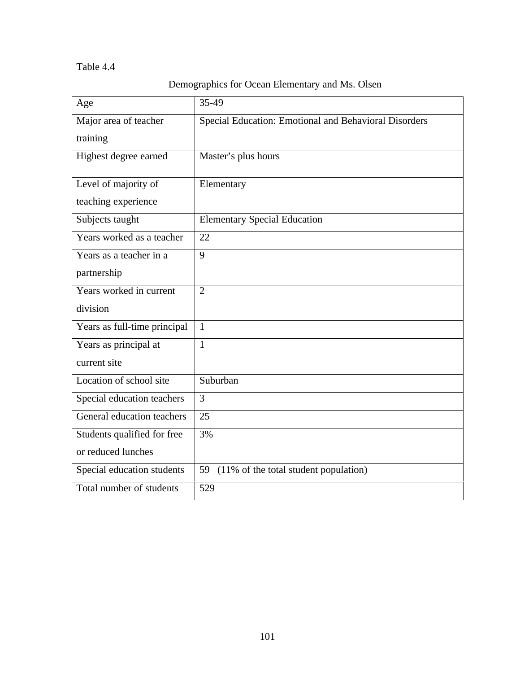# Table 4.4

|--|

| Age                          | 35-49                                                 |
|------------------------------|-------------------------------------------------------|
| Major area of teacher        | Special Education: Emotional and Behavioral Disorders |
| training                     |                                                       |
| Highest degree earned        | Master's plus hours                                   |
| Level of majority of         | Elementary                                            |
| teaching experience          |                                                       |
| Subjects taught              | <b>Elementary Special Education</b>                   |
| Years worked as a teacher    | 22                                                    |
| Years as a teacher in a      | 9                                                     |
| partnership                  |                                                       |
| Years worked in current      | $\overline{2}$                                        |
| division                     |                                                       |
| Years as full-time principal | $\mathbf{1}$                                          |
| Years as principal at        | $\mathbf{1}$                                          |
| current site                 |                                                       |
| Location of school site      | Suburban                                              |
| Special education teachers   | 3                                                     |
| General education teachers   | 25                                                    |
| Students qualified for free  | 3%                                                    |
| or reduced lunches           |                                                       |
| Special education students   | 59 (11% of the total student population)              |
| Total number of students     | 529                                                   |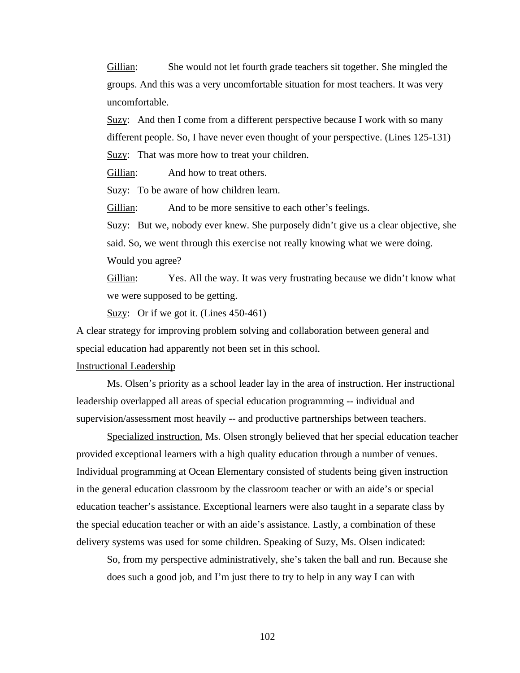Gillian: She would not let fourth grade teachers sit together. She mingled the groups. And this was a very uncomfortable situation for most teachers. It was very uncomfortable.

 $Suzzy:$  And then I come from a different perspective because I work with so many different people. So, I have never even thought of your perspective. (Lines 125-131) Suzy: That was more how to treat your children.

Gillian: And how to treat others.

Suzy: To be aware of how children learn.

Gillian: And to be more sensitive to each other's feelings.

Suzy: But we, nobody ever knew. She purposely didn't give us a clear objective, she said. So, we went through this exercise not really knowing what we were doing. Would you agree?

Gillian: Yes. All the way. It was very frustrating because we didn't know what we were supposed to be getting.

Suzy: Or if we got it. (Lines 450-461)

A clear strategy for improving problem solving and collaboration between general and special education had apparently not been set in this school.

## Instructional Leadership

Ms. Olsen's priority as a school leader lay in the area of instruction. Her instructional leadership overlapped all areas of special education programming -- individual and supervision/assessment most heavily -- and productive partnerships between teachers.

Specialized instruction. Ms. Olsen strongly believed that her special education teacher provided exceptional learners with a high quality education through a number of venues. Individual programming at Ocean Elementary consisted of students being given instruction in the general education classroom by the classroom teacher or with an aide's or special education teacher's assistance. Exceptional learners were also taught in a separate class by the special education teacher or with an aide's assistance. Lastly, a combination of these delivery systems was used for some children. Speaking of Suzy, Ms. Olsen indicated:

So, from my perspective administratively, she's taken the ball and run. Because she does such a good job, and I'm just there to try to help in any way I can with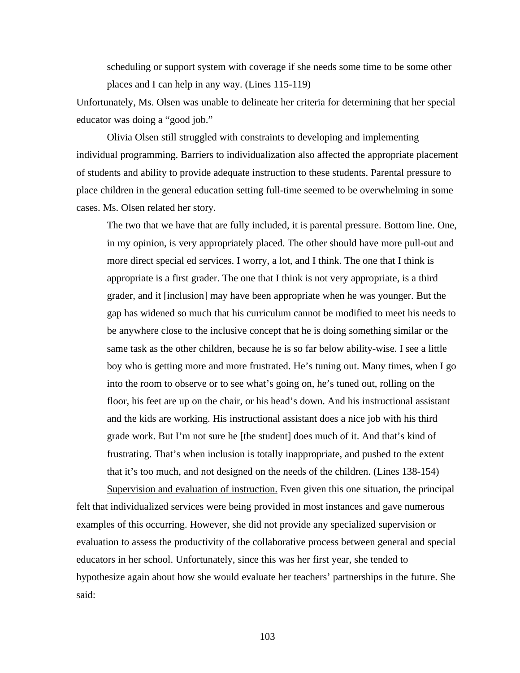scheduling or support system with coverage if she needs some time to be some other places and I can help in any way. (Lines 115-119)

Unfortunately, Ms. Olsen was unable to delineate her criteria for determining that her special educator was doing a "good job."

Olivia Olsen still struggled with constraints to developing and implementing individual programming. Barriers to individualization also affected the appropriate placement of students and ability to provide adequate instruction to these students. Parental pressure to place children in the general education setting full-time seemed to be overwhelming in some cases. Ms. Olsen related her story.

The two that we have that are fully included, it is parental pressure. Bottom line. One, in my opinion, is very appropriately placed. The other should have more pull-out and more direct special ed services. I worry, a lot, and I think. The one that I think is appropriate is a first grader. The one that I think is not very appropriate, is a third grader, and it [inclusion] may have been appropriate when he was younger. But the gap has widened so much that his curriculum cannot be modified to meet his needs to be anywhere close to the inclusive concept that he is doing something similar or the same task as the other children, because he is so far below ability-wise. I see a little boy who is getting more and more frustrated. He's tuning out. Many times, when I go into the room to observe or to see what's going on, he's tuned out, rolling on the floor, his feet are up on the chair, or his head's down. And his instructional assistant and the kids are working. His instructional assistant does a nice job with his third grade work. But I'm not sure he [the student] does much of it. And that's kind of frustrating. That's when inclusion is totally inappropriate, and pushed to the extent that it's too much, and not designed on the needs of the children. (Lines 138-154)

Supervision and evaluation of instruction. Even given this one situation, the principal felt that individualized services were being provided in most instances and gave numerous examples of this occurring. However, she did not provide any specialized supervision or evaluation to assess the productivity of the collaborative process between general and special educators in her school. Unfortunately, since this was her first year, she tended to hypothesize again about how she would evaluate her teachers' partnerships in the future. She said: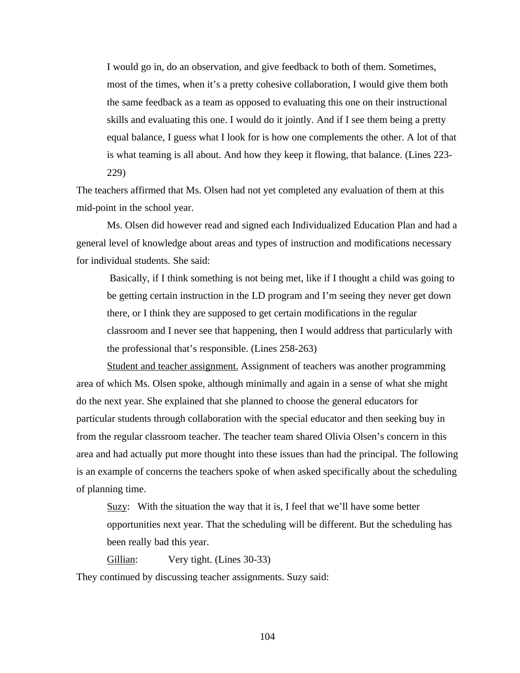I would go in, do an observation, and give feedback to both of them. Sometimes, most of the times, when it's a pretty cohesive collaboration, I would give them both the same feedback as a team as opposed to evaluating this one on their instructional skills and evaluating this one. I would do it jointly. And if I see them being a pretty equal balance, I guess what I look for is how one complements the other. A lot of that is what teaming is all about. And how they keep it flowing, that balance. (Lines 223- 229)

The teachers affirmed that Ms. Olsen had not yet completed any evaluation of them at this mid-point in the school year.

Ms. Olsen did however read and signed each Individualized Education Plan and had a general level of knowledge about areas and types of instruction and modifications necessary for individual students. She said:

Basically, if I think something is not being met, like if I thought a child was going to be getting certain instruction in the LD program and I'm seeing they never get down there, or I think they are supposed to get certain modifications in the regular classroom and I never see that happening, then I would address that particularly with the professional that's responsible. (Lines 258-263)

Student and teacher assignment. Assignment of teachers was another programming area of which Ms. Olsen spoke, although minimally and again in a sense of what she might do the next year. She explained that she planned to choose the general educators for particular students through collaboration with the special educator and then seeking buy in from the regular classroom teacher. The teacher team shared Olivia Olsen's concern in this area and had actually put more thought into these issues than had the principal. The following is an example of concerns the teachers spoke of when asked specifically about the scheduling of planning time.

Suzy: With the situation the way that it is, I feel that we'll have some better opportunities next year. That the scheduling will be different. But the scheduling has been really bad this year.

Gillian: Very tight. (Lines 30-33)

They continued by discussing teacher assignments. Suzy said: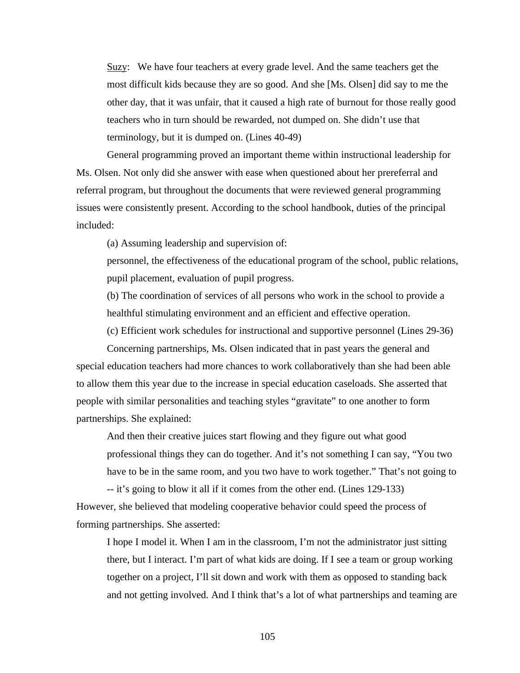Suzy: We have four teachers at every grade level. And the same teachers get the most difficult kids because they are so good. And she [Ms. Olsen] did say to me the other day, that it was unfair, that it caused a high rate of burnout for those really good teachers who in turn should be rewarded, not dumped on. She didn't use that terminology, but it is dumped on. (Lines 40-49)

General programming proved an important theme within instructional leadership for Ms. Olsen. Not only did she answer with ease when questioned about her prereferral and referral program, but throughout the documents that were reviewed general programming issues were consistently present. According to the school handbook, duties of the principal included:

(a) Assuming leadership and supervision of:

personnel, the effectiveness of the educational program of the school, public relations, pupil placement, evaluation of pupil progress.

(b) The coordination of services of all persons who work in the school to provide a healthful stimulating environment and an efficient and effective operation.

(c) Efficient work schedules for instructional and supportive personnel (Lines 29-36)

Concerning partnerships, Ms. Olsen indicated that in past years the general and special education teachers had more chances to work collaboratively than she had been able to allow them this year due to the increase in special education caseloads. She asserted that people with similar personalities and teaching styles "gravitate" to one another to form partnerships. She explained:

And then their creative juices start flowing and they figure out what good professional things they can do together. And it's not something I can say, "You two have to be in the same room, and you two have to work together." That's not going to

-- it's going to blow it all if it comes from the other end. (Lines 129-133) However, she believed that modeling cooperative behavior could speed the process of forming partnerships. She asserted:

I hope I model it. When I am in the classroom, I'm not the administrator just sitting there, but I interact. I'm part of what kids are doing. If I see a team or group working together on a project, I'll sit down and work with them as opposed to standing back and not getting involved. And I think that's a lot of what partnerships and teaming are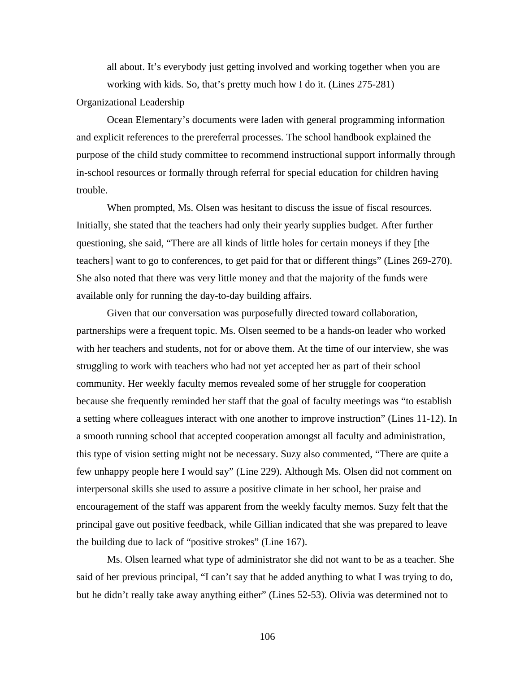all about. It's everybody just getting involved and working together when you are working with kids. So, that's pretty much how I do it. (Lines 275-281)

### Organizational Leadership

Ocean Elementary's documents were laden with general programming information and explicit references to the prereferral processes. The school handbook explained the purpose of the child study committee to recommend instructional support informally through in-school resources or formally through referral for special education for children having trouble.

When prompted, Ms. Olsen was hesitant to discuss the issue of fiscal resources. Initially, she stated that the teachers had only their yearly supplies budget. After further questioning, she said, "There are all kinds of little holes for certain moneys if they [the teachers] want to go to conferences, to get paid for that or different things" (Lines 269-270). She also noted that there was very little money and that the majority of the funds were available only for running the day-to-day building affairs.

Given that our conversation was purposefully directed toward collaboration, partnerships were a frequent topic. Ms. Olsen seemed to be a hands-on leader who worked with her teachers and students, not for or above them. At the time of our interview, she was struggling to work with teachers who had not yet accepted her as part of their school community. Her weekly faculty memos revealed some of her struggle for cooperation because she frequently reminded her staff that the goal of faculty meetings was "to establish a setting where colleagues interact with one another to improve instruction" (Lines 11-12). In a smooth running school that accepted cooperation amongst all faculty and administration, this type of vision setting might not be necessary. Suzy also commented, "There are quite a few unhappy people here I would say" (Line 229). Although Ms. Olsen did not comment on interpersonal skills she used to assure a positive climate in her school, her praise and encouragement of the staff was apparent from the weekly faculty memos. Suzy felt that the principal gave out positive feedback, while Gillian indicated that she was prepared to leave the building due to lack of "positive strokes" (Line 167).

Ms. Olsen learned what type of administrator she did not want to be as a teacher. She said of her previous principal, "I can't say that he added anything to what I was trying to do, but he didn't really take away anything either" (Lines 52-53). Olivia was determined not to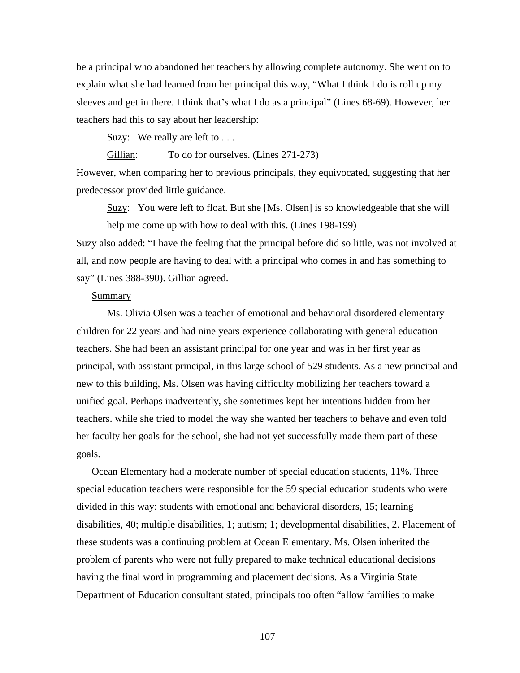be a principal who abandoned her teachers by allowing complete autonomy. She went on to explain what she had learned from her principal this way, "What I think I do is roll up my sleeves and get in there. I think that's what I do as a principal" (Lines 68-69). However, her teachers had this to say about her leadership:

Suzy: We really are left to  $\dots$ 

Gillian: To do for ourselves. (Lines 271-273)

However, when comparing her to previous principals, they equivocated, suggesting that her predecessor provided little guidance.

Suzy: You were left to float. But she [Ms. Olsen] is so knowledgeable that she will help me come up with how to deal with this. (Lines 198-199)

Suzy also added: "I have the feeling that the principal before did so little, was not involved at all, and now people are having to deal with a principal who comes in and has something to say" (Lines 388-390). Gillian agreed.

# Summary

Ms. Olivia Olsen was a teacher of emotional and behavioral disordered elementary children for 22 years and had nine years experience collaborating with general education teachers. She had been an assistant principal for one year and was in her first year as principal, with assistant principal, in this large school of 529 students. As a new principal and new to this building, Ms. Olsen was having difficulty mobilizing her teachers toward a unified goal. Perhaps inadvertently, she sometimes kept her intentions hidden from her teachers. while she tried to model the way she wanted her teachers to behave and even told her faculty her goals for the school, she had not yet successfully made them part of these goals.

Ocean Elementary had a moderate number of special education students, 11%. Three special education teachers were responsible for the 59 special education students who were divided in this way: students with emotional and behavioral disorders, 15; learning disabilities, 40; multiple disabilities, 1; autism; 1; developmental disabilities, 2. Placement of these students was a continuing problem at Ocean Elementary. Ms. Olsen inherited the problem of parents who were not fully prepared to make technical educational decisions having the final word in programming and placement decisions. As a Virginia State Department of Education consultant stated, principals too often "allow families to make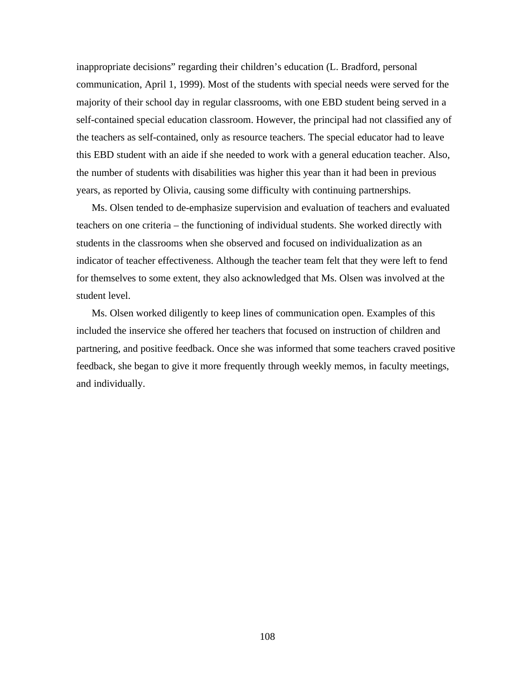inappropriate decisions" regarding their children's education (L. Bradford, personal communication, April 1, 1999). Most of the students with special needs were served for the majority of their school day in regular classrooms, with one EBD student being served in a self-contained special education classroom. However, the principal had not classified any of the teachers as self-contained, only as resource teachers. The special educator had to leave this EBD student with an aide if she needed to work with a general education teacher. Also, the number of students with disabilities was higher this year than it had been in previous years, as reported by Olivia, causing some difficulty with continuing partnerships.

Ms. Olsen tended to de-emphasize supervision and evaluation of teachers and evaluated teachers on one criteria – the functioning of individual students. She worked directly with students in the classrooms when she observed and focused on individualization as an indicator of teacher effectiveness. Although the teacher team felt that they were left to fend for themselves to some extent, they also acknowledged that Ms. Olsen was involved at the student level.

Ms. Olsen worked diligently to keep lines of communication open. Examples of this included the inservice she offered her teachers that focused on instruction of children and partnering, and positive feedback. Once she was informed that some teachers craved positive feedback, she began to give it more frequently through weekly memos, in faculty meetings, and individually.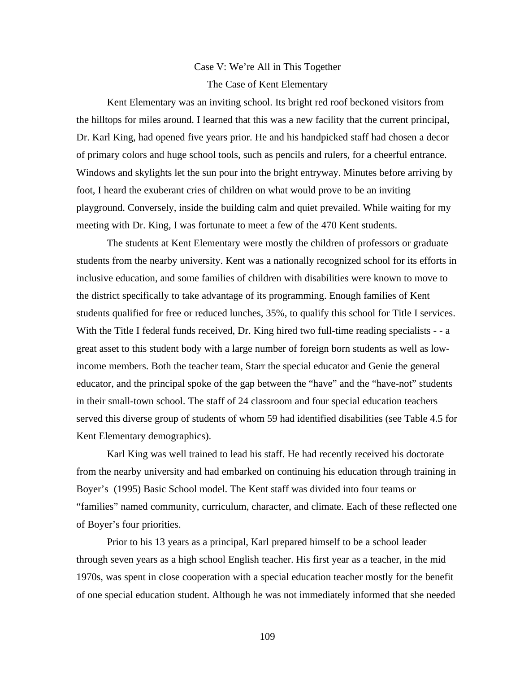# Case V: We're All in This Together The Case of Kent Elementary

Kent Elementary was an inviting school. Its bright red roof beckoned visitors from the hilltops for miles around. I learned that this was a new facility that the current principal, Dr. Karl King, had opened five years prior. He and his handpicked staff had chosen a decor of primary colors and huge school tools, such as pencils and rulers, for a cheerful entrance. Windows and skylights let the sun pour into the bright entryway. Minutes before arriving by foot, I heard the exuberant cries of children on what would prove to be an inviting playground. Conversely, inside the building calm and quiet prevailed. While waiting for my meeting with Dr. King, I was fortunate to meet a few of the 470 Kent students.

The students at Kent Elementary were mostly the children of professors or graduate students from the nearby university. Kent was a nationally recognized school for its efforts in inclusive education, and some families of children with disabilities were known to move to the district specifically to take advantage of its programming. Enough families of Kent students qualified for free or reduced lunches, 35%, to qualify this school for Title I services. With the Title I federal funds received, Dr. King hired two full-time reading specialists - - a great asset to this student body with a large number of foreign born students as well as lowincome members. Both the teacher team, Starr the special educator and Genie the general educator, and the principal spoke of the gap between the "have" and the "have-not" students in their small-town school. The staff of 24 classroom and four special education teachers served this diverse group of students of whom 59 had identified disabilities (see Table 4.5 for Kent Elementary demographics).

Karl King was well trained to lead his staff. He had recently received his doctorate from the nearby university and had embarked on continuing his education through training in Boyer's (1995) Basic School model. The Kent staff was divided into four teams or "families" named community, curriculum, character, and climate. Each of these reflected one of Boyer's four priorities.

Prior to his 13 years as a principal, Karl prepared himself to be a school leader through seven years as a high school English teacher. His first year as a teacher, in the mid 1970s, was spent in close cooperation with a special education teacher mostly for the benefit of one special education student. Although he was not immediately informed that she needed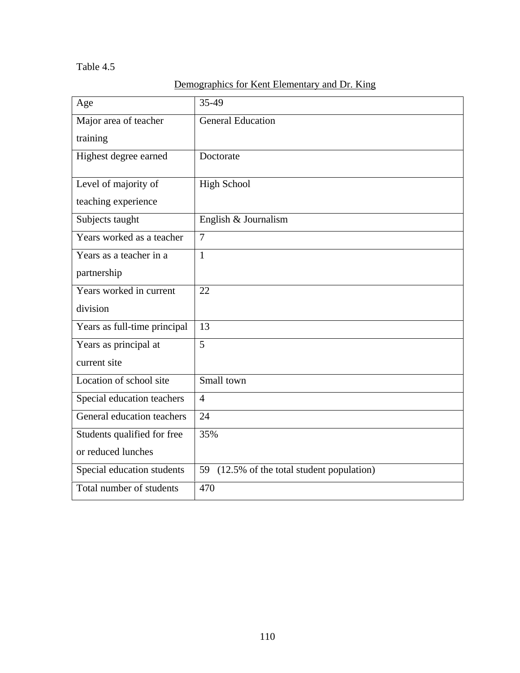# Table 4.5

# Demographics for Kent Elementary and Dr. King

| Age                          | 35-49                                      |
|------------------------------|--------------------------------------------|
| Major area of teacher        | <b>General Education</b>                   |
| training                     |                                            |
| Highest degree earned        | Doctorate                                  |
| Level of majority of         | <b>High School</b>                         |
| teaching experience          |                                            |
| Subjects taught              | English & Journalism                       |
| Years worked as a teacher    | $\overline{7}$                             |
| Years as a teacher in a      | 1                                          |
| partnership                  |                                            |
| Years worked in current      | 22                                         |
| division                     |                                            |
| Years as full-time principal | 13                                         |
| Years as principal at        | 5                                          |
| current site                 |                                            |
| Location of school site      | Small town                                 |
| Special education teachers   | $\overline{4}$                             |
| General education teachers   | 24                                         |
| Students qualified for free  | 35%                                        |
| or reduced lunches           |                                            |
| Special education students   | 59 (12.5% of the total student population) |
| Total number of students     | 470                                        |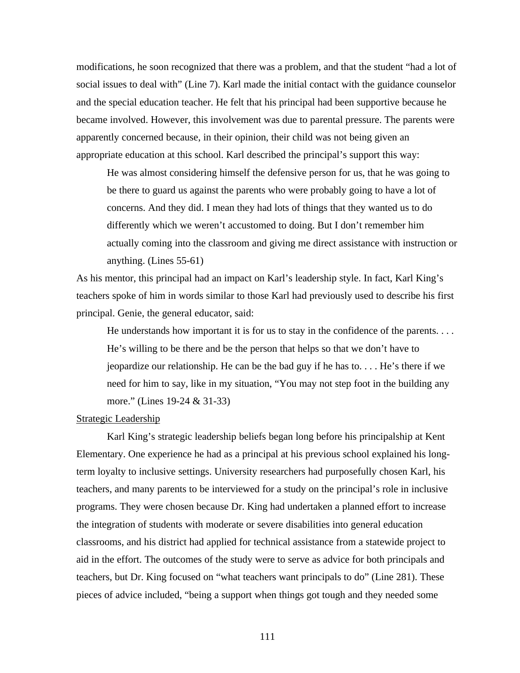modifications, he soon recognized that there was a problem, and that the student "had a lot of social issues to deal with" (Line 7). Karl made the initial contact with the guidance counselor and the special education teacher. He felt that his principal had been supportive because he became involved. However, this involvement was due to parental pressure. The parents were apparently concerned because, in their opinion, their child was not being given an appropriate education at this school. Karl described the principal's support this way:

He was almost considering himself the defensive person for us, that he was going to be there to guard us against the parents who were probably going to have a lot of concerns. And they did. I mean they had lots of things that they wanted us to do differently which we weren't accustomed to doing. But I don't remember him actually coming into the classroom and giving me direct assistance with instruction or anything. (Lines 55-61)

As his mentor, this principal had an impact on Karl's leadership style. In fact, Karl King's teachers spoke of him in words similar to those Karl had previously used to describe his first principal. Genie, the general educator, said:

He understands how important it is for us to stay in the confidence of the parents.  $\dots$ He's willing to be there and be the person that helps so that we don't have to jeopardize our relationship. He can be the bad guy if he has to. . . . He's there if we need for him to say, like in my situation, "You may not step foot in the building any more." (Lines 19-24 & 31-33)

### Strategic Leadership

Karl King's strategic leadership beliefs began long before his principalship at Kent Elementary. One experience he had as a principal at his previous school explained his longterm loyalty to inclusive settings. University researchers had purposefully chosen Karl, his teachers, and many parents to be interviewed for a study on the principal's role in inclusive programs. They were chosen because Dr. King had undertaken a planned effort to increase the integration of students with moderate or severe disabilities into general education classrooms, and his district had applied for technical assistance from a statewide project to aid in the effort. The outcomes of the study were to serve as advice for both principals and teachers, but Dr. King focused on "what teachers want principals to do" (Line 281). These pieces of advice included, "being a support when things got tough and they needed some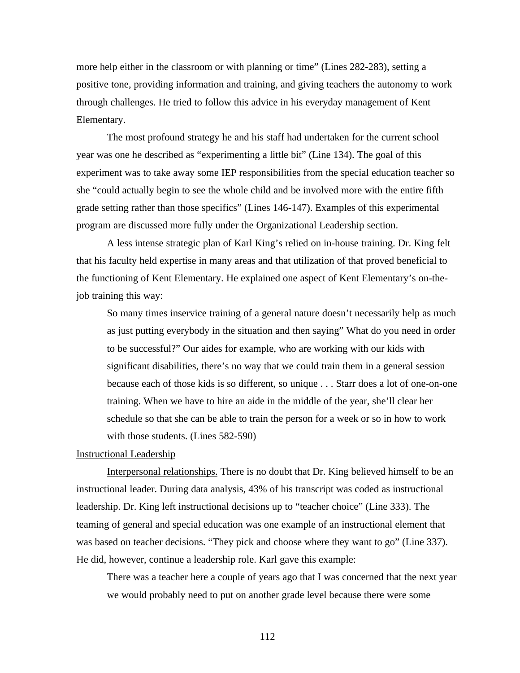more help either in the classroom or with planning or time" (Lines 282-283), setting a positive tone, providing information and training, and giving teachers the autonomy to work through challenges. He tried to follow this advice in his everyday management of Kent Elementary.

The most profound strategy he and his staff had undertaken for the current school year was one he described as "experimenting a little bit" (Line 134). The goal of this experiment was to take away some IEP responsibilities from the special education teacher so she "could actually begin to see the whole child and be involved more with the entire fifth grade setting rather than those specifics" (Lines 146-147). Examples of this experimental program are discussed more fully under the Organizational Leadership section.

A less intense strategic plan of Karl King's relied on in-house training. Dr. King felt that his faculty held expertise in many areas and that utilization of that proved beneficial to the functioning of Kent Elementary. He explained one aspect of Kent Elementary's on-thejob training this way:

So many times inservice training of a general nature doesn't necessarily help as much as just putting everybody in the situation and then saying" What do you need in order to be successful?" Our aides for example, who are working with our kids with significant disabilities, there's no way that we could train them in a general session because each of those kids is so different, so unique . . . Starr does a lot of one-on-one training. When we have to hire an aide in the middle of the year, she'll clear her schedule so that she can be able to train the person for a week or so in how to work with those students. (Lines 582-590)

#### Instructional Leadership

Interpersonal relationships. There is no doubt that Dr. King believed himself to be an instructional leader. During data analysis, 43% of his transcript was coded as instructional leadership. Dr. King left instructional decisions up to "teacher choice" (Line 333). The teaming of general and special education was one example of an instructional element that was based on teacher decisions. "They pick and choose where they want to go" (Line 337). He did, however, continue a leadership role. Karl gave this example:

There was a teacher here a couple of years ago that I was concerned that the next year we would probably need to put on another grade level because there were some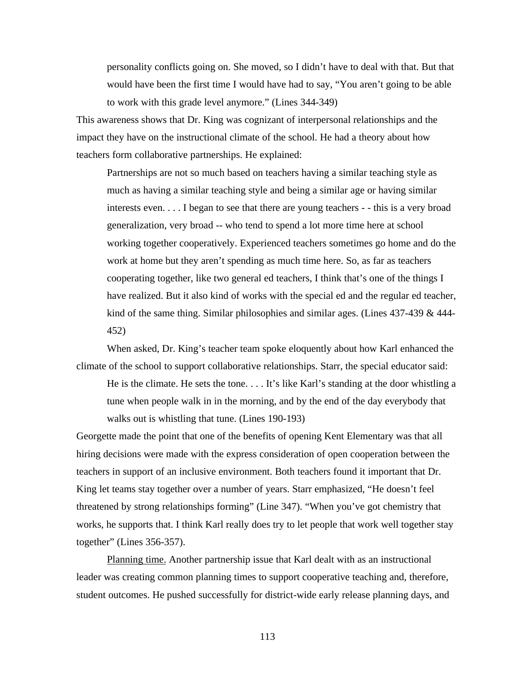personality conflicts going on. She moved, so I didn't have to deal with that. But that would have been the first time I would have had to say, "You aren't going to be able to work with this grade level anymore." (Lines 344-349)

This awareness shows that Dr. King was cognizant of interpersonal relationships and the impact they have on the instructional climate of the school. He had a theory about how teachers form collaborative partnerships. He explained:

Partnerships are not so much based on teachers having a similar teaching style as much as having a similar teaching style and being a similar age or having similar interests even. . . . I began to see that there are young teachers - - this is a very broad generalization, very broad -- who tend to spend a lot more time here at school working together cooperatively. Experienced teachers sometimes go home and do the work at home but they aren't spending as much time here. So, as far as teachers cooperating together, like two general ed teachers, I think that's one of the things I have realized. But it also kind of works with the special ed and the regular ed teacher, kind of the same thing. Similar philosophies and similar ages. (Lines 437-439 & 444- 452)

When asked, Dr. King's teacher team spoke eloquently about how Karl enhanced the climate of the school to support collaborative relationships. Starr, the special educator said:

He is the climate. He sets the tone. . . . It's like Karl's standing at the door whistling a tune when people walk in in the morning, and by the end of the day everybody that walks out is whistling that tune. (Lines 190-193)

Georgette made the point that one of the benefits of opening Kent Elementary was that all hiring decisions were made with the express consideration of open cooperation between the teachers in support of an inclusive environment. Both teachers found it important that Dr. King let teams stay together over a number of years. Starr emphasized, "He doesn't feel threatened by strong relationships forming" (Line 347). "When you've got chemistry that works, he supports that. I think Karl really does try to let people that work well together stay together" (Lines 356-357).

Planning time. Another partnership issue that Karl dealt with as an instructional leader was creating common planning times to support cooperative teaching and, therefore, student outcomes. He pushed successfully for district-wide early release planning days, and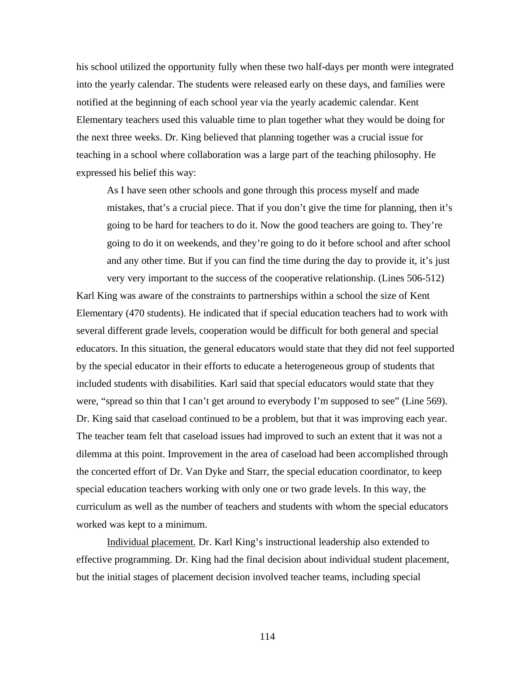his school utilized the opportunity fully when these two half-days per month were integrated into the yearly calendar. The students were released early on these days, and families were notified at the beginning of each school year via the yearly academic calendar. Kent Elementary teachers used this valuable time to plan together what they would be doing for the next three weeks. Dr. King believed that planning together was a crucial issue for teaching in a school where collaboration was a large part of the teaching philosophy. He expressed his belief this way:

As I have seen other schools and gone through this process myself and made mistakes, that's a crucial piece. That if you don't give the time for planning, then it's going to be hard for teachers to do it. Now the good teachers are going to. They're going to do it on weekends, and they're going to do it before school and after school and any other time. But if you can find the time during the day to provide it, it's just very very important to the success of the cooperative relationship. (Lines 506-512)

Karl King was aware of the constraints to partnerships within a school the size of Kent Elementary (470 students). He indicated that if special education teachers had to work with several different grade levels, cooperation would be difficult for both general and special educators. In this situation, the general educators would state that they did not feel supported by the special educator in their efforts to educate a heterogeneous group of students that included students with disabilities. Karl said that special educators would state that they were, "spread so thin that I can't get around to everybody I'm supposed to see" (Line 569). Dr. King said that caseload continued to be a problem, but that it was improving each year. The teacher team felt that caseload issues had improved to such an extent that it was not a dilemma at this point. Improvement in the area of caseload had been accomplished through the concerted effort of Dr. Van Dyke and Starr, the special education coordinator, to keep special education teachers working with only one or two grade levels. In this way, the curriculum as well as the number of teachers and students with whom the special educators worked was kept to a minimum.

Individual placement. Dr. Karl King's instructional leadership also extended to effective programming. Dr. King had the final decision about individual student placement, but the initial stages of placement decision involved teacher teams, including special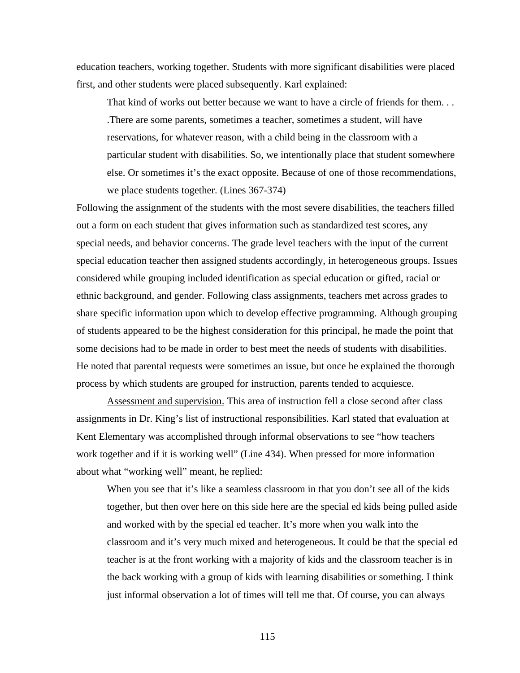education teachers, working together. Students with more significant disabilities were placed first, and other students were placed subsequently. Karl explained:

That kind of works out better because we want to have a circle of friends for them. . . .There are some parents, sometimes a teacher, sometimes a student, will have reservations, for whatever reason, with a child being in the classroom with a particular student with disabilities. So, we intentionally place that student somewhere else. Or sometimes it's the exact opposite. Because of one of those recommendations, we place students together. (Lines 367-374)

Following the assignment of the students with the most severe disabilities, the teachers filled out a form on each student that gives information such as standardized test scores, any special needs, and behavior concerns. The grade level teachers with the input of the current special education teacher then assigned students accordingly, in heterogeneous groups. Issues considered while grouping included identification as special education or gifted, racial or ethnic background, and gender. Following class assignments, teachers met across grades to share specific information upon which to develop effective programming. Although grouping of students appeared to be the highest consideration for this principal, he made the point that some decisions had to be made in order to best meet the needs of students with disabilities. He noted that parental requests were sometimes an issue, but once he explained the thorough process by which students are grouped for instruction, parents tended to acquiesce.

Assessment and supervision. This area of instruction fell a close second after class assignments in Dr. King's list of instructional responsibilities. Karl stated that evaluation at Kent Elementary was accomplished through informal observations to see "how teachers work together and if it is working well" (Line 434). When pressed for more information about what "working well" meant, he replied:

When you see that it's like a seamless classroom in that you don't see all of the kids together, but then over here on this side here are the special ed kids being pulled aside and worked with by the special ed teacher. It's more when you walk into the classroom and it's very much mixed and heterogeneous. It could be that the special ed teacher is at the front working with a majority of kids and the classroom teacher is in the back working with a group of kids with learning disabilities or something. I think just informal observation a lot of times will tell me that. Of course, you can always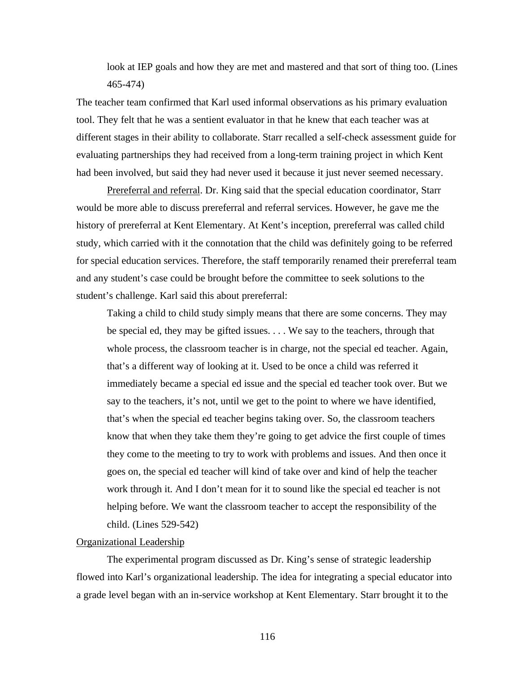look at IEP goals and how they are met and mastered and that sort of thing too. (Lines 465-474)

The teacher team confirmed that Karl used informal observations as his primary evaluation tool. They felt that he was a sentient evaluator in that he knew that each teacher was at different stages in their ability to collaborate. Starr recalled a self-check assessment guide for evaluating partnerships they had received from a long-term training project in which Kent had been involved, but said they had never used it because it just never seemed necessary.

Prereferral and referral. Dr. King said that the special education coordinator, Starr would be more able to discuss prereferral and referral services. However, he gave me the history of prereferral at Kent Elementary. At Kent's inception, prereferral was called child study, which carried with it the connotation that the child was definitely going to be referred for special education services. Therefore, the staff temporarily renamed their prereferral team and any student's case could be brought before the committee to seek solutions to the student's challenge. Karl said this about prereferral:

Taking a child to child study simply means that there are some concerns. They may be special ed, they may be gifted issues. . . . We say to the teachers, through that whole process, the classroom teacher is in charge, not the special ed teacher. Again, that's a different way of looking at it. Used to be once a child was referred it immediately became a special ed issue and the special ed teacher took over. But we say to the teachers, it's not, until we get to the point to where we have identified, that's when the special ed teacher begins taking over. So, the classroom teachers know that when they take them they're going to get advice the first couple of times they come to the meeting to try to work with problems and issues. And then once it goes on, the special ed teacher will kind of take over and kind of help the teacher work through it. And I don't mean for it to sound like the special ed teacher is not helping before. We want the classroom teacher to accept the responsibility of the child. (Lines 529-542)

# Organizational Leadership

The experimental program discussed as Dr. King's sense of strategic leadership flowed into Karl's organizational leadership. The idea for integrating a special educator into a grade level began with an in-service workshop at Kent Elementary. Starr brought it to the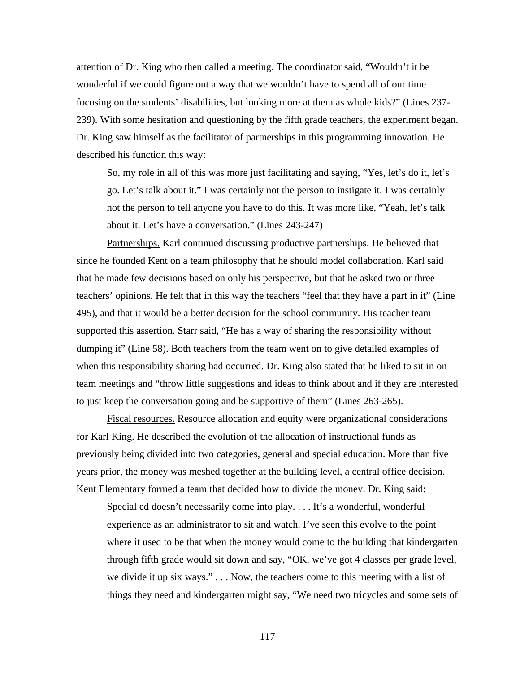attention of Dr. King who then called a meeting. The coordinator said, "Wouldn't it be wonderful if we could figure out a way that we wouldn't have to spend all of our time focusing on the students' disabilities, but looking more at them as whole kids?" (Lines 237- 239). With some hesitation and questioning by the fifth grade teachers, the experiment began. Dr. King saw himself as the facilitator of partnerships in this programming innovation. He described his function this way:

So, my role in all of this was more just facilitating and saying, "Yes, let's do it, let's go. Let's talk about it." I was certainly not the person to instigate it. I was certainly not the person to tell anyone you have to do this. It was more like, "Yeah, let's talk about it. Let's have a conversation." (Lines 243-247)

Partnerships. Karl continued discussing productive partnerships. He believed that since he founded Kent on a team philosophy that he should model collaboration. Karl said that he made few decisions based on only his perspective, but that he asked two or three teachers' opinions. He felt that in this way the teachers "feel that they have a part in it" (Line 495), and that it would be a better decision for the school community. His teacher team supported this assertion. Starr said, "He has a way of sharing the responsibility without dumping it" (Line 58). Both teachers from the team went on to give detailed examples of when this responsibility sharing had occurred. Dr. King also stated that he liked to sit in on team meetings and "throw little suggestions and ideas to think about and if they are interested to just keep the conversation going and be supportive of them" (Lines 263-265).

Fiscal resources. Resource allocation and equity were organizational considerations for Karl King. He described the evolution of the allocation of instructional funds as previously being divided into two categories, general and special education. More than five years prior, the money was meshed together at the building level, a central office decision. Kent Elementary formed a team that decided how to divide the money. Dr. King said:

Special ed doesn't necessarily come into play. . . . It's a wonderful, wonderful experience as an administrator to sit and watch. I've seen this evolve to the point where it used to be that when the money would come to the building that kindergarten through fifth grade would sit down and say, "OK, we've got 4 classes per grade level, we divide it up six ways." . . . Now, the teachers come to this meeting with a list of things they need and kindergarten might say, "We need two tricycles and some sets of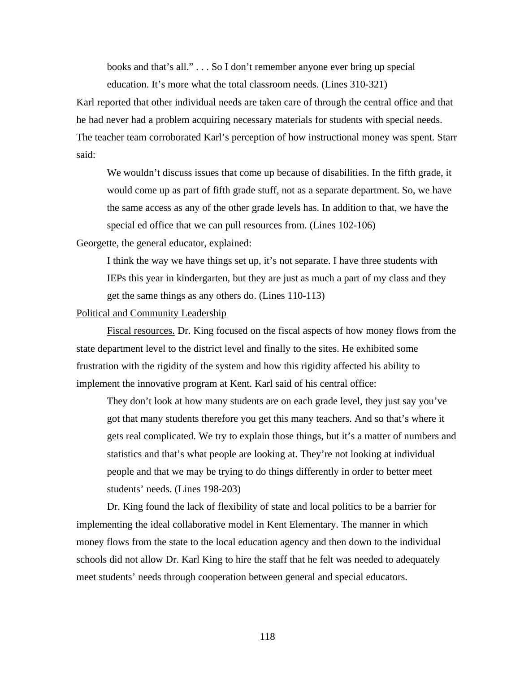books and that's all." . . . So I don't remember anyone ever bring up special

education. It's more what the total classroom needs. (Lines 310-321)

Karl reported that other individual needs are taken care of through the central office and that he had never had a problem acquiring necessary materials for students with special needs. The teacher team corroborated Karl's perception of how instructional money was spent. Starr said:

We wouldn't discuss issues that come up because of disabilities. In the fifth grade, it would come up as part of fifth grade stuff, not as a separate department. So, we have the same access as any of the other grade levels has. In addition to that, we have the special ed office that we can pull resources from. (Lines 102-106)

Georgette, the general educator, explained:

I think the way we have things set up, it's not separate. I have three students with IEPs this year in kindergarten, but they are just as much a part of my class and they get the same things as any others do. (Lines 110-113)

#### Political and Community Leadership

Fiscal resources. Dr. King focused on the fiscal aspects of how money flows from the state department level to the district level and finally to the sites. He exhibited some frustration with the rigidity of the system and how this rigidity affected his ability to implement the innovative program at Kent. Karl said of his central office:

They don't look at how many students are on each grade level, they just say you've got that many students therefore you get this many teachers. And so that's where it gets real complicated. We try to explain those things, but it's a matter of numbers and statistics and that's what people are looking at. They're not looking at individual people and that we may be trying to do things differently in order to better meet students' needs. (Lines 198-203)

Dr. King found the lack of flexibility of state and local politics to be a barrier for implementing the ideal collaborative model in Kent Elementary. The manner in which money flows from the state to the local education agency and then down to the individual schools did not allow Dr. Karl King to hire the staff that he felt was needed to adequately meet students' needs through cooperation between general and special educators.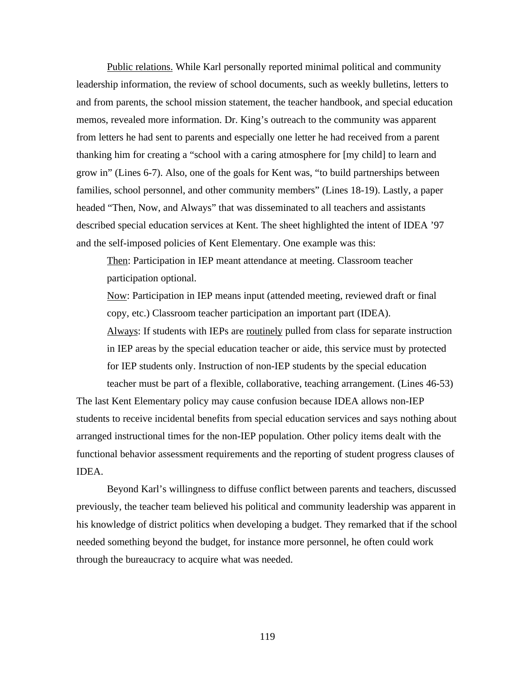Public relations. While Karl personally reported minimal political and community leadership information, the review of school documents, such as weekly bulletins, letters to and from parents, the school mission statement, the teacher handbook, and special education memos, revealed more information. Dr. King's outreach to the community was apparent from letters he had sent to parents and especially one letter he had received from a parent thanking him for creating a "school with a caring atmosphere for [my child] to learn and grow in" (Lines 6-7). Also, one of the goals for Kent was, "to build partnerships between families, school personnel, and other community members" (Lines 18-19). Lastly, a paper headed "Then, Now, and Always" that was disseminated to all teachers and assistants described special education services at Kent. The sheet highlighted the intent of IDEA '97 and the self-imposed policies of Kent Elementary. One example was this:

Then: Participation in IEP meant attendance at meeting. Classroom teacher participation optional.

Now: Participation in IEP means input (attended meeting, reviewed draft or final copy, etc.) Classroom teacher participation an important part (IDEA).

Always: If students with IEPs are routinely pulled from class for separate instruction in IEP areas by the special education teacher or aide, this service must by protected for IEP students only. Instruction of non-IEP students by the special education teacher must be part of a flexible, collaborative, teaching arrangement. (Lines 46-53)

The last Kent Elementary policy may cause confusion because IDEA allows non-IEP students to receive incidental benefits from special education services and says nothing about arranged instructional times for the non-IEP population. Other policy items dealt with the functional behavior assessment requirements and the reporting of student progress clauses of IDEA.

Beyond Karl's willingness to diffuse conflict between parents and teachers, discussed previously, the teacher team believed his political and community leadership was apparent in his knowledge of district politics when developing a budget. They remarked that if the school needed something beyond the budget, for instance more personnel, he often could work through the bureaucracy to acquire what was needed.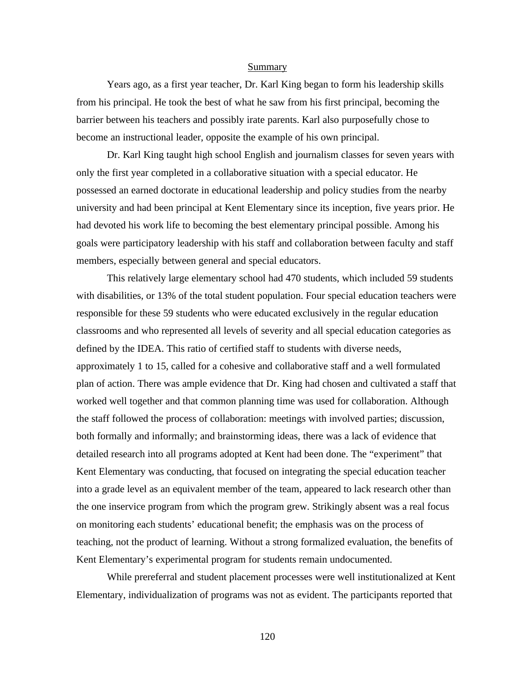#### Summary

Years ago, as a first year teacher, Dr. Karl King began to form his leadership skills from his principal. He took the best of what he saw from his first principal, becoming the barrier between his teachers and possibly irate parents. Karl also purposefully chose to become an instructional leader, opposite the example of his own principal.

Dr. Karl King taught high school English and journalism classes for seven years with only the first year completed in a collaborative situation with a special educator. He possessed an earned doctorate in educational leadership and policy studies from the nearby university and had been principal at Kent Elementary since its inception, five years prior. He had devoted his work life to becoming the best elementary principal possible. Among his goals were participatory leadership with his staff and collaboration between faculty and staff members, especially between general and special educators.

This relatively large elementary school had 470 students, which included 59 students with disabilities, or 13% of the total student population. Four special education teachers were responsible for these 59 students who were educated exclusively in the regular education classrooms and who represented all levels of severity and all special education categories as defined by the IDEA. This ratio of certified staff to students with diverse needs, approximately 1 to 15, called for a cohesive and collaborative staff and a well formulated plan of action. There was ample evidence that Dr. King had chosen and cultivated a staff that worked well together and that common planning time was used for collaboration. Although the staff followed the process of collaboration: meetings with involved parties; discussion, both formally and informally; and brainstorming ideas, there was a lack of evidence that detailed research into all programs adopted at Kent had been done. The "experiment" that Kent Elementary was conducting, that focused on integrating the special education teacher into a grade level as an equivalent member of the team, appeared to lack research other than the one inservice program from which the program grew. Strikingly absent was a real focus on monitoring each students' educational benefit; the emphasis was on the process of teaching, not the product of learning. Without a strong formalized evaluation, the benefits of Kent Elementary's experimental program for students remain undocumented.

While prereferral and student placement processes were well institutionalized at Kent Elementary, individualization of programs was not as evident. The participants reported that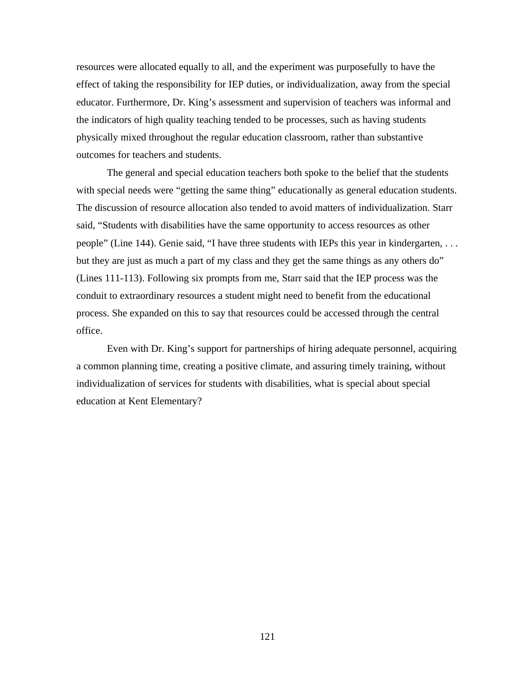resources were allocated equally to all, and the experiment was purposefully to have the effect of taking the responsibility for IEP duties, or individualization, away from the special educator. Furthermore, Dr. King's assessment and supervision of teachers was informal and the indicators of high quality teaching tended to be processes, such as having students physically mixed throughout the regular education classroom, rather than substantive outcomes for teachers and students.

The general and special education teachers both spoke to the belief that the students with special needs were "getting the same thing" educationally as general education students. The discussion of resource allocation also tended to avoid matters of individualization. Starr said, "Students with disabilities have the same opportunity to access resources as other people" (Line 144). Genie said, "I have three students with IEPs this year in kindergarten, . . . but they are just as much a part of my class and they get the same things as any others do" (Lines 111-113). Following six prompts from me, Starr said that the IEP process was the conduit to extraordinary resources a student might need to benefit from the educational process. She expanded on this to say that resources could be accessed through the central office.

Even with Dr. King's support for partnerships of hiring adequate personnel, acquiring a common planning time, creating a positive climate, and assuring timely training, without individualization of services for students with disabilities, what is special about special education at Kent Elementary?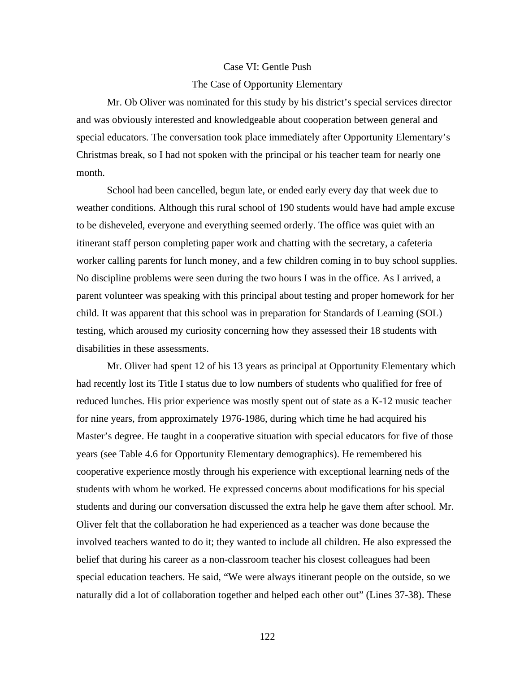### Case VI: Gentle Push

#### The Case of Opportunity Elementary

Mr. Ob Oliver was nominated for this study by his district's special services director and was obviously interested and knowledgeable about cooperation between general and special educators. The conversation took place immediately after Opportunity Elementary's Christmas break, so I had not spoken with the principal or his teacher team for nearly one month.

School had been cancelled, begun late, or ended early every day that week due to weather conditions. Although this rural school of 190 students would have had ample excuse to be disheveled, everyone and everything seemed orderly. The office was quiet with an itinerant staff person completing paper work and chatting with the secretary, a cafeteria worker calling parents for lunch money, and a few children coming in to buy school supplies. No discipline problems were seen during the two hours I was in the office. As I arrived, a parent volunteer was speaking with this principal about testing and proper homework for her child. It was apparent that this school was in preparation for Standards of Learning (SOL) testing, which aroused my curiosity concerning how they assessed their 18 students with disabilities in these assessments.

Mr. Oliver had spent 12 of his 13 years as principal at Opportunity Elementary which had recently lost its Title I status due to low numbers of students who qualified for free of reduced lunches. His prior experience was mostly spent out of state as a K-12 music teacher for nine years, from approximately 1976-1986, during which time he had acquired his Master's degree. He taught in a cooperative situation with special educators for five of those years (see Table 4.6 for Opportunity Elementary demographics). He remembered his cooperative experience mostly through his experience with exceptional learning neds of the students with whom he worked. He expressed concerns about modifications for his special students and during our conversation discussed the extra help he gave them after school. Mr. Oliver felt that the collaboration he had experienced as a teacher was done because the involved teachers wanted to do it; they wanted to include all children. He also expressed the belief that during his career as a non-classroom teacher his closest colleagues had been special education teachers. He said, "We were always itinerant people on the outside, so we naturally did a lot of collaboration together and helped each other out" (Lines 37-38). These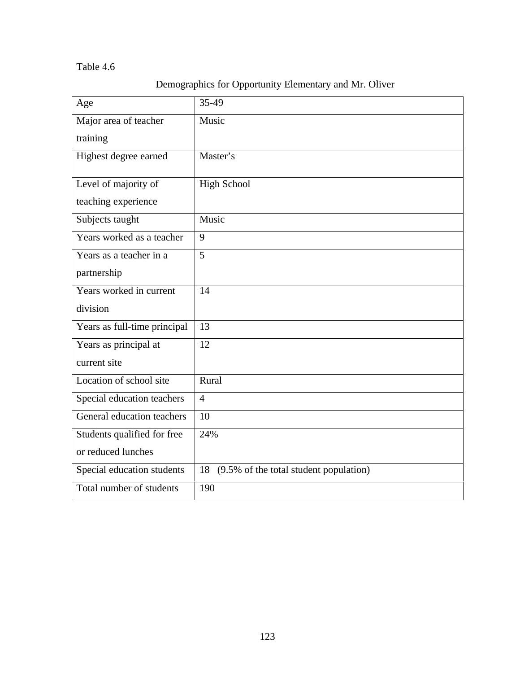# Table 4.6

| Age                          | 35-49                                        |
|------------------------------|----------------------------------------------|
| Major area of teacher        | Music                                        |
| training                     |                                              |
| Highest degree earned        | Master's                                     |
| Level of majority of         | <b>High School</b>                           |
| teaching experience          |                                              |
| Subjects taught              | Music                                        |
| Years worked as a teacher    | 9                                            |
| Years as a teacher in a      | 5                                            |
| partnership                  |                                              |
| Years worked in current      | 14                                           |
| division                     |                                              |
| Years as full-time principal | 13                                           |
| Years as principal at        | 12                                           |
| current site                 |                                              |
| Location of school site      | Rural                                        |
| Special education teachers   | $\overline{4}$                               |
| General education teachers   | 10                                           |
| Students qualified for free  | 24%                                          |
| or reduced lunches           |                                              |
| Special education students   | (9.5% of the total student population)<br>18 |
| Total number of students     | 190                                          |

# Demographics for Opportunity Elementary and Mr. Oliver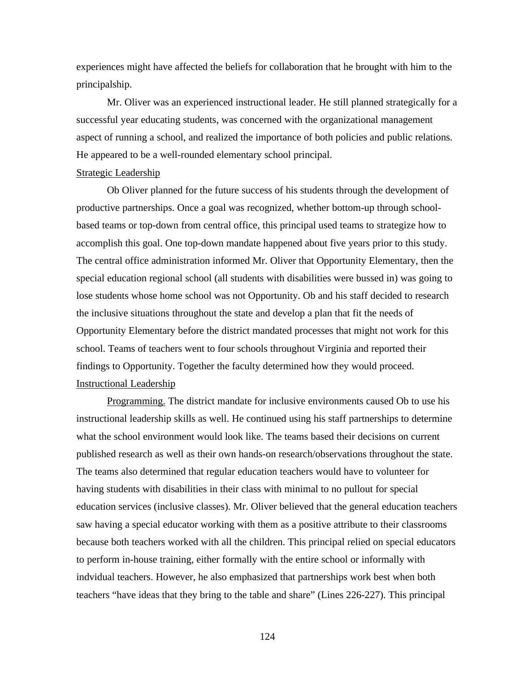experiences might have affected the beliefs for collaboration that he brought with him to the principalship.

Mr. Oliver was an experienced instructional leader. He still planned strategically for a successful year educating students, was concerned with the organizational management aspect of running a school, and realized the importance of both policies and public relations. He appeared to be a well-rounded elementary school principal.

#### Strategic Leadership

Ob Oliver planned for the future success of his students through the development of productive partnerships. Once a goal was recognized, whether bottom-up through schoolbased teams or top-down from central office, this principal used teams to strategize how to accomplish this goal. One top-down mandate happened about five years prior to this study. The central office administration informed Mr. Oliver that Opportunity Elementary, then the special education regional school (all students with disabilities were bussed in) was going to lose students whose home school was not Opportunity. Ob and his staff decided to research the inclusive situations throughout the state and develop a plan that fit the needs of Opportunity Elementary before the district mandated processes that might not work for this school. Teams of teachers went to four schools throughout Virginia and reported their findings to Opportunity. Together the faculty determined how they would proceed. Instructional Leadership

Programming. The district mandate for inclusive environments caused Ob to use his instructional leadership skills as well. He continued using his staff partnerships to determine what the school environment would look like. The teams based their decisions on current published research as well as their own hands-on research/observations throughout the state. The teams also determined that regular education teachers would have to volunteer for having students with disabilities in their class with minimal to no pullout for special education services (inclusive classes). Mr. Oliver believed that the general education teachers saw having a special educator working with them as a positive attribute to their classrooms because both teachers worked with all the children. This principal relied on special educators to perform in-house training, either formally with the entire school or informally with indvidual teachers. However, he also emphasized that partnerships work best when both teachers "have ideas that they bring to the table and share" (Lines 226-227). This principal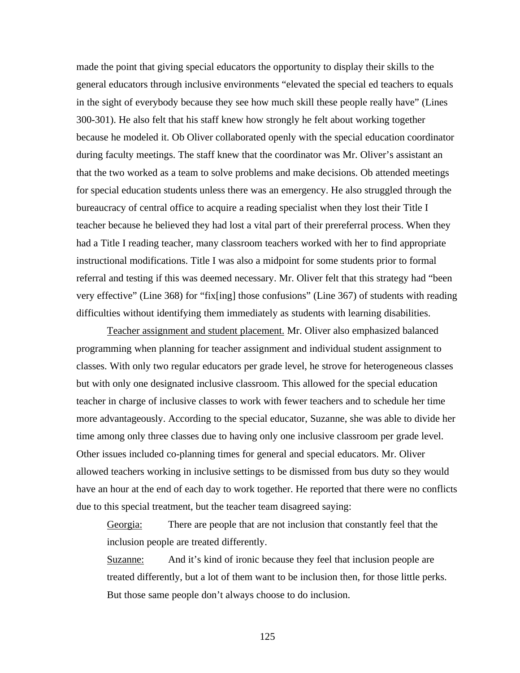made the point that giving special educators the opportunity to display their skills to the general educators through inclusive environments "elevated the special ed teachers to equals in the sight of everybody because they see how much skill these people really have" (Lines 300-301). He also felt that his staff knew how strongly he felt about working together because he modeled it. Ob Oliver collaborated openly with the special education coordinator during faculty meetings. The staff knew that the coordinator was Mr. Oliver's assistant an that the two worked as a team to solve problems and make decisions. Ob attended meetings for special education students unless there was an emergency. He also struggled through the bureaucracy of central office to acquire a reading specialist when they lost their Title I teacher because he believed they had lost a vital part of their prereferral process. When they had a Title I reading teacher, many classroom teachers worked with her to find appropriate instructional modifications. Title I was also a midpoint for some students prior to formal referral and testing if this was deemed necessary. Mr. Oliver felt that this strategy had "been very effective" (Line 368) for "fix[ing] those confusions" (Line 367) of students with reading difficulties without identifying them immediately as students with learning disabilities.

Teacher assignment and student placement. Mr. Oliver also emphasized balanced programming when planning for teacher assignment and individual student assignment to classes. With only two regular educators per grade level, he strove for heterogeneous classes but with only one designated inclusive classroom. This allowed for the special education teacher in charge of inclusive classes to work with fewer teachers and to schedule her time more advantageously. According to the special educator, Suzanne, she was able to divide her time among only three classes due to having only one inclusive classroom per grade level. Other issues included co-planning times for general and special educators. Mr. Oliver allowed teachers working in inclusive settings to be dismissed from bus duty so they would have an hour at the end of each day to work together. He reported that there were no conflicts due to this special treatment, but the teacher team disagreed saying:

Georgia: There are people that are not inclusion that constantly feel that the inclusion people are treated differently.

Suzanne: And it's kind of ironic because they feel that inclusion people are treated differently, but a lot of them want to be inclusion then, for those little perks. But those same people don't always choose to do inclusion.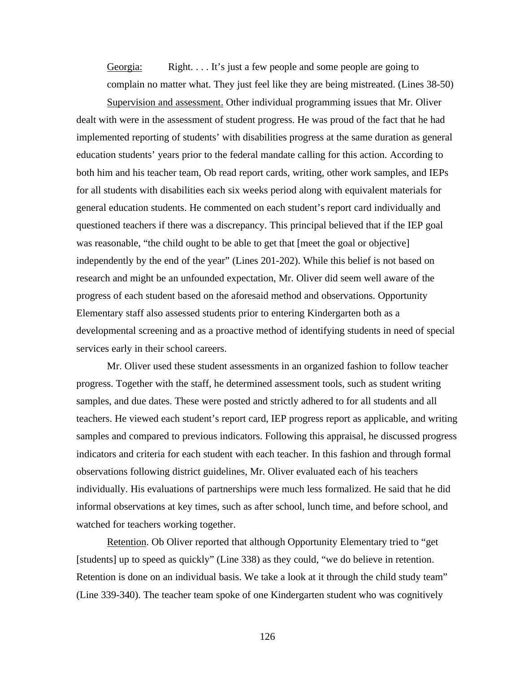Georgia: Right. . . . It's just a few people and some people are going to complain no matter what. They just feel like they are being mistreated. (Lines 38-50)

Supervision and assessment. Other individual programming issues that Mr. Oliver dealt with were in the assessment of student progress. He was proud of the fact that he had implemented reporting of students' with disabilities progress at the same duration as general education students' years prior to the federal mandate calling for this action. According to both him and his teacher team, Ob read report cards, writing, other work samples, and IEPs for all students with disabilities each six weeks period along with equivalent materials for general education students. He commented on each student's report card individually and questioned teachers if there was a discrepancy. This principal believed that if the IEP goal was reasonable, "the child ought to be able to get that [meet the goal or objective] independently by the end of the year" (Lines 201-202). While this belief is not based on research and might be an unfounded expectation, Mr. Oliver did seem well aware of the progress of each student based on the aforesaid method and observations. Opportunity Elementary staff also assessed students prior to entering Kindergarten both as a developmental screening and as a proactive method of identifying students in need of special services early in their school careers.

Mr. Oliver used these student assessments in an organized fashion to follow teacher progress. Together with the staff, he determined assessment tools, such as student writing samples, and due dates. These were posted and strictly adhered to for all students and all teachers. He viewed each student's report card, IEP progress report as applicable, and writing samples and compared to previous indicators. Following this appraisal, he discussed progress indicators and criteria for each student with each teacher. In this fashion and through formal observations following district guidelines, Mr. Oliver evaluated each of his teachers individually. His evaluations of partnerships were much less formalized. He said that he did informal observations at key times, such as after school, lunch time, and before school, and watched for teachers working together.

Retention. Ob Oliver reported that although Opportunity Elementary tried to "get [students] up to speed as quickly" (Line 338) as they could, "we do believe in retention. Retention is done on an individual basis. We take a look at it through the child study team" (Line 339-340). The teacher team spoke of one Kindergarten student who was cognitively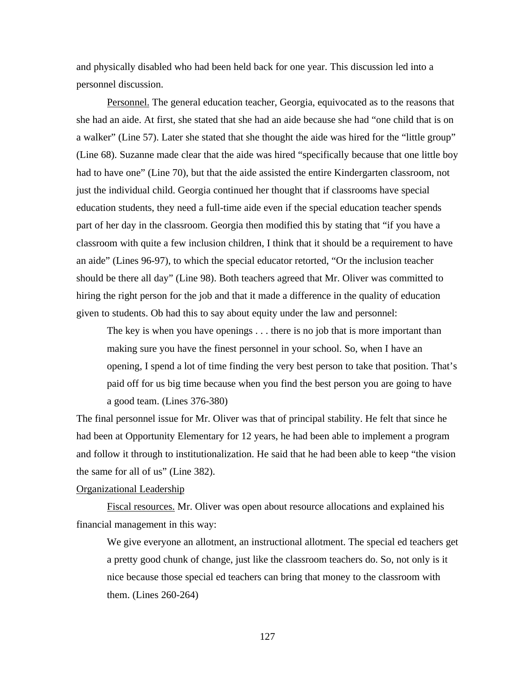and physically disabled who had been held back for one year. This discussion led into a personnel discussion.

Personnel. The general education teacher, Georgia, equivocated as to the reasons that she had an aide. At first, she stated that she had an aide because she had "one child that is on a walker" (Line 57). Later she stated that she thought the aide was hired for the "little group" (Line 68). Suzanne made clear that the aide was hired "specifically because that one little boy had to have one" (Line 70), but that the aide assisted the entire Kindergarten classroom, not just the individual child. Georgia continued her thought that if classrooms have special education students, they need a full-time aide even if the special education teacher spends part of her day in the classroom. Georgia then modified this by stating that "if you have a classroom with quite a few inclusion children, I think that it should be a requirement to have an aide" (Lines 96-97), to which the special educator retorted, "Or the inclusion teacher should be there all day" (Line 98). Both teachers agreed that Mr. Oliver was committed to hiring the right person for the job and that it made a difference in the quality of education given to students. Ob had this to say about equity under the law and personnel:

The key is when you have openings . . . there is no job that is more important than making sure you have the finest personnel in your school. So, when I have an opening, I spend a lot of time finding the very best person to take that position. That's paid off for us big time because when you find the best person you are going to have a good team. (Lines 376-380)

The final personnel issue for Mr. Oliver was that of principal stability. He felt that since he had been at Opportunity Elementary for 12 years, he had been able to implement a program and follow it through to institutionalization. He said that he had been able to keep "the vision the same for all of us" (Line 382).

#### Organizational Leadership

Fiscal resources. Mr. Oliver was open about resource allocations and explained his financial management in this way:

We give everyone an allotment, an instructional allotment. The special ed teachers get a pretty good chunk of change, just like the classroom teachers do. So, not only is it nice because those special ed teachers can bring that money to the classroom with them. (Lines 260-264)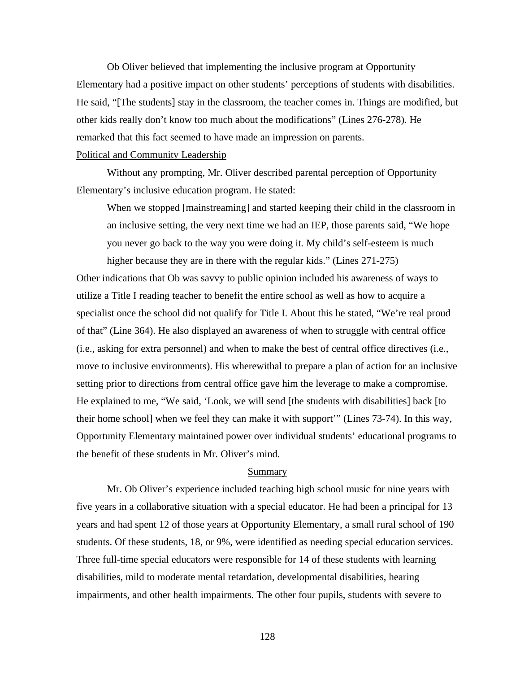Ob Oliver believed that implementing the inclusive program at Opportunity Elementary had a positive impact on other students' perceptions of students with disabilities. He said, "[The students] stay in the classroom, the teacher comes in. Things are modified, but other kids really don't know too much about the modifications" (Lines 276-278). He remarked that this fact seemed to have made an impression on parents.

#### Political and Community Leadership

Without any prompting, Mr. Oliver described parental perception of Opportunity Elementary's inclusive education program. He stated:

When we stopped [mainstreaming] and started keeping their child in the classroom in an inclusive setting, the very next time we had an IEP, those parents said, "We hope you never go back to the way you were doing it. My child's self-esteem is much higher because they are in there with the regular kids." (Lines 271-275)

Other indications that Ob was savvy to public opinion included his awareness of ways to utilize a Title I reading teacher to benefit the entire school as well as how to acquire a specialist once the school did not qualify for Title I. About this he stated, "We're real proud of that" (Line 364). He also displayed an awareness of when to struggle with central office (i.e., asking for extra personnel) and when to make the best of central office directives (i.e., move to inclusive environments). His wherewithal to prepare a plan of action for an inclusive setting prior to directions from central office gave him the leverage to make a compromise. He explained to me, "We said, 'Look, we will send [the students with disabilities] back [to their home school] when we feel they can make it with support'" (Lines 73-74). In this way, Opportunity Elementary maintained power over individual students' educational programs to the benefit of these students in Mr. Oliver's mind.

# Summary

Mr. Ob Oliver's experience included teaching high school music for nine years with five years in a collaborative situation with a special educator. He had been a principal for 13 years and had spent 12 of those years at Opportunity Elementary, a small rural school of 190 students. Of these students, 18, or 9%, were identified as needing special education services. Three full-time special educators were responsible for 14 of these students with learning disabilities, mild to moderate mental retardation, developmental disabilities, hearing impairments, and other health impairments. The other four pupils, students with severe to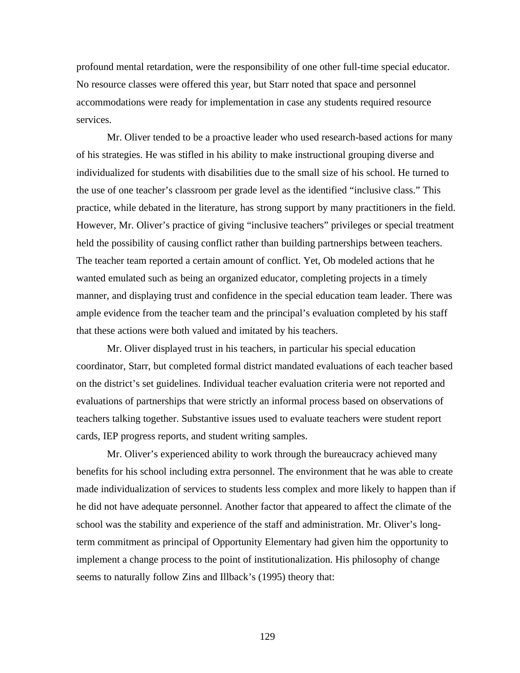profound mental retardation, were the responsibility of one other full-time special educator. No resource classes were offered this year, but Starr noted that space and personnel accommodations were ready for implementation in case any students required resource services.

Mr. Oliver tended to be a proactive leader who used research-based actions for many of his strategies. He was stifled in his ability to make instructional grouping diverse and individualized for students with disabilities due to the small size of his school. He turned to the use of one teacher's classroom per grade level as the identified "inclusive class." This practice, while debated in the literature, has strong support by many practitioners in the field. However, Mr. Oliver's practice of giving "inclusive teachers" privileges or special treatment held the possibility of causing conflict rather than building partnerships between teachers. The teacher team reported a certain amount of conflict. Yet, Ob modeled actions that he wanted emulated such as being an organized educator, completing projects in a timely manner, and displaying trust and confidence in the special education team leader. There was ample evidence from the teacher team and the principal's evaluation completed by his staff that these actions were both valued and imitated by his teachers.

Mr. Oliver displayed trust in his teachers, in particular his special education coordinator, Starr, but completed formal district mandated evaluations of each teacher based on the district's set guidelines. Individual teacher evaluation criteria were not reported and evaluations of partnerships that were strictly an informal process based on observations of teachers talking together. Substantive issues used to evaluate teachers were student report cards, IEP progress reports, and student writing samples.

Mr. Oliver's experienced ability to work through the bureaucracy achieved many benefits for his school including extra personnel. The environment that he was able to create made individualization of services to students less complex and more likely to happen than if he did not have adequate personnel. Another factor that appeared to affect the climate of the school was the stability and experience of the staff and administration. Mr. Oliver's longterm commitment as principal of Opportunity Elementary had given him the opportunity to implement a change process to the point of institutionalization. His philosophy of change seems to naturally follow Zins and Illback's (1995) theory that: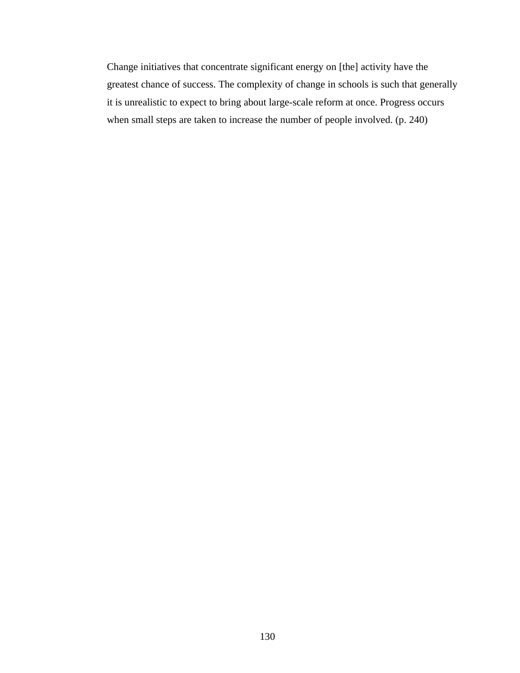Change initiatives that concentrate significant energy on [the] activity have the greatest chance of success. The complexity of change in schools is such that generally it is unrealistic to expect to bring about large-scale reform at once. Progress occurs when small steps are taken to increase the number of people involved. (p. 240)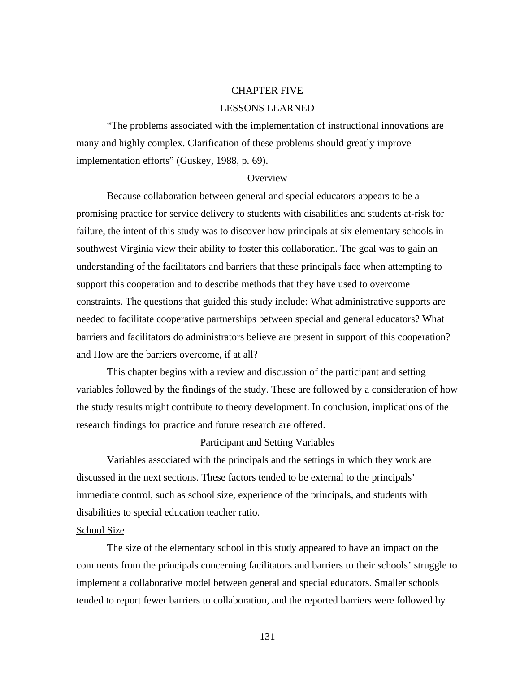# CHAPTER FIVE

## LESSONS LEARNED

"The problems associated with the implementation of instructional innovations are many and highly complex. Clarification of these problems should greatly improve implementation efforts" (Guskey, 1988, p. 69).

#### **Overview**

Because collaboration between general and special educators appears to be a promising practice for service delivery to students with disabilities and students at-risk for failure, the intent of this study was to discover how principals at six elementary schools in southwest Virginia view their ability to foster this collaboration. The goal was to gain an understanding of the facilitators and barriers that these principals face when attempting to support this cooperation and to describe methods that they have used to overcome constraints. The questions that guided this study include: What administrative supports are needed to facilitate cooperative partnerships between special and general educators? What barriers and facilitators do administrators believe are present in support of this cooperation? and How are the barriers overcome, if at all?

This chapter begins with a review and discussion of the participant and setting variables followed by the findings of the study. These are followed by a consideration of how the study results might contribute to theory development. In conclusion, implications of the research findings for practice and future research are offered.

### Participant and Setting Variables

Variables associated with the principals and the settings in which they work are discussed in the next sections. These factors tended to be external to the principals' immediate control, such as school size, experience of the principals, and students with disabilities to special education teacher ratio.

## School Size

The size of the elementary school in this study appeared to have an impact on the comments from the principals concerning facilitators and barriers to their schools' struggle to implement a collaborative model between general and special educators. Smaller schools tended to report fewer barriers to collaboration, and the reported barriers were followed by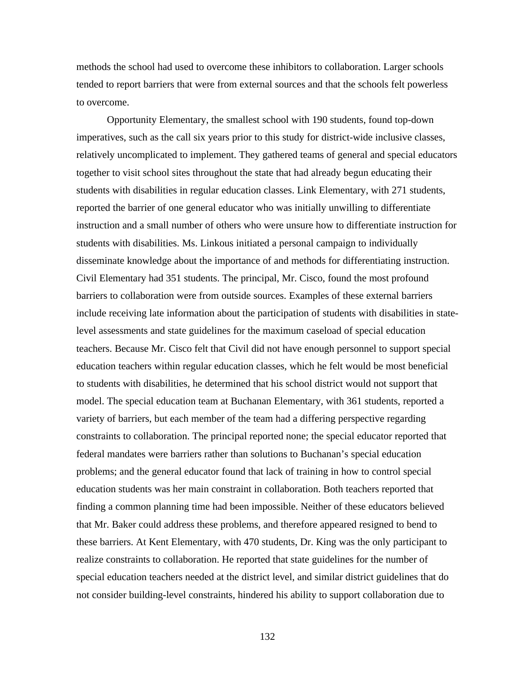methods the school had used to overcome these inhibitors to collaboration. Larger schools tended to report barriers that were from external sources and that the schools felt powerless to overcome.

Opportunity Elementary, the smallest school with 190 students, found top-down imperatives, such as the call six years prior to this study for district-wide inclusive classes, relatively uncomplicated to implement. They gathered teams of general and special educators together to visit school sites throughout the state that had already begun educating their students with disabilities in regular education classes. Link Elementary, with 271 students, reported the barrier of one general educator who was initially unwilling to differentiate instruction and a small number of others who were unsure how to differentiate instruction for students with disabilities. Ms. Linkous initiated a personal campaign to individually disseminate knowledge about the importance of and methods for differentiating instruction. Civil Elementary had 351 students. The principal, Mr. Cisco, found the most profound barriers to collaboration were from outside sources. Examples of these external barriers include receiving late information about the participation of students with disabilities in statelevel assessments and state guidelines for the maximum caseload of special education teachers. Because Mr. Cisco felt that Civil did not have enough personnel to support special education teachers within regular education classes, which he felt would be most beneficial to students with disabilities, he determined that his school district would not support that model. The special education team at Buchanan Elementary, with 361 students, reported a variety of barriers, but each member of the team had a differing perspective regarding constraints to collaboration. The principal reported none; the special educator reported that federal mandates were barriers rather than solutions to Buchanan's special education problems; and the general educator found that lack of training in how to control special education students was her main constraint in collaboration. Both teachers reported that finding a common planning time had been impossible. Neither of these educators believed that Mr. Baker could address these problems, and therefore appeared resigned to bend to these barriers. At Kent Elementary, with 470 students, Dr. King was the only participant to realize constraints to collaboration. He reported that state guidelines for the number of special education teachers needed at the district level, and similar district guidelines that do not consider building-level constraints, hindered his ability to support collaboration due to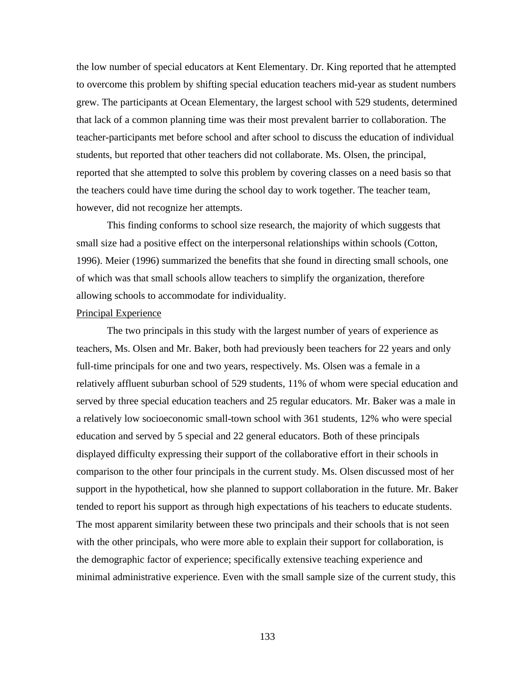the low number of special educators at Kent Elementary. Dr. King reported that he attempted to overcome this problem by shifting special education teachers mid-year as student numbers grew. The participants at Ocean Elementary, the largest school with 529 students, determined that lack of a common planning time was their most prevalent barrier to collaboration. The teacher-participants met before school and after school to discuss the education of individual students, but reported that other teachers did not collaborate. Ms. Olsen, the principal, reported that she attempted to solve this problem by covering classes on a need basis so that the teachers could have time during the school day to work together. The teacher team, however, did not recognize her attempts.

This finding conforms to school size research, the majority of which suggests that small size had a positive effect on the interpersonal relationships within schools (Cotton, 1996). Meier (1996) summarized the benefits that she found in directing small schools, one of which was that small schools allow teachers to simplify the organization, therefore allowing schools to accommodate for individuality.

#### Principal Experience

The two principals in this study with the largest number of years of experience as teachers, Ms. Olsen and Mr. Baker, both had previously been teachers for 22 years and only full-time principals for one and two years, respectively. Ms. Olsen was a female in a relatively affluent suburban school of 529 students, 11% of whom were special education and served by three special education teachers and 25 regular educators. Mr. Baker was a male in a relatively low socioeconomic small-town school with 361 students, 12% who were special education and served by 5 special and 22 general educators. Both of these principals displayed difficulty expressing their support of the collaborative effort in their schools in comparison to the other four principals in the current study. Ms. Olsen discussed most of her support in the hypothetical, how she planned to support collaboration in the future. Mr. Baker tended to report his support as through high expectations of his teachers to educate students. The most apparent similarity between these two principals and their schools that is not seen with the other principals, who were more able to explain their support for collaboration, is the demographic factor of experience; specifically extensive teaching experience and minimal administrative experience. Even with the small sample size of the current study, this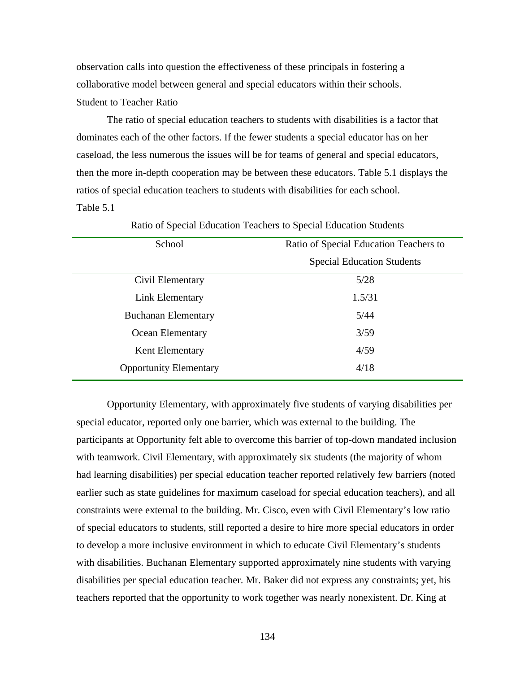observation calls into question the effectiveness of these principals in fostering a collaborative model between general and special educators within their schools.

### Student to Teacher Ratio

The ratio of special education teachers to students with disabilities is a factor that dominates each of the other factors. If the fewer students a special educator has on her caseload, the less numerous the issues will be for teams of general and special educators, then the more in-depth cooperation may be between these educators. Table 5.1 displays the ratios of special education teachers to students with disabilities for each school. Table 5.1

| School                        | Ratio of Special Education Teachers to |  |  |
|-------------------------------|----------------------------------------|--|--|
|                               | <b>Special Education Students</b>      |  |  |
| Civil Elementary              | 5/28                                   |  |  |
| Link Elementary               | 1.5/31                                 |  |  |
| <b>Buchanan Elementary</b>    | 5/44                                   |  |  |
| Ocean Elementary              | 3/59                                   |  |  |
| Kent Elementary               | 4/59                                   |  |  |
| <b>Opportunity Elementary</b> | 4/18                                   |  |  |

Ratio of Special Education Teachers to Special Education Students

Opportunity Elementary, with approximately five students of varying disabilities per special educator, reported only one barrier, which was external to the building. The participants at Opportunity felt able to overcome this barrier of top-down mandated inclusion with teamwork. Civil Elementary, with approximately six students (the majority of whom had learning disabilities) per special education teacher reported relatively few barriers (noted earlier such as state guidelines for maximum caseload for special education teachers), and all constraints were external to the building. Mr. Cisco, even with Civil Elementary's low ratio of special educators to students, still reported a desire to hire more special educators in order to develop a more inclusive environment in which to educate Civil Elementary's students with disabilities. Buchanan Elementary supported approximately nine students with varying disabilities per special education teacher. Mr. Baker did not express any constraints; yet, his teachers reported that the opportunity to work together was nearly nonexistent. Dr. King at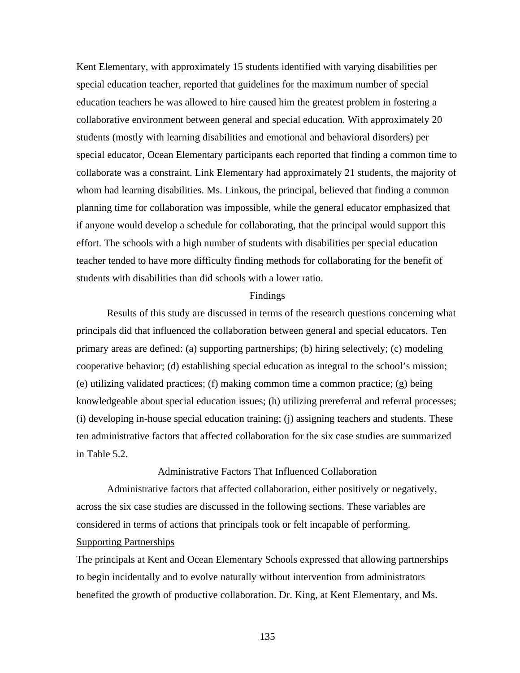Kent Elementary, with approximately 15 students identified with varying disabilities per special education teacher, reported that guidelines for the maximum number of special education teachers he was allowed to hire caused him the greatest problem in fostering a collaborative environment between general and special education. With approximately 20 students (mostly with learning disabilities and emotional and behavioral disorders) per special educator, Ocean Elementary participants each reported that finding a common time to collaborate was a constraint. Link Elementary had approximately 21 students, the majority of whom had learning disabilities. Ms. Linkous, the principal, believed that finding a common planning time for collaboration was impossible, while the general educator emphasized that if anyone would develop a schedule for collaborating, that the principal would support this effort. The schools with a high number of students with disabilities per special education teacher tended to have more difficulty finding methods for collaborating for the benefit of students with disabilities than did schools with a lower ratio.

#### Findings

Results of this study are discussed in terms of the research questions concerning what principals did that influenced the collaboration between general and special educators. Ten primary areas are defined: (a) supporting partnerships; (b) hiring selectively; (c) modeling cooperative behavior; (d) establishing special education as integral to the school's mission; (e) utilizing validated practices; (f) making common time a common practice; (g) being knowledgeable about special education issues; (h) utilizing prereferral and referral processes; (i) developing in-house special education training; (j) assigning teachers and students. These ten administrative factors that affected collaboration for the six case studies are summarized in Table 5.2.

Administrative Factors That Influenced Collaboration

Administrative factors that affected collaboration, either positively or negatively, across the six case studies are discussed in the following sections. These variables are considered in terms of actions that principals took or felt incapable of performing. Supporting Partnerships

The principals at Kent and Ocean Elementary Schools expressed that allowing partnerships to begin incidentally and to evolve naturally without intervention from administrators benefited the growth of productive collaboration. Dr. King, at Kent Elementary, and Ms.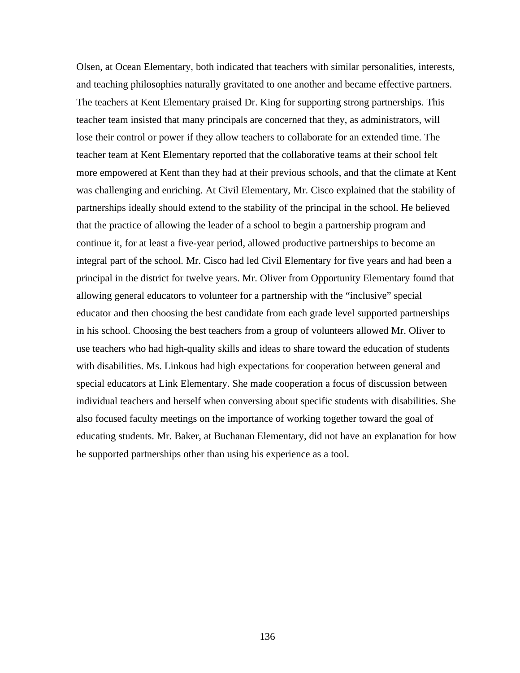Olsen, at Ocean Elementary, both indicated that teachers with similar personalities, interests, and teaching philosophies naturally gravitated to one another and became effective partners. The teachers at Kent Elementary praised Dr. King for supporting strong partnerships. This teacher team insisted that many principals are concerned that they, as administrators, will lose their control or power if they allow teachers to collaborate for an extended time. The teacher team at Kent Elementary reported that the collaborative teams at their school felt more empowered at Kent than they had at their previous schools, and that the climate at Kent was challenging and enriching. At Civil Elementary, Mr. Cisco explained that the stability of partnerships ideally should extend to the stability of the principal in the school. He believed that the practice of allowing the leader of a school to begin a partnership program and continue it, for at least a five-year period, allowed productive partnerships to become an integral part of the school. Mr. Cisco had led Civil Elementary for five years and had been a principal in the district for twelve years. Mr. Oliver from Opportunity Elementary found that allowing general educators to volunteer for a partnership with the "inclusive" special educator and then choosing the best candidate from each grade level supported partnerships in his school. Choosing the best teachers from a group of volunteers allowed Mr. Oliver to use teachers who had high-quality skills and ideas to share toward the education of students with disabilities. Ms. Linkous had high expectations for cooperation between general and special educators at Link Elementary. She made cooperation a focus of discussion between individual teachers and herself when conversing about specific students with disabilities. She also focused faculty meetings on the importance of working together toward the goal of educating students. Mr. Baker, at Buchanan Elementary, did not have an explanation for how he supported partnerships other than using his experience as a tool.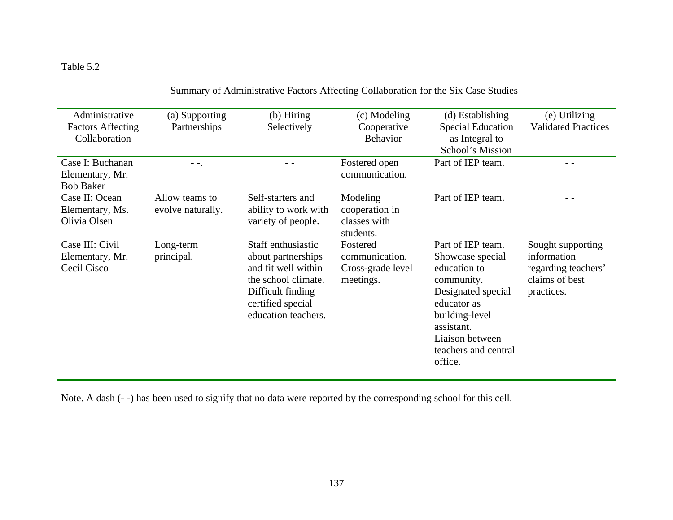# Table 5.2

| Administrative           | (a) Supporting    | (b) Hiring           | (c) Modeling      | (d) Establishing         | (e) Utilizing              |
|--------------------------|-------------------|----------------------|-------------------|--------------------------|----------------------------|
| <b>Factors Affecting</b> | Partnerships      | Selectively          | Cooperative       | <b>Special Education</b> | <b>Validated Practices</b> |
| Collaboration            |                   |                      | Behavior          | as Integral to           |                            |
|                          |                   |                      |                   | School's Mission         |                            |
| Case I: Buchanan         | $- -$             |                      | Fostered open     | Part of IEP team.        |                            |
| Elementary, Mr.          |                   |                      | communication.    |                          |                            |
| <b>Bob Baker</b>         |                   |                      |                   |                          |                            |
| Case II: Ocean           | Allow teams to    | Self-starters and    | Modeling          | Part of IEP team.        |                            |
| Elementary, Ms.          | evolve naturally. | ability to work with | cooperation in    |                          |                            |
| Olivia Olsen             |                   | variety of people.   | classes with      |                          |                            |
|                          |                   |                      | students.         |                          |                            |
| Case III: Civil          | Long-term         | Staff enthusiastic   | Fostered          | Part of IEP team.        | Sought supporting          |
| Elementary, Mr.          | principal.        | about partnerships   | communication.    | Showcase special         | information                |
| Cecil Cisco              |                   | and fit well within  | Cross-grade level | education to             | regarding teachers'        |
|                          |                   | the school climate.  | meetings.         | community.               | claims of best             |
|                          |                   | Difficult finding    |                   | Designated special       | practices.                 |
|                          |                   | certified special    |                   | educator as              |                            |
|                          |                   | education teachers.  |                   | building-level           |                            |
|                          |                   |                      |                   | assistant.               |                            |
|                          |                   |                      |                   | Liaison between          |                            |
|                          |                   |                      |                   | teachers and central     |                            |
|                          |                   |                      |                   | office.                  |                            |
|                          |                   |                      |                   |                          |                            |

Summary of Administrative Factors Affecting Collaboration for the Six Case Studies

Note. A dash (- -) has been used to signify that no data were reported by the corresponding school for this cell.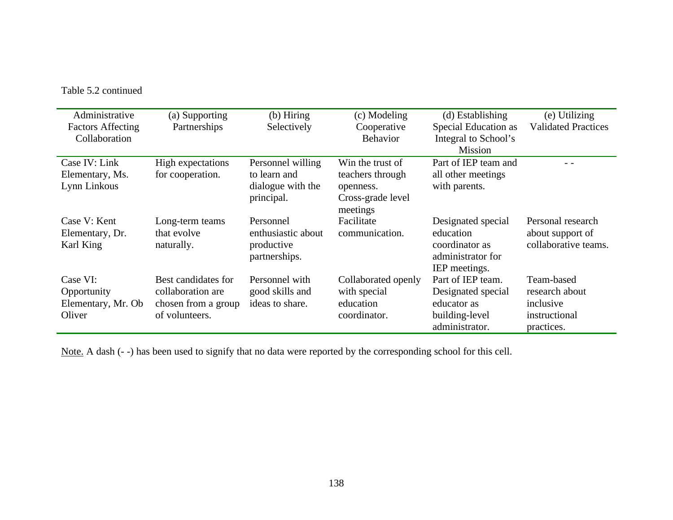Table 5.2 continued

| Administrative           | (a) Supporting      | $(b)$ Hiring       | (c) Modeling        | (d) Establishing     | (e) Utilizing              |
|--------------------------|---------------------|--------------------|---------------------|----------------------|----------------------------|
| <b>Factors Affecting</b> | Partnerships        | Selectively        | Cooperative         | Special Education as | <b>Validated Practices</b> |
| Collaboration            |                     |                    | <b>Behavior</b>     | Integral to School's |                            |
|                          |                     |                    |                     | <b>Mission</b>       |                            |
| Case IV: Link            | High expectations   | Personnel willing  | Win the trust of    | Part of IEP team and |                            |
| Elementary, Ms.          | for cooperation.    | to learn and       | teachers through    | all other meetings   |                            |
| Lynn Linkous             |                     | dialogue with the  | openness.           | with parents.        |                            |
|                          |                     | principal.         | Cross-grade level   |                      |                            |
|                          |                     |                    | meetings            |                      |                            |
| Case V: Kent             | Long-term teams     | Personnel          | Facilitate          | Designated special   | Personal research          |
| Elementary, Dr.          | that evolve         | enthusiastic about | communication.      | education            | about support of           |
| Karl King                | naturally.          | productive         |                     | coordinator as       | collaborative teams.       |
|                          |                     | partnerships.      |                     | administrator for    |                            |
|                          |                     |                    |                     | IEP meetings.        |                            |
| Case VI:                 | Best candidates for | Personnel with     | Collaborated openly | Part of IEP team.    | Team-based                 |
| Opportunity              | collaboration are   | good skills and    | with special        | Designated special   | research about             |
| Elementary, Mr. Ob       | chosen from a group | ideas to share.    | education           | educator as          | inclusive                  |
| Oliver                   | of volunteers.      |                    | coordinator.        | building-level       | instructional              |
|                          |                     |                    |                     | administrator.       | practices.                 |

Note. A dash (- -) has been used to signify that no data were reported by the corresponding school for this cell.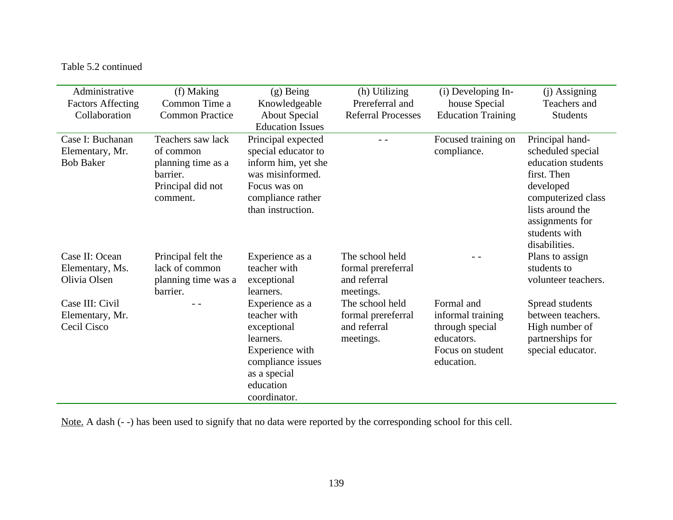# Table 5.2 continued

| Administrative           | (f) Making                      | $(g)$ Being                             | (h) Utilizing                | (i) Developing In-        | (j) Assigning                     |
|--------------------------|---------------------------------|-----------------------------------------|------------------------------|---------------------------|-----------------------------------|
| <b>Factors Affecting</b> | Common Time a                   | Knowledgeable                           | Prereferral and              | house Special             | Teachers and                      |
| Collaboration            | <b>Common Practice</b>          | <b>About Special</b>                    | <b>Referral Processes</b>    | <b>Education Training</b> | <b>Students</b>                   |
|                          |                                 | <b>Education Issues</b>                 |                              |                           |                                   |
| Case I: Buchanan         | Teachers saw lack               | Principal expected                      |                              | Focused training on       | Principal hand-                   |
| Elementary, Mr.          | of common                       | special educator to                     |                              | compliance.               | scheduled special                 |
| <b>Bob Baker</b>         | planning time as a<br>barrier.  | inform him, yet she<br>was misinformed. |                              |                           | education students<br>first. Then |
|                          | Principal did not               | Focus was on                            |                              |                           | developed                         |
|                          | comment.                        | compliance rather                       |                              |                           | computerized class                |
|                          |                                 | than instruction.                       |                              |                           | lists around the                  |
|                          |                                 |                                         |                              |                           | assignments for                   |
|                          |                                 |                                         |                              |                           | students with                     |
|                          |                                 |                                         |                              |                           | disabilities.                     |
| Case II: Ocean           | Principal felt the              | Experience as a                         | The school held              |                           | Plans to assign                   |
| Elementary, Ms.          | lack of common                  | teacher with                            | formal prereferral           |                           | students to                       |
| Olivia Olsen             | planning time was a<br>barrier. | exceptional<br>learners.                | and referral                 |                           | volunteer teachers.               |
| Case III: Civil          |                                 | Experience as a                         | meetings.<br>The school held | Formal and                | Spread students                   |
| Elementary, Mr.          |                                 | teacher with                            | formal prereferral           | informal training         | between teachers.                 |
| Cecil Cisco              |                                 | exceptional                             | and referral                 | through special           | High number of                    |
|                          |                                 | learners.                               | meetings.                    | educators.                | partnerships for                  |
|                          |                                 | Experience with                         |                              | Focus on student          | special educator.                 |
|                          |                                 | compliance issues                       |                              | education.                |                                   |
|                          |                                 | as a special                            |                              |                           |                                   |
|                          |                                 | education                               |                              |                           |                                   |
|                          |                                 | coordinator.                            |                              |                           |                                   |

Note. A dash (- -) has been used to signify that no data were reported by the corresponding school for this cell.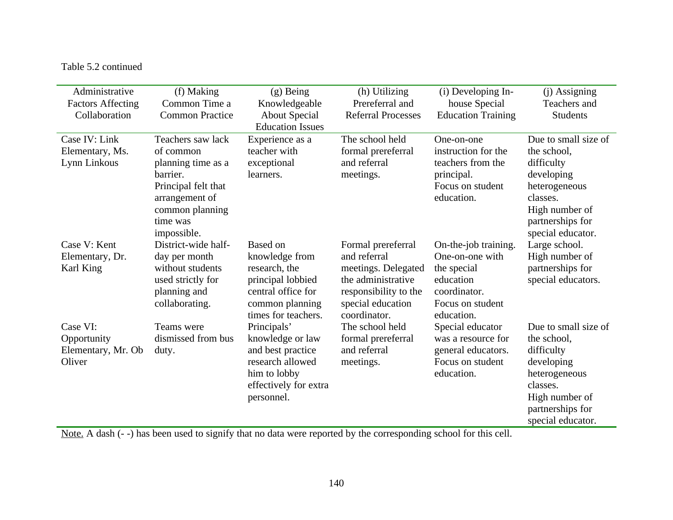# Table 5.2 continued

| Administrative<br><b>Factors Affecting</b>              | (f) Making<br>Common Time a                                                                                                              | $(g)$ Being<br>Knowledgeable                                                                                                            | (h) Utilizing<br>Prereferral and                                                                                                              | (i) Developing In-<br>house Special                                                                                   | (j) Assigning<br>Teachers and                                                                                                                           |
|---------------------------------------------------------|------------------------------------------------------------------------------------------------------------------------------------------|-----------------------------------------------------------------------------------------------------------------------------------------|-----------------------------------------------------------------------------------------------------------------------------------------------|-----------------------------------------------------------------------------------------------------------------------|---------------------------------------------------------------------------------------------------------------------------------------------------------|
| Collaboration                                           | <b>Common Practice</b>                                                                                                                   | <b>About Special</b><br><b>Education Issues</b>                                                                                         | <b>Referral Processes</b>                                                                                                                     | <b>Education Training</b>                                                                                             | <b>Students</b>                                                                                                                                         |
| Case IV: Link<br>Elementary, Ms.<br>Lynn Linkous        | Teachers saw lack<br>of common<br>planning time as a<br>barrier.<br>Principal felt that<br>arrangement of<br>common planning<br>time was | Experience as a<br>teacher with<br>exceptional<br>learners.                                                                             | The school held<br>formal prereferral<br>and referral<br>meetings.                                                                            | One-on-one<br>instruction for the<br>teachers from the<br>principal.<br>Focus on student<br>education.                | Due to small size of<br>the school,<br>difficulty<br>developing<br>heterogeneous<br>classes.<br>High number of<br>partnerships for                      |
| Case V: Kent<br>Elementary, Dr.<br>Karl King            | impossible.<br>District-wide half-<br>day per month<br>without students<br>used strictly for<br>planning and<br>collaborating.           | <b>Based on</b><br>knowledge from<br>research, the<br>principal lobbied<br>central office for<br>common planning<br>times for teachers. | Formal prereferral<br>and referral<br>meetings. Delegated<br>the administrative<br>responsibility to the<br>special education<br>coordinator. | On-the-job training.<br>One-on-one with<br>the special<br>education<br>coordinator.<br>Focus on student<br>education. | special educator.<br>Large school.<br>High number of<br>partnerships for<br>special educators.                                                          |
| Case VI:<br>Opportunity<br>Elementary, Mr. Ob<br>Oliver | Teams were<br>dismissed from bus<br>duty.                                                                                                | Principals'<br>knowledge or law<br>and best practice<br>research allowed<br>him to lobby<br>effectively for extra<br>personnel.         | The school held<br>formal prereferral<br>and referral<br>meetings.                                                                            | Special educator<br>was a resource for<br>general educators.<br>Focus on student<br>education.                        | Due to small size of<br>the school,<br>difficulty<br>developing<br>heterogeneous<br>classes.<br>High number of<br>partnerships for<br>special educator. |

Note. A dash (- -) has been used to signify that no data were reported by the corresponding school for this cell.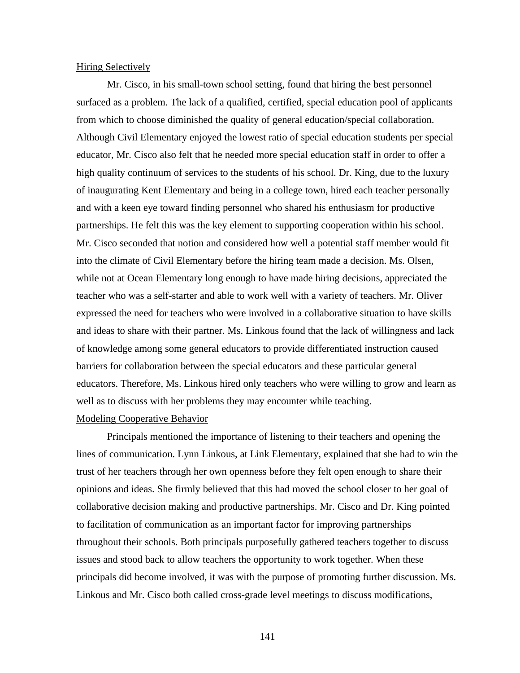#### Hiring Selectively

Mr. Cisco, in his small-town school setting, found that hiring the best personnel surfaced as a problem. The lack of a qualified, certified, special education pool of applicants from which to choose diminished the quality of general education/special collaboration. Although Civil Elementary enjoyed the lowest ratio of special education students per special educator, Mr. Cisco also felt that he needed more special education staff in order to offer a high quality continuum of services to the students of his school. Dr. King, due to the luxury of inaugurating Kent Elementary and being in a college town, hired each teacher personally and with a keen eye toward finding personnel who shared his enthusiasm for productive partnerships. He felt this was the key element to supporting cooperation within his school. Mr. Cisco seconded that notion and considered how well a potential staff member would fit into the climate of Civil Elementary before the hiring team made a decision. Ms. Olsen, while not at Ocean Elementary long enough to have made hiring decisions, appreciated the teacher who was a self-starter and able to work well with a variety of teachers. Mr. Oliver expressed the need for teachers who were involved in a collaborative situation to have skills and ideas to share with their partner. Ms. Linkous found that the lack of willingness and lack of knowledge among some general educators to provide differentiated instruction caused barriers for collaboration between the special educators and these particular general educators. Therefore, Ms. Linkous hired only teachers who were willing to grow and learn as well as to discuss with her problems they may encounter while teaching. Modeling Cooperative Behavior

Principals mentioned the importance of listening to their teachers and opening the lines of communication. Lynn Linkous, at Link Elementary, explained that she had to win the trust of her teachers through her own openness before they felt open enough to share their opinions and ideas. She firmly believed that this had moved the school closer to her goal of collaborative decision making and productive partnerships. Mr. Cisco and Dr. King pointed to facilitation of communication as an important factor for improving partnerships throughout their schools. Both principals purposefully gathered teachers together to discuss issues and stood back to allow teachers the opportunity to work together. When these principals did become involved, it was with the purpose of promoting further discussion. Ms. Linkous and Mr. Cisco both called cross-grade level meetings to discuss modifications,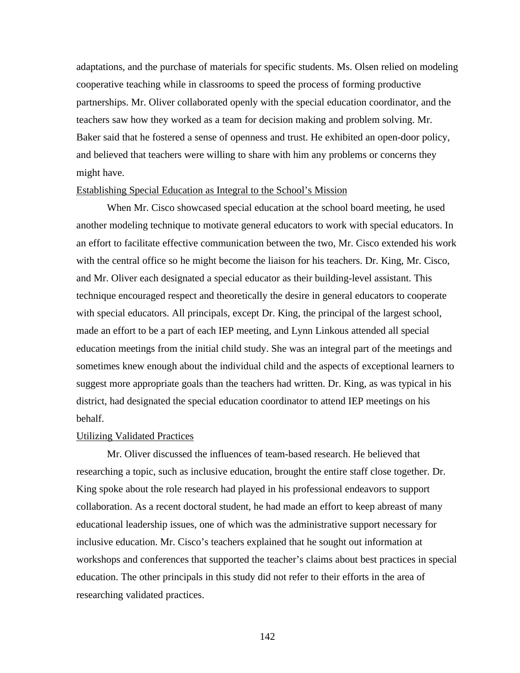adaptations, and the purchase of materials for specific students. Ms. Olsen relied on modeling cooperative teaching while in classrooms to speed the process of forming productive partnerships. Mr. Oliver collaborated openly with the special education coordinator, and the teachers saw how they worked as a team for decision making and problem solving. Mr. Baker said that he fostered a sense of openness and trust. He exhibited an open-door policy, and believed that teachers were willing to share with him any problems or concerns they might have.

#### Establishing Special Education as Integral to the School's Mission

When Mr. Cisco showcased special education at the school board meeting, he used another modeling technique to motivate general educators to work with special educators. In an effort to facilitate effective communication between the two, Mr. Cisco extended his work with the central office so he might become the liaison for his teachers. Dr. King, Mr. Cisco, and Mr. Oliver each designated a special educator as their building-level assistant. This technique encouraged respect and theoretically the desire in general educators to cooperate with special educators. All principals, except Dr. King, the principal of the largest school, made an effort to be a part of each IEP meeting, and Lynn Linkous attended all special education meetings from the initial child study. She was an integral part of the meetings and sometimes knew enough about the individual child and the aspects of exceptional learners to suggest more appropriate goals than the teachers had written. Dr. King, as was typical in his district, had designated the special education coordinator to attend IEP meetings on his behalf.

## Utilizing Validated Practices

Mr. Oliver discussed the influences of team-based research. He believed that researching a topic, such as inclusive education, brought the entire staff close together. Dr. King spoke about the role research had played in his professional endeavors to support collaboration. As a recent doctoral student, he had made an effort to keep abreast of many educational leadership issues, one of which was the administrative support necessary for inclusive education. Mr. Cisco's teachers explained that he sought out information at workshops and conferences that supported the teacher's claims about best practices in special education. The other principals in this study did not refer to their efforts in the area of researching validated practices.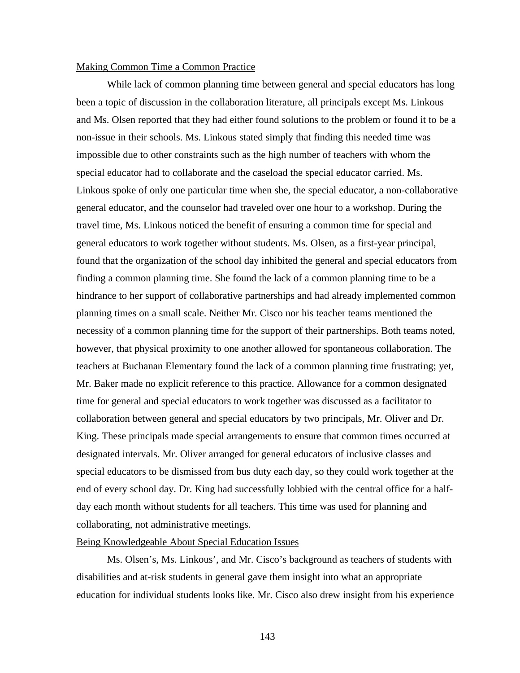### Making Common Time a Common Practice

While lack of common planning time between general and special educators has long been a topic of discussion in the collaboration literature, all principals except Ms. Linkous and Ms. Olsen reported that they had either found solutions to the problem or found it to be a non-issue in their schools. Ms. Linkous stated simply that finding this needed time was impossible due to other constraints such as the high number of teachers with whom the special educator had to collaborate and the caseload the special educator carried. Ms. Linkous spoke of only one particular time when she, the special educator, a non-collaborative general educator, and the counselor had traveled over one hour to a workshop. During the travel time, Ms. Linkous noticed the benefit of ensuring a common time for special and general educators to work together without students. Ms. Olsen, as a first-year principal, found that the organization of the school day inhibited the general and special educators from finding a common planning time. She found the lack of a common planning time to be a hindrance to her support of collaborative partnerships and had already implemented common planning times on a small scale. Neither Mr. Cisco nor his teacher teams mentioned the necessity of a common planning time for the support of their partnerships. Both teams noted, however, that physical proximity to one another allowed for spontaneous collaboration. The teachers at Buchanan Elementary found the lack of a common planning time frustrating; yet, Mr. Baker made no explicit reference to this practice. Allowance for a common designated time for general and special educators to work together was discussed as a facilitator to collaboration between general and special educators by two principals, Mr. Oliver and Dr. King. These principals made special arrangements to ensure that common times occurred at designated intervals. Mr. Oliver arranged for general educators of inclusive classes and special educators to be dismissed from bus duty each day, so they could work together at the end of every school day. Dr. King had successfully lobbied with the central office for a halfday each month without students for all teachers. This time was used for planning and collaborating, not administrative meetings.

## Being Knowledgeable About Special Education Issues

Ms. Olsen's, Ms. Linkous', and Mr. Cisco's background as teachers of students with disabilities and at-risk students in general gave them insight into what an appropriate education for individual students looks like. Mr. Cisco also drew insight from his experience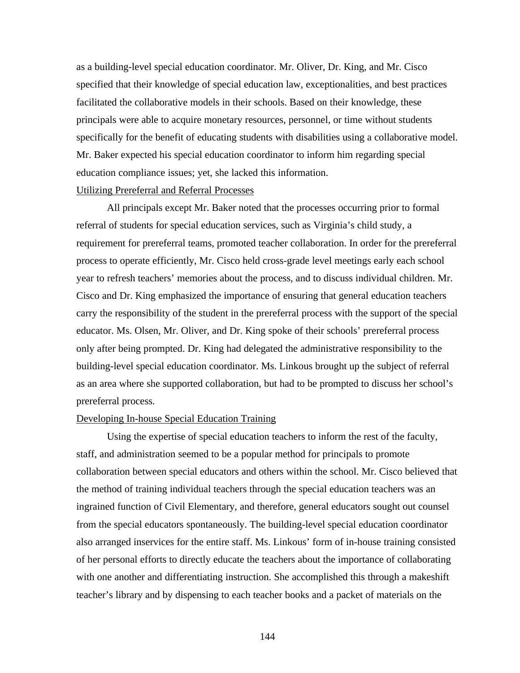as a building-level special education coordinator. Mr. Oliver, Dr. King, and Mr. Cisco specified that their knowledge of special education law, exceptionalities, and best practices facilitated the collaborative models in their schools. Based on their knowledge, these principals were able to acquire monetary resources, personnel, or time without students specifically for the benefit of educating students with disabilities using a collaborative model. Mr. Baker expected his special education coordinator to inform him regarding special education compliance issues; yet, she lacked this information.

#### Utilizing Prereferral and Referral Processes

All principals except Mr. Baker noted that the processes occurring prior to formal referral of students for special education services, such as Virginia's child study, a requirement for prereferral teams, promoted teacher collaboration. In order for the prereferral process to operate efficiently, Mr. Cisco held cross-grade level meetings early each school year to refresh teachers' memories about the process, and to discuss individual children. Mr. Cisco and Dr. King emphasized the importance of ensuring that general education teachers carry the responsibility of the student in the prereferral process with the support of the special educator. Ms. Olsen, Mr. Oliver, and Dr. King spoke of their schools' prereferral process only after being prompted. Dr. King had delegated the administrative responsibility to the building-level special education coordinator. Ms. Linkous brought up the subject of referral as an area where she supported collaboration, but had to be prompted to discuss her school's prereferral process.

## Developing In-house Special Education Training

Using the expertise of special education teachers to inform the rest of the faculty, staff, and administration seemed to be a popular method for principals to promote collaboration between special educators and others within the school. Mr. Cisco believed that the method of training individual teachers through the special education teachers was an ingrained function of Civil Elementary, and therefore, general educators sought out counsel from the special educators spontaneously. The building-level special education coordinator also arranged inservices for the entire staff. Ms. Linkous' form of in-house training consisted of her personal efforts to directly educate the teachers about the importance of collaborating with one another and differentiating instruction. She accomplished this through a makeshift teacher's library and by dispensing to each teacher books and a packet of materials on the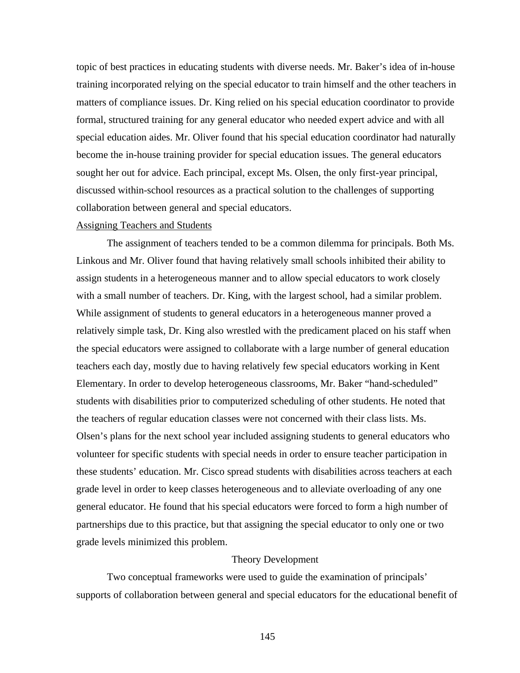topic of best practices in educating students with diverse needs. Mr. Baker's idea of in-house training incorporated relying on the special educator to train himself and the other teachers in matters of compliance issues. Dr. King relied on his special education coordinator to provide formal, structured training for any general educator who needed expert advice and with all special education aides. Mr. Oliver found that his special education coordinator had naturally become the in-house training provider for special education issues. The general educators sought her out for advice. Each principal, except Ms. Olsen, the only first-year principal, discussed within-school resources as a practical solution to the challenges of supporting collaboration between general and special educators.

## Assigning Teachers and Students

The assignment of teachers tended to be a common dilemma for principals. Both Ms. Linkous and Mr. Oliver found that having relatively small schools inhibited their ability to assign students in a heterogeneous manner and to allow special educators to work closely with a small number of teachers. Dr. King, with the largest school, had a similar problem. While assignment of students to general educators in a heterogeneous manner proved a relatively simple task, Dr. King also wrestled with the predicament placed on his staff when the special educators were assigned to collaborate with a large number of general education teachers each day, mostly due to having relatively few special educators working in Kent Elementary. In order to develop heterogeneous classrooms, Mr. Baker "hand-scheduled" students with disabilities prior to computerized scheduling of other students. He noted that the teachers of regular education classes were not concerned with their class lists. Ms. Olsen's plans for the next school year included assigning students to general educators who volunteer for specific students with special needs in order to ensure teacher participation in these students' education. Mr. Cisco spread students with disabilities across teachers at each grade level in order to keep classes heterogeneous and to alleviate overloading of any one general educator. He found that his special educators were forced to form a high number of partnerships due to this practice, but that assigning the special educator to only one or two grade levels minimized this problem.

#### Theory Development

Two conceptual frameworks were used to guide the examination of principals' supports of collaboration between general and special educators for the educational benefit of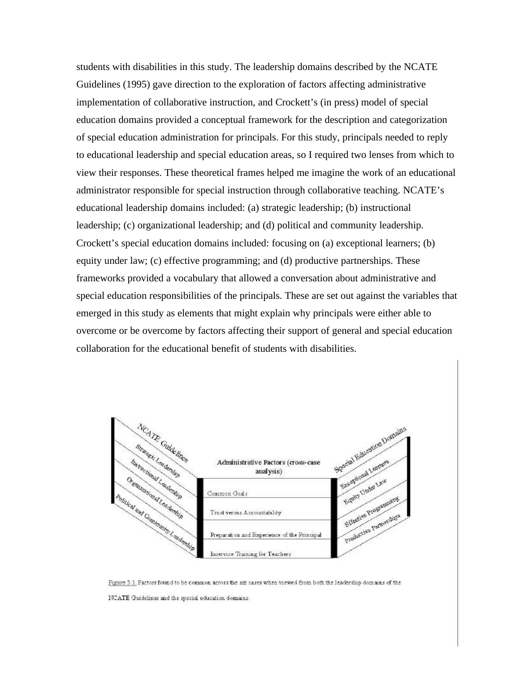students with disabilities in this study. The leadership domains described by the NCATE Guidelines (1995) gave direction to the exploration of factors affecting administrative implementation of collaborative instruction, and Crockett's (in press) model of special education domains provided a conceptual framework for the description and categorization of special education administration for principals. For this study, principals needed to reply to educational leadership and special education areas, so I required two lenses from which to view their responses. These theoretical frames helped me imagine the work of an educational administrator responsible for special instruction through collaborative teaching. NCATE's educational leadership domains included: (a) strategic leadership; (b) instructional leadership; (c) organizational leadership; and (d) political and community leadership. Crockett's special education domains included: focusing on (a) exceptional learners; (b) equity under law; (c) effective programming; and (d) productive partnerships. These frameworks provided a vocabulary that allowed a conversation about administrative and special education responsibilities of the principals. These are set out against the variables that emerged in this study as elements that might explain why principals were either able to overcome or be overcome by factors affecting their support of general and special education collaboration for the educational benefit of students with disabilities.



Figure 5.1. Factors found to be common across the six cases when viewed from both the leadership domains of the NCATE Guidelines and the special education domains.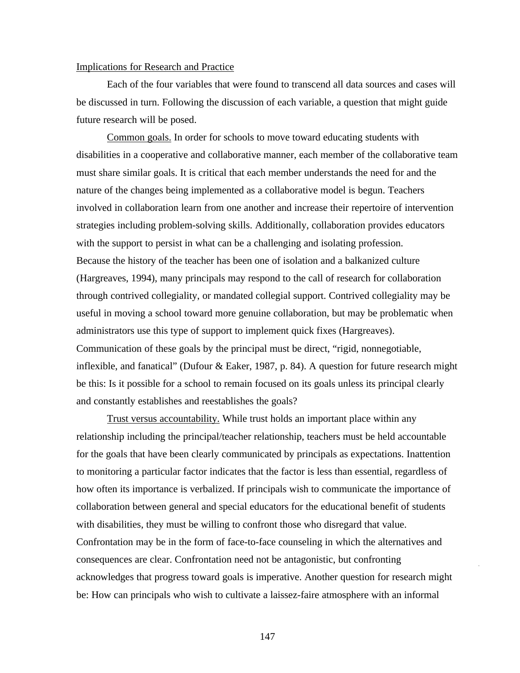#### Implications for Research and Practice

Each of the four variables that were found to transcend all data sources and cases will be discussed in turn. Following the discussion of each variable, a question that might guide future research will be posed.

Common goals. In order for schools to move toward educating students with disabilities in a cooperative and collaborative manner, each member of the collaborative team must share similar goals. It is critical that each member understands the need for and the nature of the changes being implemented as a collaborative model is begun. Teachers involved in collaboration learn from one another and increase their repertoire of intervention strategies including problem-solving skills. Additionally, collaboration provides educators with the support to persist in what can be a challenging and isolating profession. Because the history of the teacher has been one of isolation and a balkanized culture (Hargreaves, 1994), many principals may respond to the call of research for collaboration through contrived collegiality, or mandated collegial support. Contrived collegiality may be useful in moving a school toward more genuine collaboration, but may be problematic when administrators use this type of support to implement quick fixes (Hargreaves). Communication of these goals by the principal must be direct, "rigid, nonnegotiable, inflexible, and fanatical" (Dufour & Eaker, 1987, p. 84). A question for future research might be this: Is it possible for a school to remain focused on its goals unless its principal clearly and constantly establishes and reestablishes the goals?

Trust versus accountability. While trust holds an important place within any relationship including the principal/teacher relationship, teachers must be held accountable for the goals that have been clearly communicated by principals as expectations. Inattention to monitoring a particular factor indicates that the factor is less than essential, regardless of how often its importance is verbalized. If principals wish to communicate the importance of collaboration between general and special educators for the educational benefit of students with disabilities, they must be willing to confront those who disregard that value. Confrontation may be in the form of face-to-face counseling in which the alternatives and consequences are clear. Confrontation need not be antagonistic, but confronting acknowledges that progress toward goals is imperative. Another question for research might be: How can principals who wish to cultivate a laissez-faire atmosphere with an informal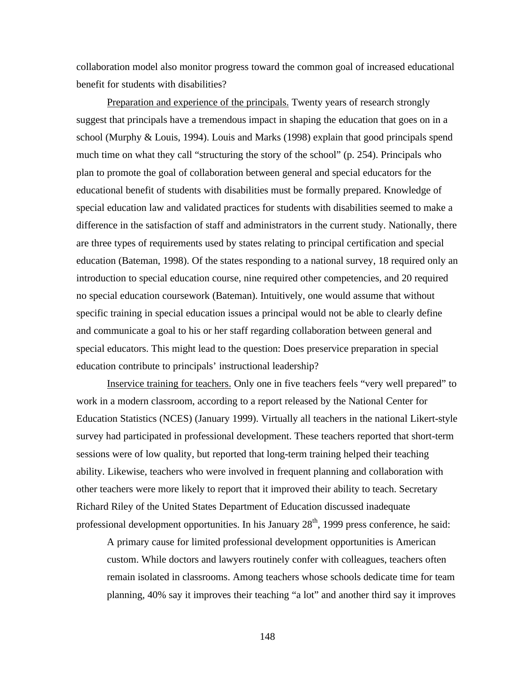collaboration model also monitor progress toward the common goal of increased educational benefit for students with disabilities?

Preparation and experience of the principals. Twenty years of research strongly suggest that principals have a tremendous impact in shaping the education that goes on in a school (Murphy & Louis, 1994). Louis and Marks (1998) explain that good principals spend much time on what they call "structuring the story of the school" (p. 254). Principals who plan to promote the goal of collaboration between general and special educators for the educational benefit of students with disabilities must be formally prepared. Knowledge of special education law and validated practices for students with disabilities seemed to make a difference in the satisfaction of staff and administrators in the current study. Nationally, there are three types of requirements used by states relating to principal certification and special education (Bateman, 1998). Of the states responding to a national survey, 18 required only an introduction to special education course, nine required other competencies, and 20 required no special education coursework (Bateman). Intuitively, one would assume that without specific training in special education issues a principal would not be able to clearly define and communicate a goal to his or her staff regarding collaboration between general and special educators. This might lead to the question: Does preservice preparation in special education contribute to principals' instructional leadership?

Inservice training for teachers. Only one in five teachers feels "very well prepared" to work in a modern classroom, according to a report released by the National Center for Education Statistics (NCES) (January 1999). Virtually all teachers in the national Likert-style survey had participated in professional development. These teachers reported that short-term sessions were of low quality, but reported that long-term training helped their teaching ability. Likewise, teachers who were involved in frequent planning and collaboration with other teachers were more likely to report that it improved their ability to teach. Secretary Richard Riley of the United States Department of Education discussed inadequate professional development opportunities. In his January  $28<sup>th</sup>$ , 1999 press conference, he said:

A primary cause for limited professional development opportunities is American custom. While doctors and lawyers routinely confer with colleagues, teachers often remain isolated in classrooms. Among teachers whose schools dedicate time for team planning, 40% say it improves their teaching "a lot" and another third say it improves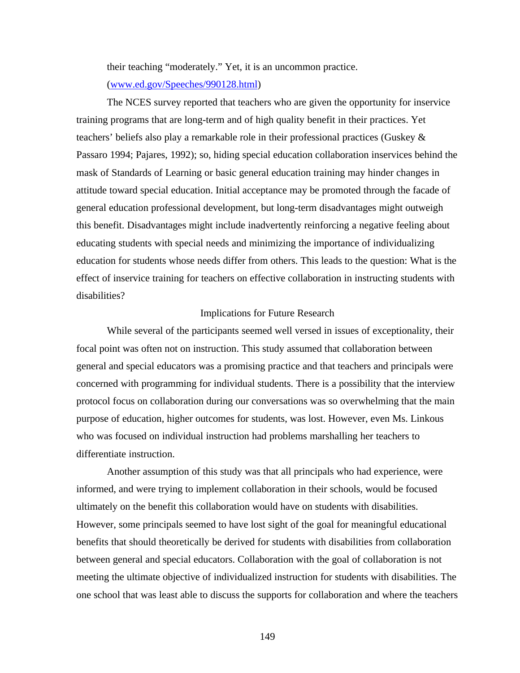their teaching "moderately." Yet, it is an uncommon practice.

(www.ed.gov/Speeches/990128.html)

The NCES survey reported that teachers who are given the opportunity for inservice training programs that are long-term and of high quality benefit in their practices. Yet teachers' beliefs also play a remarkable role in their professional practices (Guskey & Passaro 1994; Pajares, 1992); so, hiding special education collaboration inservices behind the mask of Standards of Learning or basic general education training may hinder changes in attitude toward special education. Initial acceptance may be promoted through the facade of general education professional development, but long-term disadvantages might outweigh this benefit. Disadvantages might include inadvertently reinforcing a negative feeling about educating students with special needs and minimizing the importance of individualizing education for students whose needs differ from others. This leads to the question: What is the effect of inservice training for teachers on effective collaboration in instructing students with disabilities?

### Implications for Future Research

While several of the participants seemed well versed in issues of exceptionality, their focal point was often not on instruction. This study assumed that collaboration between general and special educators was a promising practice and that teachers and principals were concerned with programming for individual students. There is a possibility that the interview protocol focus on collaboration during our conversations was so overwhelming that the main purpose of education, higher outcomes for students, was lost. However, even Ms. Linkous who was focused on individual instruction had problems marshalling her teachers to differentiate instruction.

Another assumption of this study was that all principals who had experience, were informed, and were trying to implement collaboration in their schools, would be focused ultimately on the benefit this collaboration would have on students with disabilities. However, some principals seemed to have lost sight of the goal for meaningful educational benefits that should theoretically be derived for students with disabilities from collaboration between general and special educators. Collaboration with the goal of collaboration is not meeting the ultimate objective of individualized instruction for students with disabilities. The one school that was least able to discuss the supports for collaboration and where the teachers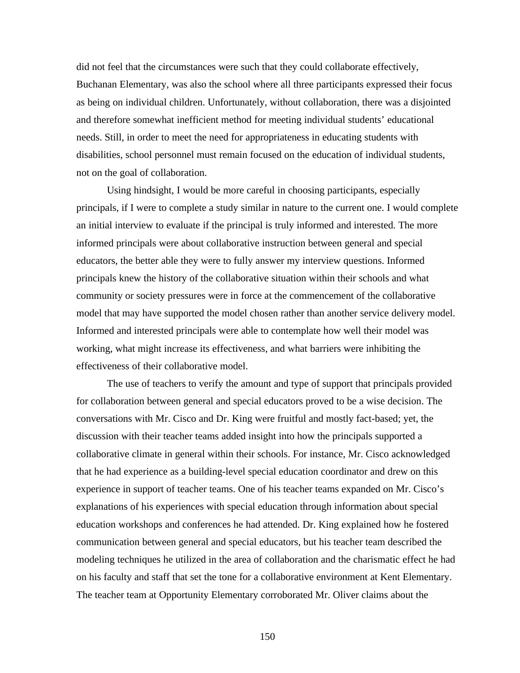did not feel that the circumstances were such that they could collaborate effectively, Buchanan Elementary, was also the school where all three participants expressed their focus as being on individual children. Unfortunately, without collaboration, there was a disjointed and therefore somewhat inefficient method for meeting individual students' educational needs. Still, in order to meet the need for appropriateness in educating students with disabilities, school personnel must remain focused on the education of individual students, not on the goal of collaboration.

Using hindsight, I would be more careful in choosing participants, especially principals, if I were to complete a study similar in nature to the current one. I would complete an initial interview to evaluate if the principal is truly informed and interested. The more informed principals were about collaborative instruction between general and special educators, the better able they were to fully answer my interview questions. Informed principals knew the history of the collaborative situation within their schools and what community or society pressures were in force at the commencement of the collaborative model that may have supported the model chosen rather than another service delivery model. Informed and interested principals were able to contemplate how well their model was working, what might increase its effectiveness, and what barriers were inhibiting the effectiveness of their collaborative model.

The use of teachers to verify the amount and type of support that principals provided for collaboration between general and special educators proved to be a wise decision. The conversations with Mr. Cisco and Dr. King were fruitful and mostly fact-based; yet, the discussion with their teacher teams added insight into how the principals supported a collaborative climate in general within their schools. For instance, Mr. Cisco acknowledged that he had experience as a building-level special education coordinator and drew on this experience in support of teacher teams. One of his teacher teams expanded on Mr. Cisco's explanations of his experiences with special education through information about special education workshops and conferences he had attended. Dr. King explained how he fostered communication between general and special educators, but his teacher team described the modeling techniques he utilized in the area of collaboration and the charismatic effect he had on his faculty and staff that set the tone for a collaborative environment at Kent Elementary. The teacher team at Opportunity Elementary corroborated Mr. Oliver claims about the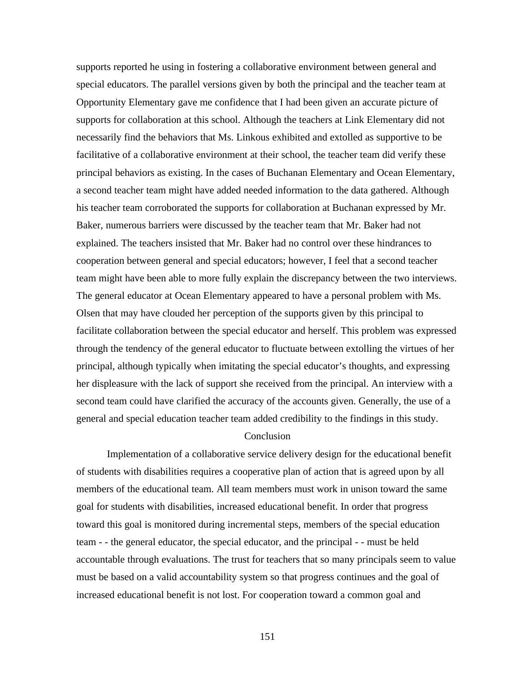supports reported he using in fostering a collaborative environment between general and special educators. The parallel versions given by both the principal and the teacher team at Opportunity Elementary gave me confidence that I had been given an accurate picture of supports for collaboration at this school. Although the teachers at Link Elementary did not necessarily find the behaviors that Ms. Linkous exhibited and extolled as supportive to be facilitative of a collaborative environment at their school, the teacher team did verify these principal behaviors as existing. In the cases of Buchanan Elementary and Ocean Elementary, a second teacher team might have added needed information to the data gathered. Although his teacher team corroborated the supports for collaboration at Buchanan expressed by Mr. Baker, numerous barriers were discussed by the teacher team that Mr. Baker had not explained. The teachers insisted that Mr. Baker had no control over these hindrances to cooperation between general and special educators; however, I feel that a second teacher team might have been able to more fully explain the discrepancy between the two interviews. The general educator at Ocean Elementary appeared to have a personal problem with Ms. Olsen that may have clouded her perception of the supports given by this principal to facilitate collaboration between the special educator and herself. This problem was expressed through the tendency of the general educator to fluctuate between extolling the virtues of her principal, although typically when imitating the special educator's thoughts, and expressing her displeasure with the lack of support she received from the principal. An interview with a second team could have clarified the accuracy of the accounts given. Generally, the use of a general and special education teacher team added credibility to the findings in this study.

# **Conclusion**

Implementation of a collaborative service delivery design for the educational benefit of students with disabilities requires a cooperative plan of action that is agreed upon by all members of the educational team. All team members must work in unison toward the same goal for students with disabilities, increased educational benefit. In order that progress toward this goal is monitored during incremental steps, members of the special education team - - the general educator, the special educator, and the principal - - must be held accountable through evaluations. The trust for teachers that so many principals seem to value must be based on a valid accountability system so that progress continues and the goal of increased educational benefit is not lost. For cooperation toward a common goal and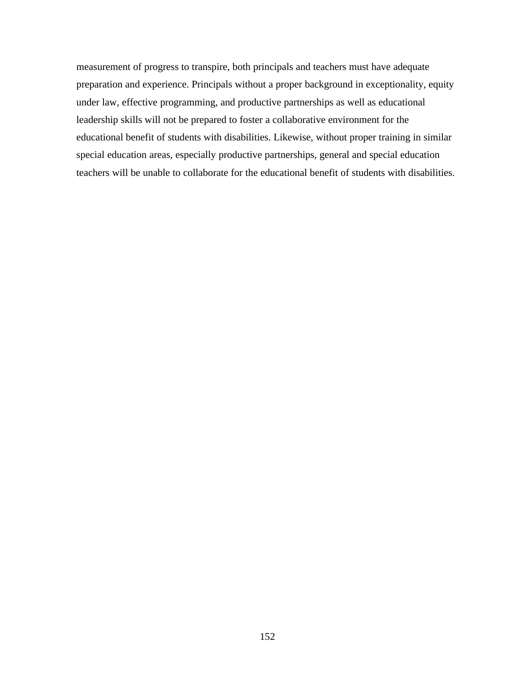measurement of progress to transpire, both principals and teachers must have adequate preparation and experience. Principals without a proper background in exceptionality, equity under law, effective programming, and productive partnerships as well as educational leadership skills will not be prepared to foster a collaborative environment for the educational benefit of students with disabilities. Likewise, without proper training in similar special education areas, especially productive partnerships, general and special education teachers will be unable to collaborate for the educational benefit of students with disabilities.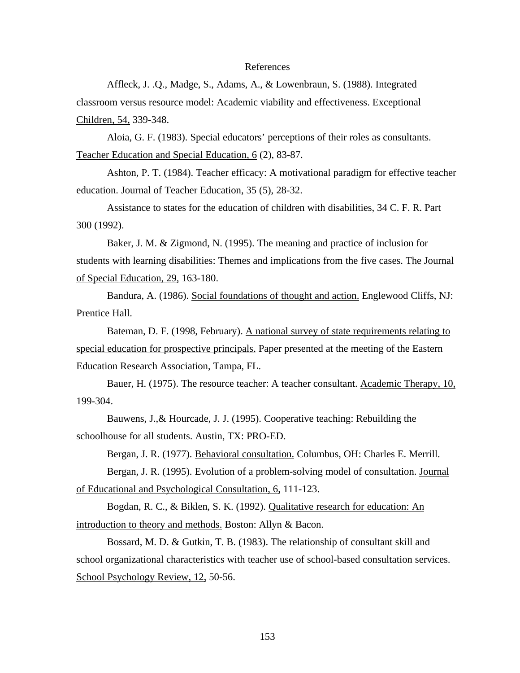#### References

Affleck, J. .Q., Madge, S., Adams, A., & Lowenbraun, S. (1988). Integrated classroom versus resource model: Academic viability and effectiveness. Exceptional Children, 54, 339-348.

Aloia, G. F. (1983). Special educators' perceptions of their roles as consultants. Teacher Education and Special Education, 6 (2), 83-87.

Ashton, P. T. (1984). Teacher efficacy: A motivational paradigm for effective teacher education. Journal of Teacher Education, 35 (5), 28-32.

Assistance to states for the education of children with disabilities, 34 C. F. R. Part 300 (1992).

Baker, J. M. & Zigmond, N. (1995). The meaning and practice of inclusion for students with learning disabilities: Themes and implications from the five cases. The Journal of Special Education, 29, 163-180.

Bandura, A. (1986). Social foundations of thought and action. Englewood Cliffs, NJ: Prentice Hall.

Bateman, D. F. (1998, February). A national survey of state requirements relating to special education for prospective principals. Paper presented at the meeting of the Eastern Education Research Association, Tampa, FL.

Bauer, H. (1975). The resource teacher: A teacher consultant. Academic Therapy, 10, 199-304.

Bauwens, J.,& Hourcade, J. J. (1995). Cooperative teaching: Rebuilding the schoolhouse for all students. Austin, TX: PRO-ED.

Bergan, J. R. (1977). Behavioral consultation. Columbus, OH: Charles E. Merrill.

Bergan, J. R. (1995). Evolution of a problem-solving model of consultation. Journal of Educational and Psychological Consultation, 6, 111-123.

Bogdan, R. C., & Biklen, S. K. (1992). Qualitative research for education: An introduction to theory and methods. Boston: Allyn & Bacon.

Bossard, M. D. & Gutkin, T. B. (1983). The relationship of consultant skill and school organizational characteristics with teacher use of school-based consultation services. School Psychology Review, 12, 50-56.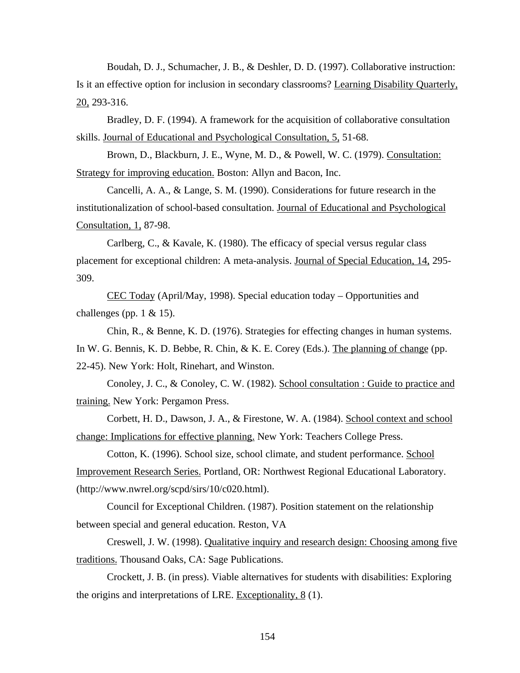Boudah, D. J., Schumacher, J. B., & Deshler, D. D. (1997). Collaborative instruction: Is it an effective option for inclusion in secondary classrooms? Learning Disability Quarterly, 20, 293-316.

Bradley, D. F. (1994). A framework for the acquisition of collaborative consultation skills. Journal of Educational and Psychological Consultation, 5, 51-68.

Brown, D., Blackburn, J. E., Wyne, M. D., & Powell, W. C. (1979). Consultation: Strategy for improving education. Boston: Allyn and Bacon, Inc.

Cancelli, A. A., & Lange, S. M. (1990). Considerations for future research in the institutionalization of school-based consultation. Journal of Educational and Psychological Consultation, 1, 87-98.

Carlberg, C., & Kavale, K. (1980). The efficacy of special versus regular class placement for exceptional children: A meta-analysis. Journal of Special Education, 14, 295- 309.

CEC Today (April/May, 1998). Special education today – Opportunities and challenges (pp. 1  $& 15$ ).

Chin, R., & Benne, K. D. (1976). Strategies for effecting changes in human systems. In W. G. Bennis, K. D. Bebbe, R. Chin, & K. E. Corey (Eds.). The planning of change (pp. 22-45). New York: Holt, Rinehart, and Winston.

Conoley, J. C., & Conoley, C. W. (1982). School consultation : Guide to practice and training. New York: Pergamon Press.

Corbett, H. D., Dawson, J. A., & Firestone, W. A. (1984). School context and school change: Implications for effective planning. New York: Teachers College Press.

Cotton, K. (1996). School size, school climate, and student performance. School Improvement Research Series. Portland, OR: Northwest Regional Educational Laboratory. (http://www.nwrel.org/scpd/sirs/10/c020.html).

Council for Exceptional Children. (1987). Position statement on the relationship between special and general education. Reston, VA

Creswell, J. W. (1998). Qualitative inquiry and research design: Choosing among five traditions. Thousand Oaks, CA: Sage Publications.

Crockett, J. B. (in press). Viable alternatives for students with disabilities: Exploring the origins and interpretations of LRE. Exceptionality, 8 (1).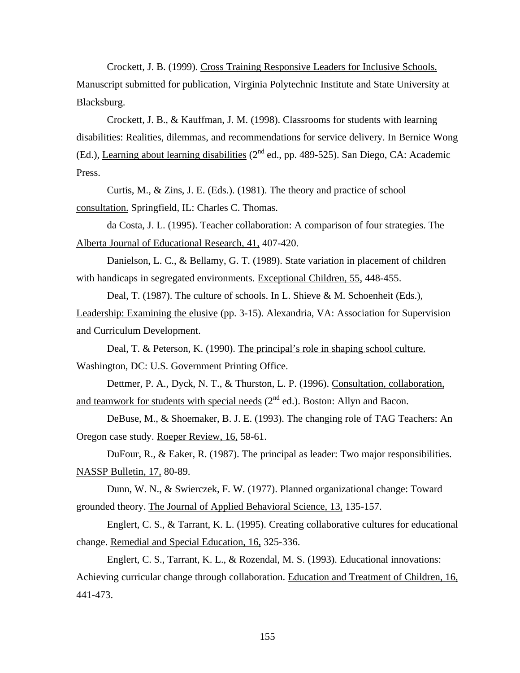Crockett, J. B. (1999). Cross Training Responsive Leaders for Inclusive Schools. Manuscript submitted for publication, Virginia Polytechnic Institute and State University at Blacksburg.

Crockett, J. B., & Kauffman, J. M. (1998). Classrooms for students with learning disabilities: Realities, dilemmas, and recommendations for service delivery. In Bernice Wong (Ed.), Learning about learning disabilities  $(2^{nd}$  ed., pp. 489-525). San Diego, CA: Academic Press.

Curtis, M., & Zins, J. E. (Eds.). (1981). The theory and practice of school consultation. Springfield, IL: Charles C. Thomas.

da Costa, J. L. (1995). Teacher collaboration: A comparison of four strategies. The Alberta Journal of Educational Research, 41, 407-420.

Danielson, L. C., & Bellamy, G. T. (1989). State variation in placement of children with handicaps in segregated environments. Exceptional Children, 55, 448-455.

Deal, T. (1987). The culture of schools. In L. Shieve & M. Schoenheit (Eds.), Leadership: Examining the elusive (pp. 3-15). Alexandria, VA: Association for Supervision and Curriculum Development.

Deal, T. & Peterson, K. (1990). The principal's role in shaping school culture. Washington, DC: U.S. Government Printing Office.

Dettmer, P. A., Dyck, N. T., & Thurston, L. P. (1996). Consultation, collaboration, and teamwork for students with special needs  $(2^{nd}$  ed.). Boston: Allyn and Bacon.

DeBuse, M., & Shoemaker, B. J. E. (1993). The changing role of TAG Teachers: An Oregon case study. Roeper Review, 16, 58-61.

DuFour, R., & Eaker, R. (1987). The principal as leader: Two major responsibilities. NASSP Bulletin, 17, 80-89.

Dunn, W. N., & Swierczek, F. W. (1977). Planned organizational change: Toward grounded theory. The Journal of Applied Behavioral Science, 13, 135-157.

Englert, C. S., & Tarrant, K. L. (1995). Creating collaborative cultures for educational change. Remedial and Special Education, 16, 325-336.

Englert, C. S., Tarrant, K. L., & Rozendal, M. S. (1993). Educational innovations: Achieving curricular change through collaboration. Education and Treatment of Children, 16, 441-473.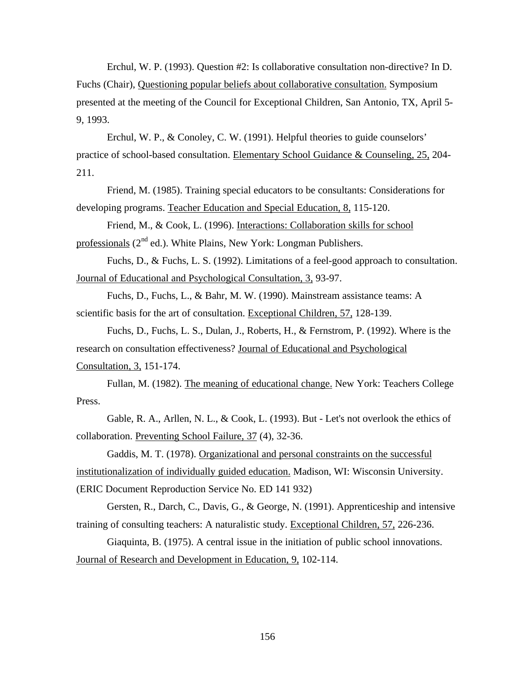Erchul, W. P. (1993). Question #2: Is collaborative consultation non-directive? In D. Fuchs (Chair), Questioning popular beliefs about collaborative consultation. Symposium presented at the meeting of the Council for Exceptional Children, San Antonio, TX, April 5- 9, 1993.

Erchul, W. P., & Conoley, C. W. (1991). Helpful theories to guide counselors' practice of school-based consultation. Elementary School Guidance & Counseling, 25, 204- 211.

Friend, M. (1985). Training special educators to be consultants: Considerations for developing programs. Teacher Education and Special Education, 8, 115-120.

Friend, M., & Cook, L. (1996). Interactions: Collaboration skills for school professionals  $(2^{nd}$  ed.). White Plains, New York: Longman Publishers.

Fuchs, D., & Fuchs, L. S. (1992). Limitations of a feel-good approach to consultation. Journal of Educational and Psychological Consultation, 3, 93-97.

Fuchs, D., Fuchs, L., & Bahr, M. W. (1990). Mainstream assistance teams: A scientific basis for the art of consultation. Exceptional Children, 57, 128-139.

Fuchs, D., Fuchs, L. S., Dulan, J., Roberts, H., & Fernstrom, P. (1992). Where is the research on consultation effectiveness? Journal of Educational and Psychological Consultation, 3, 151-174.

Fullan, M. (1982). The meaning of educational change. New York: Teachers College Press.

Gable, R. A., Arllen, N. L., & Cook, L. (1993). But - Let's not overlook the ethics of collaboration. Preventing School Failure, 37 (4), 32-36.

Gaddis, M. T. (1978). Organizational and personal constraints on the successful institutionalization of individually guided education. Madison, WI: Wisconsin University. (ERIC Document Reproduction Service No. ED 141 932)

Gersten, R., Darch, C., Davis, G., & George, N. (1991). Apprenticeship and intensive training of consulting teachers: A naturalistic study. Exceptional Children, 57, 226-236.

Giaquinta, B. (1975). A central issue in the initiation of public school innovations. Journal of Research and Development in Education, 9, 102-114.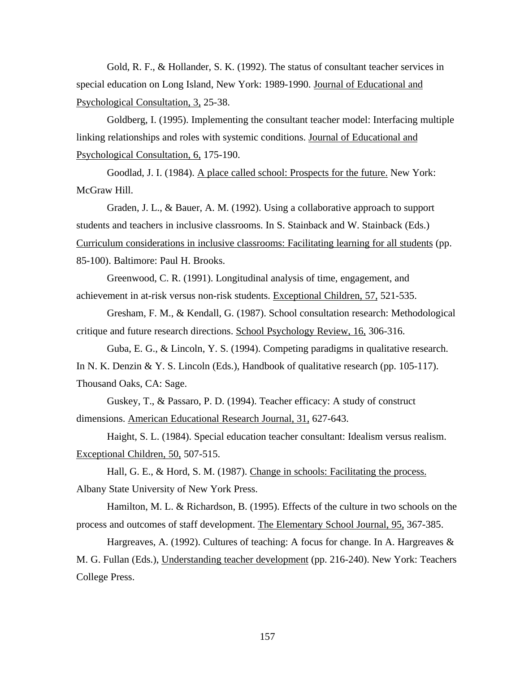Gold, R. F., & Hollander, S. K. (1992). The status of consultant teacher services in special education on Long Island, New York: 1989-1990. Journal of Educational and Psychological Consultation, 3, 25-38.

Goldberg, I. (1995). Implementing the consultant teacher model: Interfacing multiple linking relationships and roles with systemic conditions. Journal of Educational and Psychological Consultation, 6, 175-190.

Goodlad, J. I. (1984). A place called school: Prospects for the future. New York: McGraw Hill.

Graden, J. L., & Bauer, A. M. (1992). Using a collaborative approach to support students and teachers in inclusive classrooms. In S. Stainback and W. Stainback (Eds.) Curriculum considerations in inclusive classrooms: Facilitating learning for all students (pp. 85-100). Baltimore: Paul H. Brooks.

Greenwood, C. R. (1991). Longitudinal analysis of time, engagement, and achievement in at-risk versus non-risk students. Exceptional Children, 57, 521-535.

Gresham, F. M., & Kendall, G. (1987). School consultation research: Methodological critique and future research directions. School Psychology Review, 16, 306-316.

Guba, E. G., & Lincoln, Y. S. (1994). Competing paradigms in qualitative research. In N. K. Denzin & Y. S. Lincoln (Eds.), Handbook of qualitative research (pp. 105-117). Thousand Oaks, CA: Sage.

Guskey, T., & Passaro, P. D. (1994). Teacher efficacy: A study of construct dimensions. American Educational Research Journal, 31, 627-643.

Haight, S. L. (1984). Special education teacher consultant: Idealism versus realism. Exceptional Children, 50, 507-515.

Hall, G. E., & Hord, S. M. (1987). Change in schools: Facilitating the process. Albany State University of New York Press.

Hamilton, M. L. & Richardson, B. (1995). Effects of the culture in two schools on the process and outcomes of staff development. The Elementary School Journal, 95, 367-385.

Hargreaves, A. (1992). Cultures of teaching: A focus for change. In A. Hargreaves & M. G. Fullan (Eds.), Understanding teacher development (pp. 216-240). New York: Teachers College Press.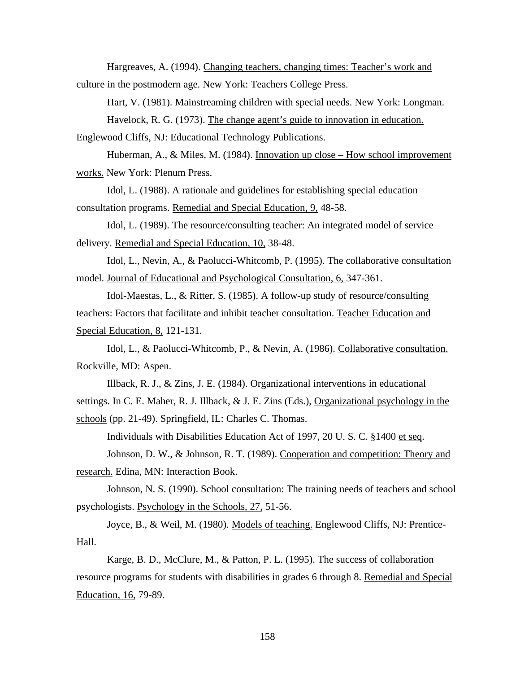Hargreaves, A. (1994). Changing teachers, changing times: Teacher's work and

culture in the postmodern age. New York: Teachers College Press.

Hart, V. (1981). Mainstreaming children with special needs. New York: Longman. Havelock, R. G. (1973). The change agent's guide to innovation in education.

Englewood Cliffs, NJ: Educational Technology Publications.

Huberman, A., & Miles, M. (1984). Innovation up close – How school improvement works. New York: Plenum Press.

Idol, L. (1988). A rationale and guidelines for establishing special education consultation programs. Remedial and Special Education, 9, 48-58.

Idol, L. (1989). The resource/consulting teacher: An integrated model of service delivery. Remedial and Special Education, 10, 38-48.

Idol, L., Nevin, A., & Paolucci-Whitcomb, P. (1995). The collaborative consultation model. Journal of Educational and Psychological Consultation, 6, 347-361.

Idol-Maestas, L., & Ritter, S. (1985). A follow-up study of resource/consulting teachers: Factors that facilitate and inhibit teacher consultation. Teacher Education and Special Education, 8, 121-131.

Idol, L., & Paolucci-Whitcomb, P., & Nevin, A. (1986). Collaborative consultation. Rockville, MD: Aspen.

Illback, R. J., & Zins, J. E. (1984). Organizational interventions in educational settings. In C. E. Maher, R. J. Illback, & J. E. Zins (Eds.), Organizational psychology in the schools (pp. 21-49). Springfield, IL: Charles C. Thomas.

Individuals with Disabilities Education Act of 1997, 20 U. S. C. §1400 et seq.

Johnson, D. W., & Johnson, R. T. (1989). Cooperation and competition: Theory and research. Edina, MN: Interaction Book.

Johnson, N. S. (1990). School consultation: The training needs of teachers and school psychologists. Psychology in the Schools, 27, 51-56.

Joyce, B., & Weil, M. (1980). Models of teaching. Englewood Cliffs, NJ: Prentice-Hall.

Karge, B. D., McClure, M., & Patton, P. L. (1995). The success of collaboration resource programs for students with disabilities in grades 6 through 8. Remedial and Special Education, 16, 79-89.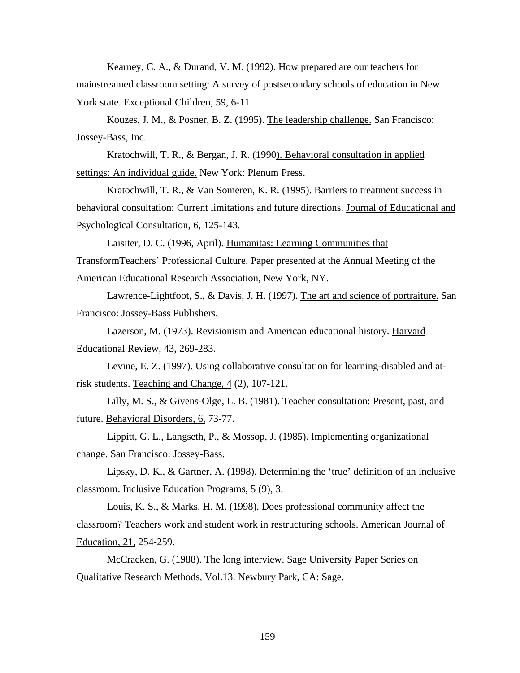Kearney, C. A., & Durand, V. M. (1992). How prepared are our teachers for mainstreamed classroom setting: A survey of postsecondary schools of education in New York state. Exceptional Children, 59, 6-11.

Kouzes, J. M., & Posner, B. Z. (1995). The leadership challenge. San Francisco: Jossey-Bass, Inc.

Kratochwill, T. R., & Bergan, J. R. (1990). Behavioral consultation in applied settings: An individual guide. New York: Plenum Press.

Kratochwill, T. R., & Van Someren, K. R. (1995). Barriers to treatment success in behavioral consultation: Current limitations and future directions. Journal of Educational and Psychological Consultation, 6, 125-143.

Laisiter, D. C. (1996, April). Humanitas: Learning Communities that TransformTeachers' Professional Culture. Paper presented at the Annual Meeting of the American Educational Research Association, New York, NY.

Lawrence-Lightfoot, S., & Davis, J. H. (1997). The art and science of portraiture. San Francisco: Jossey-Bass Publishers.

Lazerson, M. (1973). Revisionism and American educational history. Harvard Educational Review, 43, 269-283.

Levine, E. Z. (1997). Using collaborative consultation for learning-disabled and atrisk students. Teaching and Change, 4 (2), 107-121.

Lilly, M. S., & Givens-Olge, L. B. (1981). Teacher consultation: Present, past, and future. Behavioral Disorders, 6, 73-77.

Lippitt, G. L., Langseth, P., & Mossop, J. (1985). Implementing organizational change. San Francisco: Jossey-Bass.

Lipsky, D. K., & Gartner, A. (1998). Determining the 'true' definition of an inclusive classroom. Inclusive Education Programs, 5 (9), 3.

Louis, K. S., & Marks, H. M. (1998). Does professional community affect the classroom? Teachers work and student work in restructuring schools. American Journal of Education, 21, 254-259.

McCracken, G. (1988). The long interview. Sage University Paper Series on Qualitative Research Methods, Vol.13. Newbury Park, CA: Sage.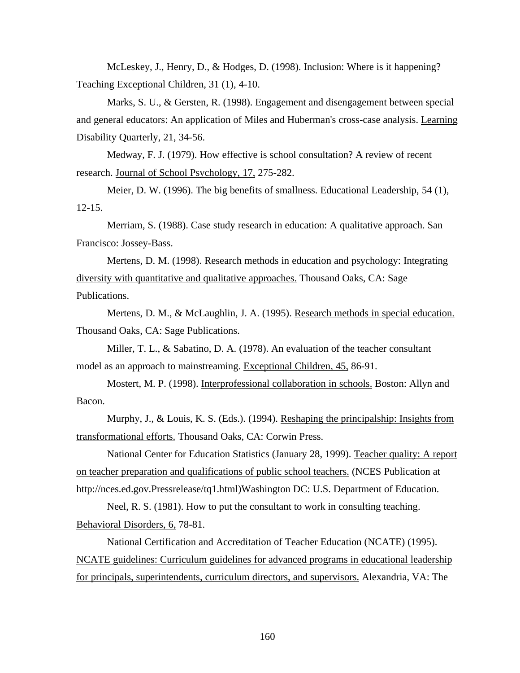McLeskey, J., Henry, D., & Hodges, D. (1998). Inclusion: Where is it happening? Teaching Exceptional Children, 31 (1), 4-10.

Marks, S. U., & Gersten, R. (1998). Engagement and disengagement between special and general educators: An application of Miles and Huberman's cross-case analysis. Learning Disability Quarterly, 21, 34-56.

Medway, F. J. (1979). How effective is school consultation? A review of recent research. Journal of School Psychology, 17, 275-282.

Meier, D. W. (1996). The big benefits of smallness. Educational Leadership, 54 (1), 12-15.

Merriam, S. (1988). Case study research in education: A qualitative approach. San Francisco: Jossey-Bass.

Mertens, D. M. (1998). Research methods in education and psychology: Integrating diversity with quantitative and qualitative approaches. Thousand Oaks, CA: Sage Publications.

Mertens, D. M., & McLaughlin, J. A. (1995). Research methods in special education. Thousand Oaks, CA: Sage Publications.

Miller, T. L., & Sabatino, D. A. (1978). An evaluation of the teacher consultant model as an approach to mainstreaming. Exceptional Children, 45, 86-91.

Mostert, M. P. (1998). Interprofessional collaboration in schools. Boston: Allyn and Bacon.

Murphy, J., & Louis, K. S. (Eds.). (1994). Reshaping the principalship: Insights from transformational efforts. Thousand Oaks, CA: Corwin Press.

National Center for Education Statistics (January 28, 1999). Teacher quality: A report on teacher preparation and qualifications of public school teachers. (NCES Publication at http://nces.ed.gov.Pressrelease/tq1.html)Washington DC: U.S. Department of Education.

Neel, R. S. (1981). How to put the consultant to work in consulting teaching. Behavioral Disorders, 6, 78-81.

National Certification and Accreditation of Teacher Education (NCATE) (1995). NCATE guidelines: Curriculum guidelines for advanced programs in educational leadership for principals, superintendents, curriculum directors, and supervisors. Alexandria, VA: The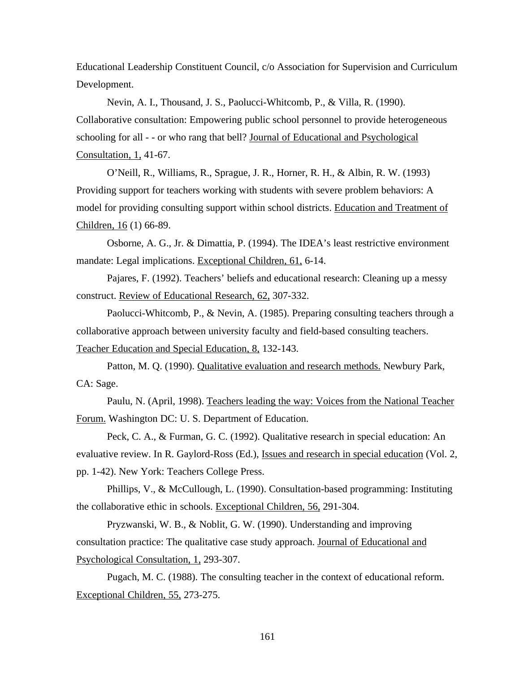Educational Leadership Constituent Council, c/o Association for Supervision and Curriculum Development.

Nevin, A. I., Thousand, J. S., Paolucci-Whitcomb, P., & Villa, R. (1990). Collaborative consultation: Empowering public school personnel to provide heterogeneous schooling for all - - or who rang that bell? Journal of Educational and Psychological Consultation, 1, 41-67.

O'Neill, R., Williams, R., Sprague, J. R., Horner, R. H., & Albin, R. W. (1993) Providing support for teachers working with students with severe problem behaviors: A model for providing consulting support within school districts. Education and Treatment of Children, 16 (1) 66-89.

Osborne, A. G., Jr. & Dimattia, P. (1994). The IDEA's least restrictive environment mandate: Legal implications. Exceptional Children, 61, 6-14.

Pajares, F. (1992). Teachers' beliefs and educational research: Cleaning up a messy construct. Review of Educational Research, 62, 307-332.

Paolucci-Whitcomb, P., & Nevin, A. (1985). Preparing consulting teachers through a collaborative approach between university faculty and field-based consulting teachers. Teacher Education and Special Education, 8, 132-143.

Patton, M. Q. (1990). Qualitative evaluation and research methods. Newbury Park, CA: Sage.

Paulu, N. (April, 1998). Teachers leading the way: Voices from the National Teacher Forum. Washington DC: U. S. Department of Education.

Peck, C. A., & Furman, G. C. (1992). Qualitative research in special education: An evaluative review. In R. Gaylord-Ross (Ed.), Issues and research in special education (Vol. 2, pp. 1-42). New York: Teachers College Press.

Phillips, V., & McCullough, L. (1990). Consultation-based programming: Instituting the collaborative ethic in schools. Exceptional Children, 56, 291-304.

Pryzwanski, W. B., & Noblit, G. W. (1990). Understanding and improving consultation practice: The qualitative case study approach. Journal of Educational and Psychological Consultation, 1, 293-307.

Pugach, M. C. (1988). The consulting teacher in the context of educational reform. Exceptional Children, 55, 273-275.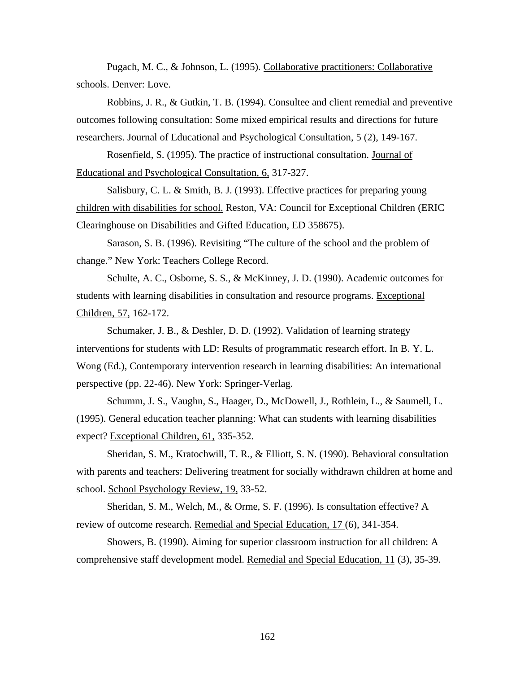Pugach, M. C., & Johnson, L. (1995). Collaborative practitioners: Collaborative schools. Denver: Love.

Robbins, J. R., & Gutkin, T. B. (1994). Consultee and client remedial and preventive outcomes following consultation: Some mixed empirical results and directions for future researchers. Journal of Educational and Psychological Consultation, 5 (2), 149-167.

Rosenfield, S. (1995). The practice of instructional consultation. Journal of Educational and Psychological Consultation, 6, 317-327.

Salisbury, C. L. & Smith, B. J. (1993). *Effective practices for preparing young* children with disabilities for school. Reston, VA: Council for Exceptional Children (ERIC Clearinghouse on Disabilities and Gifted Education, ED 358675).

Sarason, S. B. (1996). Revisiting "The culture of the school and the problem of change." New York: Teachers College Record.

Schulte, A. C., Osborne, S. S., & McKinney, J. D. (1990). Academic outcomes for students with learning disabilities in consultation and resource programs. Exceptional Children, 57, 162-172.

Schumaker, J. B., & Deshler, D. D. (1992). Validation of learning strategy interventions for students with LD: Results of programmatic research effort. In B. Y. L. Wong (Ed.), Contemporary intervention research in learning disabilities: An international perspective (pp. 22-46). New York: Springer-Verlag.

Schumm, J. S., Vaughn, S., Haager, D., McDowell, J., Rothlein, L., & Saumell, L. (1995). General education teacher planning: What can students with learning disabilities expect? Exceptional Children, 61, 335-352.

Sheridan, S. M., Kratochwill, T. R., & Elliott, S. N. (1990). Behavioral consultation with parents and teachers: Delivering treatment for socially withdrawn children at home and school. School Psychology Review, 19, 33-52.

Sheridan, S. M., Welch, M., & Orme, S. F. (1996). Is consultation effective? A review of outcome research. Remedial and Special Education, 17 (6), 341-354.

Showers, B. (1990). Aiming for superior classroom instruction for all children: A comprehensive staff development model. Remedial and Special Education, 11 (3), 35-39.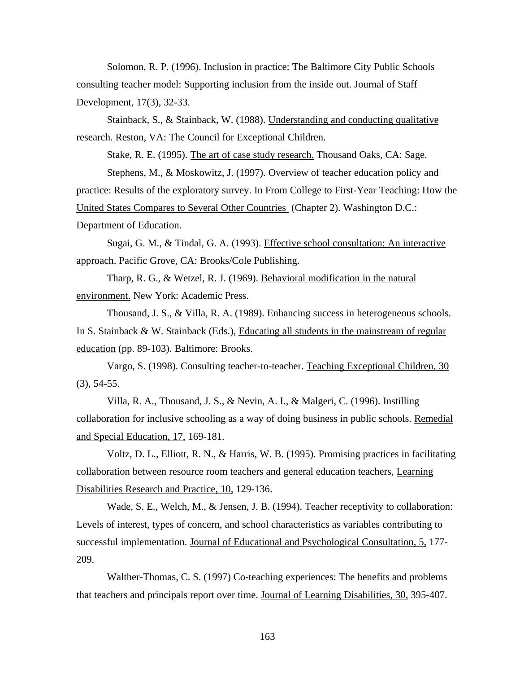Solomon, R. P. (1996). Inclusion in practice: The Baltimore City Public Schools consulting teacher model: Supporting inclusion from the inside out. Journal of Staff Development, 17(3), 32-33.

Stainback, S., & Stainback, W. (1988). Understanding and conducting qualitative research. Reston, VA: The Council for Exceptional Children.

Stake, R. E. (1995). The art of case study research. Thousand Oaks, CA: Sage.

Stephens, M., & Moskowitz, J. (1997). Overview of teacher education policy and practice: Results of the exploratory survey. In From College to First-Year Teaching: How the United States Compares to Several Other Countries (Chapter 2). Washington D.C.: Department of Education.

Sugai, G. M., & Tindal, G. A. (1993). Effective school consultation: An interactive approach. Pacific Grove, CA: Brooks/Cole Publishing.

Tharp, R. G., & Wetzel, R. J. (1969). Behavioral modification in the natural environment. New York: Academic Press.

Thousand, J. S., & Villa, R. A. (1989). Enhancing success in heterogeneous schools. In S. Stainback & W. Stainback (Eds.), Educating all students in the mainstream of regular education (pp. 89-103). Baltimore: Brooks.

Vargo, S. (1998). Consulting teacher-to-teacher. Teaching Exceptional Children, 30 (3), 54-55.

Villa, R. A., Thousand, J. S., & Nevin, A. I., & Malgeri, C. (1996). Instilling collaboration for inclusive schooling as a way of doing business in public schools. Remedial and Special Education, 17, 169-181.

Voltz, D. L., Elliott, R. N., & Harris, W. B. (1995). Promising practices in facilitating collaboration between resource room teachers and general education teachers, Learning Disabilities Research and Practice, 10, 129-136.

Wade, S. E., Welch, M., & Jensen, J. B. (1994). Teacher receptivity to collaboration: Levels of interest, types of concern, and school characteristics as variables contributing to successful implementation. Journal of Educational and Psychological Consultation, 5, 177- 209.

Walther-Thomas, C. S. (1997) Co-teaching experiences: The benefits and problems that teachers and principals report over time. Journal of Learning Disabilities, 30, 395-407.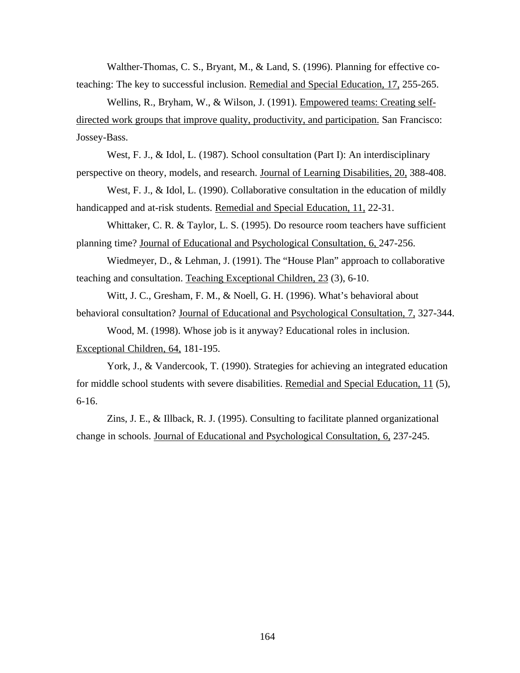Walther-Thomas, C. S., Bryant, M., & Land, S. (1996). Planning for effective coteaching: The key to successful inclusion. Remedial and Special Education, 17, 255-265.

Wellins, R., Bryham, W., & Wilson, J. (1991). Empowered teams: Creating selfdirected work groups that improve quality, productivity, and participation. San Francisco: Jossey-Bass.

West, F. J., & Idol, L. (1987). School consultation (Part I): An interdisciplinary perspective on theory, models, and research. Journal of Learning Disabilities, 20, 388-408.

West, F. J., & Idol, L. (1990). Collaborative consultation in the education of mildly handicapped and at-risk students. Remedial and Special Education, 11, 22-31.

Whittaker, C. R. & Taylor, L. S. (1995). Do resource room teachers have sufficient planning time? Journal of Educational and Psychological Consultation, 6, 247-256.

Wiedmeyer, D., & Lehman, J. (1991). The "House Plan" approach to collaborative teaching and consultation. Teaching Exceptional Children, 23 (3), 6-10.

Witt, J. C., Gresham, F. M., & Noell, G. H. (1996). What's behavioral about behavioral consultation? Journal of Educational and Psychological Consultation, 7, 327-344.

Wood, M. (1998). Whose job is it anyway? Educational roles in inclusion. Exceptional Children, 64, 181-195.

York, J., & Vandercook, T. (1990). Strategies for achieving an integrated education for middle school students with severe disabilities. Remedial and Special Education, 11 (5), 6-16.

Zins, J. E., & Illback, R. J. (1995). Consulting to facilitate planned organizational change in schools. Journal of Educational and Psychological Consultation, 6, 237-245.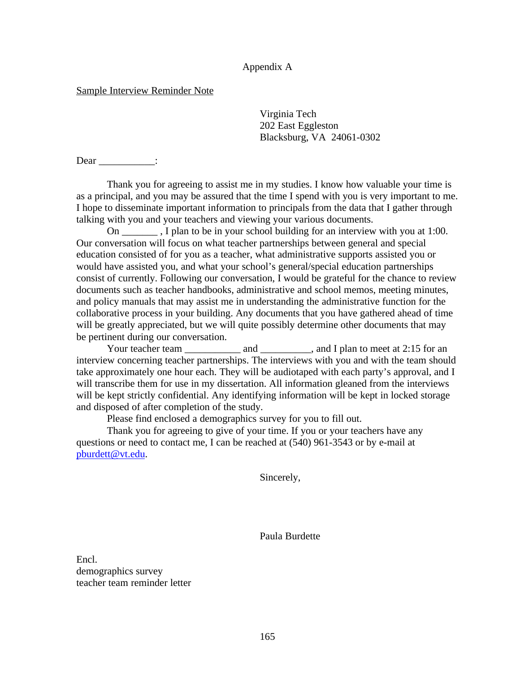## Appendix A

## Sample Interview Reminder Note

Virginia Tech 202 East Eggleston Blacksburg, VA 24061-0302

Dear \_\_\_\_\_\_\_\_\_\_\_\_:

Thank you for agreeing to assist me in my studies. I know how valuable your time is as a principal, and you may be assured that the time I spend with you is very important to me. I hope to disseminate important information to principals from the data that I gather through talking with you and your teachers and viewing your various documents.

On \_\_\_\_\_\_\_ , I plan to be in your school building for an interview with you at 1:00. Our conversation will focus on what teacher partnerships between general and special education consisted of for you as a teacher, what administrative supports assisted you or would have assisted you, and what your school's general/special education partnerships consist of currently. Following our conversation, I would be grateful for the chance to review documents such as teacher handbooks, administrative and school memos, meeting minutes, and policy manuals that may assist me in understanding the administrative function for the collaborative process in your building. Any documents that you have gathered ahead of time will be greatly appreciated, but we will quite possibly determine other documents that may be pertinent during our conversation.

Your teacher team \_\_\_\_\_\_\_\_\_\_\_ and \_\_\_\_\_\_\_\_\_, and I plan to meet at 2:15 for an interview concerning teacher partnerships. The interviews with you and with the team should take approximately one hour each. They will be audiotaped with each party's approval, and I will transcribe them for use in my dissertation. All information gleaned from the interviews will be kept strictly confidential. Any identifying information will be kept in locked storage and disposed of after completion of the study.

Please find enclosed a demographics survey for you to fill out.

Thank you for agreeing to give of your time. If you or your teachers have any questions or need to contact me, I can be reached at (540) 961-3543 or by e-mail at pburdett@vt.edu.

Sincerely,

Paula Burdette

Encl. demographics survey teacher team reminder letter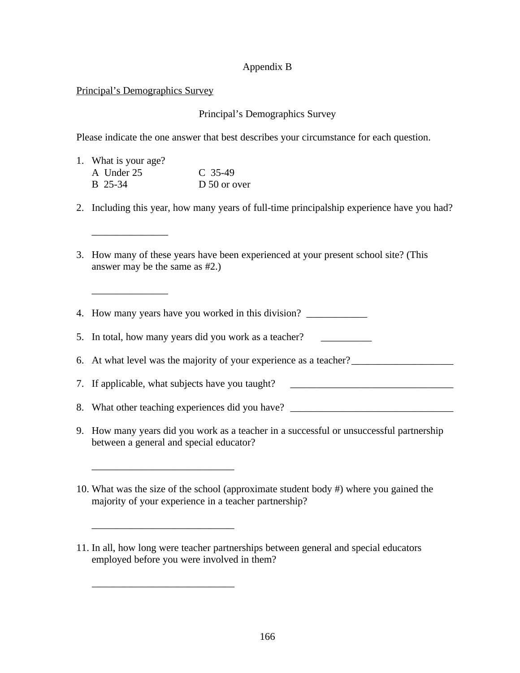# Appendix B

## Principal's Demographics Survey

## Principal's Demographics Survey

Please indicate the one answer that best describes your circumstance for each question.

| 1. What is your age? |              |
|----------------------|--------------|
| A Under 25           | $C$ 35-49    |
| B 25-34              | D 50 or over |

\_\_\_\_\_\_\_\_\_\_\_\_\_\_\_\_\_\_\_\_\_\_\_\_\_\_\_\_

\_\_\_\_\_\_\_\_\_\_\_\_\_\_\_\_\_\_\_\_\_\_\_\_\_\_\_\_

\_\_\_\_\_\_\_\_\_\_\_\_\_\_\_\_\_\_\_\_\_\_\_\_\_\_\_\_

\_\_\_\_\_\_\_\_\_\_\_\_\_\_\_

\_\_\_\_\_\_\_\_\_\_\_\_\_\_\_

- 2. Including this year, how many years of full-time principalship experience have you had?
- 3. How many of these years have been experienced at your present school site? (This answer may be the same as #2.)

4. How many years have you worked in this division?

5. In total, how many years did you work as a teacher?

6. At what level was the majority of your experience as a teacher?

7. If applicable, what subjects have you taught?

8. What other teaching experiences did you have?

- 9. How many years did you work as a teacher in a successful or unsuccessful partnership between a general and special educator?
- 10. What was the size of the school (approximate student body #) where you gained the majority of your experience in a teacher partnership?

<sup>11.</sup> In all, how long were teacher partnerships between general and special educators employed before you were involved in them?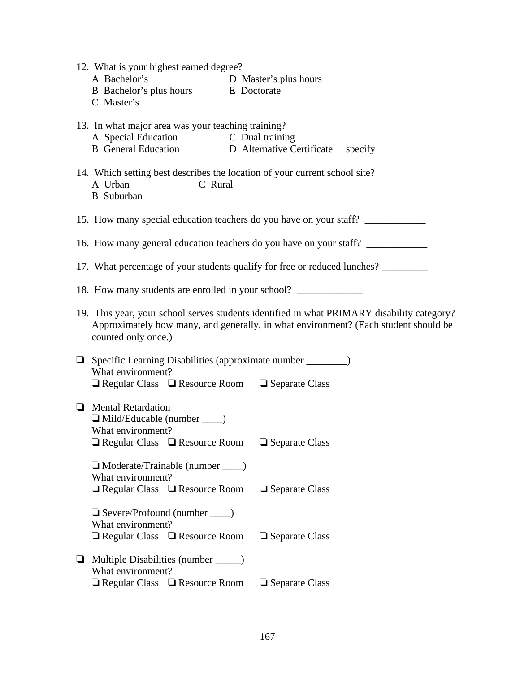| 12. What is your highest earned degree?<br>A Bachelor's D Master's plus hours<br>B Bachelor's plus hours<br>E Doctorate<br>C Master's         |                                                                                                                                                                                   |
|-----------------------------------------------------------------------------------------------------------------------------------------------|-----------------------------------------------------------------------------------------------------------------------------------------------------------------------------------|
| 13. In what major area was your teaching training?                                                                                            |                                                                                                                                                                                   |
| C Rural<br>A Urban<br><b>B</b> Suburban                                                                                                       | 14. Which setting best describes the location of your current school site?                                                                                                        |
|                                                                                                                                               | 15. How many special education teachers do you have on your staff?                                                                                                                |
|                                                                                                                                               | 16. How many general education teachers do you have on your staff?                                                                                                                |
|                                                                                                                                               | 17. What percentage of your students qualify for free or reduced lunches? _______                                                                                                 |
| 18. How many students are enrolled in your school? _____________________________                                                              |                                                                                                                                                                                   |
| counted only once.)                                                                                                                           | 19. This year, your school serves students identified in what PRIMARY disability category?<br>Approximately how many, and generally, in what environment? (Each student should be |
| $\Box$ Specific Learning Disabilities (approximate number _________)<br>What environment?<br>□ Regular Class □ Resource Room □ Separate Class |                                                                                                                                                                                   |
| $\Box$ Mental Retardation<br>$\Box$ Mild/Educable (number $\_\_$ )<br>What environment?<br>□ Regular Class □ Resource Room □ Separate Class   |                                                                                                                                                                                   |
| Moderate/Trainable (number ____)<br>What environment?<br>$\Box$ Regular Class $\Box$ Resource Room                                            | $\Box$ Separate Class                                                                                                                                                             |
| $\Box$ Severe/Profound (number $\rule{1em}{0.15mm}$ )<br>What environment?<br>$\Box$ Regular Class $\Box$ Resource Room                       | □ Separate Class                                                                                                                                                                  |
| Multiple Disabilities (number ______)<br>⊔<br>What environment?<br>$\Box$ Regular Class $\Box$ Resource Room                                  | $\Box$ Separate Class                                                                                                                                                             |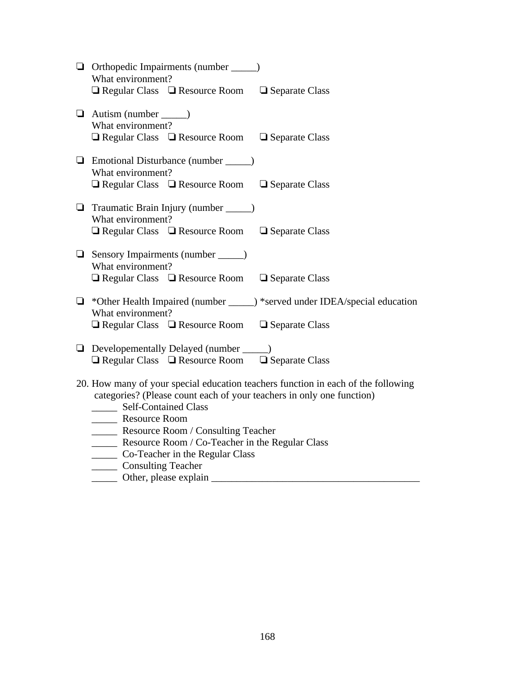| $\Box$ Orthopedic Impairments (number $\_\_$ )<br>What environment?<br>$\Box$ Regular Class $\Box$ Resource Room $\Box$ Separate Class                                                                                                                   |
|----------------------------------------------------------------------------------------------------------------------------------------------------------------------------------------------------------------------------------------------------------|
| $\Box$ Autism (number $\_\_$ )<br>What environment?<br>$\Box$ Regular Class $\Box$ Resource Room $\Box$ Separate Class                                                                                                                                   |
| $\Box$ Emotional Disturbance (number $\_\_$ )<br>What environment?<br>$\Box$ Regular Class $\Box$ Resource Room $\Box$ Separate Class                                                                                                                    |
| $\Box$ Traumatic Brain Injury (number ______)<br>What environment?<br>$\Box$ Regular Class $\Box$ Resource Room $\Box$ Separate Class                                                                                                                    |
| Sensory Impairments (number _____)<br>What environment?<br>$\Box$ Regular Class $\Box$ Resource Room $\Box$ Separate Class                                                                                                                               |
| $\Box$ *Other Health Impaired (number _____) *served under IDEA/special education<br>What environment?<br>$\Box$ Regular Class $\Box$ Resource Room $\Box$ Separate Class                                                                                |
| $\Box$ Developementally Delayed (number $\_\_$ )<br>$\Box$ Regular Class $\Box$ Resource Room $\Box$ Separate Class                                                                                                                                      |
| 20. How many of your special education teachers function in each of the following<br>categories? (Please count each of your teachers in only one function)<br>_______ Self-Contained Class<br>Resource Room<br>______ Resource Room / Consulting Teacher |
| ______ Resource Room / Co-Teacher in the Regular Class<br>_______ Co-Teacher in the Regular Class                                                                                                                                                        |

- \_\_\_\_\_ Consulting Teacher
- \_\_\_\_\_ Other, please explain \_\_\_\_\_\_\_\_\_\_\_\_\_\_\_\_\_\_\_\_\_\_\_\_\_\_\_\_\_\_\_\_\_\_\_\_\_\_\_\_\_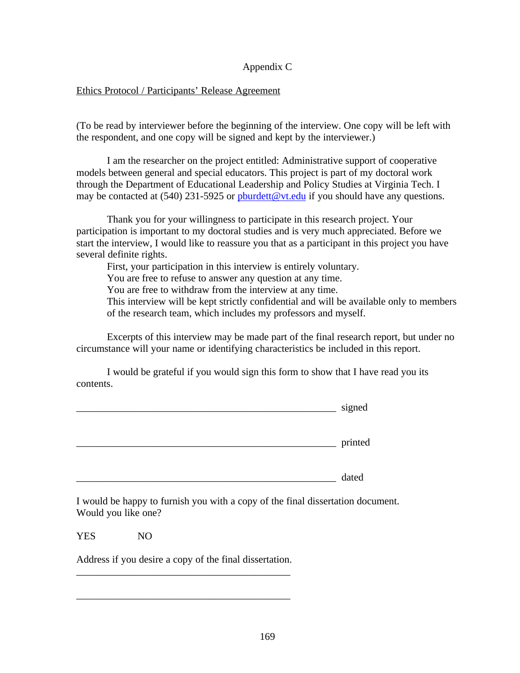# Appendix C

## Ethics Protocol / Participants' Release Agreement

(To be read by interviewer before the beginning of the interview. One copy will be left with the respondent, and one copy will be signed and kept by the interviewer.)

I am the researcher on the project entitled: Administrative support of cooperative models between general and special educators. This project is part of my doctoral work through the Department of Educational Leadership and Policy Studies at Virginia Tech. I may be contacted at (540) 231-5925 or poundett@vt.edu if you should have any questions.

Thank you for your willingness to participate in this research project. Your participation is important to my doctoral studies and is very much appreciated. Before we start the interview, I would like to reassure you that as a participant in this project you have several definite rights.

First, your participation in this interview is entirely voluntary.

You are free to refuse to answer any question at any time.

You are free to withdraw from the interview at any time.

This interview will be kept strictly confidential and will be available only to members of the research team, which includes my professors and myself.

Excerpts of this interview may be made part of the final research report, but under no circumstance will your name or identifying characteristics be included in this report.

I would be grateful if you would sign this form to show that I have read you its contents.

| signed  |
|---------|
| printed |
| dated   |

I would be happy to furnish you with a copy of the final dissertation document. Would you like one?

YES NO

Address if you desire a copy of the final dissertation. \_\_\_\_\_\_\_\_\_\_\_\_\_\_\_\_\_\_\_\_\_\_\_\_\_\_\_\_\_\_\_\_\_\_\_\_\_\_\_\_\_\_

\_\_\_\_\_\_\_\_\_\_\_\_\_\_\_\_\_\_\_\_\_\_\_\_\_\_\_\_\_\_\_\_\_\_\_\_\_\_\_\_\_\_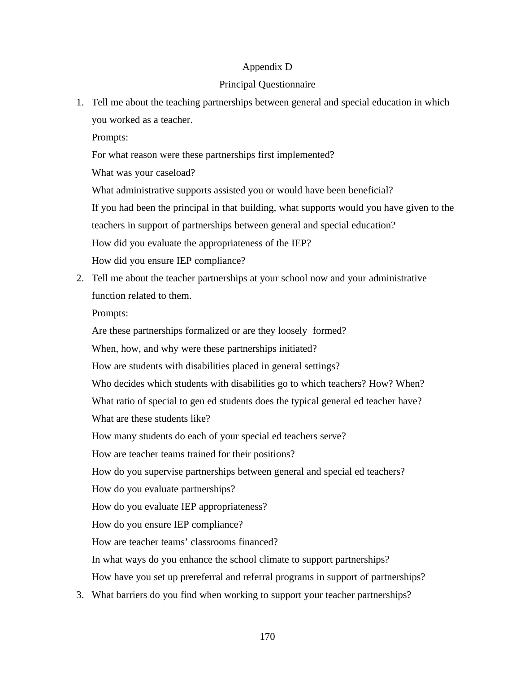# Appendix D

## Principal Questionnaire

1. Tell me about the teaching partnerships between general and special education in which you worked as a teacher.

Prompts:

For what reason were these partnerships first implemented?

What was your caseload?

What administrative supports assisted you or would have been beneficial?

If you had been the principal in that building, what supports would you have given to the

teachers in support of partnerships between general and special education?

How did you evaluate the appropriateness of the IEP?

How did you ensure IEP compliance?

2. Tell me about the teacher partnerships at your school now and your administrative function related to them.

Prompts:

Are these partnerships formalized or are they loosely formed?

When, how, and why were these partnerships initiated?

How are students with disabilities placed in general settings?

Who decides which students with disabilities go to which teachers? How? When?

What ratio of special to gen ed students does the typical general ed teacher have? What are these students like?

How many students do each of your special ed teachers serve?

How are teacher teams trained for their positions?

How do you supervise partnerships between general and special ed teachers?

How do you evaluate partnerships?

How do you evaluate IEP appropriateness?

How do you ensure IEP compliance?

How are teacher teams' classrooms financed?

In what ways do you enhance the school climate to support partnerships?

How have you set up prereferral and referral programs in support of partnerships?

3. What barriers do you find when working to support your teacher partnerships?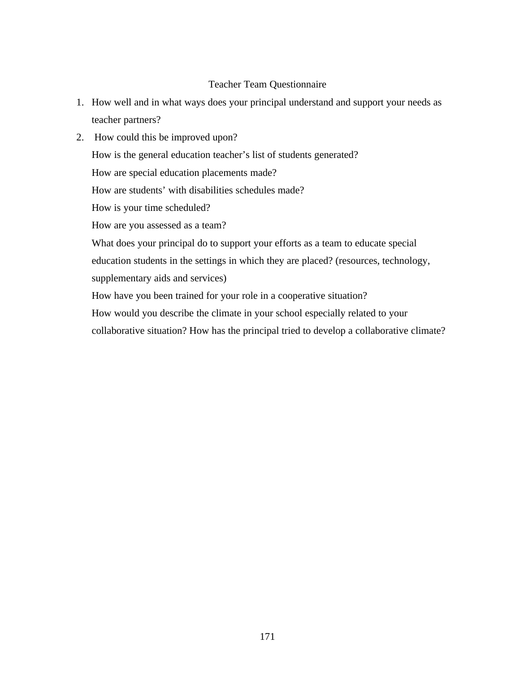# Teacher Team Questionnaire

- 1. How well and in what ways does your principal understand and support your needs as teacher partners?
- 2. How could this be improved upon? How is the general education teacher's list of students generated? How are special education placements made? How are students' with disabilities schedules made? How is your time scheduled? How are you assessed as a team? What does your principal do to support your efforts as a team to educate special education students in the settings in which they are placed? (resources, technology, supplementary aids and services) How have you been trained for your role in a cooperative situation? How would you describe the climate in your school especially related to your collaborative situation? How has the principal tried to develop a collaborative climate?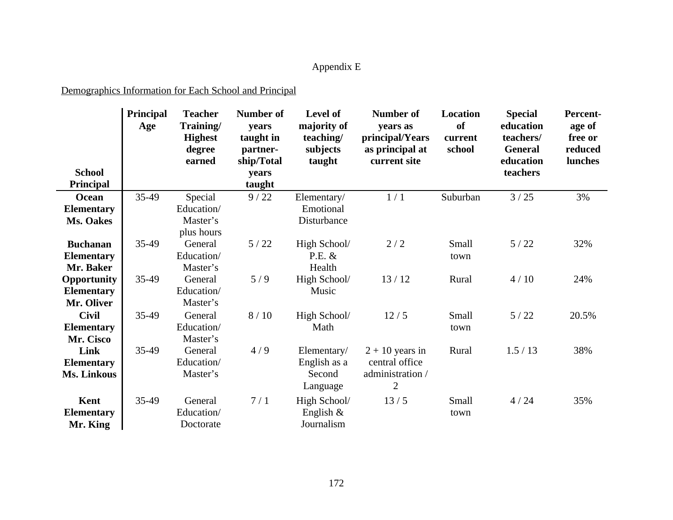# Appendix E

# Demographics Information for Each School and Principal

|                    | <b>Principal</b><br>Age | <b>Teacher</b><br>Training/<br><b>Highest</b><br>degree<br>earned | Number of<br>years<br>taught in<br>partner-<br>ship/Total | Level of<br>majority of<br>teaching/<br>subjects<br>taught | Number of<br>years as<br>principal/Years<br>as principal at<br>current site | <b>Location</b><br>of<br>current<br>school | <b>Special</b><br>education<br>teachers/<br><b>General</b><br>education | <b>Percent-</b><br>age of<br>free or<br>reduced<br>lunches |
|--------------------|-------------------------|-------------------------------------------------------------------|-----------------------------------------------------------|------------------------------------------------------------|-----------------------------------------------------------------------------|--------------------------------------------|-------------------------------------------------------------------------|------------------------------------------------------------|
| <b>School</b>      |                         |                                                                   | years                                                     |                                                            |                                                                             |                                            | teachers                                                                |                                                            |
| Principal          |                         |                                                                   | taught                                                    |                                                            |                                                                             |                                            |                                                                         |                                                            |
| Ocean              | 35-49                   | Special                                                           | 9/22                                                      | Elementary/                                                | 1/1                                                                         | Suburban                                   | 3/25                                                                    | 3%                                                         |
| <b>Elementary</b>  |                         | Education/                                                        |                                                           | Emotional                                                  |                                                                             |                                            |                                                                         |                                                            |
| Ms. Oakes          |                         | Master's                                                          |                                                           | Disturbance                                                |                                                                             |                                            |                                                                         |                                                            |
|                    |                         | plus hours                                                        |                                                           |                                                            |                                                                             |                                            |                                                                         |                                                            |
| <b>Buchanan</b>    | 35-49                   | General                                                           | 5/22                                                      | High School/                                               | 2/2                                                                         | Small                                      | 5/22                                                                    | 32%                                                        |
| <b>Elementary</b>  |                         | Education/                                                        |                                                           | P.E. &                                                     |                                                                             | town                                       |                                                                         |                                                            |
| Mr. Baker          |                         | Master's                                                          |                                                           | Health                                                     |                                                                             |                                            |                                                                         |                                                            |
| <b>Opportunity</b> | 35-49                   | General                                                           | 5/9                                                       | High School/                                               | 13/12                                                                       | Rural                                      | 4/10                                                                    | 24%                                                        |
| <b>Elementary</b>  |                         | Education/                                                        |                                                           | Music                                                      |                                                                             |                                            |                                                                         |                                                            |
| Mr. Oliver         |                         | Master's                                                          |                                                           |                                                            |                                                                             |                                            |                                                                         |                                                            |
| <b>Civil</b>       | 35-49                   | General                                                           | 8/10                                                      | High School/                                               | 12/5                                                                        | Small                                      | 5/22                                                                    | 20.5%                                                      |
| <b>Elementary</b>  |                         | Education/                                                        |                                                           | Math                                                       |                                                                             | town                                       |                                                                         |                                                            |
| Mr. Cisco          |                         | Master's                                                          |                                                           |                                                            |                                                                             |                                            |                                                                         |                                                            |
| Link               | 35-49                   | General                                                           | 4/9                                                       | Elementary/                                                | $2 + 10$ years in                                                           | Rural                                      | 1.5/13                                                                  | 38%                                                        |
| <b>Elementary</b>  |                         | Education/                                                        |                                                           | English as a                                               | central office                                                              |                                            |                                                                         |                                                            |
| Ms. Linkous        |                         | Master's                                                          |                                                           | Second<br>Language                                         | administration /<br>$\overline{2}$                                          |                                            |                                                                         |                                                            |
|                    |                         |                                                                   |                                                           |                                                            |                                                                             |                                            |                                                                         |                                                            |
| Kent               | 35-49                   | General                                                           | 7/1                                                       | High School/                                               | 13/5                                                                        | Small                                      | 4/24                                                                    | 35%                                                        |
| <b>Elementary</b>  |                         | Education/                                                        |                                                           | English $\&$                                               |                                                                             | town                                       |                                                                         |                                                            |
| Mr. King           |                         | Doctorate                                                         |                                                           | Journalism                                                 |                                                                             |                                            |                                                                         |                                                            |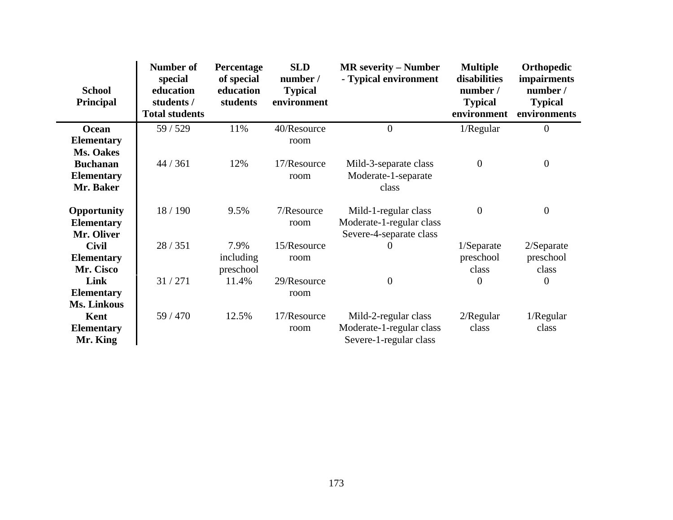| <b>School</b><br><b>Principal</b> | Number of<br>special<br>education<br>students /<br><b>Total students</b> | Percentage<br>of special<br>education<br>students | <b>SLD</b><br>number /<br><b>Typical</b><br>environment | <b>MR</b> severity – Number<br>- Typical environment | <b>Multiple</b><br>disabilities<br>number /<br><b>Typical</b><br>environment | Orthopedic<br><i>impairments</i><br>number /<br><b>Typical</b><br>environments |
|-----------------------------------|--------------------------------------------------------------------------|---------------------------------------------------|---------------------------------------------------------|------------------------------------------------------|------------------------------------------------------------------------------|--------------------------------------------------------------------------------|
| Ocean                             | 59 / 529                                                                 | 11%                                               | 40/Resource                                             | $\overline{0}$                                       | 1/Regular                                                                    | $\boldsymbol{0}$                                                               |
| <b>Elementary</b>                 |                                                                          |                                                   | room                                                    |                                                      |                                                                              |                                                                                |
| Ms. Oakes                         |                                                                          |                                                   |                                                         |                                                      |                                                                              |                                                                                |
| <b>Buchanan</b>                   | 44 / 361                                                                 | 12%                                               | 17/Resource                                             | Mild-3-separate class                                | $\boldsymbol{0}$                                                             | $\boldsymbol{0}$                                                               |
| <b>Elementary</b>                 |                                                                          |                                                   | room                                                    | Moderate-1-separate                                  |                                                                              |                                                                                |
| Mr. Baker                         |                                                                          |                                                   |                                                         | class                                                |                                                                              |                                                                                |
| Opportunity<br><b>Elementary</b>  | 18 / 190                                                                 | 9.5%                                              | 7/Resource<br>room                                      | Mild-1-regular class<br>Moderate-1-regular class     | $\boldsymbol{0}$                                                             | $\boldsymbol{0}$                                                               |
| Mr. Oliver                        |                                                                          |                                                   |                                                         | Severe-4-separate class                              |                                                                              |                                                                                |
| <b>Civil</b><br><b>Elementary</b> | 28 / 351                                                                 | 7.9%<br>including                                 | 15/Resource<br>room                                     | 0                                                    | $1/S$ eparate<br>preschool                                                   | $2/S$ eparate<br>preschool                                                     |
| Mr. Cisco                         |                                                                          | preschool                                         |                                                         |                                                      | class                                                                        | class                                                                          |
| Link                              | 31/271                                                                   | 11.4%                                             | 29/Resource                                             | $\overline{0}$                                       | $\overline{0}$                                                               | $\overline{0}$                                                                 |
| <b>Elementary</b>                 |                                                                          |                                                   | room                                                    |                                                      |                                                                              |                                                                                |
| Ms. Linkous                       |                                                                          |                                                   |                                                         |                                                      |                                                                              |                                                                                |
| Kent                              | 59 / 470                                                                 | 12.5%                                             | 17/Resource                                             | Mild-2-regular class                                 | $2/R$ egular                                                                 | 1/Regular                                                                      |
| <b>Elementary</b><br>Mr. King     |                                                                          |                                                   | room                                                    | Moderate-1-regular class<br>Severe-1-regular class   | class                                                                        | class                                                                          |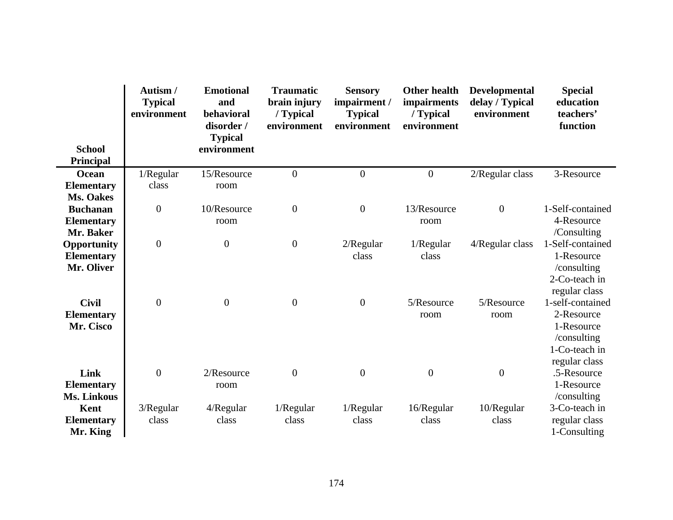|                                                       | Autism/<br><b>Typical</b><br>environment | <b>Emotional</b><br>and<br>behavioral<br>disorder /<br><b>Typical</b> | <b>Traumatic</b><br>brain injury<br>/ Typical<br>environment | <b>Sensory</b><br>impairment /<br><b>Typical</b><br>environment | <b>Other health</b><br>impairments<br>/ Typical<br>environment | <b>Developmental</b><br>delay / Typical<br>environment | <b>Special</b><br>education<br>teachers'<br>function                                          |
|-------------------------------------------------------|------------------------------------------|-----------------------------------------------------------------------|--------------------------------------------------------------|-----------------------------------------------------------------|----------------------------------------------------------------|--------------------------------------------------------|-----------------------------------------------------------------------------------------------|
| <b>School</b><br><b>Principal</b>                     |                                          | environment                                                           |                                                              |                                                                 |                                                                |                                                        |                                                                                               |
| Ocean                                                 | 1/Regular                                | 15/Resource                                                           | $\overline{0}$                                               | $\boldsymbol{0}$                                                | $\boldsymbol{0}$                                               | 2/Regular class                                        | 3-Resource                                                                                    |
| <b>Elementary</b>                                     | class                                    | room                                                                  |                                                              |                                                                 |                                                                |                                                        |                                                                                               |
| <b>Ms. Oakes</b>                                      |                                          |                                                                       |                                                              |                                                                 |                                                                |                                                        |                                                                                               |
| <b>Buchanan</b>                                       | $\boldsymbol{0}$                         | 10/Resource                                                           | $\boldsymbol{0}$                                             | $\boldsymbol{0}$                                                | 13/Resource                                                    | $\mathbf{0}$                                           | 1-Self-contained                                                                              |
| <b>Elementary</b>                                     |                                          | room                                                                  |                                                              |                                                                 | room                                                           |                                                        | 4-Resource                                                                                    |
| Mr. Baker                                             |                                          |                                                                       |                                                              |                                                                 |                                                                |                                                        | /Consulting                                                                                   |
| <b>Opportunity</b><br><b>Elementary</b><br>Mr. Oliver | $\boldsymbol{0}$                         | $\boldsymbol{0}$                                                      | $\overline{0}$                                               | $2/R$ egular<br>class                                           | 1/Regular<br>class                                             | 4/Regular class                                        | 1-Self-contained<br>1-Resource<br>/consulting<br>2-Co-teach in<br>regular class               |
| <b>Civil</b><br><b>Elementary</b><br>Mr. Cisco        | $\overline{0}$                           | $\overline{0}$                                                        | $\overline{0}$                                               | $\boldsymbol{0}$                                                | 5/Resource<br>room                                             | 5/Resource<br>room                                     | 1-self-contained<br>2-Resource<br>1-Resource<br>/consulting<br>1-Co-teach in<br>regular class |
| Link<br><b>Elementary</b><br>Ms. Linkous              | $\overline{0}$                           | 2/Resource<br>room                                                    | $\overline{0}$                                               | $\boldsymbol{0}$                                                | $\overline{0}$                                                 | $\boldsymbol{0}$                                       | .5-Resource<br>1-Resource<br>/consulting                                                      |
| Kent<br><b>Elementary</b><br>Mr. King                 | $3/R$ egular<br>class                    | $4/R$ egular<br>class                                                 | 1/Regular<br>class                                           | 1/Regular<br>class                                              | 16/Regular<br>class                                            | $10$ /Regular<br>class                                 | 3-Co-teach in<br>regular class<br>1-Consulting                                                |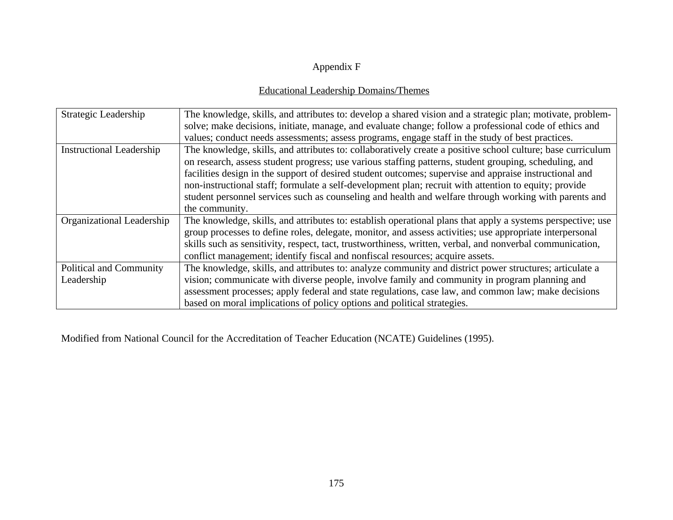## Appendix F

## Educational Leadership Domains/Themes

| Strategic Leadership            | The knowledge, skills, and attributes to: develop a shared vision and a strategic plan; motivate, problem-  |
|---------------------------------|-------------------------------------------------------------------------------------------------------------|
|                                 | solve; make decisions, initiate, manage, and evaluate change; follow a professional code of ethics and      |
|                                 | values; conduct needs assessments; assess programs, engage staff in the study of best practices.            |
| <b>Instructional Leadership</b> | The knowledge, skills, and attributes to: collaboratively create a positive school culture; base curriculum |
|                                 | on research, assess student progress; use various staffing patterns, student grouping, scheduling, and      |
|                                 | facilities design in the support of desired student outcomes; supervise and appraise instructional and      |
|                                 | non-instructional staff; formulate a self-development plan; recruit with attention to equity; provide       |
|                                 | student personnel services such as counseling and health and welfare through working with parents and       |
|                                 | the community.                                                                                              |
| Organizational Leadership       | The knowledge, skills, and attributes to: establish operational plans that apply a systems perspective; use |
|                                 | group processes to define roles, delegate, monitor, and assess activities; use appropriate interpersonal    |
|                                 | skills such as sensitivity, respect, tact, trustworthiness, written, verbal, and nonverbal communication,   |
|                                 | conflict management; identify fiscal and nonfiscal resources; acquire assets.                               |
| Political and Community         | The knowledge, skills, and attributes to: analyze community and district power structures; articulate a     |
| Leadership                      | vision; communicate with diverse people, involve family and community in program planning and               |
|                                 | assessment processes; apply federal and state regulations, case law, and common law; make decisions         |
|                                 | based on moral implications of policy options and political strategies.                                     |

Modified from National Council for the Accreditation of Teacher Education (NCATE) Guidelines (1995).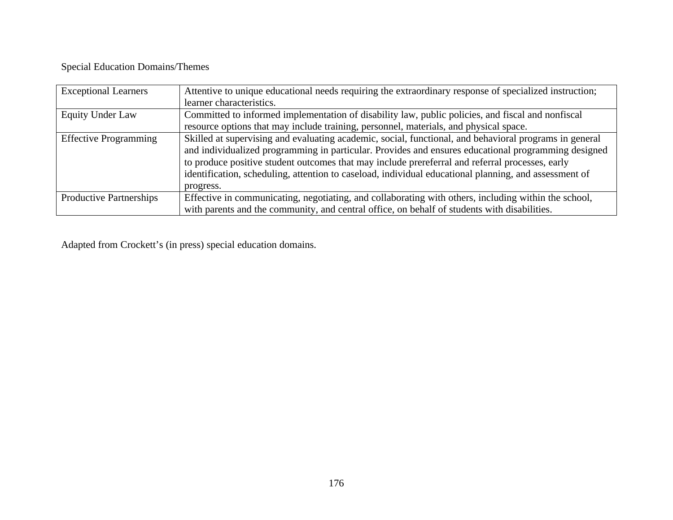## Special Education Domains/Themes

| <b>Exceptional Learners</b>    | Attentive to unique educational needs requiring the extraordinary response of specialized instruction;<br>learner characteristics.                                                                                                                                                                                                                                                                                                     |
|--------------------------------|----------------------------------------------------------------------------------------------------------------------------------------------------------------------------------------------------------------------------------------------------------------------------------------------------------------------------------------------------------------------------------------------------------------------------------------|
| <b>Equity Under Law</b>        | Committed to informed implementation of disability law, public policies, and fiscal and nonfiscal                                                                                                                                                                                                                                                                                                                                      |
|                                | resource options that may include training, personnel, materials, and physical space.                                                                                                                                                                                                                                                                                                                                                  |
| <b>Effective Programming</b>   | Skilled at supervising and evaluating academic, social, functional, and behavioral programs in general<br>and individualized programming in particular. Provides and ensures educational programming designed<br>to produce positive student outcomes that may include prereferral and referral processes, early<br>identification, scheduling, attention to caseload, individual educational planning, and assessment of<br>progress. |
| <b>Productive Partnerships</b> | Effective in communicating, negotiating, and collaborating with others, including within the school,                                                                                                                                                                                                                                                                                                                                   |
|                                | with parents and the community, and central office, on behalf of students with disabilities.                                                                                                                                                                                                                                                                                                                                           |

Adapted from Crockett's (in press) special education domains.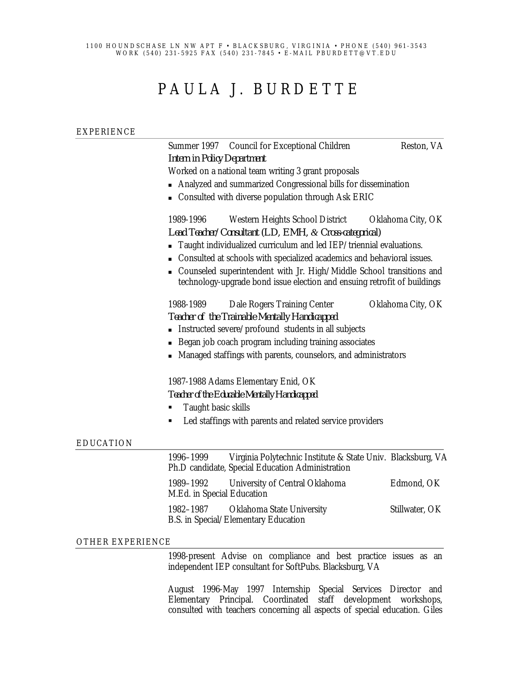#### 1100 HOUNDSCHASE LN NW APT F • BLACKSBURG, VIRGINIA • PHONE (540) 961-3543 WORK (540) 231-5925 FAX (540) 231-7845 • E-MAIL PBURDETT@VT.EDU

# PAULA J. BURDETTE

## EXPERIENCE Summer 1997 Council for Exceptional Children Reston, VA *Intern in Policy Department* Worked on a national team writing 3 grant proposals <sup>n</sup> Analyzed and summarized Congressional bills for dissemination <sup>n</sup> Consulted with diverse population through Ask ERIC 1989-1996 Western Heights School District Oklahoma City, OK *Lead Teacher/Consultant (LD, EMH, & Cross-categorical)* <sup>n</sup> Taught individualized curriculum and led IEP/triennial evaluations. <sup>n</sup> Consulted at schools with specialized academics and behavioral issues. <sup>n</sup> Counseled superintendent with Jr. High/Middle School transitions and technology-upgrade bond issue election and ensuing retrofit of buildings 1988-1989 Dale Rogers Training Center Oklahoma City, OK *Teacher of the Trainable Mentally Handicapped* <sup>n</sup> Instructed severe/profound students in all subjects ■ Began job coach program including training associates <sup>n</sup> Managed staffings with parents, counselors, and administrators 1987-1988 Adams Elementary Enid, OK *Teacher of the Educable Mentally Handicapped* **Taught basic skills** ß Led staffings with parents and related service providers EDUCATION 1996–1999 Virginia Polytechnic Institute & State Univ. Blacksburg, VA Ph.D candidate, Special Education Administration 1989–1992 University of Central Oklahoma Edmond, OK M.Ed. in Special Education 1982–1987 Oklahoma State University Stillwater, OK B.S. in Special/Elementary Education

### OTHER EXPERIENCE

1998-present Advise on compliance and best practice issues as an independent IEP consultant for SoftPubs. Blacksburg, VA

August 1996-May 1997 Internship Special Services Director and Elementary Principal. Coordinated staff development workshops, consulted with teachers concerning all aspects of special education. Giles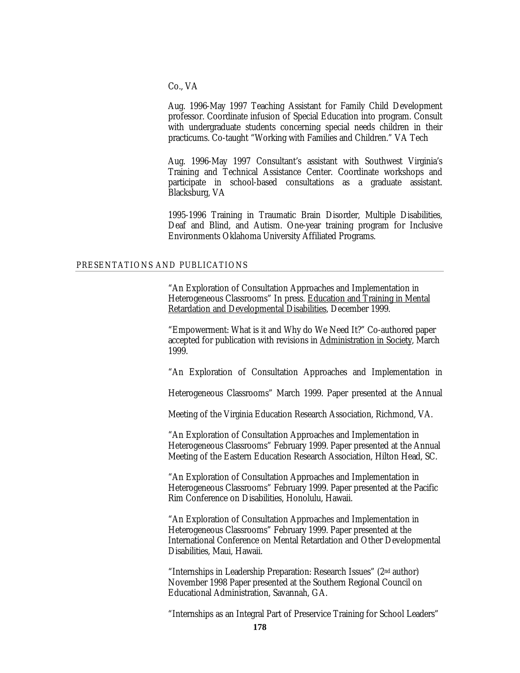Co., VA

Aug. 1996-May 1997 Teaching Assistant for Family Child Development professor. Coordinate infusion of Special Education into program. Consult with undergraduate students concerning special needs children in their practicums. Co-taught "Working with Families and Children." VA Tech

Aug. 1996-May 1997 Consultant's assistant with Southwest Virginia's Training and Technical Assistance Center. Coordinate workshops and participate in school-based consultations as a graduate assistant. Blacksburg, VA

1995-1996 Training in Traumatic Brain Disorder, Multiple Disabilities, Deaf and Blind, and Autism. One-year training program for Inclusive Environments Oklahoma University Affiliated Programs.

### PRESENTATIONS AND PUBLICATIONS

"An Exploration of Consultation Approaches and Implementation in Heterogeneous Classrooms" In press. Education and Training in Mental Retardation and Developmental Disabilities, December 1999.

"Empowerment: What is it and Why do We Need It?" Co-authored paper accepted for publication with revisions in Administration in Society, March 1999.

"An Exploration of Consultation Approaches and Implementation in

Heterogeneous Classrooms" March 1999. Paper presented at the Annual

Meeting of the Virginia Education Research Association, Richmond, VA.

"An Exploration of Consultation Approaches and Implementation in Heterogeneous Classrooms" February 1999. Paper presented at the Annual Meeting of the Eastern Education Research Association, Hilton Head, SC.

"An Exploration of Consultation Approaches and Implementation in Heterogeneous Classrooms" February 1999. Paper presented at the Pacific Rim Conference on Disabilities, Honolulu, Hawaii.

"An Exploration of Consultation Approaches and Implementation in Heterogeneous Classrooms" February 1999. Paper presented at the International Conference on Mental Retardation and Other Developmental Disabilities, Maui, Hawaii.

"Internships in Leadership Preparation: Research Issues" (2nd author) November 1998 Paper presented at the Southern Regional Council on Educational Administration, Savannah, GA.

"Internships as an Integral Part of Preservice Training for School Leaders"